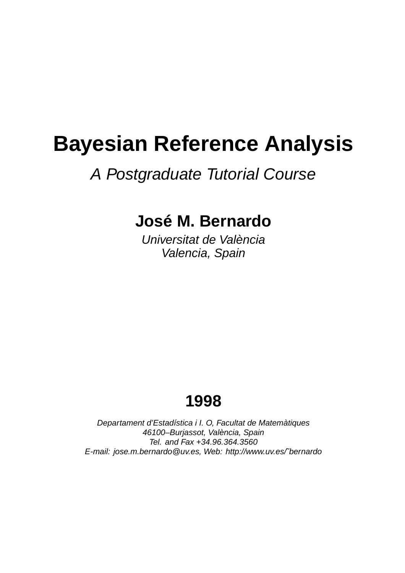# **Bayesian Reference Analysis**

## *A Postgraduate Tutorial Course*

## **José M. Bernardo**

*Universitat de València Valencia, Spain*

## **1998**

*Departament d'Estadística i I. O, Facultat de Matemàtiques 46100–Burjassot, València, Spain Tel. and Fax +34.96.364.3560 E-mail: jose.m.bernardo@uv.es, Web: http://www.uv.es/˜bernardo*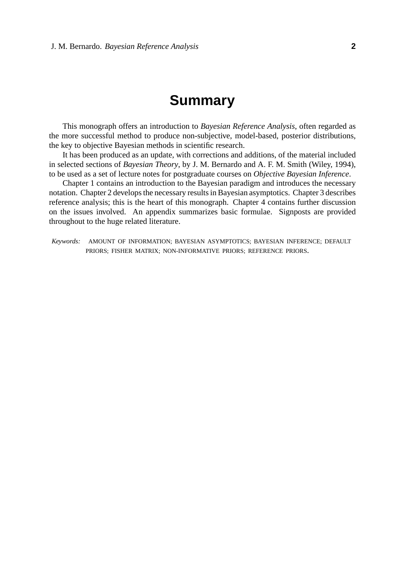### **Summary**

This monograph offers an introduction to *Bayesian Reference Analysis*, often regarded as the more successful method to produce non-subjective, model-based, posterior distributions, the key to objective Bayesian methods in scientific research.

It has been produced as an update, with corrections and additions, of the material included in selected sections of *Bayesian Theory*, by J. M. Bernardo and A. F. M. Smith (Wiley, 1994), to be used as a set of lecture notes for postgraduate courses on *Objective Bayesian Inference*.

Chapter 1 contains an introduction to the Bayesian paradigm and introduces the necessary notation. Chapter 2 develops the necessary results in Bayesian asymptotics. Chapter 3 describes reference analysis; this is the heart of this monograph. Chapter 4 contains further discussion on the issues involved. An appendix summarizes basic formulae. Signposts are provided throughout to the huge related literature.

*Keywords:* AMOUNT OF INFORMATION; BAYESIAN ASYMPTOTICS; BAYESIAN INFERENCE; DEFAULT PRIORS; FISHER MATRIX; NON-INFORMATIVE PRIORS; REFERENCE PRIORS.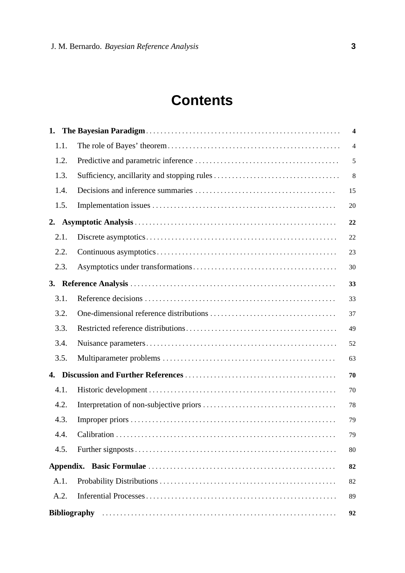### **Contents**

|      | $\overline{\mathbf{4}}$ |
|------|-------------------------|
| 1.1. | 4                       |
| 1.2. | 5                       |
| 1.3. | 8                       |
| 1.4. | 15                      |
| 1.5. | 20                      |
| 2.   | 22                      |
| 2.1. | 22                      |
| 2.2. | 23                      |
| 2.3. | 30                      |
|      | 33                      |
| 3.1. | 33                      |
| 3.2. | 37                      |
| 3.3. | 49                      |
| 3.4. | 52                      |
| 3.5. | 63                      |
| 4.   | 70                      |
| 4.1. | 70                      |
| 4.2. | 78                      |
| 4.3. | 79                      |
| 4.4. | 79                      |
| 4.5. | 80                      |
|      | 82                      |
| A.1. | 82                      |
| A.2. | 89                      |
|      | 92                      |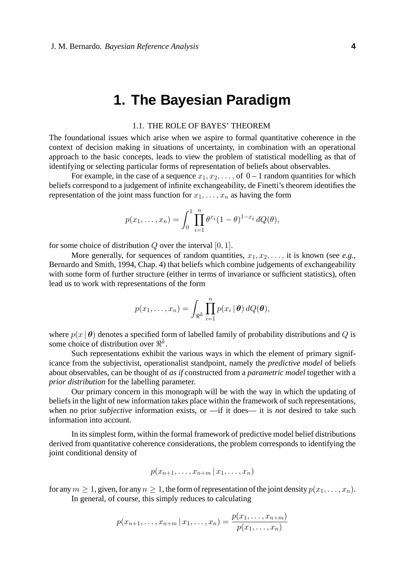### **1. The Bayesian Paradigm**

### 1.1. THE ROLE OF BAYES' THEOREM

The foundational issues which arise when we aspire to formal quantitative coherence in the context of decision making in situations of uncertainty, in combination with an operational approach to the basic concepts, leads to view the problem of statistical modelling as that of identifying or selecting particular forms of representation of beliefs about observables.

For example, in the case of a sequence  $x_1, x_2, \ldots$ , of  $0 - 1$  random quantities for which beliefs correspond to a judgement of infinite exchangeability, de Finetti's theorem identifies the representation of the joint mass function for  $x_1, \ldots, x_n$  as having the form

$$
p(x_1,...,x_n) = \int_0^1 \prod_{i=1}^n \theta^{x_i} (1-\theta)^{1-x_i} dQ(\theta),
$$

for some choice of distribution *Q* over the interval [0*,* 1].

More generally, for sequences of random quantities,  $x_1, x_2, \ldots$ , it is known (see *e.g.*, Bernardo and Smith, 1994, Chap. 4) that beliefs which combine judgements of exchangeability with some form of further structure (either in terms of invariance or sufficient statistics), often lead us to work with representations of the form

$$
p(x_1,\ldots,x_n)=\int_{\Re^k}\prod_{i=1}^n p(x_i\,|\,\boldsymbol{\theta})\,dQ(\boldsymbol{\theta}),
$$

where  $p(x | \theta)$  denotes a specified form of labelled family of probability distributions and *Q* is some choice of distribution over  $\Re^k$ .

Such representations exhibit the various ways in which the element of primary significance from the subjectivist, operationalist standpoint, namely the *predictive model* of beliefs about observables, can be thought of *as if* constructed from a *parametric model* together with a *prior distribution* for the labelling parameter.

Our primary concern in this monograph will be with the way in which the updating of beliefs in the light of new information takes place within the framework of such representations, when no prior *subjective* information exists, or —if it does— it is *not* desired to take such information into account.

In its simplest form, within the formal framework of predictive model belief distributions derived from quantitative coherence considerations, the problem corresponds to identifying the joint conditional density of

$$
p(x_{n+1},\ldots,x_{n+m}\,|\,x_1,\ldots,x_n)
$$

for any  $m > 1$ , given, for any  $n > 1$ , the form of representation of the joint density  $p(x_1, \ldots, x_n)$ . In general, of course, this simply reduces to calculating

$$
p(x_{n+1},\ldots,x_{n+m} \,|\, x_1,\ldots,x_n) = \frac{p(x_1,\ldots,x_{n+m})}{p(x_1,\ldots,x_n)}
$$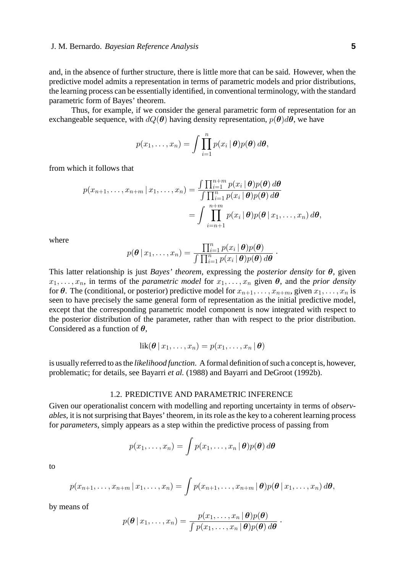and, in the absence of further structure, there is little more that can be said. However, when the predictive model admits a representation in terms of parametric models and prior distributions, the learning process can be essentially identified, in conventional terminology, with the standard parametric form of Bayes' theorem.

Thus, for example, if we consider the general parametric form of representation for an exchangeable sequence, with  $dQ(\theta)$  having density representation,  $p(\theta) d\theta$ , we have

$$
p(x_1,\ldots,x_n)=\int \prod_{i=1}^n p(x_i\,|\,\boldsymbol{\theta})p(\boldsymbol{\theta})\,d\boldsymbol{\theta},
$$

from which it follows that

$$
p(x_{n+1},\ldots,x_{n+m} \,|\, x_1,\ldots,x_n) = \frac{\int \prod_{i=1}^{n+m} p(x_i \,|\, \boldsymbol{\theta}) p(\boldsymbol{\theta}) \,d\boldsymbol{\theta}}{\int \prod_{i=1}^{n} p(x_i \,|\, \boldsymbol{\theta}) p(\boldsymbol{\theta}) \,d\boldsymbol{\theta}} \\
= \int \prod_{i=n+1}^{n+m} p(x_i \,|\, \boldsymbol{\theta}) p(\boldsymbol{\theta} \,|\, x_1,\ldots,x_n) \,d\boldsymbol{\theta},
$$

where

$$
p(\boldsymbol{\theta} | x_1,\ldots,x_n) = \frac{\prod_{i=1}^n p(x_i | \boldsymbol{\theta}) p(\boldsymbol{\theta})}{\int \prod_{i=1}^n p(x_i | \boldsymbol{\theta}) p(\boldsymbol{\theta}) d\boldsymbol{\theta}}.
$$

This latter relationship is just *Bayes' theorem*, expressing the *posterior density* for *θ*, given  $x_1, \ldots, x_n$ , in terms of the *parametric model* for  $x_1, \ldots, x_n$  given  $\theta$ , and the *prior density* for  $\theta$ . The (conditional, or posterior) predictive model for  $x_{n+1}, \ldots, x_{n+m}$ , given  $x_1, \ldots, x_n$  is seen to have precisely the same general form of representation as the initial predictive model, except that the corresponding parametric model component is now integrated with respect to the posterior distribution of the parameter, rather than with respect to the prior distribution. Considered as a function of *θ*,

$$
\mathrm{lik}(\boldsymbol{\theta}\,|\,x_1,\ldots,x_n)=p(x_1,\ldots,x_n\,|\,\boldsymbol{\theta})
$$

is usually referred to as the *likelihood function*. A formal definition of such a concept is, however, problematic; for details, see Bayarri *et al.* (1988) and Bayarri and DeGroot (1992b).

### 1.2. PREDICTIVE AND PARAMETRIC INFERENCE

Given our operationalist concern with modelling and reporting uncertainty in terms of *observables*, it is not surprising that Bayes' theorem, in its role as the key to a coherent learning process for *parameters*, simply appears as a step within the predictive process of passing from

$$
p(x_1,\ldots,x_n)=\int p(x_1,\ldots,x_n\,|\,\boldsymbol{\theta})p(\boldsymbol{\theta})\,d\boldsymbol{\theta}
$$

to

$$
p(x_{n+1},\ldots,x_{n+m}\,|\,x_1,\ldots,x_n)=\int p(x_{n+1},\ldots,x_{n+m}\,|\,\boldsymbol{\theta})p(\boldsymbol{\theta}\,|\,x_1,\ldots,x_n)\,d\boldsymbol{\theta},
$$

by means of

$$
p(\boldsymbol{\theta} \,|\, x_1, \ldots, x_n) = \frac{p(x_1, \ldots, x_n \,|\, \boldsymbol{\theta}) p(\boldsymbol{\theta})}{\int p(x_1, \ldots, x_n \,|\, \boldsymbol{\theta}) p(\boldsymbol{\theta}) \,d\boldsymbol{\theta}} \ .
$$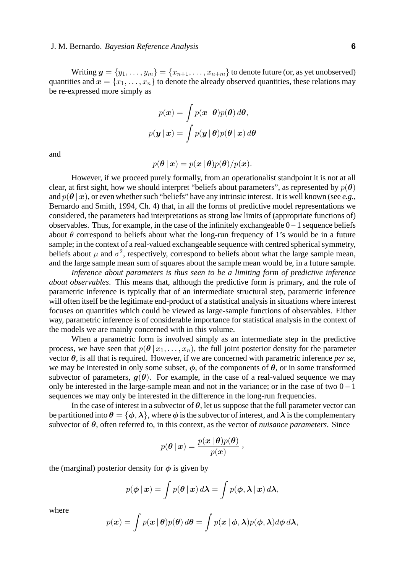Writing  $y = \{y_1, \ldots, y_m\} = \{x_{n+1}, \ldots, x_{n+m}\}\$  to denote future (or, as yet unobserved) quantities and  $x = \{x_1, \ldots, x_n\}$  to denote the already observed quantities, these relations may be re-expressed more simply as

$$
p(\boldsymbol{x}) = \int p(\boldsymbol{x} | \boldsymbol{\theta}) p(\boldsymbol{\theta}) d\boldsymbol{\theta},
$$

$$
p(\boldsymbol{y} | \boldsymbol{x}) = \int p(\boldsymbol{y} | \boldsymbol{\theta}) p(\boldsymbol{\theta} | \boldsymbol{x}) d\boldsymbol{\theta}
$$

and

$$
p(\boldsymbol{\theta} \,|\, \boldsymbol{x}) = p(\boldsymbol{x} \,|\, \boldsymbol{\theta}) p(\boldsymbol{\theta}) / p(\boldsymbol{x}).
$$

However, if we proceed purely formally, from an operationalist standpoint it is not at all clear, at first sight, how we should interpret "beliefs about parameters", as represented by  $p(\theta)$ and  $p(\theta | x)$ , or even whether such "beliefs" have any intrinsic interest. It is well known (see *e.g.*, Bernardo and Smith, 1994, Ch. 4) that, in all the forms of predictive model representations we considered, the parameters had interpretations as strong law limits of (appropriate functions of) observables. Thus, for example, in the case of the infinitely exchangeable  $0 - 1$  sequence beliefs about  $\theta$  correspond to beliefs about what the long-run frequency of 1's would be in a future sample; in the context of a real-valued exchangeable sequence with centred spherical symmetry, beliefs about  $\mu$  and  $\sigma^2$ , respectively, correspond to beliefs about what the large sample mean, and the large sample mean sum of squares about the sample mean would be, in a future sample.

*Inference about parameters is thus seen to be a limiting form of predictive inference about observables*. This means that, although the predictive form is primary, and the role of parametric inference is typically that of an intermediate structural step, parametric inference will often itself be the legitimate end-product of a statistical analysis in situations where interest focuses on quantities which could be viewed as large-sample functions of observables. Either way, parametric inference is of considerable importance for statistical analysis in the context of the models we are mainly concerned with in this volume.

When a parametric form is involved simply as an intermediate step in the predictive process, we have seen that  $p(\theta | x_1, \ldots, x_n)$ , the full joint posterior density for the parameter vector *θ*, is all that is required. However, if we are concerned with parametric inference *per se*, we may be interested in only some subset,  $\phi$ , of the components of  $\theta$ , or in some transformed subvector of parameters,  $g(\theta)$ . For example, in the case of a real-valued sequence we may only be interested in the large-sample mean and not in the variance; or in the case of two  $0 - 1$ sequences we may only be interested in the difference in the long-run frequencies.

In the case of interest in a subvector of  $\theta$ , let us suppose that the full parameter vector can be partitioned into  $\theta = {\phi, \lambda}$ , where  $\phi$  is the subvector of interest, and  $\lambda$  is the complementary subvector of *θ*, often referred to, in this context, as the vector of *nuisance parameters*. Since

$$
p(\boldsymbol{\theta} \,|\, \boldsymbol{x}) = \frac{p(\boldsymbol{x} \,|\, \boldsymbol{\theta}) p(\boldsymbol{\theta})}{p(\boldsymbol{x})} \,,
$$

the (marginal) posterior density for  $\phi$  is given by

$$
p(\boldsymbol{\phi} \,|\, \boldsymbol{x}) = \int p(\boldsymbol{\theta} \,|\, \boldsymbol{x}) \, d\boldsymbol{\lambda} = \int p(\boldsymbol{\phi}, \boldsymbol{\lambda} \,|\, \boldsymbol{x}) \, d\boldsymbol{\lambda},
$$

where

$$
p(\boldsymbol{x}) = \int p(\boldsymbol{x} | \boldsymbol{\theta}) p(\boldsymbol{\theta}) d\boldsymbol{\theta} = \int p(\boldsymbol{x} | \boldsymbol{\phi}, \boldsymbol{\lambda}) p(\boldsymbol{\phi}, \boldsymbol{\lambda}) d\boldsymbol{\phi} d\boldsymbol{\lambda},
$$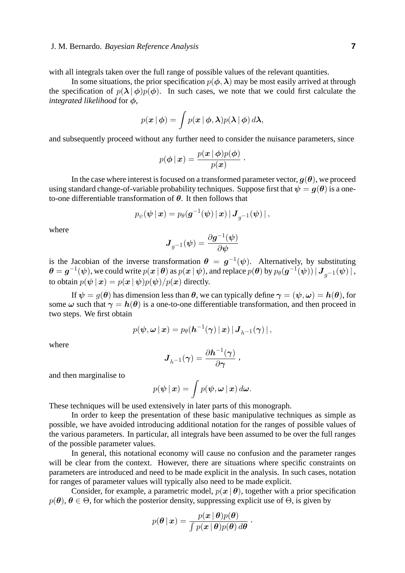In some situations, the prior specification  $p(\phi, \lambda)$  may be most easily arrived at through the specification of  $p(\lambda | \phi)p(\phi)$ . In such cases, we note that we could first calculate the *integrated likelihood* for *φ*,

$$
p(\boldsymbol{x} | \boldsymbol{\phi}) = \int p(\boldsymbol{x} | \boldsymbol{\phi}, \boldsymbol{\lambda}) p(\boldsymbol{\lambda} | \boldsymbol{\phi}) d\boldsymbol{\lambda},
$$

and subsequently proceed without any further need to consider the nuisance parameters, since

$$
p(\boldsymbol{\phi} \,|\, \boldsymbol{x}) = \frac{p(\boldsymbol{x} \,|\, \boldsymbol{\phi}) p(\boldsymbol{\phi})}{p(\boldsymbol{x})}\,.
$$

In the case where interest is focused on a transformed parameter vector,  $q(\theta)$ , we proceed using standard change-of-variable probability techniques. Suppose first that  $\psi = q(\theta)$  is a oneto-one differentiable transformation of *θ*. It then follows that

$$
p_{\psi}(\boldsymbol{\psi} \,|\, \boldsymbol{x}) = p_{\theta}(\boldsymbol{g}^{-1}(\boldsymbol{\psi}) \,|\, \boldsymbol{x}) \,|\, \boldsymbol{J}_{g^{-1}}(\boldsymbol{\psi}) \,|\,,
$$

where

$$
\bm{J}_{g^{-1}}(\bm{\psi})=\frac{\partial \bm{g}^{-1}(\bm{\psi})}{\partial \bm{\psi}}
$$

is the Jacobian of the inverse transformation  $\theta = g^{-1}(\psi)$ . Alternatively, by substituting  $\bm{\theta} = \bm{g}^{-1}(\bm{\psi}),$  we could write  $p(\bm{x} \,|\, \bm{\theta})$  as  $p(\bm{x} \,|\, \bm{\psi}),$  and replace  $p(\bm{\theta})$  by  $p_\theta(\bm{g}^{-1}(\bm{\psi})) \,|\, \bm{J}_{g^{-1}}(\bm{\psi})\,|$  , to obtain  $p(\psi | x) = p(x | \psi)p(\psi)/p(x)$  directly.

If  $\psi = g(\theta)$  has dimension less than  $\theta$ , we can typically define  $\gamma = (\psi, \omega) = h(\theta)$ , for some  $\omega$  such that  $\gamma = h(\theta)$  is a one-to-one differentiable transformation, and then proceed in two steps. We first obtain

$$
p(\boldsymbol{\psi}, \boldsymbol{\omega} \,|\, \boldsymbol{x}) = p_{\theta}(\boldsymbol{h}^{-1}(\boldsymbol{\gamma}) \,|\, \boldsymbol{x}) \,|\, \boldsymbol{J}_{h^{-1}}(\boldsymbol{\gamma}) \,|\,,
$$

where

$$
\boldsymbol{J}_{h^{-1}}(\boldsymbol{\gamma}) = \frac{\partial \boldsymbol{h}^{-1}(\boldsymbol{\gamma})}{\partial \boldsymbol{\gamma}} \ ,
$$

and then marginalise to

$$
p(\boldsymbol{\psi} \,|\, \boldsymbol{x}) = \int p(\boldsymbol{\psi}, \boldsymbol{\omega} \,|\, \boldsymbol{x}) \, d \boldsymbol{\omega}.
$$

These techniques will be used extensively in later parts of this monograph.

In order to keep the presentation of these basic manipulative techniques as simple as possible, we have avoided introducing additional notation for the ranges of possible values of the various parameters. In particular, all integrals have been assumed to be over the full ranges of the possible parameter values.

In general, this notational economy will cause no confusion and the parameter ranges will be clear from the context. However, there are situations where specific constraints on parameters are introduced and need to be made explicit in the analysis. In such cases, notation for ranges of parameter values will typically also need to be made explicit.

Consider, for example, a parametric model,  $p(x | \theta)$ , together with a prior specification  $p(\theta)$ ,  $\theta \in \Theta$ , for which the posterior density, suppressing explicit use of  $\Theta$ , is given by

$$
p(\boldsymbol{\theta} | \boldsymbol{x}) = \frac{p(\boldsymbol{x} | \boldsymbol{\theta}) p(\boldsymbol{\theta})}{\int p(\boldsymbol{x} | \boldsymbol{\theta}) p(\boldsymbol{\theta}) d\boldsymbol{\theta}}.
$$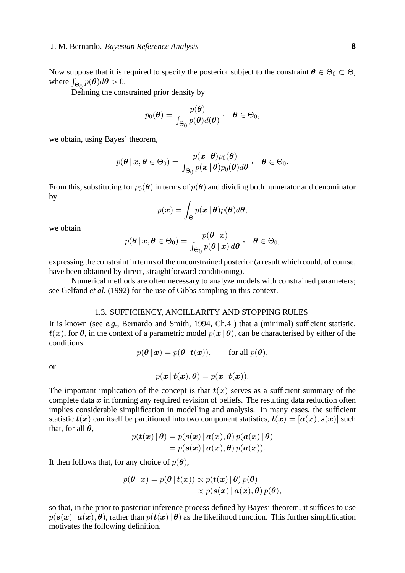Now suppose that it is required to specify the posterior subject to the constraint  $\theta \in \Theta_0 \subset \Theta$ , where  $\int_{\Theta_0} p(\theta) d\theta > 0$ .

Defining the constrained prior density by

$$
p_0(\boldsymbol{\theta}) = \frac{p(\boldsymbol{\theta})}{\int_{\Theta_0} p(\boldsymbol{\theta}) d(\boldsymbol{\theta})}, \quad \boldsymbol{\theta} \in \Theta_0,
$$

we obtain, using Bayes' theorem,

$$
p(\boldsymbol{\theta} \,|\, \boldsymbol{x}, \boldsymbol{\theta} \in \Theta_0) = \frac{p(\boldsymbol{x} \,|\, \boldsymbol{\theta})p_0(\boldsymbol{\theta})}{\int_{\Theta_0} p(\boldsymbol{x} \,|\, \boldsymbol{\theta})p_0(\boldsymbol{\theta})d\boldsymbol{\theta}}, \quad \boldsymbol{\theta} \in \Theta_0.
$$

From this, substituting for  $p_0(\theta)$  in terms of  $p(\theta)$  and dividing both numerator and denominator by

$$
p(\boldsymbol{x}) = \int_{\Theta} p(\boldsymbol{x} | \boldsymbol{\theta}) p(\boldsymbol{\theta}) d\boldsymbol{\theta},
$$

we obtain

$$
p(\boldsymbol\theta\,|\,\boldsymbol x,\boldsymbol\theta\in\Theta_0)=\frac{p(\boldsymbol\theta\,|\,\boldsymbol x)}{\int_{\Theta_0}p(\boldsymbol\theta\,|\,\boldsymbol x)\,d\boldsymbol\theta}\,,\quad\boldsymbol\theta\in\Theta_0,
$$

expressing the constraint in terms of the unconstrained posterior (a result which could, of course, have been obtained by direct, straightforward conditioning).

Numerical methods are often necessary to analyze models with constrained parameters; see Gelfand *et al.* (1992) for the use of Gibbs sampling in this context.

### 1.3. SUFFICIENCY, ANCILLARITY AND STOPPING RULES

It is known (see *e.g.*, Bernardo and Smith, 1994, Ch.4 ) that a (minimal) sufficient statistic,  $t(x)$ , for  $\theta$ , in the context of a parametric model  $p(x | \theta)$ , can be characterised by either of the conditions

$$
p(\boldsymbol{\theta} \,|\, \boldsymbol{x}) = p(\boldsymbol{\theta} \,|\, \boldsymbol{t}(\boldsymbol{x})), \qquad \text{for all } p(\boldsymbol{\theta}),
$$

or

$$
p(\boldsymbol{x} \,|\, \boldsymbol{t}(\boldsymbol{x}), \boldsymbol{\theta}) = p(\boldsymbol{x} \,|\, \boldsymbol{t}(\boldsymbol{x})).
$$

The important implication of the concept is that  $t(x)$  serves as a sufficient summary of the complete data *x* in forming any required revision of beliefs. The resulting data reduction often implies considerable simplification in modelling and analysis. In many cases, the sufficient statistic  $t(x)$  can itself be partitioned into two component statistics,  $t(x)=[a(x), s(x)]$  such that, for all  $\boldsymbol{\theta}$ ,  $p(\boldsymbol{t}(\boldsymbol{x})\,|\,\boldsymbol{\theta}) = p(\boldsymbol{s}(\boldsymbol{x})\,|\,\boldsymbol{a}(\boldsymbol{x}),\boldsymbol{\theta})\,p(\boldsymbol{a}(\boldsymbol{x})\,|\,\boldsymbol{\theta})$ 

$$
p(\boldsymbol{t}(\boldsymbol{x})\,|\,\boldsymbol{\theta}) = p(\boldsymbol{s}(\boldsymbol{x})\,|\,\boldsymbol{a}(\boldsymbol{x}),\boldsymbol{\theta})\,p(\boldsymbol{a}(\boldsymbol{x})\,|\,\boldsymbol{\theta}) \\ = p(\boldsymbol{s}(\boldsymbol{x})\,|\,\boldsymbol{a}(\boldsymbol{x}),\boldsymbol{\theta})\,p(\boldsymbol{a}(\boldsymbol{x})).
$$

It then follows that, for any choice of  $p(\theta)$ ,

$$
p(\boldsymbol{\theta} | \boldsymbol{x}) = p(\boldsymbol{\theta} | \boldsymbol{t}(\boldsymbol{x})) \propto p(\boldsymbol{t}(\boldsymbol{x}) | \boldsymbol{\theta}) p(\boldsymbol{\theta})
$$
  
 
$$
\propto p(\boldsymbol{s}(\boldsymbol{x}) | \boldsymbol{a}(\boldsymbol{x}), \boldsymbol{\theta}) p(\boldsymbol{\theta}),
$$

so that, in the prior to posterior inference process defined by Bayes' theorem, it suffices to use  $p(s(x) | a(x), \theta)$ , rather than  $p(t(x) | \theta)$  as the likelihood function. This further simplification motivates the following definition.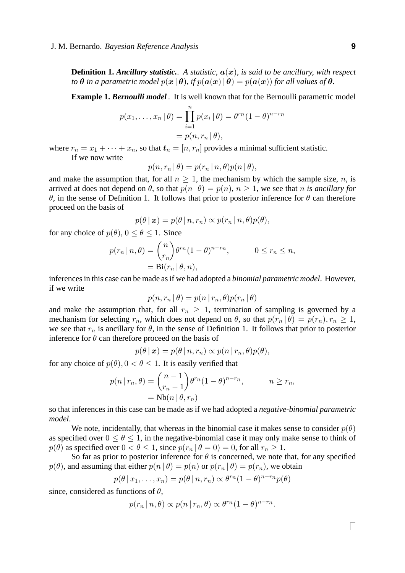**Definition 1.** *Ancillary statistic.*. *A statistic, a*(*x*)*, is said to be ancillary, with respect to*  $\theta$  *in a parametric model*  $p(x | \theta)$ *, if*  $p(a(x) | \theta) = p(a(x))$  *for all values of*  $\theta$ *.* 

**Example 1.** *Bernoulli model* . It is well known that for the Bernoulli parametric model

$$
p(x_1,...,x_n | \theta) = \prod_{i=1}^n p(x_i | \theta) = \theta^{rn} (1 - \theta)^{n-rn}
$$

$$
= p(n, r_n | \theta),
$$

where  $r_n = x_1 + \cdots + x_n$ , so that  $t_n = [n, r_n]$  provides a minimal sufficient statistic.

If we now write

$$
p(n,r_n | \theta) = p(r_n | n, \theta) p(n | \theta),
$$

and make the assumption that, for all  $n > 1$ , the mechanism by which the sample size, *n*, is arrived at does not depend on  $\theta$ , so that  $p(n | \theta) = p(n)$ ,  $n \ge 1$ , we see that *n* is ancillary for *θ*, in the sense of Definition 1. It follows that prior to posterior inference for *θ* can therefore proceed on the basis of

$$
p(\theta | \mathbf{x}) = p(\theta | n, r_n) \propto p(r_n | n, \theta) p(\theta),
$$

for any choice of  $p(\theta)$ ,  $0 \le \theta \le 1$ . Since

$$
p(r_n | n, \theta) = {n \choose r_n} \theta^{r_n} (1 - \theta)^{n - r_n}, \qquad 0 \le r_n \le n,
$$
  
= Bi(r\_n | \theta, n),

inferences in this case can be made as if we had adopted a *binomial parametric model*. However, if we write

$$
p(n,r_n | \theta) = p(n | r_n, \theta) p(r_n | \theta)
$$

and make the assumption that, for all  $r_n \geq 1$ , termination of sampling is governed by a mechanism for selecting  $r_n$ , which does not depend on  $\theta$ , so that  $p(r_n | \theta) = p(r_n)$ ,  $r_n \geq 1$ , we see that  $r_n$  is ancillary for  $\theta$ , in the sense of Definition 1. It follows that prior to posterior inference for  $\theta$  can therefore proceed on the basis of

$$
p(\theta | \mathbf{x}) = p(\theta | n, r_n) \propto p(n | r_n, \theta) p(\theta),
$$

for any choice of  $p(\theta)$ ,  $0 < \theta < 1$ . It is easily verified that

$$
p(n | r_n, \theta) = {n-1 \choose r_n - 1} \theta^{r_n} (1 - \theta)^{n - r_n}, \qquad n \ge r_n,
$$
  
=  $Nb(n | \theta, r_n)$ 

so that inferences in this case can be made as if we had adopted a *negative-binomial parametric model*.

We note, incidentally, that whereas in the binomial case it makes sense to consider  $p(\theta)$ as specified over  $0 \le \theta \le 1$ , in the negative-binomial case it may only make sense to think of  $p(\theta)$  as specified over  $0 < \theta \leq 1$ , since  $p(r_n | \theta = 0) = 0$ , for all  $r_n \geq 1$ .

So far as prior to posterior inference for  $\theta$  is concerned, we note that, for any specified *p*( $\theta$ ), and assuming that either  $p(n | \theta) = p(n)$  or  $p(r_n | \theta) = p(r_n)$ , we obtain

$$
p(\theta | x_1, \ldots, x_n) = p(\theta | n, r_n) \propto \theta^{r_n} (1 - \theta)^{n - r_n} p(\theta)
$$

since, considered as functions of *θ*,

$$
p(r_n | n, \theta) \propto p(n | r_n, \theta) \propto \theta^{r_n} (1 - \theta)^{n - r_n}.
$$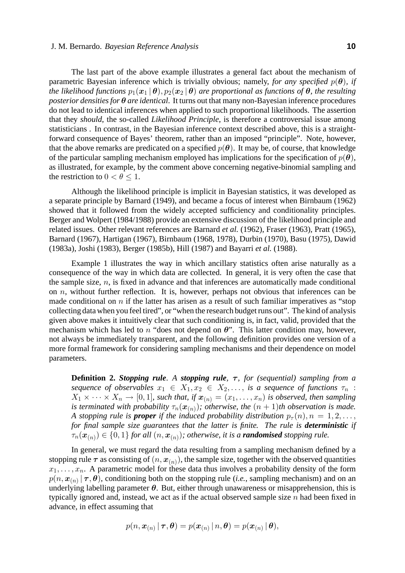The last part of the above example illustrates a general fact about the mechanism of parametric Bayesian inference which is trivially obvious; namely, *for any specified*  $p(\theta)$ *, if the likelihood functions*  $p_1(x_1 | \theta)$ ,  $p_2(x_2 | \theta)$  *are proportional as functions of*  $\theta$ *, the resulting posterior densities for θ are identical*. It turns out that many non-Bayesian inference procedures do not lead to identical inferences when applied to such proportional likelihoods. The assertion that they *should*, the so-called *Likelihood Principle*, is therefore a controversial issue among statisticians . In contrast, in the Bayesian inference context described above, this is a straightforward consequence of Bayes' theorem, rather than an imposed "principle". Note, however, that the above remarks are predicated on a specified  $p(\theta)$ . It may be, of course, that knowledge of the particular sampling mechanism employed has implications for the specification of  $p(\theta)$ , as illustrated, for example, by the comment above concerning negative-binomial sampling and the restriction to  $0 < \theta < 1$ .

Although the likelihood principle is implicit in Bayesian statistics, it was developed as a separate principle by Barnard (1949), and became a focus of interest when Birnbaum (1962) showed that it followed from the widely accepted sufficiency and conditionality principles. Berger and Wolpert (1984/1988) provide an extensive discussion of the likelihood principle and related issues. Other relevant references are Barnard *et al.* (1962), Fraser (1963), Pratt (1965), Barnard (1967), Hartigan (1967), Birnbaum (1968, 1978), Durbin (1970), Basu (1975), Dawid (1983a), Joshi (1983), Berger (1985b), Hill (1987) and Bayarri *et al.* (1988).

Example 1 illustrates the way in which ancillary statistics often arise naturally as a consequence of the way in which data are collected. In general, it is very often the case that the sample size, *n*, is fixed in advance and that inferences are automatically made conditional on *n*, without further reflection. It is, however, perhaps not obvious that inferences can be made conditional on  $n$  if the latter has arisen as a result of such familiar imperatives as "stop" collecting data when you feel tired", or "when the research budget runs out". The kind of analysis given above makes it intuitively clear that such conditioning is, in fact, valid, provided that the mechanism which has led to  $n$  "does not depend on  $\theta$ ". This latter condition may, however, not always be immediately transparent, and the following definition provides one version of a more formal framework for considering sampling mechanisms and their dependence on model parameters.

**Definition 2.** *Stopping rule*. *A stopping rule, τ , for (sequential) sampling from a sequence of observables*  $x_1 \in X_1, x_2 \in X_2, \ldots$ , *is a sequence of functions*  $\tau_n$ :  $X_1 \times \cdots \times X_n \to [0,1]$ *, such that, if*  $\mathbf{x}_{(n)} = (x_1, \ldots, x_n)$  *is observed, then sampling is terminated with probability*  $\tau_n(\mathbf{x}_{(n)})$ *; otherwise, the*  $(n + 1)$ *th observation is made. A* stopping rule is **proper** if the induced probability distribution  $p_{\tau}(n)$ ,  $n = 1, 2, \ldots$ , *for final sample size guarantees that the latter is finite. The rule is deterministic if*  $\tau_n(\mathbf{x}_{(n)}) \in \{0,1\}$  *for all*  $(n,\mathbf{x}_{(n)})$ *; otherwise, it is a randomised stopping rule.* 

In general, we must regard the data resulting from a sampling mechanism defined by a stopping rule  $\tau$  as consisting of  $(n, x_{(n)})$ , the sample size, together with the observed quantities  $x_1, \ldots, x_n$ . A parametric model for these data thus involves a probability density of the form  $p(n, x<sub>(n)</sub> | \tau, \theta)$ , conditioning both on the stopping rule (*i.e.*, sampling mechanism) and on an underlying labelling parameter  $\theta$ . But, either through unawareness or misapprehension, this is typically ignored and, instead, we act as if the actual observed sample size *n* had been fixed in advance, in effect assuming that

$$
p(n, \boldsymbol{x}_{(n)} | \boldsymbol{\tau}, \boldsymbol{\theta}) = p(\boldsymbol{x}_{(n)} | n, \boldsymbol{\theta}) = p(\boldsymbol{x}_{(n)} | \boldsymbol{\theta}),
$$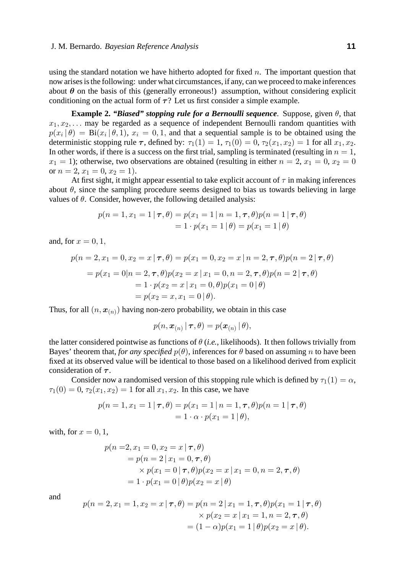using the standard notation we have hitherto adopted for fixed *n*. The important question that now arises is the following: under what circumstances, if any, can we proceed to make inferences about  $\theta$  on the basis of this (generally erroneous!) assumption, without considering explicit conditioning on the actual form of  $\tau$ ? Let us first consider a simple example.

**Example 2.** *"Biased" stopping rule for a Bernoulli sequence*. Suppose, given *θ*, that  $x_1, x_2, \ldots$  may be regarded as a sequence of independent Bernoulli random quantities with  $p(x_i | \theta) = \text{Bi}(x_i | \theta, 1), x_i = 0, 1$ , and that a sequential sample is to be obtained using the deterministic stopping rule  $\tau$ , defined by:  $\tau_1(1) = 1$ ,  $\tau_1(0) = 0$ ,  $\tau_2(x_1, x_2) = 1$  for all  $x_1, x_2$ . In other words, if there is a success on the first trial, sampling is terminated (resulting in  $n = 1$ ,  $x_1 = 1$ ; otherwise, two observations are obtained (resulting in either  $n = 2$ ,  $x_1 = 0$ ,  $x_2 = 0$ or  $n = 2, x_1 = 0, x_2 = 1$ .

At first sight, it might appear essential to take explicit account of *τ* in making inferences about  $\theta$ , since the sampling procedure seems designed to bias us towards believing in large values of  $\theta$ . Consider, however, the following detailed analysis:

$$
p(n = 1, x_1 = 1 | \tau, \theta) = p(x_1 = 1 | n = 1, \tau, \theta) p(n = 1 | \tau, \theta)
$$
  
= 1 · p(x<sub>1</sub> = 1 | \theta) = p(x<sub>1</sub> = 1 | \theta)

and, for  $x = 0, 1$ ,

$$
p(n = 2, x_1 = 0, x_2 = x | \tau, \theta) = p(x_1 = 0, x_2 = x | n = 2, \tau, \theta) p(n = 2 | \tau, \theta)
$$
  
=  $p(x_1 = 0 | n = 2, \tau, \theta) p(x_2 = x | x_1 = 0, n = 2, \tau, \theta) p(n = 2 | \tau, \theta)$   
=  $1 \cdot p(x_2 = x | x_1 = 0, \theta) p(x_1 = 0 | \theta)$   
=  $p(x_2 = x, x_1 = 0 | \theta).$ 

Thus, for all  $(n, x_{(n)})$  having non-zero probability, we obtain in this case

$$
p(n, \boldsymbol{x}_{(n)} \,|\, \boldsymbol{\tau}, \theta) = p(\boldsymbol{x}_{(n)} \,|\, \theta)
$$

the latter considered pointwise as functions of *θ* (*i.e.*, likelihoods). It then follows trivially from Bayes' theorem that, *for any specified*  $p(\theta)$ , inferences for  $\theta$  based on assuming *n* to have been fixed at its observed value will be identical to those based on a likelihood derived from explicit consideration of *τ* .

Consider now a randomised version of this stopping rule which is defined by  $\tau_1(1) = \alpha$ ,  $\tau_1(0) = 0$ ,  $\tau_2(x_1, x_2) = 1$  for all  $x_1, x_2$ . In this case, we have

$$
p(n = 1, x_1 = 1 | \tau, \theta) = p(x_1 = 1 | n = 1, \tau, \theta) p(n = 1 | \tau, \theta)
$$
  
= 1 · \alpha · p(x\_1 = 1 | \theta),

with, for  $x = 0, 1$ ,

$$
p(n=2, x_1 = 0, x_2 = x | \tau, \theta)
$$
  
=  $p(n = 2 | x_1 = 0, \tau, \theta)$   
 $\times p(x_1 = 0 | \tau, \theta) p(x_2 = x | x_1 = 0, n = 2, \tau, \theta)$   
=  $1 \cdot p(x_1 = 0 | \theta) p(x_2 = x | \theta)$ 

and

$$
p(n = 2, x_1 = 1, x_2 = x | \tau, \theta) = p(n = 2 | x_1 = 1, \tau, \theta) p(x_1 = 1 | \tau, \theta)
$$
  
\$\times p(x\_2 = x | x\_1 = 1, n = 2, \tau, \theta)\$  

$$
= (1 - \alpha)p(x_1 = 1 | \theta)p(x_2 = x | \theta).
$$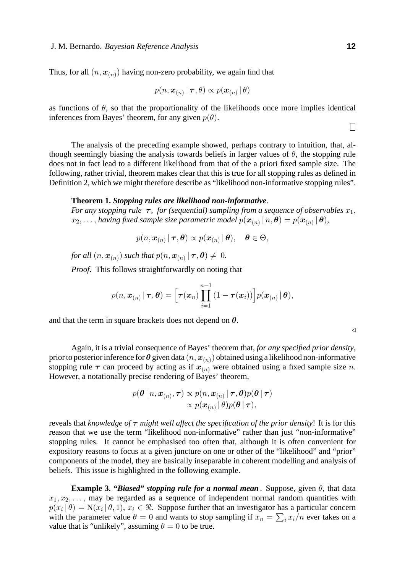Thus, for all  $(n, x_{(n)})$  having non-zero probability, we again find that

$$
p(n, \boldsymbol{x}_{(n)} | \boldsymbol{\tau}, \theta) \propto p(\boldsymbol{x}_{(n)} | \theta)
$$

as functions of  $\theta$ , so that the proportionality of the likelihoods once more implies identical inferences from Bayes' theorem, for any given  $p(\theta)$ .

The analysis of the preceding example showed, perhaps contrary to intuition, that, although seemingly biasing the analysis towards beliefs in larger values of  $\theta$ , the stopping rule does not in fact lead to a different likelihood from that of the a priori fixed sample size. The following, rather trivial, theorem makes clear that this is true for all stopping rules as defined in Definition 2, which we might therefore describe as "likelihood non-informative stopping rules".

### **Theorem 1.** *Stopping rules are likelihood non-informative*.

*For any stopping rule*  $\tau$ , *for (sequential) sampling from a sequence of observables*  $x_1$ , *x*<sub>2</sub>,..., *having fixed sample size parametric model*  $p(\boldsymbol{x}_{(n)} | n, \boldsymbol{\theta}) = p(\boldsymbol{x}_{(n)} | \boldsymbol{\theta})$ *,* 

$$
p(n, \boldsymbol{x}_{(n)} | \boldsymbol{\tau}, \boldsymbol{\theta}) \propto p(\boldsymbol{x}_{(n)} | \boldsymbol{\theta}), \quad \boldsymbol{\theta} \in \Theta,
$$

*for all*  $(n, x_{(n)})$  *such that*  $p(n, x_{(n)} | \tau, \theta) \neq 0$ .

*Proof*. This follows straightforwardly on noting that

$$
p(n, \boldsymbol{x}_{(n)} | \boldsymbol{\tau}, \boldsymbol{\theta}) = \Big[\boldsymbol{\tau}(\boldsymbol{x}_n) \prod_{i=1}^{n-1} \left(1-\boldsymbol{\tau}(\boldsymbol{x}_i)\right)\Big] p(\boldsymbol{x}_{(n)} | \boldsymbol{\theta}),
$$

and that the term in square brackets does not depend on *θ*.

Again, it is a trivial consequence of Bayes' theorem that, *for any specified prior density*, prior to posterior inference for  $\theta$  given data  $(n, x_{(n)})$  obtained using a likelihood non-informative stopping rule  $\tau$  can proceed by acting as if  $x_{(n)}$  were obtained using a fixed sample size *n*. However, a notationally precise rendering of Bayes' theorem,

$$
p(\boldsymbol{\theta}\,|\,n,\boldsymbol{x}_{(n)},\boldsymbol{\tau}) \propto p(n,\boldsymbol{x}_{(n)}\,|\,\boldsymbol{\tau},\boldsymbol{\theta})p(\boldsymbol{\theta}\,|\,\boldsymbol{\tau}) \\ \propto p(\boldsymbol{x}_{(n)}\,|\,\boldsymbol{\theta})p(\boldsymbol{\theta}\,|\,\boldsymbol{\tau}),
$$

reveals that *knowledge of τ might well affect the specification of the prior density*! It is for this reason that we use the term "likelihood non-informative" rather than just "non-informative" stopping rules. It cannot be emphasised too often that, although it is often convenient for expository reasons to focus at a given juncture on one or other of the "likelihood" and "prior" components of the model, they are basically inseparable in coherent modelling and analysis of beliefs. This issue is highlighted in the following example.

**Example 3.** *"Biased" stopping rule for a normal mean*. Suppose, given  $\theta$ , that data  $x_1, x_2, \ldots$ , may be regarded as a sequence of independent normal random quantities with  $p(x_i | \theta) = N(x_i | \theta, 1), x_i \in \Re$ . Suppose further that an investigator has a particular concern with the parameter value  $\theta = 0$  and wants to stop sampling if  $\overline{x}_n = \sum_i x_i/n$  ever takes on a value that is "unlikely", assuming  $\theta = 0$  to be true.

 $\Box$ 

 $\triangleleft$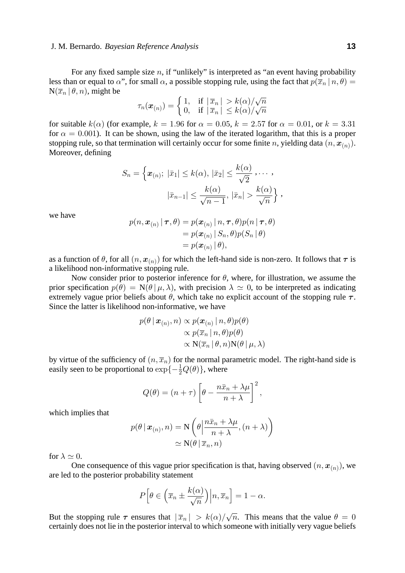For any fixed sample size *n*, if "unlikely" is interpreted as "an event having probability less than or equal to *α*", for small *α*, a possible stopping rule, using the fact that  $p(\overline{x}_n | n, \theta) =$  $N(\overline{x}_n | \theta, n)$ , might be

$$
\tau_n(\boldsymbol{x}_{(n)}) = \begin{cases} 1, & \text{if } |\overline{x}_n| > k(\alpha)/\sqrt{n} \\ 0, & \text{if } |\overline{x}_n| \le k(\alpha)/\sqrt{n} \end{cases}
$$

for suitable  $k(\alpha)$  (for example,  $k = 1.96$  for  $\alpha = 0.05$ ,  $k = 2.57$  for  $\alpha = 0.01$ , or  $k = 3.31$ for  $\alpha = 0.001$ ). It can be shown, using the law of the iterated logarithm, that this is a proper stopping rule, so that termination will certainly occur for some finite *n*, yielding data  $(n, x<sub>(n)</sub>)$ . Moreover, defining

$$
S_n = \left\{ \boldsymbol{x}_{(n)}; \ |\bar{x}_1| \leq k(\alpha), \ |\bar{x}_2| \leq \frac{k(\alpha)}{\sqrt{2}}, \dots, \right\}
$$

$$
|\bar{x}_{n-1}| \leq \frac{k(\alpha)}{\sqrt{n-1}}, \ |\bar{x}_n| > \frac{k(\alpha)}{\sqrt{n}} \right\},
$$

we have

$$
p(n, \boldsymbol{x}_{(n)} | \boldsymbol{\tau}, \theta) = p(\boldsymbol{x}_{(n)} | n, \boldsymbol{\tau}, \theta) p(n | \boldsymbol{\tau}, \theta) \\ = p(\boldsymbol{x}_{(n)} | S_n, \theta) p(S_n | \theta) \\ = p(\boldsymbol{x}_{(n)} | \theta),
$$

as a function of  $\theta$ , for all  $(n, x_{(n)})$  for which the left-hand side is non-zero. It follows that  $\tau$  is a likelihood non-informative stopping rule.

Now consider prior to posterior inference for  $\theta$ , where, for illustration, we assume the prior specification  $p(\theta) = N(\theta | \mu, \lambda)$ , with precision  $\lambda \simeq 0$ , to be interpreted as indicating extremely vague prior beliefs about  $\theta$ , which take no explicit account of the stopping rule  $\tau$ . Since the latter is likelihood non-informative, we have

$$
p(\theta | \mathbf{x}_{(n)}, n) \propto p(\mathbf{x}_{(n)} | n, \theta) p(\theta)
$$
  
 
$$
\propto p(\overline{x}_n | n, \theta) p(\theta)
$$
  
 
$$
\propto \mathbf{N}(\overline{x}_n | \theta, n) \mathbf{N}(\theta | \mu, \lambda)
$$

by virtue of the sufficiency of  $(n, \overline{x}_n)$  for the normal parametric model. The right-hand side is easily seen to be proportional to  $\exp\{-\frac{1}{2}Q(\theta)\}\$ , where

$$
Q(\theta) = (n + \tau) \left[ \theta - \frac{n \bar{x}_n + \lambda \mu}{n + \lambda} \right]^2,
$$

which implies that

$$
p(\theta | \mathbf{x}_{(n)}, n) = \mathbf{N}\left(\theta \Big| \frac{n\bar{x}_n + \lambda\mu}{n+\lambda}, (n+\lambda)\right)
$$

$$
\simeq \mathbf{N}(\theta | \bar{x}_n, n)
$$

for  $\lambda \simeq 0$ .

One consequence of this vague prior specification is that, having observed  $(n, x_{(n)})$ , we are led to the posterior probability statement

$$
P\Big[\theta\in\Big(\overline{x}_n\pm\frac{k(\alpha)}{\sqrt{n}}\Big)\Big|n,\overline{x}_n\Big]=1-\alpha.
$$

But the stopping rule  $\tau$  ensures that  $|\bar{x}_n| > k(\alpha)/\sqrt{n}$ . This means that the value  $\theta = 0$ certainly does not lie in the posterior interval to which someone with initially very vague beliefs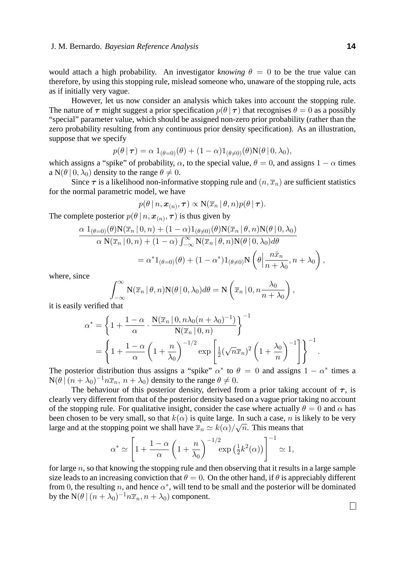would attach a high probability. An investigator *knowing*  $\theta = 0$  to be the true value can therefore, by using this stopping rule, mislead someone who, unaware of the stopping rule, acts as if initially very vague.

However, let us now consider an analysis which takes into account the stopping rule. The nature of  $\tau$  might suggest a prior specification  $p(\theta | \tau)$  that recognises  $\theta = 0$  as a possibly "special" parameter value, which should be assigned non-zero prior probability (rather than the zero probability resulting from any continuous prior density specification). As an illustration, suppose that we specify

$$
p(\theta | \boldsymbol{\tau}) = \alpha \, 1_{(\theta=0)}(\theta) + (1-\alpha) 1_{(\theta \neq 0)}(\theta) \mathbf{N}(\theta | 0, \lambda_0),
$$

which assigns a "spike" of probability,  $\alpha$ , to the special value,  $\theta = 0$ , and assigns  $1 - \alpha$  times a  $N(\theta | 0, \lambda_0)$  density to the range  $\theta \neq 0$ .

Since  $\tau$  is a likelihood non-informative stopping rule and  $(n, \overline{x}_n)$  are sufficient statistics for the normal parametric model, we have

$$
p(\theta | n, \boldsymbol{x}_{(n)}, \boldsymbol{\tau}) \propto \mathrm{N}(\overline{x}_n | \theta, n) p(\theta | \boldsymbol{\tau}).
$$

The complete posterior  $p(\theta | n, x_{(n)}, \tau)$  is thus given by

$$
\frac{\alpha \, 1_{(\theta=0)}(\theta) \mathbf{N}(\overline{x}_n \, | \, 0, n) + (1 - \alpha) 1_{(\theta \neq 0)}(\theta) \mathbf{N}(\overline{x}_n \, | \, \theta, n) \mathbf{N}(\theta \, | \, 0, \lambda_0)}{\alpha \, \mathbf{N}(\overline{x}_n \, | \, 0, n) + (1 - \alpha) \int_{-\infty}^{\infty} \mathbf{N}(\overline{x}_n \, | \, \theta, n) \mathbf{N}(\theta \, | \, 0, \lambda_0) d\theta}
$$
  
=  $\alpha^* 1_{(\theta=0)}(\theta) + (1 - \alpha^*) 1_{(\theta \neq 0)} \mathbf{N}(\theta \, | \frac{n\overline{x}_n}{n + \lambda_0}, n + \lambda_0),$ 

where, since

$$
\int_{-\infty}^{\infty} \mathbf{N}(\overline{x}_n \, | \, \theta, n) \mathbf{N}(\theta \, | \, 0, \lambda_0) d\theta = \mathbf{N} \left( \overline{x}_n \, | \, 0, n \frac{\lambda_0}{n + \lambda_0} \right),
$$

it is easily verified that

$$
\alpha^* = \left\{ 1 + \frac{1 - \alpha}{\alpha} \cdot \frac{N(\overline{x}_n \mid 0, n\lambda_0(n + \lambda_0)^{-1})}{N(\overline{x}_n \mid 0, n)} \right\}^{-1}
$$
  
= 
$$
\left\{ 1 + \frac{1 - \alpha}{\alpha} \left( 1 + \frac{n}{\lambda_0} \right)^{-1/2} \exp\left[ \frac{1}{2} (\sqrt{n} \overline{x}_n)^2 \left( 1 + \frac{\lambda_0}{n} \right)^{-1} \right] \right\}^{-1}.
$$

The posterior distribution thus assigns a "spike"  $\alpha^*$  to  $\theta = 0$  and assigns  $1 - \alpha^*$  times a  $N(\theta | (n + \lambda_0)^{-1} n \overline{x}_n, n + \lambda_0)$  density to the range  $\theta \neq 0$ .

The behaviour of this posterior density, derived from a prior taking account of  $\tau$ , is clearly very different from that of the posterior density based on a vague prior taking no account of the stopping rule. For qualitative insight, consider the case where actually  $\theta = 0$  and  $\alpha$  has been chosen to be very small, so that  $k(\alpha)$  is quite large. In such a case, *n* is likely to be very Large and at the stopping point we shall have  $\overline{x}_n \simeq k(\alpha)/\sqrt{n}$ . This means that

$$
\alpha^* \simeq \left[1 + \frac{1 - \alpha}{\alpha} \left(1 + \frac{n}{\lambda_0}\right)^{-1/2} \exp\left(\frac{1}{2}k^2(\alpha)\right)\right]^{-1} \simeq 1,
$$

for large *n*, so that knowing the stopping rule and then observing that it results in a large sample size leads to an increasing conviction that  $\theta = 0$ . On the other hand, if  $\theta$  is appreciably different from 0, the resulting *n*, and hence  $\alpha^*$ , will tend to be small and the posterior will be dominated by the N( $\theta$  |  $(n + \lambda_0)^{-1} n \overline{x}_n$ ,  $n + \lambda_0$ ) component.

П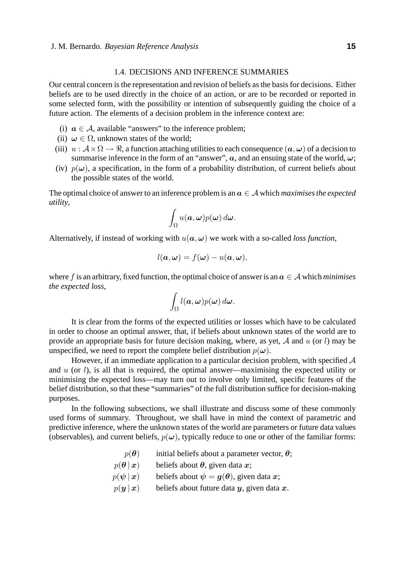### 1.4. DECISIONS AND INFERENCE SUMMARIES

Our central concern is the representation and revision of beliefs as the basis for decisions. Either beliefs are to be used directly in the choice of an action, or are to be recorded or reported in some selected form, with the possibility or intention of subsequently guiding the choice of a future action. The elements of a decision problem in the inference context are:

- (i)  $a \in A$ , available "answers" to the inference problem;
- (ii)  $\omega \in \Omega$ , unknown states of the world;
- (iii)  $u : \mathcal{A} \times \Omega \to \Re$ , a function attaching utilities to each consequence  $(a, \omega)$  of a decision to summarise inference in the form of an "answer",  $a$ , and an ensuing state of the world,  $\omega$ ;
- (iv)  $p(\omega)$ , a specification, in the form of a probability distribution, of current beliefs about the possible states of the world.

The optimal choice of answer to an inference problem is an  $a \in A$  which *maximises the expected utility*,

$$
\int_{\Omega} u(\boldsymbol{a},\boldsymbol{\omega})p(\boldsymbol{\omega})\,d\boldsymbol{\omega}.
$$

Alternatively, if instead of working with  $u(a, \omega)$  we work with a so-called *loss function*,

$$
l(\boldsymbol{a},\boldsymbol{\omega})=f(\boldsymbol{\omega})-u(\boldsymbol{a},\boldsymbol{\omega}),
$$

where *f* is an arbitrary, fixed function, the optimal choice of answer is an  $a \in A$  which *minimises the expected loss*,

$$
\int_{\Omega}l(\boldsymbol{a},\boldsymbol{\omega})p(\boldsymbol{\omega})\,d\boldsymbol{\omega}.
$$

It is clear from the forms of the expected utilities or losses which have to be calculated in order to choose an optimal answer, that, if beliefs about unknown states of the world are to provide an appropriate basis for future decision making, where, as yet, A and *u* (or *l*) may be unspecified, we need to report the complete belief distribution  $p(\omega)$ .

However, if an immediate application to a particular decision problem, with specified  $A$ and *u* (or *l*), is all that is required, the optimal answer—maximising the expected utility or minimising the expected loss—may turn out to involve only limited, specific features of the belief distribution, so that these "summaries" of the full distribution suffice for decision-making purposes.

In the following subsections, we shall illustrate and discuss some of these commonly used forms of summary. Throughout, we shall have in mind the context of parametric and predictive inference, where the unknown states of the world are parameters or future data values (observables), and current beliefs,  $p(\omega)$ , typically reduce to one or other of the familiar forms:

| $p(\boldsymbol{\theta})$                  | initial beliefs about a parameter vector, $\theta$ ; |
|-------------------------------------------|------------------------------------------------------|
| $p(\boldsymbol{\theta}   \boldsymbol{x})$ | beliefs about $\theta$ , given data x;               |

- $p(\psi | x)$  beliefs about  $\psi = q(\theta)$ , given data *x*;
- $p(\mathbf{y} | \mathbf{x})$  beliefs about future data *y*, given data *x*.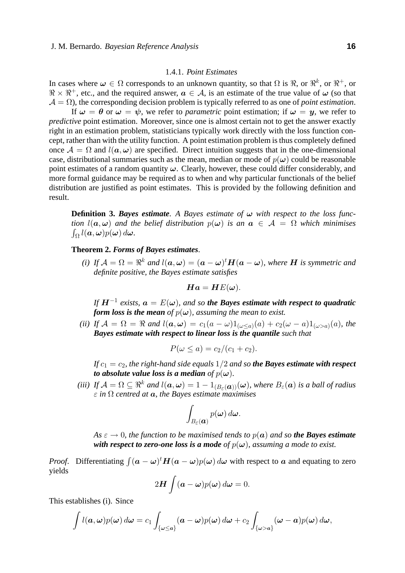### 1.4.1. *Point Estimates*

In cases where  $\omega \in \Omega$  corresponds to an unknown quantity, so that  $\Omega$  is  $\Re$ , or  $\Re^k$ , or  $\Re^+$ , or  $\Re \times \Re^+$ , etc., and the required answer,  $a \in \mathcal{A}$ , is an estimate of the true value of  $\omega$  (so that  $A = \Omega$ ), the corresponding decision problem is typically referred to as one of *point estimation*.

If  $\omega = \theta$  or  $\omega = \psi$ , we refer to *parametric* point estimation; if  $\omega = y$ , we refer to *predictive* point estimation. Moreover, since one is almost certain not to get the answer exactly right in an estimation problem, statisticians typically work directly with the loss function concept, rather than with the utility function. A point estimation problem is thus completely defined once  $A = \Omega$  and  $l(\mathbf{a}, \omega)$  are specified. Direct intuition suggests that in the one-dimensional case, distributional summaries such as the mean, median or mode of  $p(\omega)$  could be reasonable point estimates of a random quantity *ω*. Clearly, however, these could differ considerably, and more formal guidance may be required as to when and why particular functionals of the belief distribution are justified as point estimates. This is provided by the following definition and result.

**Definition 3.** *Bayes estimate*. *A Bayes estimate of ω with respect to the loss function*  $l(\mathbf{a}, \omega)$  *and the belief distribution*  $p(\omega)$  *is an*  $\mathbf{a} \in \mathcal{A} = \Omega$  *which minimises*  $\int_{\Omega}$   $l(\boldsymbol{a}, \boldsymbol{\omega}) p(\boldsymbol{\omega}) d\boldsymbol{\omega}$ .

### **Theorem 2.** *Forms of Bayes estimates*.

*(i)* If  $A = \Omega = \Re^k$  and  $l(a, \omega) = (a - \omega)^t H(a - \omega)$ , where H is symmetric and *definite positive, the Bayes estimate satisfies*

$$
Ha=HE(\omega).
$$

*If*  $H^{-1}$  *exists,*  $a = E(\omega)$ *, and so the Bayes estimate with respect to quadratic form loss is the mean of*  $p(\omega)$ *, assuming the mean to exist.* 

*(ii)* If  $\mathcal{A} = \Omega = \Re$  and  $l(\boldsymbol{a}, \boldsymbol{\omega}) = c_1(a - \omega)1_{(\omega \leq a)}(a) + c_2(\omega - a)1_{(\omega > a)}(a)$ *, the Bayes estimate with respect to linear loss is the quantile such that*

$$
P(\omega \le a) = c_2/(c_1+c_2).
$$

*If*  $c_1 = c_2$ *, the right-hand side equals*  $1/2$  *and so the Bayes estimate with respect to absolute value loss is a median of*  $p(\omega)$ *.* 

*(iii)* If  $A = \Omega \subseteq \Re^k$  and  $l(a, \omega) = 1 - 1_{(B_\varepsilon(a))}(\omega)$ , where  $B_\varepsilon(a)$  is a ball of radius *ε in* Ω *centred at a, the Bayes estimate maximises*

$$
\int_{B_{\mathcal{E}}(\boldsymbol{a})} p(\boldsymbol{\omega})\,d\boldsymbol{\omega}.
$$

*As*  $\varepsilon \to 0$ , the function to be maximised tends to  $p(a)$  and so **the Bayes estimate** *with respect to zero-one loss is a mode of*  $p(\omega)$ *, assuming a mode to exist.* 

*Proof.* Differentiating  $\int (a - \omega)^t H(a - \omega) p(\omega) d\omega$  with respect to *a* and equating to zero yields

$$
2H\int (a-\omega)p(\omega)\,d\omega=0.
$$

This establishes (i). Since

$$
\int l(\mathbf{a},\boldsymbol{\omega})p(\boldsymbol{\omega}) d\boldsymbol{\omega} = c_1 \int_{\{\boldsymbol{\omega} \leq \mathbf{a}\}} (\mathbf{a}-\boldsymbol{\omega})p(\boldsymbol{\omega}) d\boldsymbol{\omega} + c_2 \int_{\{\boldsymbol{\omega} > \mathbf{a}\}} (\boldsymbol{\omega} - \mathbf{a})p(\boldsymbol{\omega}) d\boldsymbol{\omega},
$$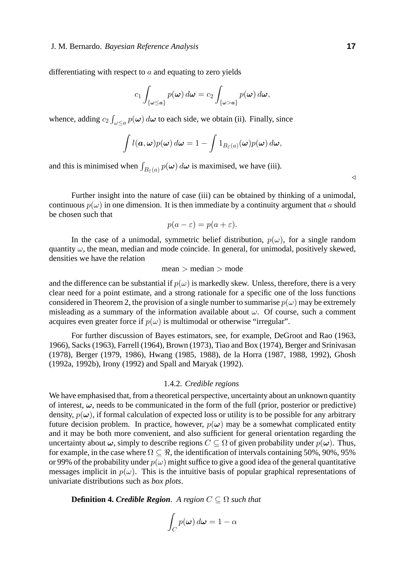differentiating with respect to *a* and equating to zero yields

$$
c_1 \int_{\{\omega \leq a\}} p(\omega) d\omega = c_2 \int_{\{\omega > a\}} p(\omega) d\omega,
$$

whence, adding  $c_2 \int_{\omega \leq a} p(\omega) d\omega$  to each side, we obtain (ii). Finally, since

$$
\int l(\boldsymbol{a},\boldsymbol{\omega})p(\boldsymbol{\omega}) d\boldsymbol{\omega} = 1 - \int 1_{B_{\varepsilon}(a)}(\boldsymbol{\omega})p(\boldsymbol{\omega}) d\boldsymbol{\omega},
$$

and this is minimised when  $\int_{B_{\varepsilon}(a)} p(\omega) d\omega$  is maximised, we have (iii).

Further insight into the nature of case (iii) can be obtained by thinking of a unimodal, continuous  $p(\omega)$  in one dimension. It is then immediate by a continuity argument that *a* should be chosen such that

$$
p(a - \varepsilon) = p(a + \varepsilon).
$$

In the case of a unimodal, symmetric belief distribution,  $p(\omega)$ , for a single random quantity  $\omega$ , the mean, median and mode coincide. In general, for unimodal, positively skewed, densities we have the relation

mean *>* median *>* mode

and the difference can be substantial if  $p(\omega)$  is markedly skew. Unless, therefore, there is a very clear need for a point estimate, and a strong rationale for a specific one of the loss functions considered in Theorem 2, the provision of a single number to summarise  $p(\omega)$  may be extremely misleading as a summary of the information available about *ω*. Of course, such a comment acquires even greater force if  $p(\omega)$  is multimodal or otherwise "irregular".

For further discussion of Bayes estimators, see, for example, DeGroot and Rao (1963, 1966), Sacks (1963), Farrell (1964), Brown (1973), Tiao and Box (1974), Berger and Srinivasan (1978), Berger (1979, 1986), Hwang (1985, 1988), de la Horra (1987, 1988, 1992), Ghosh (1992a, 1992b), Irony (1992) and Spall and Maryak (1992).

### 1.4.2. *Credible regions*

We have emphasised that, from a theoretical perspective, uncertainty about an unknown quantity of interest,  $\omega$ , needs to be communicated in the form of the full (prior, posterior or predictive) density,  $p(\omega)$ , if formal calculation of expected loss or utility is to be possible for any arbitrary future decision problem. In practice, however,  $p(\omega)$  may be a somewhat complicated entity and it may be both more convenient, and also sufficient for general orientation regarding the uncertainty about  $\omega$ , simply to describe regions  $C \subseteq \Omega$  of given probability under  $p(\omega)$ . Thus, for example, in the case where  $\Omega\subseteq\real$ , the identification of intervals containing 50%, 90%, 95% or 99% of the probability under  $p(\omega)$  might suffice to give a good idea of the general quantitative messages implicit in  $p(\omega)$ . This is the intuitive basis of popular graphical representations of univariate distributions such as *box plots*.

**Definition 4.** *Credible Region*. A region  $C \subseteq \Omega$  such that

$$
\int_C p(\boldsymbol{\omega}) \, d\boldsymbol{\omega} = 1 - \alpha
$$

 $\triangleleft$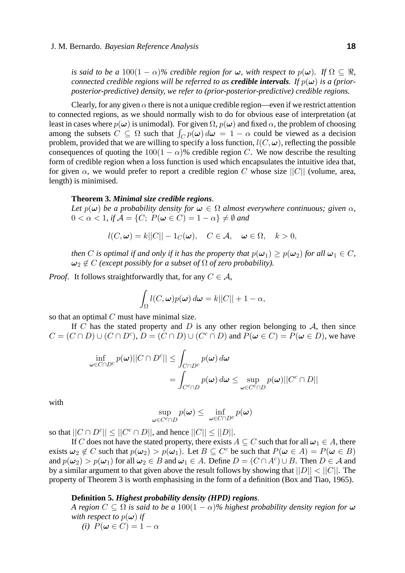*is said to be a*  $100(1 - \alpha)$ % credible region for  $\omega$ , with respect to  $p(\omega)$ . If  $\Omega \subseteq \Re$ , *connected credible regions will be referred to as <i>credible intervals*. If  $p(\omega)$  is a (prior*posterior-predictive) density, we refer to (prior-posterior-predictive) credible regions.*

Clearly, for any given  $\alpha$  there is not a unique credible region—even if we restrict attention to connected regions, as we should normally wish to do for obvious ease of interpretation (at least in cases where  $p(\omega)$  is unimodal). For given  $\Omega$ ,  $p(\omega)$  and fixed  $\alpha$ , the problem of choosing among the subsets  $C \subseteq \Omega$  such that  $\int_C p(\omega) d\omega = 1 - \alpha$  could be viewed as a decision problem, provided that we are willing to specify a loss function,  $l(C, \omega)$ , reflecting the possible consequences of quoting the  $100(1 - \alpha)$ % credible region *C*. We now describe the resulting form of credible region when a loss function is used which encapsulates the intuitive idea that, for given  $\alpha$ , we would prefer to report a credible region *C* whose size  $||C||$  (volume, area, length) is minimised.

### **Theorem 3.** *Minimal size credible regions*.

*Let*  $p(\omega)$  *be a probability density for*  $\omega \in \Omega$  *almost everywhere continuous; given*  $\alpha$ *,*  $0 < \alpha < 1$ , if  $\mathcal{A} = \{C; P(\omega \in C) = 1 - \alpha\} \neq \emptyset$  and

$$
l(C,\omega)=k||C||-1_C(\omega), \quad C\in\mathcal{A}, \quad \omega\in\Omega, \quad k>0,
$$

*then C is optimal if and only if it has the property that*  $p(\omega_1) \geq p(\omega_2)$  *for all*  $\omega_1 \in C$ *,*  $\omega_2 \notin C$  (except possibly for a subset of  $\Omega$  of zero probability).

*Proof.* It follows straightforwardly that, for any  $C \in \mathcal{A}$ ,

$$
\int_{\Omega} l(C, \omega) p(\omega) d\omega = k ||C|| + 1 - \alpha,
$$

so that an optimal *C* must have minimal size.

If *C* has the stated property and *D* is any other region belonging to  $A$ , then since  $C = (C \cap D) \cup (C \cap D^c)$ ,  $D = (C \cap D) \cup (C^c \cap D)$  and  $P(\omega \in C) = P(\omega \in D)$ , we have

$$
\inf_{\omega \in C \cap D^c} p(\omega) ||C \cap D^c|| \le \int_{C \cap D^c} p(\omega) d\omega
$$
  
= 
$$
\int_{C^c \cap D} p(\omega) d\omega \le \sup_{\omega \in C^c \cap D} p(\omega) ||C^c \cap D||
$$

with

$$
\sup_{\pmb{\omega} \in C^{\mathcal{C}} \cap D} p(\pmb{\omega}) \leq \ \inf_{\pmb{\omega} \in C \cap D^{\mathcal{C}}} p(\pmb{\omega})
$$

so that  $||C \cap D^c|| \leq ||C^c \cap D||$ , and hence  $||C|| \leq ||D||$ .

If *C* does not have the stated property, there exists  $A \subseteq C$  such that for all  $\omega_1 \in A$ , there exists  $\omega_2 \notin C$  such that  $p(\omega_2) > p(\omega_1)$ . Let  $B \subseteq C^c$  be such that  $P(\omega \in A) = P(\omega \in B)$ and  $p(\omega_2) > p(\omega_1)$  for all  $\omega_2 \in B$  and  $\omega_1 \in A$ . Define  $D = (C \cap A^c) \cup B$ . Then  $D \in A$  and by a similar argument to that given above the result follows by showing that  $||D|| < ||C||$ . The property of Theorem 3 is worth emphasising in the form of a definition (Box and Tiao, 1965).

#### **Definition 5.** *Highest probability density (HPD) regions*.

*A region*  $C \subseteq \Omega$  *is said to be a*  $100(1 - \alpha)\%$  *highest probability density region for*  $\omega$ *with respect to*  $p(\omega)$  *if (i)*  $P(\omega \in C) = 1 - \alpha$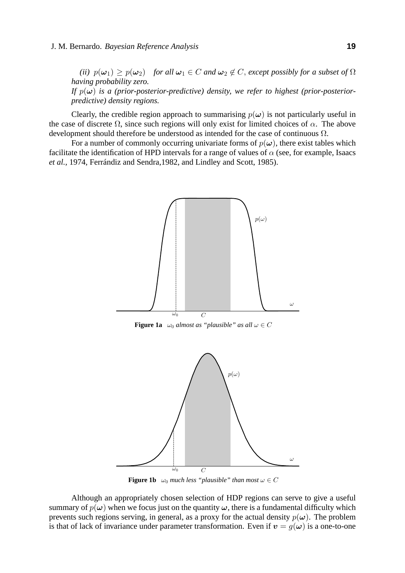*(ii)*  $p(\omega_1) \geq p(\omega_2)$  *for all*  $\omega_1 \in C$  *and*  $\omega_2 \notin C$ *, except possibly for a subset of*  $\Omega$ *having probability zero.*

*If*  $p(\omega)$  *is a (prior-posterior-predictive) density, we refer to highest (prior-posteriorpredictive) density regions.*

Clearly, the credible region approach to summarising  $p(\omega)$  is not particularly useful in the case of discrete  $\Omega$ , since such regions will only exist for limited choices of  $\alpha$ . The above development should therefore be understood as intended for the case of continuous  $\Omega$ .

For a number of commonly occurring univariate forms of  $p(\omega)$ , there exist tables which facilitate the identification of HPD intervals for a range of values of *α* (see, for example, Isaacs *et al.,* 1974, Ferrándiz and Sendra,1982, and Lindley and Scott, 1985).



**Figure 1b**  $\omega_0$  *much less* "*plausible*" *than most*  $\omega \in C$ 

Although an appropriately chosen selection of HDP regions can serve to give a useful summary of  $p(\omega)$  when we focus just on the quantity  $\omega$ , there is a fundamental difficulty which prevents such regions serving, in general, as a proxy for the actual density  $p(\omega)$ . The problem is that of lack of invariance under parameter transformation. Even if  $v = g(\omega)$  is a one-to-one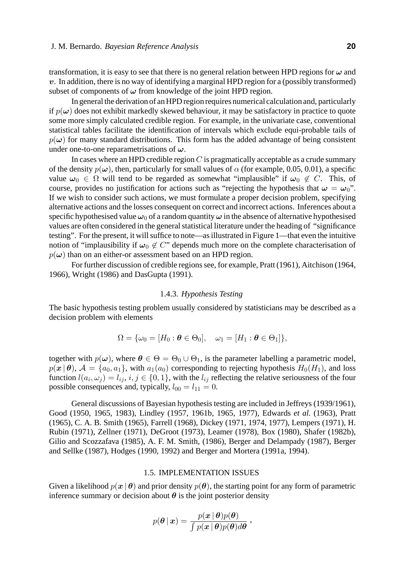transformation, it is easy to see that there is no general relation between HPD regions for *ω* and *v*. In addition, there is no way of identifying a marginal HPD region for a (possibly transformed) subset of components of  $\omega$  from knowledge of the joint HPD region.

In general the derivation of an HPD region requires numerical calculation and, particularly if  $p(\omega)$  does not exhibit markedly skewed behaviour, it may be satisfactory in practice to quote some more simply calculated credible region. For example, in the univariate case, conventional statistical tables facilitate the identification of intervals which exclude equi-probable tails of  $p(\omega)$  for many standard distributions. This form has the added advantage of being consistent under one-to-one reparametrisations of *ω*.

In cases where an HPD credible region *C* is pragmatically acceptable as a crude summary of the density  $p(\omega)$ , then, particularly for small values of  $\alpha$  (for example, 0.05, 0.01), a specific value  $\omega_0 \in \Omega$  will tend to be regarded as somewhat "implausible" if  $\omega_0 \notin C$ . This, of course, provides no justification for actions such as "rejecting the hypothesis that  $\omega = \omega_0$ ". If we wish to consider such actions, we must formulate a proper decision problem, specifying alternative actions and the losses consequent on correct and incorrect actions. Inferences about a specific hypothesised value  $\omega_0$  of a random quantity  $\omega$  in the absence of alternative hypothesised values are often considered in the general statistical literature under the heading of "significance testing". For the present, it will suffice to note—as illustrated in Figure 1—that even the intuitive notion of "implausibility if  $\omega_0 \notin C$ " depends much more on the complete characterisation of  $p(\omega)$  than on an either-or assessment based on an HPD region.

For further discussion of credible regions see, for example, Pratt (1961), Aitchison (1964, 1966), Wright (1986) and DasGupta (1991).

### 1.4.3. *Hypothesis Testing*

The basic hypothesis testing problem usually considered by statisticians may be described as a decision problem with elements

$$
\Omega = \{\omega_0 = [H_0 : \boldsymbol{\theta} \in \Theta_0], \quad \omega_1 = [H_1 : \boldsymbol{\theta} \in \Theta_1]\},
$$

together with  $p(\omega)$ , where  $\theta \in \Theta = \Theta_0 \cup \Theta_1$ , is the parameter labelling a parametric model,  $p(x | \theta)$ ,  $\mathcal{A} = \{a_0, a_1\}$ , with  $a_1(a_0)$  corresponding to rejecting hypothesis  $H_0(H_1)$ , and loss function  $l(a_i, \omega_i) = l_{ij}, i, j \in \{0, 1\}$ , with the  $l_{ij}$  reflecting the relative seriousness of the four possible consequences and, typically,  $l_{00} = l_{11} = 0$ .

General discussions of Bayesian hypothesis testing are included in Jeffreys (1939/1961), Good (1950, 1965, 1983), Lindley (1957, 1961b, 1965, 1977), Edwards *et al.* (1963), Pratt (1965), C. A. B. Smith (1965), Farrell (1968), Dickey (1971, 1974, 1977), Lempers (1971), H. Rubin (1971), Zellner (1971), DeGroot (1973), Leamer (1978), Box (1980), Shafer (1982b), Gilio and Scozzafava (1985), A. F. M. Smith, (1986), Berger and Delampady (1987), Berger and Sellke (1987), Hodges (1990, 1992) and Berger and Mortera (1991a, 1994).

### 1.5. IMPLEMENTATION ISSUES

Given a likelihood  $p(x | \theta)$  and prior density  $p(\theta)$ , the starting point for any form of parametric inference summary or decision about  $\theta$  is the joint posterior density

$$
p(\boldsymbol{\theta} \,|\, \boldsymbol{x}) = \frac{p(\boldsymbol{x} \,|\, \boldsymbol{\theta}) p(\boldsymbol{\theta})}{\int p(\boldsymbol{x} \,|\, \boldsymbol{\theta}) p(\boldsymbol{\theta}) d\boldsymbol{\theta}}\,,
$$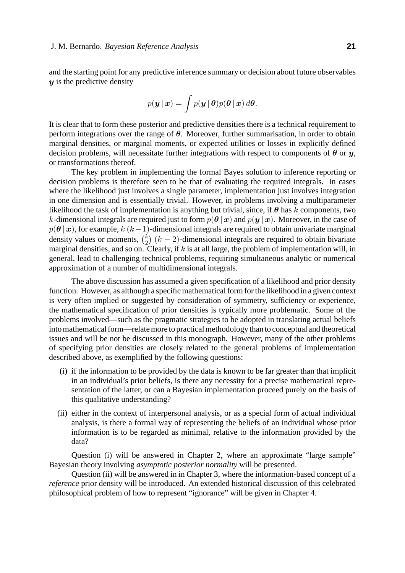and the starting point for any predictive inference summary or decision about future observables *y* is the predictive density

$$
p(\boldsymbol{y} \,|\, \boldsymbol{x}) = \int p(\boldsymbol{y} \,|\, \boldsymbol{\theta}) p(\boldsymbol{\theta} \,|\, \boldsymbol{x}) \, d\boldsymbol{\theta}.
$$

It is clear that to form these posterior and predictive densities there is a technical requirement to perform integrations over the range of *θ*. Moreover, further summarisation, in order to obtain marginal densities, or marginal moments, or expected utilities or losses in explicitly defined decision problems, will necessitate further integrations with respect to components of *θ* or *y*, or transformations thereof.

The key problem in implementing the formal Bayes solution to inference reporting or decision problems is therefore seen to be that of evaluating the required integrals. In cases where the likelihood just involves a single parameter, implementation just involves integration in one dimension and is essentially trivial. However, in problems involving a multiparameter likelihood the task of implementation is anything but trivial, since, if  $\theta$  has  $k$  components, two *k*-dimensional integrals are required just to form  $p(\theta | x)$  and  $p(y | x)$ . Moreover, in the case of  $p(\theta | x)$ , for example,  $k(k-1)$ -dimensional integrals are required to obtain univariate marginal density values or moments,  $\binom{k}{2}$   $(k-2)$ -dimensional integrals are required to obtain bivariate marginal densities, and so on. Clearly, if *k* is at all large, the problem of implementation will, in general, lead to challenging technical problems, requiring simultaneous analytic or numerical approximation of a number of multidimensional integrals.

The above discussion has assumed a given specification of a likelihood and prior density function. However, as although a specific mathematical form for the likelihood in a given context is very often implied or suggested by consideration of symmetry, sufficiency or experience, the mathematical specification of prior densities is typically more problematic. Some of the problems involved—such as the pragmatic strategies to be adopted in translating actual beliefs into mathematical form—relate more to practical methodology than to conceptual and theoretical issues and will be not be discussed in this monograph. However, many of the other problems of specifying prior densities are closely related to the general problems of implementation described above, as exemplified by the following questions:

- (i) if the information to be provided by the data is known to be far greater than that implicit in an individual's prior beliefs, is there any necessity for a precise mathematical representation of the latter, or can a Bayesian implementation proceed purely on the basis of this qualitative understanding?
- (ii) either in the context of interpersonal analysis, or as a special form of actual individual analysis, is there a formal way of representing the beliefs of an individual whose prior information is to be regarded as minimal, relative to the information provided by the data?

Question (i) will be answered in Chapter 2, where an approximate "large sample" Bayesian theory involving *asymptotic posterior normality* will be presented.

Question (ii) will be answered in in Chapter 3, where the information-based concept of a *reference* prior density will be introduced. An extended historical discussion of this celebrated philosophical problem of how to represent "ignorance" will be given in Chapter 4.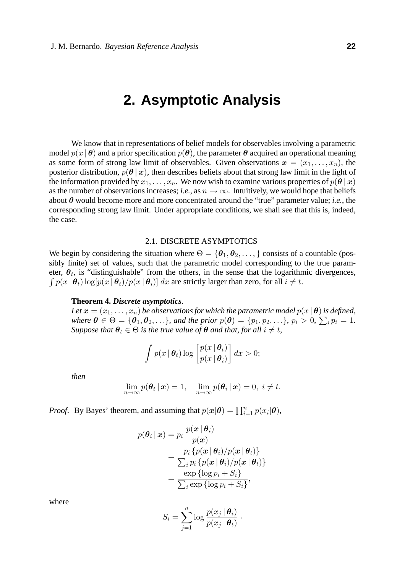### **2. Asymptotic Analysis**

We know that in representations of belief models for observables involving a parametric model  $p(x | \theta)$  and a prior specification  $p(\theta)$ , the parameter  $\theta$  acquired an operational meaning as some form of strong law limit of observables. Given observations  $x = (x_1, \ldots, x_n)$ , the posterior distribution,  $p(\theta | x)$ , then describes beliefs about that strong law limit in the light of the information provided by  $x_1, \ldots, x_n$ . We now wish to examine various properties of  $p(\theta | x)$ as the number of observations increases; *i.e.*, as  $n \to \infty$ . Intuitively, we would hope that beliefs about *θ* would become more and more concentrated around the "true" parameter value; *i.e.*, the corresponding strong law limit. Under appropriate conditions, we shall see that this is, indeed, the case.

### 2.1. DISCRETE ASYMPTOTICS

We begin by considering the situation where  $\Theta = {\theta_1, \theta_2, \dots,}$  consists of a countable (possibly finite) set of values, such that the parametric model corresponding to the true parameter,  $\theta_t$ , is "distinguishable" from the others, in the sense that the logarithmic divergences,  $\int p(x | \theta_t) \log [p(x | \theta_t) / p(x | \theta_i)] dx$  are strictly larger than zero, for all  $i \neq t$ .

#### **Theorem 4.** *Discrete asymptotics*.

*Let*  $\mathbf{x} = (x_1, \ldots, x_n)$  *be observations for which the parametric model*  $p(x | \theta)$  *is defined, and the prior*  $p(\theta) = {p_1, p_2, ..., \theta_n > 0, \sum_i p_i = 1.}$ *Suppose that*  $\theta_t \in \Theta$  *is the true value of*  $\theta$  *and that, for all*  $i \neq t$ *,* 

$$
\int p(x | \boldsymbol{\theta}_t) \log \left[ \frac{p(x | \boldsymbol{\theta}_t)}{p(x | \boldsymbol{\theta}_i)} \right] dx > 0;
$$

*then*

$$
\lim_{n\to\infty}p(\boldsymbol{\theta}_t\,|\,\boldsymbol{x})=1,\quad \lim_{n\to\infty}p(\boldsymbol{\theta}_i\,|\,\boldsymbol{x})=0,\ i\neq t.
$$

*Proof.* By Bayes' theorem, and assuming that  $p(\boldsymbol{x}|\boldsymbol{\theta}) = \prod_{i=1}^{n} p(x_i|\boldsymbol{\theta}),$ 

$$
p(\theta_i | \mathbf{x}) = p_i \frac{p(\mathbf{x} | \theta_i)}{p(\mathbf{x})}
$$
  
= 
$$
\frac{p_i \{p(\mathbf{x} | \theta_i)/p(\mathbf{x} | \theta_t)\}}{\sum_i p_i \{p(\mathbf{x} | \theta_i)/p(\mathbf{x} | \theta_t)\}}
$$
  
= 
$$
\frac{\exp \{\log p_i + S_i\}}{\sum_i \exp \{\log p_i + S_i\}},
$$

where

$$
S_i = \sum_{j=1}^n \log \frac{p(x_j | \boldsymbol{\theta}_i)}{p(x_j | \boldsymbol{\theta}_t)}.
$$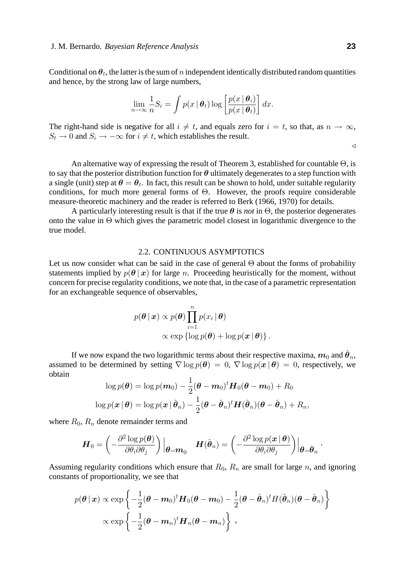Conditional on  $\theta_t$ , the latter is the sum of *n* independent identically distributed random quantities and hence, by the strong law of large numbers,

$$
\lim_{n \to \infty} \frac{1}{n} S_i = \int p(x | \boldsymbol{\theta}_t) \log \left[ \frac{p(x | \boldsymbol{\theta}_i)}{p(x | \boldsymbol{\theta}_t)} \right] dx.
$$

The right-hand side is negative for all  $i \neq t$ , and equals zero for  $i = t$ , so that, as  $n \to \infty$ ,  $S_t \to 0$  and  $S_i \to -\infty$  for  $i \neq t$ , which establishes the result.

An alternative way of expressing the result of Theorem 3, established for countable Θ, is to say that the posterior distribution function for *θ* ultimately degenerates to a step function with a single (unit) step at  $\theta = \theta_t$ . In fact, this result can be shown to hold, under suitable regularity conditions, for much more general forms of  $\Theta$ . However, the proofs require considerable measure-theoretic machinery and the reader is referred to Berk (1966, 1970) for details.

A particularly interesting result is that if the true  $\theta$  is *not* in  $\Theta$ , the posterior degenerates onto the value in  $\Theta$  which gives the parametric model closest in logarithmic divergence to the true model.

### 2.2. CONTINUOUS ASYMPTOTICS

Let us now consider what can be said in the case of general  $\Theta$  about the forms of probability statements implied by  $p(\theta | x)$  for large *n*. Proceeding heuristically for the moment, without concern for precise regularity conditions, we note that, in the case of a parametric representation for an exchangeable sequence of observables,

$$
p(\boldsymbol{\theta} \mid \boldsymbol{x}) \propto p(\boldsymbol{\theta}) \prod_{i=1}^{n} p(x_i \mid \boldsymbol{\theta})
$$

$$
\propto \exp \left\{ \log p(\boldsymbol{\theta}) + \log p(\boldsymbol{x} \mid \boldsymbol{\theta}) \right\}.
$$

If we now expand the two logarithmic terms about their respective maxima,  $m_0$  and  $\hat{\theta}_n$ , assumed to be determined by setting  $\nabla \log p(\theta) = 0$ ,  $\nabla \log p(x | \theta) = 0$ , respectively, we obtain

$$
\log p(\boldsymbol{\theta}) = \log p(\boldsymbol{m}_0) - \frac{1}{2}(\boldsymbol{\theta} - \boldsymbol{m}_0)^t \boldsymbol{H}_0(\boldsymbol{\theta} - \boldsymbol{m}_0) + R_0
$$
  

$$
\log p(\boldsymbol{x} | \boldsymbol{\theta}) = \log p(\boldsymbol{x} | \hat{\boldsymbol{\theta}}_n) - \frac{1}{2}(\boldsymbol{\theta} - \hat{\boldsymbol{\theta}}_n)^t \boldsymbol{H}(\hat{\boldsymbol{\theta}}_n)(\boldsymbol{\theta} - \hat{\boldsymbol{\theta}}_n) + R_n,
$$

where  $R_0$ ,  $R_n$  denote remainder terms and

$$
\boldsymbol{H}_0 = \left(-\frac{\partial^2 \log p(\boldsymbol{\theta})}{\partial \theta_i \partial \theta_j}\right)\Big|_{\boldsymbol{\theta}=\boldsymbol{m}_0} \quad \boldsymbol{H}(\hat{\boldsymbol{\theta}}_n) = \left(-\frac{\partial^2 \log p(\boldsymbol{x}\,|\, \boldsymbol{\theta})}{\partial \theta_i \partial \theta_j}\right)\Big|_{\boldsymbol{\theta}=\hat{\boldsymbol{\theta}}_n}.
$$

Assuming regularity conditions which ensure that  $R_0$ ,  $R_n$  are small for large *n*, and ignoring constants of proportionality, we see that

$$
p(\theta | \mathbf{x}) \propto \exp \left\{ -\frac{1}{2} (\theta - \mathbf{m}_0)^t \mathbf{H}_0 (\theta - \mathbf{m}_0) - \frac{1}{2} (\theta - \hat{\theta}_n)^t H(\hat{\theta}_n) (\theta - \hat{\theta}_n) \right\}
$$
  
 
$$
\propto \exp \left\{ -\frac{1}{2} (\theta - \mathbf{m}_n)^t \mathbf{H}_n (\theta - \mathbf{m}_n) \right\},
$$

 $\triangleleft$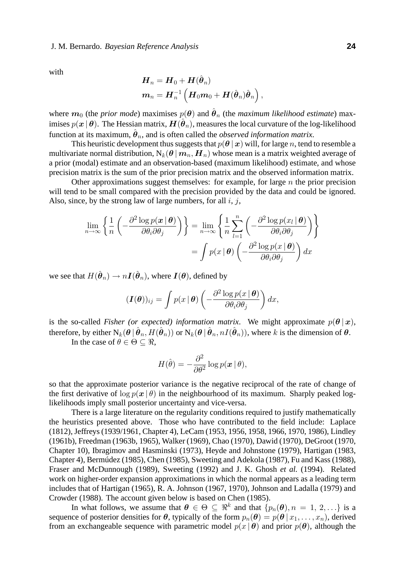with

$$
\begin{aligned} \boldsymbol{H}_n &= \boldsymbol{H}_0 + \boldsymbol{H}(\hat{\boldsymbol{\theta}}_n) \\ \boldsymbol{m}_n &= \boldsymbol{H}_n^{-1} \left( \boldsymbol{H}_0 \boldsymbol{m}_0 + \boldsymbol{H}(\hat{\boldsymbol{\theta}}_n) \hat{\boldsymbol{\theta}}_n \right), \end{aligned}
$$

where  $m_0$  (the *prior mode*) maximises  $p(\theta)$  and  $\hat{\theta}_n$  (the *maximum likelihood estimate*) maximises  $p(x | \theta)$ . The Hessian matrix,  $H(\hat{\theta}_n)$ , measures the local curvature of the log-likelihood function at its maximum,  $\hat{\theta}_n$ , and is often called the *observed information matrix*.

This heuristic development thus suggests that  $p(\theta | x)$  will, for large *n*, tend to resemble a multivariate normal distribution,  $N_k(\theta | m_n, H_n)$  whose mean is a matrix weighted average of a prior (modal) estimate and an observation-based (maximum likelihood) estimate, and whose precision matrix is the sum of the prior precision matrix and the observed information matrix.

Other approximations suggest themselves: for example, for large *n* the prior precision will tend to be small compared with the precision provided by the data and could be ignored. Also, since, by the strong law of large numbers, for all *i*, *j*,

$$
\lim_{n \to \infty} \left\{ \frac{1}{n} \left( -\frac{\partial^2 \log p(\mathbf{x} \mid \boldsymbol{\theta})}{\partial \theta_i \partial \theta_j} \right) \right\} = \lim_{n \to \infty} \left\{ \frac{1}{n} \sum_{l=1}^n \left( -\frac{\partial^2 \log p(x_l \mid \boldsymbol{\theta})}{\partial \theta_i \partial \theta_j} \right) \right\}
$$

$$
= \int p(x \mid \boldsymbol{\theta}) \left( -\frac{\partial^2 \log p(x \mid \boldsymbol{\theta})}{\partial \theta_i \partial \theta_j} \right) dx
$$

we see that  $H(\hat{\theta}_n) \to n\mathbf{I}(\hat{\theta}_n)$ , where  $\mathbf{I}(\theta)$ , defined by

$$
(\boldsymbol{I}(\boldsymbol{\theta}))_{ij} = \int p(x \,|\, \boldsymbol{\theta}) \left( -\frac{\partial^2 \log p(x \,|\, \boldsymbol{\theta})}{\partial \theta_i \partial \theta_j} \right) dx,
$$

is the so-called *Fisher (or expected) information matrix*. We might approximate  $p(\theta | x)$ , therefore, by either  $N_k(\theta | \hat{\theta}_n, H(\hat{\theta}_n))$  or  $N_k(\theta | \hat{\theta}_n, nI(\hat{\theta}_n))$ , where *k* is the dimension of  $\theta$ .

In the case of  $\theta \in \Theta \subseteq \Re$ ,

$$
H(\hat{\theta}) = -\frac{\partial^2}{\partial \theta^2} \log p(\boldsymbol{x} \,|\, \theta),
$$

so that the approximate posterior variance is the negative reciprocal of the rate of change of the first derivative of  $\log p(x | \theta)$  in the neighbourhood of its maximum. Sharply peaked loglikelihoods imply small posterior uncertainty and vice-versa.

There is a large literature on the regularity conditions required to justify mathematically the heuristics presented above. Those who have contributed to the field include: Laplace (1812), Jeffreys (1939/1961, Chapter 4), LeCam (1953, 1956, 1958, 1966, 1970, 1986), Lindley (1961b), Freedman (1963b, 1965), Walker (1969), Chao (1970), Dawid (1970), DeGroot (1970, Chapter 10), Ibragimov and Hasminski (1973), Heyde and Johnstone (1979), Hartigan (1983, Chapter 4), Bermúdez (1985), Chen (1985), Sweeting and Adekola (1987), Fu and Kass (1988), Fraser and McDunnough (1989), Sweeting (1992) and J. K. Ghosh *et al.* (1994). Related work on higher-order expansion approximations in which the normal appears as a leading term includes that of Hartigan (1965), R. A. Johnson (1967, 1970), Johnson and Ladalla (1979) and Crowder (1988). The account given below is based on Chen (1985).

In what follows, we assume that  $\theta \in \Theta \subseteq \Re^k$  and that  $\{p_n(\theta), n = 1, 2, ...\}$  is a sequence of posterior densities for  $\theta$ , typically of the form  $p_n(\theta) = p(\theta | x_1, \ldots, x_n)$ , derived from an exchangeable sequence with parametric model  $p(x | \theta)$  and prior  $p(\theta)$ , although the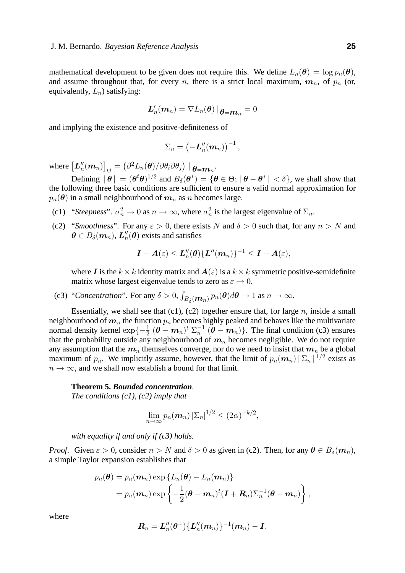mathematical development to be given does not require this. We define  $L_n(\theta) = \log p_n(\theta)$ , and assume throughout that, for every *n*, there is a strict local maximum,  $m_n$ , of  $p_n$  (or, equivalently,  $L_n$ ) satisfying:

$$
\bm{L}_n'(\bm{m}_n) = \nabla L_n(\bm{\theta})\,|\, \bm{\theta}\!=\!\bm{m}_n = 0
$$

and implying the existence and positive-definiteness of

$$
\Sigma_n=\left(-\boldsymbol{L}_n''(\boldsymbol{m}_n)\right)^{-1},
$$

 $\left[\bm{L}_{n}''(\bm{m}_n)\right]_{ij} = \left(\partial^2 L_n(\bm{\theta})/\partial\theta_i\partial\theta_j\right) \mid_{\bm{\theta}=\bm{m}_n}.$ 

Defining  $|\theta| = (\theta^t \theta)^{1/2}$  and  $B_\delta(\theta^*) = \{\theta \in \Theta; |\theta - \theta^*| < \delta\}$ , we shall show that the following three basic conditions are sufficient to ensure a valid normal approximation for  $p_n(\theta)$  in a small neighbourhood of  $m_n$  as *n* becomes large.

- (c1) "*Steepness*".  $\overline{\sigma}_n^2 \to 0$  as  $n \to \infty$ , where  $\overline{\sigma}_n^2$  is the largest eigenvalue of  $\Sigma_n$ .
- (c2) "*Smoothness*". For any  $\varepsilon > 0$ , there exists *N* and  $\delta > 0$  such that, for any  $n > N$  and  $\boldsymbol{\theta} \in B_{\delta}(\boldsymbol{m}_n),$   $\boldsymbol{L}''_n(\boldsymbol{\theta})$  exists and satisfies

$$
\boldsymbol I - \boldsymbol A(\varepsilon) \leq \boldsymbol L''_n(\boldsymbol \theta) \{\boldsymbol L''(\boldsymbol m_n)\}^{-1} \leq \boldsymbol I + \boldsymbol A(\varepsilon),
$$

where *I* is the  $k \times k$  identity matrix and  $A(\varepsilon)$  is a  $k \times k$  symmetric positive-semidefinite matrix whose largest eigenvalue tends to zero as  $\varepsilon \to 0$ .

(c3) "*Concentration*". For any  $\delta > 0$ ,  $\int_{B_{\delta}(m_n)} p_n(\theta) d\theta \to 1$  as  $n \to \infty$ .

Essentially, we shall see that  $(c1)$ ,  $(c2)$  together ensure that, for large *n*, inside a small neighbourhood of  $m<sub>n</sub>$  the function  $p<sub>n</sub>$  becomes highly peaked and behaves like the multivariate normal density kernel  $\exp\{-\frac{1}{2} (\theta - m_n)^t \sum_n^{-1} (\theta - m_n)\}$ . The final condition (c3) ensures that the probability outside any neighbourhood of  $m_n$  becomes negligible. We do not require any assumption that the  $m_n$  themselves converge, nor do we need to insist that  $m_n$  be a global maximum of  $p_n$ . We implicitly assume, however, that the limit of  $p_n(\mathbf{m}_n) | \Sigma_n |^{1/2}$  exists as  $n \rightarrow \infty$ , and we shall now establish a bound for that limit.

#### **Theorem 5.** *Bounded concentration*.

*The conditions (c1), (c2) imply that*

$$
\lim_{n\to\infty}p_n(\boldsymbol{m}_n)\left|\Sigma_n\right|^{1/2}\leq (2\alpha)^{-k/2},
$$

*with equality if and only if (c3) holds.*

*Proof.* Given  $\varepsilon > 0$ , consider  $n > N$  and  $\delta > 0$  as given in (c2). Then, for any  $\theta \in B_{\delta}(m_n)$ , a simple Taylor expansion establishes that

$$
p_n(\boldsymbol{\theta}) = p_n(\boldsymbol{m}_n) \exp \{L_n(\boldsymbol{\theta}) - L_n(\boldsymbol{m}_n)\}
$$
  
=  $p_n(\boldsymbol{m}_n) \exp \left\{-\frac{1}{2}(\boldsymbol{\theta} - \boldsymbol{m}_n)^t(\boldsymbol{I} + \boldsymbol{R}_n)\Sigma_n^{-1}(\boldsymbol{\theta} - \boldsymbol{m}_n)\right\},$ 

where

$$
\boldsymbol{R}_n = \boldsymbol{L}_n''(\boldsymbol{\theta}^+)\{\boldsymbol{L}_n''(\boldsymbol{m}_n)\}^{-1}(\boldsymbol{m}_n) - \boldsymbol{I},
$$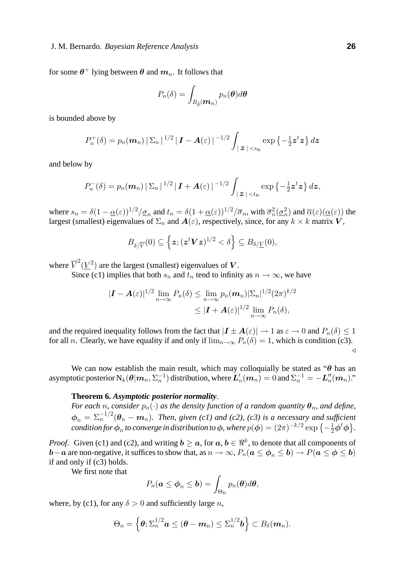for some  $\theta^+$  lying between  $\theta$  and  $m_n$ . It follows that

$$
P_n(\delta) = \int_{B_\delta(\boldsymbol{m}_n)} p_n(\boldsymbol{\theta}) d\boldsymbol{\theta}
$$

is bounded above by

$$
P_n^+(\delta)=p_n(\boldsymbol{m}_n)\,|\,\Sigma_n\,|^{\,1/2}\,|\,\boldsymbol{I}-\boldsymbol{A}(\varepsilon)\,|^{\,-1/2}\int_{\|\boldsymbol{z}\,\|
$$

and below by

$$
P_n^-(\delta)=p_n(\boldsymbol{m}_n)\,|\,\Sigma_n\,|^{\,1/2}\,|\,\boldsymbol{I}+\boldsymbol{A}(\varepsilon)\,|^{\,-1/2}\int_{\,|\boldsymbol{z}\,| \,
$$

where  $s_n = \delta(1 - \underline{\alpha}(\varepsilon))^{1/2}/\underline{\sigma}_n$  and  $t_n = \delta(1 + \underline{\alpha}(\varepsilon))^{1/2}/\overline{\sigma}_n$ , with  $\overline{\sigma}_n^2(\underline{\sigma}_n^2)$  and  $\overline{\alpha}(\varepsilon)(\underline{\alpha}(\varepsilon))$  the largest (smallest) eigenvalues of  $\Sigma_n$  and  $\mathbf{A}(\varepsilon)$ , respectively, since, for any  $k \times k$  matrix  $\mathbf{V}$ ,

$$
B_{\delta/\overline{V}}(0) \subseteq \left\{ \boldsymbol{z}; (\boldsymbol{z}^t \boldsymbol{V} \boldsymbol{z})^{1/2} < \delta \right\} \subseteq B_{\delta/\underline{V}}(0),
$$

where  $\overline{V}^2(\underline{V}^2)$  are the largest (smallest) eigenvalues of V.

Since (c1) implies that both  $s_n$  and  $t_n$  tend to infinity as  $n \to \infty$ , we have

$$
|\boldsymbol{I} - \boldsymbol{A}(\varepsilon)|^{1/2} \lim_{n \to \infty} P_n(\delta) \leq \lim_{n \to \infty} p_n(\boldsymbol{m}_n) |\Sigma_n|^{1/2} (2\pi)^{k/2}
$$
  

$$
\leq |\boldsymbol{I} + \boldsymbol{A}(\varepsilon)|^{1/2} \lim_{n \to \infty} P_n(\delta),
$$

and the required inequality follows from the fact that  $|I \pm A(\varepsilon)| \to 1$  as  $\varepsilon \to 0$  and  $P_n(\delta) \le 1$ for all *n*. Clearly, we have equality if and only if  $\lim_{n\to\infty} P_n(\delta) = 1$ , which is condition (c3).

 $\triangleleft$ 

We can now establish the main result, which may colloquially be stated as "*θ* has an asymptotic posterior  $N_k(\bm{\theta}|\bm{m}_n,\Sigma_n^{-1})$  distribution, where  $\bm{L}'_n(\bm{m}_n)=0$  and  $\Sigma_n^{-1}=-\bm{L}''_n(\bm{m}_n).$ "

### **Theorem 6.** *Asymptotic posterior normality*.

*For each n*, *consider*  $p_n(\cdot)$  *as the density function of a random quantity*  $\theta_n$ *, and define,*  $\phi_n = \sum_n^{-1/2} (\theta_n - m_n)$ . Then, given (c1) and (c2), (c3) is a necessary and sufficient  $condition for \ \phi_n \ to \ converge \ in \ distribution \ to \ \phi, \ where \ p(\phi) = (2\pi)^{-k/2} \exp{\left\{-\frac{1}{2}\phi^t\phi\right\}}.$ 

*Proof.* Given (c1) and (c2), and writing  $b \ge a$ , for  $a, b \in \mathbb{R}^k$ , to denote that all components of *b*−*a* are non-negative, it suffices to show that, as  $n \to \infty$ ,  $P_n(a \leq \phi_n \leq b) \to P(a \leq \phi \leq b)$ if and only if (c3) holds.

We first note that

$$
P_n(\boldsymbol{a}\leq \boldsymbol{\phi}_n\leq \boldsymbol{b})=\int_{\Theta_n}p_n(\boldsymbol{\theta})d\boldsymbol{\theta},
$$

where, by (c1), for any  $\delta > 0$  and sufficiently large *n*,

$$
\Theta_n = \left\{ \boldsymbol{\theta}; \Sigma_n^{1/2} \boldsymbol{a} \leq (\boldsymbol{\theta} - \boldsymbol{m}_n) \leq \Sigma_n^{1/2} \boldsymbol{b} \right\} \subset B_{\delta}(\boldsymbol{m}_n).
$$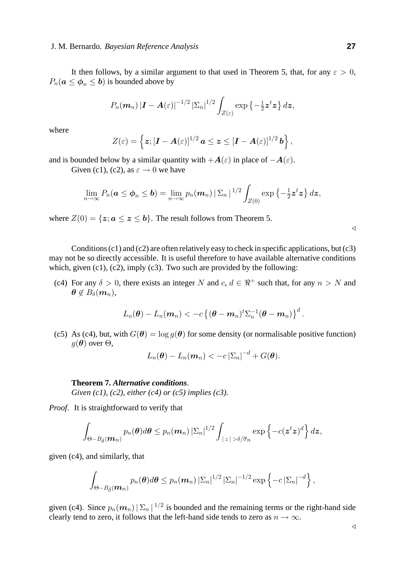### J. M. Bernardo. *Bayesian Reference Analysis* **27**

It then follows, by a similar argument to that used in Theorem 5, that, for any  $\varepsilon > 0$ ,  $P_n(a \leq \phi_n \leq b)$  is bounded above by

$$
P_n(\boldsymbol{m}_n) |\boldsymbol{I} - \boldsymbol{A}(\varepsilon)|^{-1/2} |\Sigma_n|^{1/2} \int_{Z(\varepsilon)} \exp \left\{-\frac{1}{2} \boldsymbol{z}^t \boldsymbol{z} \right\} d\boldsymbol{z},
$$

where

$$
Z(\varepsilon)=\left\{\boldsymbol{z};[\boldsymbol{I}-\boldsymbol{A}(\varepsilon)]^{1/2}\,\boldsymbol{a}\leq \boldsymbol{z} \leq [\boldsymbol{I}-\boldsymbol{A}(\varepsilon)]^{1/2}\,\boldsymbol{b}\right\},
$$

and is bounded below by a similar quantity with  $+A(\varepsilon)$  in place of  $-A(\varepsilon)$ .

Given (c1), (c2), as  $\varepsilon \to 0$  we have

$$
\lim_{n\to\infty}P_n(\boldsymbol{a}\leq\boldsymbol{\phi}_n\leq\boldsymbol{b})=\lim_{n\to\infty}p_n(\boldsymbol{m}_n)\,|\,\Sigma_n\,|^{1/2}\int_{Z(0)}\exp\left\{-\tfrac{1}{2}\boldsymbol{z}^t\boldsymbol{z}\right\}d\boldsymbol{z},
$$

where  $Z(0) = \{z; a \le z \le b\}$ . The result follows from Theorem 5.

 $\triangleleft$ 

Conditions  $(c1)$  and  $(c2)$  are often relatively easy to check in specific applications, but  $(c3)$ may not be so directly accessible. It is useful therefore to have available alternative conditions which, given  $(c1)$ ,  $(c2)$ , imply  $(c3)$ . Two such are provided by the following:

(c4) For any  $\delta > 0$ , there exists an integer *N* and *c*,  $d \in \mathbb{R}^+$  such that, for any  $n > N$  and  $\theta \notin B_{\delta}(m_n),$ 

$$
L_n(\boldsymbol{\theta})-L_n(\boldsymbol{m}_n)<-c\left\{(\boldsymbol{\theta}-\boldsymbol{m}_n)^t \Sigma_n^{-1}(\boldsymbol{\theta}-\boldsymbol{m}_n)\right\}^d.
$$

(c5) As (c4), but, with  $G(\theta) = \log g(\theta)$  for some density (or normalisable positive function)  $q(\boldsymbol{\theta})$  over  $\Theta$ ,

 $L_n(\boldsymbol{\theta}) - L_n(\boldsymbol{m}_n) < -c\left|\Sigma_n\right|^{-d} + G(\boldsymbol{\theta}).$ 

### **Theorem 7.** *Alternative conditions*.

*Given (c1), (c2), either (c4) or (c5) implies (c3).*

*Proof*. It is straightforward to verify that

$$
\int_{\Theta-B_{\delta}(\boldsymbol m_n)}p_n(\boldsymbol\theta)d\boldsymbol\theta\leq p_n(\boldsymbol m_n)\left|\Sigma_n\right|^{1/2}\int_{\left|z\right|>\delta/\overline\sigma_n}\exp\left\{-c(\boldsymbol z^t\boldsymbol z)^d\right\}d\boldsymbol z,
$$

given (c4), and similarly, that

$$
\int_{\Theta-B_{\delta}(\boldsymbol{m}_n)} p_n(\boldsymbol{\theta}) d\boldsymbol{\theta} \leq p_n(\boldsymbol{m}_n) \, |\Sigma_n|^{1/2} \, |\Sigma_n|^{-1/2} \exp\left\{-c \, |\Sigma_n|^{-d}\right\},
$$

given (c4). Since  $p_n(\mathbf{m}_n) | \Sigma_n |^{1/2}$  is bounded and the remaining terms or the right-hand side clearly tend to zero, it follows that the left-hand side tends to zero as  $n \to \infty$ .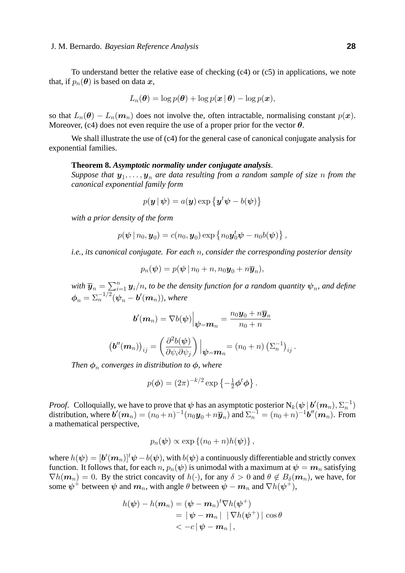To understand better the relative ease of checking  $(c4)$  or  $(c5)$  in applications, we note that, if  $p_n(\theta)$  is based on data *x*,

$$
L_n(\boldsymbol{\theta}) = \log p(\boldsymbol{\theta}) + \log p(\boldsymbol{x} \,|\, \boldsymbol{\theta}) - \log p(\boldsymbol{x}),
$$

so that  $L_n(\theta) - L_n(m_n)$  does not involve the, often intractable, normalising constant  $p(x)$ . Moreover, (c4) does not even require the use of a proper prior for the vector  $\theta$ .

We shall illustrate the use of (c4) for the general case of canonical conjugate analysis for exponential families.

### **Theorem 8.** *Asymptotic normality under conjugate analysis*.

*Suppose that*  $y_1, \ldots, y_n$  *are data resulting from a random sample of size n from the canonical exponential family form*

$$
p(\mathbf{y} | \mathbf{\psi}) = a(\mathbf{y}) \exp \left\{ \mathbf{y}^t \mathbf{\psi} - b(\mathbf{\psi}) \right\}
$$

*with a prior density of the form*

$$
p(\boldsymbol{\psi} \,|\, n_0,\boldsymbol{y}_0) = c(n_0,\boldsymbol{y}_0) \exp \left\{ n_0 \boldsymbol{y}_0^t \boldsymbol{\psi} - n_0 b(\boldsymbol{\psi}) \right\},
$$

*i.e., its canonical conjugate. For each n, consider the corresponding posterior density*

$$
p_n(\boldsymbol{\psi}) = p(\boldsymbol{\psi} \,|\, n_0 + n, n_0 \boldsymbol{y}_0 + n \overline{\boldsymbol{y}}_n),
$$

*with*  $\overline{y}_n = \sum_{i=1}^n y_i/n$ , to be the density function for a random quantity  $\psi_n$ , and define  $\boldsymbol{\phi}_n = \Sigma_n^{-1/2}(\boldsymbol{\psi}_n - \boldsymbol{b}'(\boldsymbol{m}_n))$ *, where* 

$$
\left.b'(m_n) = \nabla b(\psi)\right|_{\psi = m_n} = \frac{n_0 y_0 + n \overline{y}_n}{n_0 + n}
$$

$$
\left(\boldsymbol{b}''(\boldsymbol{m}_n)\right)_{ij} = \left(\frac{\partial^2 b(\boldsymbol{\psi})}{\partial \psi_i \partial \psi_j}\right)\Big|_{\boldsymbol{\psi}=\boldsymbol{m}_n} = (n_0+n)\left(\Sigma_n^{-1}\right)_{ij}.
$$

*Then*  $\phi_n$  *converges in distribution to*  $\phi$ *, where* 

$$
p(\boldsymbol{\phi}) = (2\pi)^{-k/2} \exp \left\{-\frac{1}{2} \boldsymbol{\phi}^t \boldsymbol{\phi} \right\}.
$$

*Proof.* Colloquially, we have to prove that  $\psi$  has an asymptotic posterior  $N_k(\psi \,|\, b'(m_n), \Sigma_n^{-1})$ distribution, where  $\bm{b}'(\bm{m}_n)=(n_0+n)^{-1}(n_0\bm{y}_0+n\overline{\bm{y}}_n)$  and  $\Sigma_n^{-1}=(n_0+n)^{-1}\bm{b}''(\bm{m}_n)$ . From a mathematical perspective,

$$
p_n(\boldsymbol{\psi}) \propto \exp\left\{(n_0+n)h(\boldsymbol{\psi})\right\},\,
$$

where  $h(\bm{\psi})=[\bm{b}'(\bm{m}_n)]^t\bm{\psi}-b(\bm{\psi}),$  with  $b(\bm{\psi})$  a continuously differentiable and strictly convex function. It follows that, for each *n*,  $p_n(\psi)$  is unimodal with a maximum at  $\psi = m_n$  satisfying  $\nabla h(\mathbf{m}_n)=0$ . By the strict concavity of  $h(\cdot)$ , for any  $\delta > 0$  and  $\theta \notin B_\delta(\mathbf{m}_n)$ , we have, for some  $\psi^+$  between  $\psi$  and  $m_n$ , with angle  $\theta$  between  $\psi - m_n$  and  $\nabla h(\psi^+)$ ,

$$
h(\boldsymbol{\psi}) - h(\boldsymbol{m}_n) = (\boldsymbol{\psi} - \boldsymbol{m}_n)^t \nabla h(\boldsymbol{\psi}^+)
$$
  
=  $|\boldsymbol{\psi} - \boldsymbol{m}_n| |\nabla h(\boldsymbol{\psi}^+)| \cos \theta$   
<  $-c |\boldsymbol{\psi} - \boldsymbol{m}_n|,$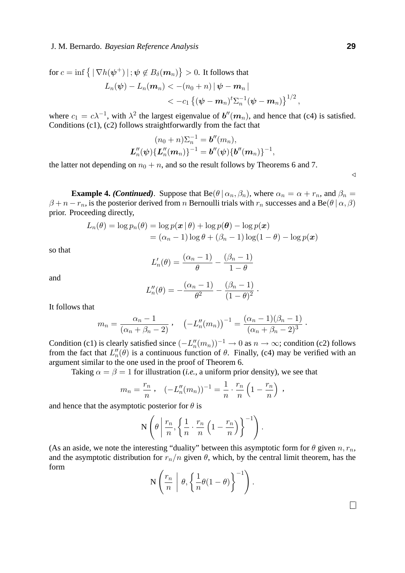for 
$$
c = \inf \{ |\nabla h(\boldsymbol{\psi}^+)|; \boldsymbol{\psi} \notin B_{\delta}(\boldsymbol{m}_n) \} > 0
$$
. It follows that  
\n
$$
L_n(\boldsymbol{\psi}) - L_n(\boldsymbol{m}_n) < -(n_0 + n) |\boldsymbol{\psi} - \boldsymbol{m}_n| \n< -c_1 \{ (\boldsymbol{\psi} - \boldsymbol{m}_n)^t \Sigma_n^{-1} (\boldsymbol{\psi} - \boldsymbol{m}_n) \}^{1/2},
$$

where  $c_1 = c\lambda^{-1}$ , with  $\lambda^2$  the largest eigenvalue of  $b''(m_n)$ , and hence that (c4) is satisfied. Conditions (c1), (c2) follows straightforwardly from the fact that

$$
(n_0+n)\Sigma_n^{-1} = \boldsymbol{b}''(m_n),
$$
  

$$
\boldsymbol{L}_n''(\boldsymbol{\psi})\{\boldsymbol{L}_n''(\boldsymbol{m}_n)\}^{-1} = \boldsymbol{b}''(\boldsymbol{\psi})\{\boldsymbol{b}''(\boldsymbol{m}_n)\}^{-1},
$$

the latter not depending on  $n_0 + n$ , and so the result follows by Theorems 6 and 7.

**Example 4.** *(Continued)*. Suppose that  $\text{Be}(\theta | \alpha_n, \beta_n)$ , where  $\alpha_n = \alpha + r_n$ , and  $\beta_n =$  $\beta + n - r_n$ , is the posterior derived from *n* Bernoulli trials with  $r_n$  successes and a Be( $\theta | \alpha, \beta$ ) prior. Proceeding directly,

$$
L_n(\theta) = \log p_n(\theta) = \log p(\boldsymbol{x} \mid \theta) + \log p(\boldsymbol{\theta}) - \log p(\boldsymbol{x})
$$
  
=  $(\alpha_n - 1) \log \theta + (\beta_n - 1) \log(1 - \theta) - \log p(\boldsymbol{x})$ 

so that

$$
L'_n(\theta) = \frac{(\alpha_n - 1)}{\theta} - \frac{(\beta_n - 1)}{1 - \theta}
$$

and

$$
L''_n(\theta) = -\frac{(\alpha_n - 1)}{\theta^2} - \frac{(\beta_n - 1)}{(1 - \theta)^2}.
$$

It follows that

$$
m_n = \frac{\alpha_n - 1}{(\alpha_n + \beta_n - 2)}, \quad \left( -L_n''(m_n) \right)^{-1} = \frac{(\alpha_n - 1)(\beta_n - 1)}{(\alpha_n + \beta_n - 2)^3}.
$$

Condition (c1) is clearly satisfied since  $(-L_n''(m_n))^{-1} \to 0$  as  $n \to \infty$ ; condition (c2) follows from the fact that  $L_n''(\theta)$  is a continuous function of  $\theta$ . Finally, (c4) may be verified with an argument similar to the one used in the proof of Theorem 6.

Taking  $\alpha = \beta = 1$  for illustration (*i.e.*, a uniform prior density), we see that

$$
m_n = \frac{r_n}{n}, \quad (-L''_n(m_n))^{-1} = \frac{1}{n} \cdot \frac{r_n}{n} \left(1 - \frac{r_n}{n}\right) ,
$$

and hence that the asymptotic posterior for  $\theta$  is

$$
N\left(\theta\left|\frac{r_n}{n},\left\{\frac{1}{n}\cdot\frac{r_n}{n}\left(1-\frac{r_n}{n}\right)\right\}^{-1}\right).
$$

(As an aside, we note the interesting "duality" between this asymptotic form for  $\theta$  given  $n, r_n$ , and the asymptotic distribution for  $r_n/n$  given  $\theta$ , which, by the central limit theorem, has the form

$$
N\left(\frac{r_n}{n} \mid \theta, \left\{\frac{1}{n}\theta(1-\theta)\right\}^{-1}\right).
$$

 $\triangleleft$ 

 $\Box$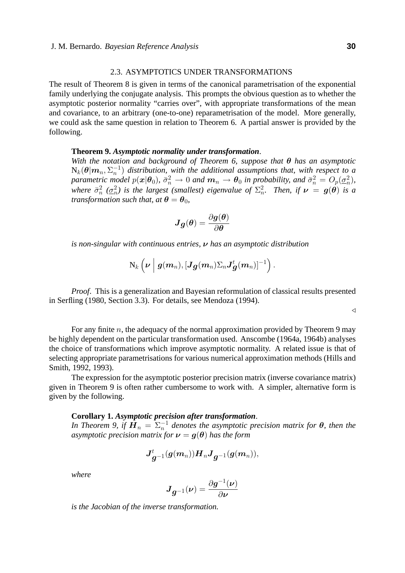### 2.3. ASYMPTOTICS UNDER TRANSFORMATIONS

The result of Theorem 8 is given in terms of the canonical parametrisation of the exponential family underlying the conjugate analysis. This prompts the obvious question as to whether the asymptotic posterior normality "carries over", with appropriate transformations of the mean and covariance, to an arbitrary (one-to-one) reparametrisation of the model. More generally, we could ask the same question in relation to Theorem 6. A partial answer is provided by the following.

#### **Theorem 9.** *Asymptotic normality under transformation*.

*With the notation and background of Theorem 6, suppose that θ has an asymptotic*  $N_k(\boldsymbol{\theta}|\boldsymbol{m}_n, \Sigma_n^{-1})$  distribution, with the additional assumptions that, with respect to a *parametric model*  $p(x|\theta_0)$ ,  $\bar{\sigma}_n^2 \to 0$  *and*  $m_n \to \theta_0$  *in probability, and*  $\bar{\sigma}_n^2 = O_p(\underline{\sigma}_n^2)$ , *where*  $\bar{\sigma}_n^2$  ( $\underline{\sigma}_n^2$ ) is the largest (smallest) eigenvalue of  $\Sigma_n^2$ . Then, if  $\nu = g(\theta)$  is a *transformation such that, at*  $\theta = \theta_0$ ,

$$
\boldsymbol{J} \boldsymbol{g}(\boldsymbol{\theta}) = \frac{\partial \boldsymbol{g}(\boldsymbol{\theta})}{\partial \boldsymbol{\theta}}
$$

*is non-singular with continuous entries, ν has an asymptotic distribution*

$$
\mathrm{N}_k\left(\boldsymbol{\nu}\ \Big|\ \boldsymbol{g}(\boldsymbol{m}_n),[\boldsymbol{J}_{\boldsymbol{g}}(\boldsymbol{m}_n)\Sigma_n\boldsymbol{J}^t_{\boldsymbol{g}}(\boldsymbol{m}_n)]^{-1}\right).
$$

*Proof*. This is a generalization and Bayesian reformulation of classical results presented in Serfling (1980, Section 3.3). For details, see Mendoza (1994).

 $\triangleleft$ 

For any finite *n*, the adequacy of the normal approximation provided by Theorem 9 may be highly dependent on the particular transformation used. Anscombe (1964a, 1964b) analyses the choice of transformations which improve asymptotic normality. A related issue is that of selecting appropriate parametrisations for various numerical approximation methods (Hills and Smith, 1992, 1993).

The expression for the asymptotic posterior precision matrix (inverse covariance matrix) given in Theorem 9 is often rather cumbersome to work with. A simpler, alternative form is given by the following.

### **Corollary 1.** *Asymptotic precision after transformation*.

*In Theorem 9, if*  $\mathbf{H}_n = \Sigma_n^{-1}$  *denotes the asymptotic precision matrix for*  $\boldsymbol{\theta}$ *, then the asymptotic precision matrix for*  $\nu = g(\theta)$  *has the form* 

$$
\boldsymbol{J}^t_{\boldsymbol{g}^{-1}}(\boldsymbol{g}(\boldsymbol{m}_n))\boldsymbol{H}_n\boldsymbol{J}_{\boldsymbol{g}^{-1}}(\boldsymbol{g}(\boldsymbol{m}_n)),
$$

*where*

$$
\pmb{J}_{\pmb{g}^{-1}}(\pmb{\nu})=\frac{\partial \pmb{g}^{-1}(\pmb{\nu})}{\partial \pmb{\nu}}
$$

*is the Jacobian of the inverse transformation.*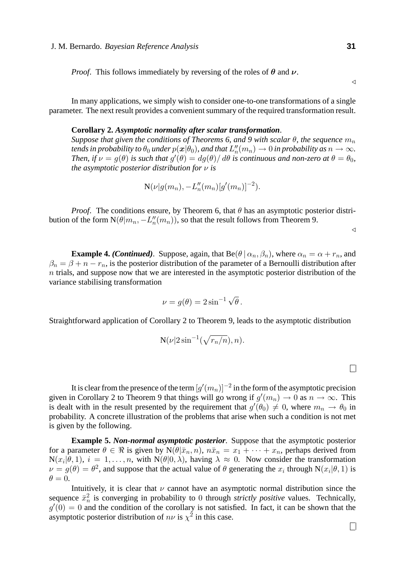*Proof.* This follows immediately by reversing of the roles of  $\theta$  and  $\nu$ .

 $\triangleleft$ 

In many applications, we simply wish to consider one-to-one transformations of a single parameter. The next result provides a convenient summary of the required transformation result.

### **Corollary 2.** *Asymptotic normality after scalar transformation*.

*Suppose that given the conditions of Theorems 6, and 9 with scalar*  $\theta$ *, the sequence*  $m_n$  $t$ ends in probability to  $\theta_0$  under  $p(\bm{x}|\theta_0)$ , and that  $L_n''(m_n)\to 0$  in probability as  $n\to\infty.$ *Then, if*  $\nu = g(\theta)$  *is such that*  $g'(\theta) = dg(\theta)/d\theta$  *is continuous and non-zero at*  $\theta = \theta_0$ *, the asymptotic posterior distribution for ν is*

$$
\mathrm{N}(\nu|g(m_n),-L_n''(m_n)[g'(m_n)]^{-2}).
$$

*Proof.* The conditions ensure, by Theorem 6, that *θ* has an asymptotic posterior distribution of the form  $N(\theta|m_n, -L''_n(m_n))$ , so that the result follows from Theorem 9.

 $\triangleleft$ 

**Example 4.** *(Continued)*. Suppose, again, that Be( $\theta | \alpha_n, \beta_n$ ), where  $\alpha_n = \alpha + r_n$ , and  $\beta_n = \beta + n - r_n$ , is the posterior distribution of the parameter of a Bernoulli distribution after *n* trials, and suppose now that we are interested in the asymptotic posterior distribution of the variance stabilising transformation

$$
\nu = g(\theta) = 2\sin^{-1}\sqrt{\theta}.
$$

Straightforward application of Corollary 2 to Theorem 9, leads to the asymptotic distribution

$$
N(\nu|2\sin^{-1}(\sqrt{r_n/n}),n).
$$

It is clear from the presence of the term  $[g^\prime(m_n)]^{-2}$  in the form of the asymptotic precision given in Corollary 2 to Theorem 9 that things will go wrong if  $g'(m_n) \to 0$  as  $n \to \infty$ . This is dealt with in the result presented by the requirement that  $g'(\theta_0) \neq 0$ , where  $m_n \to \theta_0$  in probability. A concrete illustration of the problems that arise when such a condition is not met is given by the following.

**Example 5.** *Non-normal asymptotic posterior*. Suppose that the asymptotic posterior for a parameter  $\theta \in \Re$  is given by  $N(\theta | \bar{x}_n, n)$ ,  $n\bar{x}_n = x_1 + \cdots + x_n$ , perhaps derived from  $N(x_i|\theta, 1), i = 1, \ldots, n$ , with  $N(\theta|0, \lambda)$ , having  $\lambda \approx 0$ . Now consider the transformation  $\nu = q(\theta) = \theta^2$ , and suppose that the actual value of  $\theta$  generating the  $x_i$  through N( $x_i | \theta$ , 1) is  $\theta = 0.$ 

Intuitively, it is clear that  $\nu$  cannot have an asymptotic normal distribution since the sequence  $\bar{x}_n^2$  is converging in probability to 0 through *strictly positive* values. Technically,  $g'(0) = 0$  and the condition of the corollary is not satisfied. In fact, it can be shown that the asymptotic posterior distribution of  $n\nu$  is  $\chi^2$  in this case.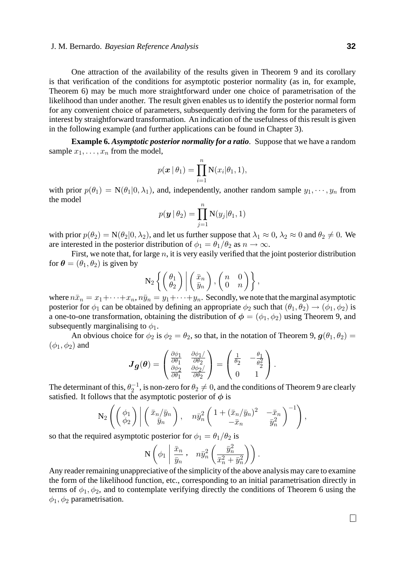One attraction of the availability of the results given in Theorem 9 and its corollary is that verification of the conditions for asymptotic posterior normality (as in, for example, Theorem 6) may be much more straightforward under one choice of parametrisation of the likelihood than under another. The result given enables us to identify the posterior normal form for any convenient choice of parameters, subsequently deriving the form for the parameters of interest by straightforward transformation. An indication of the usefulness of this result is given in the following example (and further applications can be found in Chapter 3).

**Example 6.** *Asymptotic posterior normality for a ratio*. Suppose that we have a random sample  $x_1, \ldots, x_n$  from the model,

$$
p(\boldsymbol{x} \mid \theta_1) = \prod_{i=1}^n \mathbf{N}(x_i \mid \theta_1, 1),
$$

with prior  $p(\theta_1) = N(\theta_1|0, \lambda_1)$ , and, independently, another random sample  $y_1, \dots, y_n$  from the model

$$
p(\boldsymbol{y} \,|\, \theta_2) = \prod_{j=1}^n \mathbf{N}(y_j | \theta_1, 1)
$$

with prior  $p(\theta_2) = N(\theta_2|0, \lambda_2)$ , and let us further suppose that  $\lambda_1 \approx 0$ ,  $\lambda_2 \approx 0$  and  $\theta_2 \neq 0$ . We are interested in the posterior distribution of  $\phi_1 = \theta_1/\theta_2$  as  $n \to \infty$ .

First, we note that, for large *n*, it is very easily verified that the joint posterior distribution for  $\theta = (\theta_1, \theta_2)$  is given by

$$
N_2\left\{ \left(\begin{array}{c} \theta_1 \\ \theta_2 \end{array}\right) \middle| \left(\begin{array}{c} \bar{x}_n \\ \bar{y}_n \end{array}\right), \left(\begin{array}{cc} n & 0 \\ 0 & n \end{array}\right) \right\},\right
$$

where  $n\bar{x}_n = x_1 + \cdots + x_n$ ,  $n\bar{y}_n = y_1 + \cdots + y_n$ . Secondly, we note that the marginal asymptotic posterior for  $\phi_1$  can be obtained by defining an appropriate  $\phi_2$  such that  $(\theta_1, \theta_2) \rightarrow (\phi_1, \phi_2)$  is a one-to-one transformation, obtaining the distribution of  $\phi = (\phi_1, \phi_2)$  using Theorem 9, and subsequently marginalising to  $\phi_1$ .

An obvious choice for  $\phi_2$  is  $\phi_2 = \theta_2$ , so that, in the notation of Theorem 9,  $g(\theta_1, \theta_2)$  =  $(\phi_1, \phi_2)$  and

$$
\boldsymbol{Jg}(\boldsymbol{\theta}) = \begin{pmatrix} \frac{\partial \phi_1}{\partial \theta_1} & \frac{\partial \phi_1}{\partial \theta_2} \\ \frac{\partial \phi_2}{\partial \theta_1} & \frac{\partial \phi_2}{\partial \theta_2} \end{pmatrix} = \begin{pmatrix} \frac{1}{\theta_2} & -\frac{\theta_1}{\theta_2^2} \\ 0 & 1 \end{pmatrix}.
$$

The determinant of this,  $\theta_2^{-1}$ , is non-zero for  $\theta_2\neq 0$ , and the conditions of Theorem 9 are clearly satisfied. It follows that the asymptotic posterior of  $\phi$  is

$$
N_2\left(\begin{pmatrix} \phi_1\\ \phi_2 \end{pmatrix} \middle| \begin{pmatrix} \bar{x}_n/\bar{y}_n\\ \bar{y}_n \end{pmatrix}, \quad n\bar{y}_n^2 \begin{pmatrix} 1+(\bar{x}_n/\bar{y}_n)^2 & -\bar{x}_n\\ -\bar{x}_n & \bar{y}_n^2 \end{pmatrix}^{-1} \right),
$$

so that the required asymptotic posterior for  $\phi_1 = \theta_1/\theta_2$  is

$$
\mathbf{N}\left(\phi_1\left|\ \frac{\bar{x}_n}{\bar{y}_n},\ \ n\bar{y}_n^2\left(\frac{\bar{y}_n^2}{\bar{x}_n^2+\bar{y}_n^2}\right)\right).
$$

Any reader remaining unappreciative of the simplicity of the above analysis may care to examine the form of the likelihood function, etc., corresponding to an initial parametrisation directly in terms of  $\phi_1, \phi_2$ , and to contemplate verifying directly the conditions of Theorem 6 using the *φ*1*, φ*<sup>2</sup> parametrisation.

 $\Box$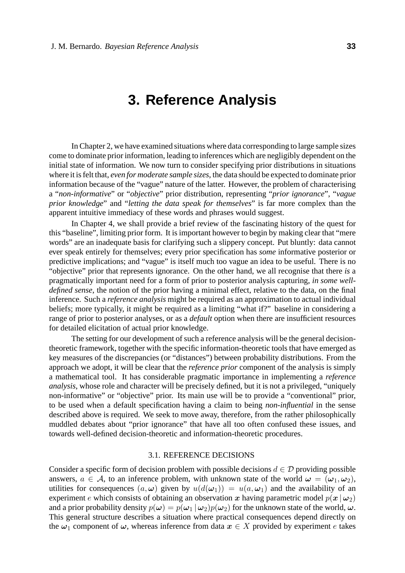### **3. Reference Analysis**

In Chapter 2, we have examined situations where data corresponding to large sample sizes come to dominate prior information, leading to inferences which are negligibly dependent on the initial state of information. We now turn to consider specifying prior distributions in situations where it is felt that, *even for moderate sample sizes*, the data should be expected to dominate prior information because of the "vague" nature of the latter. However, the problem of characterising a "*non-informative*" or "*objective*" prior distribution, representing "*prior ignorance*", "*vague prior knowledge*" and "*letting the data speak for themselves*" is far more complex than the apparent intuitive immediacy of these words and phrases would suggest.

In Chapter 4, we shall provide a brief review of the fascinating history of the quest for this "baseline", limiting prior form. It is important however to begin by making clear that "mere words" are an inadequate basis for clarifying such a slippery concept. Put bluntly: data cannot ever speak entirely for themselves; every prior specification has *some* informative posterior or predictive implications; and "vague" is itself much too vague an idea to be useful. There is no "objective" prior that represents ignorance. On the other hand, we all recognise that there *is* a pragmatically important need for a form of prior to posterior analysis capturing, *in some welldefined sense*, the notion of the prior having a minimal effect, relative to the data, on the final inference. Such a *reference analysis* might be required as an approximation to actual individual beliefs; more typically, it might be required as a limiting "what if?" baseline in considering a range of prior to posterior analyses, or as a *default* option when there are insufficient resources for detailed elicitation of actual prior knowledge.

The setting for our development of such a reference analysis will be the general decisiontheoretic framework, together with the specific information-theoretic tools that have emerged as key measures of the discrepancies (or "distances") between probability distributions. From the approach we adopt, it will be clear that the *reference prior* component of the analysis is simply a mathematical tool. It has considerable pragmatic importance in implementing a *reference analysis*, whose role and character will be precisely defined, but it is not a privileged, "uniquely non-informative" or "objective" prior. Its main use will be to provide a "conventional" prior, to be used when a default specification having a claim to being *non-influential* in the sense described above is required. We seek to move away, therefore, from the rather philosophically muddled debates about "prior ignorance" that have all too often confused these issues, and towards well-defined decision-theoretic and information-theoretic procedures.

### 3.1. REFERENCE DECISIONS

Consider a specific form of decision problem with possible decisions  $d \in \mathcal{D}$  providing possible answers,  $a \in A$ , to an inference problem, with unknown state of the world  $\omega = (\omega_1, \omega_2)$ , utilities for consequences  $(a, \omega)$  given by  $u(d(\omega_1)) = u(a, \omega_1)$  and the availability of an experiment *e* which consists of obtaining an observation *x* having parametric model  $p(x | \omega_2)$ and a prior probability density  $p(\omega) = p(\omega_1 | \omega_2)p(\omega_2)$  for the unknown state of the world,  $\omega$ . This general structure describes a situation where practical consequences depend directly on the  $\omega_1$  component of  $\omega$ , whereas inference from data  $x \in X$  provided by experiment *e* takes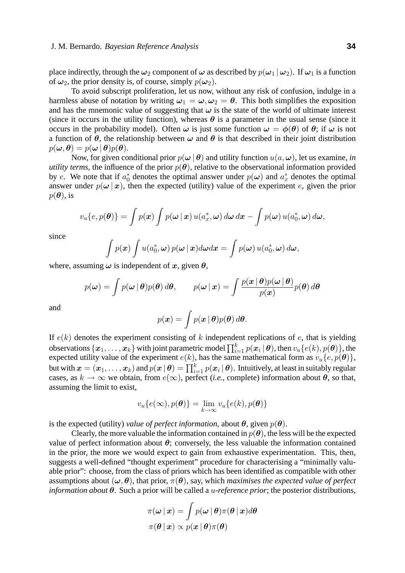### J. M. Bernardo. *Bayesian Reference Analysis* **34**

place indirectly, through the  $\omega_2$  component of  $\omega$  as described by  $p(\omega_1 | \omega_2)$ . If  $\omega_1$  is a function of  $\omega_2$ , the prior density is, of course, simply  $p(\omega_2)$ .

To avoid subscript proliferation, let us now, without any risk of confusion, indulge in a harmless abuse of notation by writing  $\omega_1 = \omega, \omega_2 = \theta$ . This both simplifies the exposition and has the mnemonic value of suggesting that  $\omega$  is the state of the world of ultimate interest (since it occurs in the utility function), whereas  $\theta$  is a parameter in the usual sense (since it occurs in the probability model). Often  $\omega$  is just some function  $\omega = \phi(\theta)$  of  $\theta$ ; if  $\omega$  is not a function of  $\theta$ , the relationship between  $\omega$  and  $\theta$  is that described in their joint distribution  $p(\boldsymbol{\omega}, \boldsymbol{\theta}) = p(\boldsymbol{\omega} | \boldsymbol{\theta}) p(\boldsymbol{\theta}).$ 

Now, for given conditional prior  $p(\omega | \theta)$  and utility function  $u(a, \omega)$ , let us examine, *in utility terms*, the influence of the prior  $p(\theta)$ , relative to the observational information provided by *e*. We note that if  $a_0^*$  denotes the optimal answer under  $p(\omega)$  and  $a_x^*$  denotes the optimal answer under  $p(\omega | x)$ , then the expected (utility) value of the experiment *e*, given the prior  $p(\boldsymbol{\theta})$ , is

$$
v_u\{e,p(\boldsymbol{\theta})\}=\int p(\boldsymbol{x})\int p(\boldsymbol{\omega}\,\vert\,\boldsymbol{x})\,u(a^*_x,\boldsymbol{\omega})\,d\boldsymbol{\omega}\,d\boldsymbol{x}-\int p(\boldsymbol{\omega})\,u(a^*_0,\boldsymbol{\omega})\,d\boldsymbol{\omega},
$$

since

$$
\int p(\boldsymbol{x}) \int u(a_0^*, \boldsymbol{\omega}) p(\boldsymbol{\omega} \,|\, \boldsymbol{x}) d\boldsymbol{\omega} d\boldsymbol{x} = \int p(\boldsymbol{\omega}) u(a_0^*, \boldsymbol{\omega}) d\boldsymbol{\omega},
$$

where, assuming  $\omega$  is independent of  $x$ , given  $\theta$ ,

$$
p(\boldsymbol{\omega}) = \int p(\boldsymbol{\omega} | \boldsymbol{\theta}) p(\boldsymbol{\theta}) d\boldsymbol{\theta}, \qquad p(\boldsymbol{\omega} | \boldsymbol{x}) = \int \frac{p(\boldsymbol{x} | \boldsymbol{\theta}) p(\boldsymbol{\omega} | \boldsymbol{\theta})}{p(\boldsymbol{x})} p(\boldsymbol{\theta}) d\boldsymbol{\theta}
$$

and

$$
p(\boldsymbol{x}) = \int p(\boldsymbol{x} \,|\, \boldsymbol{\theta}) p(\boldsymbol{\theta}) \,d\boldsymbol{\theta}.
$$

If  $e(k)$  denotes the experiment consisting of  $k$  independent replications of  $e$ , that is yielding observations  $\{\bm x_1,\dots,\bm x_k\}$  with joint parametric model  $\prod_{i=1}^k p(\bm x_i\,|\,\bm\theta),$  then  $v_u\{e(k),p(\bm\theta)\},$  the expected utility value of the experiment  $e(k)$ , has the same mathematical form as  $v_u\{e, p(\theta)\},$ but with  $\bm{x}=(\bm{x}_1,\ldots,\bm{x}_k)$  and  $p(\bm{x}\,|\,\bm{\theta})=\prod_{i=1}^k p(\bm{x}_i\,|\,\bm{\theta}).$  Intuitively, at least in suitably regular cases, as  $k \to \infty$  we obtain, from  $e(\infty)$ , perfect (*i.e.*, complete) information about  $\theta$ , so that, assuming the limit to exist,

$$
v_u\{e(\infty),p(\boldsymbol{\theta})\} = \lim_{k\to\infty} v_u\{e(k),p(\boldsymbol{\theta})\}
$$

is the expected (utility) *value of perfect information*, about  $\theta$ , given  $p(\theta)$ .

Clearly, the more valuable the information contained in  $p(\theta)$ , the less will be the expected value of perfect information about *θ*; conversely, the less valuable the information contained in the prior, the more we would expect to gain from exhaustive experimentation. This, then, suggests a well-defined "thought experiment" procedure for characterising a "minimally valuable prior": choose, from the class of priors which has been identified as compatible with other assumptions about  $(\omega, \theta)$ , that prior,  $\pi(\theta)$ , say, which *maximises the expected value of perfect information about θ*. Such a prior will be called a *u-reference prior*; the posterior distributions,

$$
\pi(\boldsymbol{\omega} \,|\, \boldsymbol{x}) = \int p(\boldsymbol{\omega} \,|\, \boldsymbol{\theta}) \pi(\boldsymbol{\theta} \,|\, \boldsymbol{x}) d\boldsymbol{\theta} \\ \pi(\boldsymbol{\theta} \,|\, \boldsymbol{x}) \propto p(\boldsymbol{x} \,|\, \boldsymbol{\theta}) \pi(\boldsymbol{\theta})
$$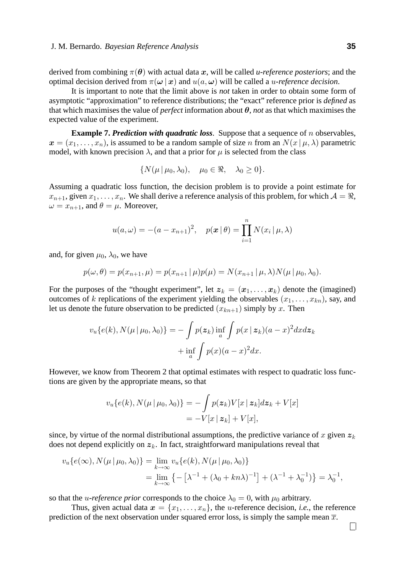derived from combining  $\pi(\theta)$  with actual data x, will be called *u-reference posteriors*; and the optimal decision derived from  $\pi(\omega | x)$  and  $u(a, \omega)$  will be called a *u*-reference decision.

It is important to note that the limit above is *not* taken in order to obtain some form of asymptotic "approximation" to reference distributions; the "exact" reference prior is *defined* as that which maximises the value of *perfect* information about *θ*, *not* as that which maximises the expected value of the experiment.

**Example 7.** *Prediction with quadratic loss*. Suppose that a sequence of *n* observables,  $x = (x_1, \ldots, x_n)$ , is assumed to be a random sample of size *n* from an  $N(x | \mu, \lambda)$  parametric model, with known precision  $\lambda$ , and that a prior for  $\mu$  is selected from the class

$$
\{N(\mu \,|\, \mu_0, \lambda_0), \quad \mu_0 \in \Re, \quad \lambda_0 \geq 0\}.
$$

Assuming a quadratic loss function, the decision problem is to provide a point estimate for  $x_{n+1}$ , given  $x_1, \ldots, x_n$ . We shall derive a reference analysis of this problem, for which  $\mathcal{A} = \Re$ ,  $\omega = x_{n+1}$ , and  $\theta = \mu$ . Moreover,

$$
u(a,\omega) = -(a-x_{n+1})^2, \quad p(\boldsymbol{x} \mid \theta) = \prod_{i=1}^n N(x_i \mid \mu, \lambda)
$$

and, for given  $\mu_0$ ,  $\lambda_0$ , we have

$$
p(\omega,\theta) = p(x_{n+1},\mu) = p(x_{n+1} | \mu)p(\mu) = N(x_{n+1} | \mu,\lambda)N(\mu | \mu_0,\lambda_0).
$$

For the purposes of the "thought experiment", let  $z_k = (x_1, \ldots, x_k)$  denote the (imagined) outcomes of *k* replications of the experiment yielding the observables  $(x_1, \ldots, x_{kn})$ , say, and let us denote the future observation to be predicted  $(x_{kn+1})$  simply by *x*. Then

$$
v_u\{e(k), N(\mu | \mu_0, \lambda_0)\} = -\int p(\boldsymbol{z}_k) \inf_a \int p(x | \boldsymbol{z}_k)(a - x)^2 dx dz_k
$$

$$
+ \inf_a \int p(x)(a - x)^2 dx.
$$

However, we know from Theorem 2 that optimal estimates with respect to quadratic loss functions are given by the appropriate means, so that

$$
v_u\{e(k), N(\mu | \mu_0, \lambda_0)\} = -\int p(\boldsymbol{z}_k) V[x \,|\, \boldsymbol{z}_k] d \boldsymbol{z}_k + V[x] = -V[x \,|\, \boldsymbol{z}_k] + V[x],
$$

since, by virtue of the normal distributional assumptions, the predictive variance of x given  $z_k$ does not depend explicitly on  $z_k$ . In fact, straightforward manipulations reveal that

$$
v_u\{e(\infty), N(\mu | \mu_0, \lambda_0)\} = \lim_{k \to \infty} v_u\{e(k), N(\mu | \mu_0, \lambda_0)\}
$$
  
= 
$$
\lim_{k \to \infty} \left\{-\left[\lambda^{-1} + (\lambda_0 + kn\lambda)^{-1}\right] + (\lambda^{-1} + \lambda_0^{-1})\right\} = \lambda_0^{-1},
$$

so that the *u*-reference prior corresponds to the choice  $\lambda_0 = 0$ , with  $\mu_0$  arbitrary.

Thus, given actual data  $x = \{x_1, \ldots, x_n\}$ , the *u*-reference decision, *i.e.*, the reference prediction of the next observation under squared error loss, is simply the sample mean  $\overline{x}$ .

 $\Box$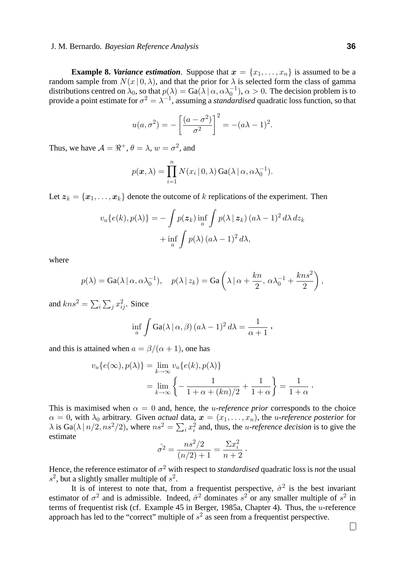### J. M. Bernardo. *Bayesian Reference Analysis* **36**

**Example 8.** *Variance estimation*. Suppose that  $x = \{x_1, \ldots, x_n\}$  is assumed to be a random sample from  $N(x | 0, \lambda)$ , and that the prior for  $\lambda$  is selected form the class of gamma distributions centred on  $\lambda_0$ , so that  $p(\lambda) = Ga(\lambda | \alpha, \alpha \lambda_0^{-1}), \alpha > 0$ . The decision problem is to provide a point estimate for  $\sigma^2 = \lambda^{-1}$ , assuming a *standardised* quadratic loss function, so that

$$
u(a, \sigma^2) = -\left[\frac{(a - \sigma^2)}{\sigma^2}\right]^2 = -(a\lambda - 1)^2.
$$

Thus, we have  $A = \mathbb{R}^+, \theta = \lambda, w = \sigma^2$ , and

$$
p(\boldsymbol{x}, \lambda) = \prod_{i=1}^{n} N(x_i | 0, \lambda) \operatorname{Ga}(\lambda | \alpha, \alpha \lambda_0^{-1}).
$$

Let  $z_k = \{x_1, \ldots, x_k\}$  denote the outcome of *k* replications of the experiment. Then

$$
v_u\{e(k), p(\lambda)\} = -\int p(\boldsymbol{z}_k) \inf_a \int p(\lambda | \boldsymbol{z}_k) (a\lambda - 1)^2 d\lambda dz_k
$$

$$
+ \inf_a \int p(\lambda) (a\lambda - 1)^2 d\lambda,
$$

where

$$
p(\lambda) = \text{Ga}(\lambda \mid \alpha, \alpha \lambda_0^{-1}), \quad p(\lambda \mid z_k) = \text{Ga}\left(\lambda \mid \alpha + \frac{kn}{2}, \alpha \lambda_0^{-1} + \frac{kn s^2}{2}\right),
$$

and  $kns^2 = \sum_i \sum_j x_{ij}^2$ . Since

$$
\inf_{a} \int \mathrm{Ga}(\lambda \,|\, \alpha, \beta) \, (a\lambda - 1)^2 \, d\lambda = \frac{1}{\alpha + 1} \,,
$$

and this is attained when  $a = \frac{\beta}{(\alpha + 1)}$ , one has

$$
v_u\{e(\infty), p(\lambda)\} = \lim_{k \to \infty} v_u\{e(k), p(\lambda)\}
$$
  
= 
$$
\lim_{k \to \infty} \left\{-\frac{1}{1 + \alpha + (kn)/2} + \frac{1}{1 + \alpha}\right\} = \frac{1}{1 + \alpha}.
$$

This is maximised when  $\alpha = 0$  and, hence, the *u*-*reference prior* corresponds to the choice  $\alpha = 0$ , with  $\lambda_0$  arbitrary. Given *actual* data,  $\boldsymbol{x} = (x_1, \ldots, x_n)$ , the *u-reference posterior* for  $\lambda$  is Ga( $\lambda | n/2$ ,  $n s^2/2$ ), where  $n s^2 = \sum_i x_i^2$  and, thus, the *u-reference decision* is to give the estimate

$$
\hat{\sigma^2} = \frac{n s^2 / 2}{(n/2) + 1} = \frac{\Sigma x_i^2}{n + 2} \; .
$$

Hence, the reference estimator of  $\sigma^2$  with respect to *standardised* quadratic loss is *not* the usual  $s<sup>2</sup>$ , but a slightly smaller multiple of  $s<sup>2</sup>$ .

It is of interest to note that, from a frequentist perspective,  $\hat{\sigma}^2$  is the best invariant estimator of  $\sigma^2$  and is admissible. Indeed,  $\hat{\sigma}^2$  dominates  $s^2$  or any smaller multiple of  $s^2$  in terms of frequentist risk (cf. Example 45 in Berger, 1985a, Chapter 4). Thus, the *u*-reference approach has led to the "correct" multiple of *s*<sup>2</sup> as seen from a frequentist perspective.

 $\Box$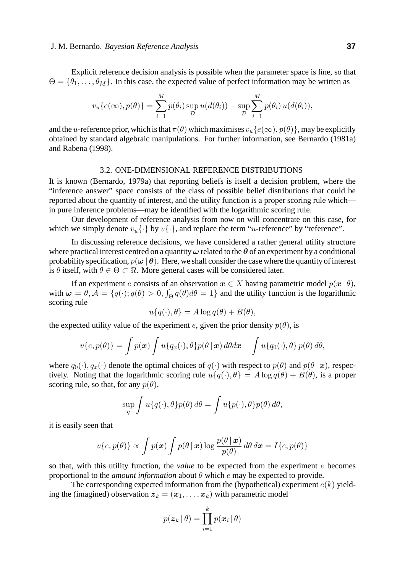Explicit reference decision analysis is possible when the parameter space is fine, so that  $\Theta = \{\theta_1, \ldots, \theta_M\}$ . In this case, the expected value of perfect information may be written as

$$
v_u\{e(\infty),p(\theta)\}=\sum_{i=1}^M p(\theta_i)\sup_{\mathcal{D}}u(d(\theta_i))-\sup_{\mathcal{D}}\sum_{i=1}^M p(\theta_i)u(d(\theta_i)),
$$

and the *u*-reference prior, which is that  $\pi(\theta)$  which maximises  $v_u\{e(\infty), p(\theta)\}\)$ , may be explicitly obtained by standard algebraic manipulations. For further information, see Bernardo (1981a) and Rabena (1998).

# 3.2. ONE-DIMENSIONAL REFERENCE DISTRIBUTIONS

It is known (Bernardo, 1979a) that reporting beliefs is itself a decision problem, where the "inference answer" space consists of the class of possible belief distributions that could be reported about the quantity of interest, and the utility function is a proper scoring rule which in pure inference problems—may be identified with the logarithmic scoring rule.

Our development of reference analysis from now on will concentrate on this case, for which we simply denote  $v_u$  {  $\cdot$  } by  $v$  {  $\cdot$  }, and replace the term "*u*-reference" by "reference".

In discussing reference decisions, we have considered a rather general utility structure where practical interest centred on a quantity *ω* related to the *θ* of an experiment by a conditional probability specification,  $p(\omega | \theta)$ . Here, we shall consider the case where the quantity of interest is  $\theta$  itself, with  $\theta \in \Theta \subset \Re$ . More general cases will be considered later.

If an experiment *e* consists of an observation  $x \in X$  having parametric model  $p(x | \theta)$ , with  $\omega = \theta$ ,  $\mathcal{A} = \{q(\cdot); q(\theta) > 0, \int_{\Theta} q(\theta) d\theta = 1\}$  and the utility function is the logarithmic scoring rule

$$
u\{q(\cdot),\theta\} = A\log q(\theta) + B(\theta),
$$

the expected utility value of the experiment *e*, given the prior density  $p(\theta)$ , is

$$
v\{e,p(\theta)\}=\int p(\boldsymbol{x})\int u\{q_x(\cdot),\theta\}p(\theta\,|\,\boldsymbol{x})\,d\theta d\boldsymbol{x}-\int u\{q_0(\cdot),\theta\}\,p(\theta)\,d\theta,
$$

where  $q_0(\cdot), q_x(\cdot)$  denote the optimal choices of  $q(\cdot)$  with respect to  $p(\theta)$  and  $p(\theta | x)$ , respectively. Noting that the logarithmic scoring rule  $u\{q(\cdot), \theta\} = A \log q(\theta) + B(\theta)$ , is a proper scoring rule, so that, for any  $p(\theta)$ ,

$$
\sup_{q} \int u\{q(\cdot),\theta\} p(\theta) d\theta = \int u\{p(\cdot),\theta\} p(\theta) d\theta,
$$

it is easily seen that

$$
v\{e, p(\theta)\} \propto \int p(\boldsymbol{x}) \int p(\theta \mid \boldsymbol{x}) \log \frac{p(\theta \mid \boldsymbol{x})}{p(\theta)} d\theta d\boldsymbol{x} = I\{e, p(\theta)\}\
$$

so that, with this utility function, the *value* to be expected from the experiment *e* becomes proportional to the *amount information* about *θ* which *e* may be expected to provide.

The corresponding expected information from the (hypothetical) experiment  $e(k)$  yielding the (imagined) observation  $z_k = (x_1, \ldots, x_k)$  with parametric model

$$
p(\boldsymbol{z}_k | \boldsymbol{\theta}) = \prod_{i=1}^k p(\boldsymbol{x}_i | \boldsymbol{\theta})
$$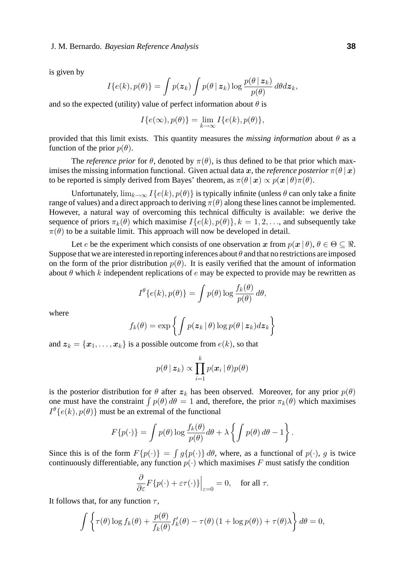is given by

$$
I\{e(k),p(\theta)\} = \int p(\boldsymbol{z}_k) \int p(\theta | \, \boldsymbol{z}_k) \log \frac{p(\theta | \, \boldsymbol{z}_k)}{p(\theta)} d\theta d\boldsymbol{z}_k,
$$

and so the expected (utility) value of perfect information about  $\theta$  is

$$
I\{e(\infty), p(\theta)\} = \lim_{k \to \infty} I\{e(k), p(\theta)\},
$$

provided that this limit exists. This quantity measures the *missing information* about *θ* as a function of the prior  $p(\theta)$ .

The *reference prior* for  $\theta$ , denoted by  $\pi(\theta)$ , is thus defined to be that prior which maximises the missing information functional. Given actual data x, the *reference posterior*  $\pi(\theta | x)$ to be reported is simply derived from Bayes' theorem, as  $\pi(\theta | x) \propto p(x | \theta) \pi(\theta)$ .

Unfortunately,  $\lim_{k\to\infty} I\{e(k), p(\theta)\}\$ is typically infinite (unless  $\theta$  can only take a finite range of values) and a direct approach to deriving  $\pi(\theta)$  along these lines cannot be implemented. However, a natural way of overcoming this technical difficulty is available: we derive the sequence of priors  $\pi_k(\theta)$  which maximise  $I\{e(k), p(\theta)\}\$ ,  $k = 1, 2, \ldots$ , and subsequently take  $\pi(\theta)$  to be a suitable limit. This approach will now be developed in detail.

Let *e* be the experiment which consists of one observation *x* from  $p(x | \theta)$ ,  $\theta \in \Theta \subseteq \Re$ . Suppose that we are interested in reporting inferences about  $\theta$  and that no restrictions are imposed on the form of the prior distribution  $p(\theta)$ . It is easily verified that the amount of information about *θ* which *k* independent replications of *e* may be expected to provide may be rewritten as

$$
I^{\theta}\{e(k), p(\theta)\} = \int p(\theta) \log \frac{f_k(\theta)}{p(\theta)} d\theta,
$$

where

$$
f_k(\theta) = \exp\left\{ \int p(\boldsymbol{z}_k \,|\, \theta) \log p(\theta \,|\, \boldsymbol{z}_k) d \boldsymbol{z}_k \right\}
$$

and  $z_k = \{x_1, \ldots, x_k\}$  is a possible outcome from  $e(k)$ , so that

$$
p(\theta | \boldsymbol{z}_k) \propto \prod_{i=1}^k p(\boldsymbol{x}_i | \theta) p(\theta)
$$

is the posterior distribution for  $\theta$  after  $z_k$  has been observed. Moreover, for any prior  $p(\theta)$ one must have the constraint  $\int p(\theta) d\theta = 1$  and, therefore, the prior  $\pi_k(\theta)$  which maximises  $I^{\theta}\{e(k), p(\theta)\}\$ must be an extremal of the functional

$$
F\{p(\cdot)\} = \int p(\theta) \log \frac{f_k(\theta)}{p(\theta)} d\theta + \lambda \left\{ \int p(\theta) d\theta - 1 \right\}.
$$

Since this is of the form  $F\{p(\cdot)\} = \int g\{p(\cdot)\} d\theta$ , where, as a functional of  $p(\cdot)$ , g is twice continuously differentiable, any function  $p(\cdot)$  which maximises *F* must satisfy the condition

$$
\frac{\partial}{\partial \varepsilon} F\{p(\cdot) + \varepsilon \tau(\cdot)\}\Big|_{\varepsilon=0} = 0, \quad \text{for all } \tau.
$$

It follows that, for any function  $\tau$ ,

$$
\int \left\{ \tau(\theta) \log f_k(\theta) + \frac{p(\theta)}{f_k(\theta)} f'_k(\theta) - \tau(\theta) (1 + \log p(\theta)) + \tau(\theta) \lambda \right\} d\theta = 0,
$$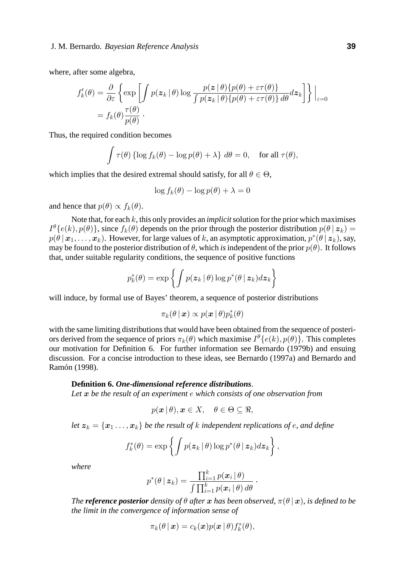where, after some algebra,

$$
f'_k(\theta) = \frac{\partial}{\partial \varepsilon} \left\{ \exp \left[ \int p(\boldsymbol{z}_k | \theta) \log \frac{p(\boldsymbol{z} | \theta) \{ p(\theta) + \varepsilon \tau(\theta) \}}{\int p(\boldsymbol{z}_k | \theta) \{ p(\theta) + \varepsilon \tau(\theta) \} d\theta} d\boldsymbol{z}_k \right] \right\} \Big|_{\varepsilon=0}
$$
  
=  $f_k(\theta) \frac{\tau(\theta)}{p(\theta)}$ .

Thus, the required condition becomes

$$
\int \tau(\theta) \left\{ \log f_k(\theta) - \log p(\theta) + \lambda \right\} d\theta = 0, \text{ for all } \tau(\theta),
$$

which implies that the desired extremal should satisfy, for all  $\theta \in \Theta$ ,

$$
\log f_k(\theta) - \log p(\theta) + \lambda = 0
$$

and hence that  $p(\theta) \propto f_k(\theta)$ .

Note that, for each *k*, this only provides an *implicit*solution for the prior which maximises  $I^{\theta}$ { $e(k)$ ,  $p(\theta)$ }, since  $f_k(\theta)$  depends on the prior through the posterior distribution  $p(\theta | z_k) =$  $p(\theta | x_1, \ldots, x_k)$ . However, for large values of *k*, an asymptotic approximation,  $p^*(\theta | z_k)$ , say, may be found to the posterior distribution of  $\theta$ , which *is* independent of the prior  $p(\theta)$ . It follows that, under suitable regularity conditions, the sequence of positive functions

$$
p_{k}^{*}(\theta) = \exp \left\{ \int p(\boldsymbol{z}_{k} | \theta) \log p^{*}(\theta | \boldsymbol{z}_{k}) d \boldsymbol{z}_{k} \right\}
$$

will induce, by formal use of Bayes' theorem, a sequence of posterior distributions

$$
\pi_k(\theta \,|\, \boldsymbol{x}) \propto p(\boldsymbol{x} \,|\, \theta) p_k^*(\theta)
$$

with the same limiting distributions that would have been obtained from the sequence of posteriors derived from the sequence of priors  $\pi_k(\theta)$  which maximise  $I^{\theta}\{e(k), p(\theta)\}\$ . This completes our motivation for Definition 6. For further information see Bernardo (1979b) and ensuing discussion. For a concise introduction to these ideas, see Bernardo (1997a) and Bernardo and Ramón (1998).

#### **Definition 6.** *One-dimensional reference distributions*.

*Let x be the result of an experiment e which consists of one observation from*

$$
p(\boldsymbol{x} \,|\, \theta), \boldsymbol{x} \in X, \quad \theta \in \Theta \subseteq \Re,
$$

*let*  $z_k = \{x_1, \ldots, x_k\}$  *be the result of k independent replications of e, and define* 

$$
f_k^*(\theta) = \exp\left\{ \int p(\boldsymbol{z}_k | \theta) \log p^*(\theta | \boldsymbol{z}_k) d \boldsymbol{z}_k \right\},\
$$

*where*

$$
p^*(\theta \,|\, \boldsymbol{z}_k) = \frac{\prod_{i=1}^k p(\boldsymbol{x}_i \,|\, \theta)}{\int \prod_{i=1}^k p(\boldsymbol{x}_i \,|\, \theta) \, d\theta} \,.
$$

*The reference* posterior *density of*  $\theta$  *after x has been observed*,  $\pi(\theta | x)$ *, is defined to be the limit in the convergence of information sense of*

$$
\pi_k(\theta \,|\, \boldsymbol{x}) = c_k(\boldsymbol{x}) p(\boldsymbol{x} \,|\, \theta) f_k^*(\theta),
$$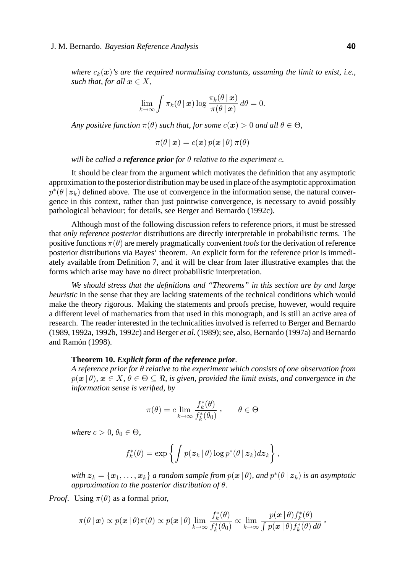*where*  $c_k(x)$ 's are the required normalising constants, assuming the limit to exist, i.e., *such that, for all*  $x \in X$ *,* 

$$
\lim_{k\to\infty}\int\pi_k(\theta\,|\,\boldsymbol{x})\log\frac{\pi_k(\theta\,|\,\boldsymbol{x})}{\pi(\theta\,|\,\boldsymbol{x})}\,d\theta=0.
$$

*Any positive function*  $\pi(\theta)$  *such that, for some*  $c(\mathbf{x}) > 0$  *and all*  $\theta \in \Theta$ *,* 

$$
\pi(\theta\,|\,\bm{x})=c(\bm{x})\,p(\bm{x}\,|\,\theta)\,\pi(\theta)
$$

*will be called a <i>reference prior for*  $\theta$  *relative to the experiment e.* 

It should be clear from the argument which motivates the definition that any asymptotic approximation to the posterior distribution may be used in place of the asymptotic approximation  $p^*(\theta | z_k)$  defined above. The use of convergence in the information sense, the natural convergence in this context, rather than just pointwise convergence, is necessary to avoid possibly pathological behaviour; for details, see Berger and Bernardo (1992c).

Although most of the following discussion refers to reference priors, it must be stressed that *only reference posterior* distributions are directly interpretable in probabilistic terms. The positive functions  $\pi(\theta)$  are merely pragmatically convenient *tools* for the derivation of reference posterior distributions via Bayes' theorem. An explicit form for the reference prior is immediately available from Definition 7, and it will be clear from later illustrative examples that the forms which arise may have no direct probabilistic interpretation.

*We should stress that the definitions and "Theorems" in this section are by and large heuristic* in the sense that they are lacking statements of the technical conditions which would make the theory rigorous. Making the statements and proofs precise, however, would require a different level of mathematics from that used in this monograph, and is still an active area of research. The reader interested in the technicalities involved is referred to Berger and Bernardo (1989, 1992a, 1992b, 1992c) and Berger *et al.* (1989); see, also, Bernardo (1997a) and Bernardo and Ramón (1998).

## **Theorem 10.** *Explicit form of the reference prior*.

*A reference prior for θ relative to the experiment which consists of one observation from*  $p(\bm{x} \,|\, \theta),\, \bm{x} \in X,\, \theta \in \Theta \subseteq \Re,$  is given, provided the limit exists, and convergence in the *information sense is verified, by*

$$
\pi(\theta) = c \lim_{k \to \infty} \frac{f_k^*(\theta)}{f_k^*(\theta_0)}, \qquad \theta \in \Theta
$$

*where*  $c > 0$ ,  $\theta_0 \in \Theta$ ,

$$
f_k^*(\theta) = \exp\left\{ \int p(\boldsymbol{z}_k \,|\, \theta) \log p^*(\theta \,|\, \boldsymbol{z}_k) d \boldsymbol{z}_k \right\},\,
$$

*with*  $z_k = \{x_1, \ldots, x_k\}$  *a random sample from*  $p(x | \theta)$ *, and*  $p^*(\theta | z_k)$  *is an asymptotic approximation to the posterior distribution of θ.*

*Proof.* Using  $\pi(\theta)$  as a formal prior,

$$
\pi(\theta | \mathbf{x}) \propto p(\mathbf{x} | \theta) \pi(\theta) \propto p(\mathbf{x} | \theta) \lim_{k \to \infty} \frac{f_k^*(\theta)}{f_k^*(\theta_0)} \propto \lim_{k \to \infty} \frac{p(\mathbf{x} | \theta) f_k^*(\theta)}{\int p(\mathbf{x} | \theta) f_k^*(\theta) d\theta},
$$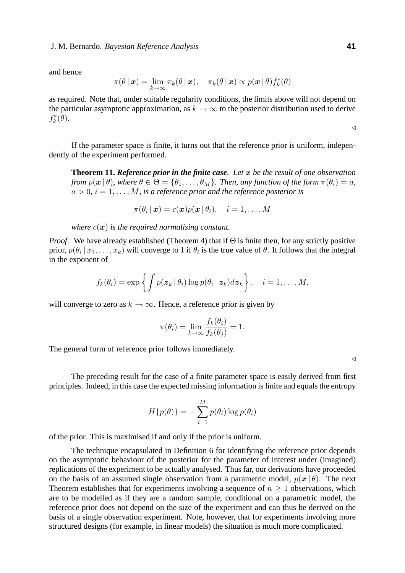and hence

$$
\pi(\theta \,|\, \boldsymbol{x}) = \lim_{k \to \infty} \pi_k(\theta \,|\, \boldsymbol{x}), \quad \pi_k(\theta \,|\, \boldsymbol{x}) \propto p(\boldsymbol{x} \,|\, \theta) f_k^*(\theta)
$$

as required. Note that, under suitable regularity conditions, the limits above will not depend on the particular asymptotic approximation, as  $k \to \infty$  to the posterior distribution used to derive  $f_k^*(\theta)$ .

If the parameter space is finite, it turns out that the reference prior is uniform, independently of the experiment performed.

**Theorem 11.** *Reference prior in the finite case*. *Let x be the result of one observation from*  $p(x | \theta)$ *, where*  $\theta \in \Theta = {\theta_1, \ldots, \theta_M}$ *. Then, any function of the form*  $\pi(\theta_i) = a$ *,*  $a > 0$ ,  $i = 1, \ldots, M$ , is a reference prior and the reference posterior is

$$
\pi(\theta_i | \mathbf{x}) = c(\mathbf{x}) p(\mathbf{x} | \theta_i), \quad i = 1, \dots, M
$$

*where*  $c(x)$  *is the required normalising constant.* 

*Proof.* We have already established (Theorem 4) that if  $\Theta$  is finite then, for any strictly positive prior,  $p(\theta_i | x_1, \ldots, x_k)$  will converge to 1 if  $\theta_i$  is the true value of  $\theta$ . It follows that the integral in the exponent of

$$
f_k(\theta_i) = \exp\left\{ \int p(\boldsymbol{z}_k \,|\, \theta_i) \log p(\theta_i \,|\, \boldsymbol{z}_k) d \boldsymbol{z}_k \right\}, \quad i = 1, \ldots, M,
$$

will converge to zero as  $k \to \infty$ . Hence, a reference prior is given by

$$
\pi(\theta_i) = \lim_{k \to \infty} \frac{f_k(\theta_i)}{f_k(\theta_j)} = 1.
$$

The general form of reference prior follows immediately.

 $\triangleleft$ 

The preceding result for the case of a finite parameter space is easily derived from first principles. Indeed, in this case the expected missing information is finite and equals the entropy

$$
H\{p(\theta)\} = -\sum_{i=1}^{M} p(\theta_i) \log p(\theta_i)
$$

of the prior. This is maximised if and only if the prior is uniform.

The technique encapsulated in Definition 6 for identifying the reference prior depends on the asymptotic behaviour of the posterior for the parameter of interest under (imagined) replications of the experiment to be actually analysed. Thus far, our derivations have proceeded on the basis of an assumed single observation from a parametric model,  $p(x | \theta)$ . The next Theorem establishes that for experiments involving a sequence of  $n \geq 1$  observations, which are to be modelled as if they are a random sample, conditional on a parametric model, the reference prior does not depend on the size of the experiment and can thus be derived on the basis of a single observation experiment. Note, however, that for experiments involving more structured designs (for example, in linear models) the situation is much more complicated.

 $\triangleleft$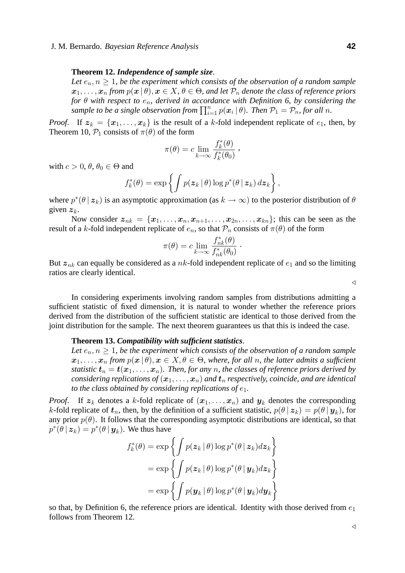#### **Theorem 12.** *Independence of sample size*.

*Let*  $e_n, n \geq 1$ , be the experiment which consists of the observation of a random sample  $x_1, \ldots, x_n$  *from*  $p(x | \theta), x \in X, \theta \in \Theta$ *, and let*  $\mathcal{P}_n$  *denote the class of reference priors for θ with respect to en, derived in accordance with Definition 6, by considering the sample to be a single observation from*  $\prod_{i=1}^{n} p(x_i | \theta)$ *. Then*  $\mathcal{P}_1 = \mathcal{P}_n$ *, for all n.* 

*Proof.* If  $z_k = \{x_1, \ldots, x_k\}$  is the result of a *k*-fold independent replicate of  $e_1$ , then, by Theorem 10,  $P_1$  consists of  $\pi(\theta)$  of the form

$$
\pi(\theta) = c \lim_{k \to \infty} \frac{f_k^*(\theta)}{f_k^*(\theta_0)},
$$

with  $c > 0$ ,  $\theta$ ,  $\theta_0 \in \Theta$  and

$$
f_k^*(\theta) = \exp\left\{ \int p(\boldsymbol{z}_k \,|\, \theta) \log p^*(\theta \,|\, \boldsymbol{z}_k) \, d\boldsymbol{z}_k \right\},\,
$$

where  $p^*(\theta | z_k)$  is an asymptotic approximation (as  $k \to \infty$ ) to the posterior distribution of  $\theta$ given  $z_k$ .

Now consider  $z_{nk} = \{x_1, \ldots, x_n, x_{n+1}, \ldots, x_{2n}, \ldots, x_{kn}\}$ ; this can be seen as the result of a *k*-fold independent replicate of  $e_n$ , so that  $\mathcal{P}_n$  consists of  $\pi(\theta)$  of the form

$$
\pi(\theta) = c \lim_{k \to \infty} \frac{f_{nk}^*(\theta)}{f_{nk}^*(\theta_0)}.
$$

But *znk* can equally be considered as a *nk*-fold independent replicate of *e*<sup>1</sup> and so the limiting ratios are clearly identical.

 $\triangleleft$ 

In considering experiments involving random samples from distributions admitting a sufficient statistic of fixed dimension, it is natural to wonder whether the reference priors derived from the distribution of the sufficient statistic are identical to those derived from the joint distribution for the sample. The next theorem guarantees us that this is indeed the case.

#### **Theorem 13.** *Compatibility with sufficient statistics*.

*Let*  $e_n$ ,  $n \geq 1$ , be the experiment which consists of the observation of a random sample  $x_1, \ldots, x_n$  *from*  $p(x | \theta), x \in X, \theta \in \Theta$ *, where, for all n, the latter admits a sufficient statistic*  $t_n = t(x_1, \ldots, x_n)$ *. Then, for any n, the classes of reference priors derived by considering replications of*  $(x_1, \ldots, x_n)$  *and*  $t_n$  *respectively, coincide, and are identical to the class obtained by considering replications of e*1*.*

*Proof.* If  $z_k$  denotes a *k*-fold replicate of  $(x_1, \ldots, x_n)$  and  $y_k$  denotes the corresponding *k*-fold replicate of  $t_n$ , then, by the definition of a sufficient statistic,  $p(\theta | z_k) = p(\theta | y_k)$ , for any prior  $p(\theta)$ . It follows that the corresponding asymptotic distributions are identical, so that  $p^*(\theta | z_k) = p^*(\theta | y_k)$ . We thus have

$$
f_k^*(\theta) = \exp\left\{ \int p(\boldsymbol{z}_k | \theta) \log p^*(\theta | \boldsymbol{z}_k) d\boldsymbol{z}_k \right\}
$$
  
= 
$$
\exp\left\{ \int p(\boldsymbol{z}_k | \theta) \log p^*(\theta | \boldsymbol{y}_k) d\boldsymbol{z}_k \right\}
$$
  
= 
$$
\exp\left\{ \int p(\boldsymbol{y}_k | \theta) \log p^*(\theta | \boldsymbol{y}_k) d\boldsymbol{y}_k \right\}
$$

so that, by Definition 6, the reference priors are identical. Identity with those derived from *e*<sup>1</sup> follows from Theorem 12.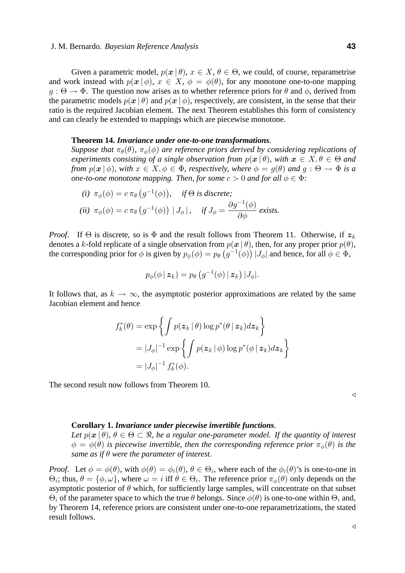Given a parametric model,  $p(x | \theta)$ ,  $x \in X$ ,  $\theta \in \Theta$ , we could, of course, reparametrise and work instead with  $p(x | \phi)$ ,  $x \in X$ ,  $\phi = \phi(\theta)$ , for any monotone one-to-one mapping  $g : \Theta \to \Phi$ . The question now arises as to whether reference priors for  $\theta$  and  $\phi$ , derived from the parametric models  $p(x | \theta)$  and  $p(x | \phi)$ , respectively, are consistent, in the sense that their ratio is the required Jacobian element. The next Theorem establishes this form of consistency and can clearly be extended to mappings which are piecewise monotone.

#### **Theorem 14.** *Invariance under one-to-one transformations*.

*Suppose that*  $\pi_{\theta}(\theta)$ *,*  $\pi_{\phi}(\phi)$  *are reference priors derived by considering replications of experiments consisting of a single observation from*  $p(x | \theta)$ *, with*  $x \in X, \theta \in \Theta$  and *from*  $p(x | \phi)$ *, with*  $x \in X, \phi \in \Phi$ *, respectively, where*  $\phi = q(\theta)$  *and*  $q : \Theta \to \Phi$  *is a one-to-one monotone mapping. Then, for some*  $c > 0$  *and for all*  $\phi \in \Phi$ :

(i) 
$$
\pi_{\phi}(\phi) = c \pi_{\theta} (g^{-1}(\phi)),
$$
 if  $\Theta$  is discrete;  
(ii)  $\pi_{\phi}(\phi) = c \pi_{\theta} (g^{-1}(\phi)) |J_{\phi}|,$  if  $J_{\phi} = \frac{\partial g^{-1}(\phi)}{\partial \phi}$  exists.

*Proof.* If  $\Theta$  is discrete, so is  $\Phi$  and the result follows from Theorem 11. Otherwise, if  $z_k$ denotes a *k*-fold replicate of a single observation from  $p(x | \theta)$ , then, for any proper prior  $p(\theta)$ , the corresponding prior for  $\phi$  is given by  $p_{\phi}(\phi) = p_{\theta} (g^{-1}(\phi)) |J_{\phi}|$  and hence, for all  $\phi \in \Phi$ ,

$$
p_\phi(\phi\,|\,{\boldsymbol z}_k) = p_\theta\left(g^{-1}(\phi)\,|\,{\boldsymbol z}_k\right)|J_\phi|.
$$

It follows that, as  $k \to \infty$ , the asymptotic posterior approximations are related by the same Jacobian element and hence

$$
f_k^*(\theta) = \exp\left\{ \int p(\boldsymbol{z}_k | \theta) \log p^*(\theta | \boldsymbol{z}_k) d\boldsymbol{z}_k \right\}
$$
  
=  $|J_{\phi}|^{-1} \exp\left\{ \int p(\boldsymbol{z}_k | \phi) \log p^*(\phi | \boldsymbol{z}_k) d\boldsymbol{z}_k \right\}$   
=  $|J_{\phi}|^{-1} f_k^*(\phi).$ 

The second result now follows from Theorem 10.

 $\triangleleft$ 

#### **Corollary 1.** *Invariance under piecewise invertible functions*.

Let  $p(x | \theta)$ ,  $\theta \in \Theta \subset \Re$ , be a regular one-parameter model. If the quantity of interest  $\phi = \phi(\theta)$  *is piecewise invertible, then the corresponding reference prior*  $\pi_{\phi}(\theta)$  *is the same as if θ were the parameter of interest.*

*Proof.* Let  $\phi = \phi(\theta)$ , with  $\phi(\theta) = \phi_i(\theta)$ ,  $\theta \in \Theta_i$ , where each of the  $\phi_i(\theta)$ 's is one-to-one in  $\Theta_i$ ; thus,  $\theta = {\phi, \omega}$ , where  $\omega = i$  iff  $\theta \in \Theta_i$ . The reference prior  $\pi_{\phi}(\theta)$  only depends on the asymptotic posterior of  $\theta$  which, for sufficiently large samples, will concentrate on that subset Θ*<sup>i</sup>* of the parameter space to which the true *θ* belongs. Since *φ*(*θ*) is one-to-one within Θ*<sup>i</sup>* and, by Theorem 14, reference priors are consistent under one-to-one reparametrizations, the stated result follows.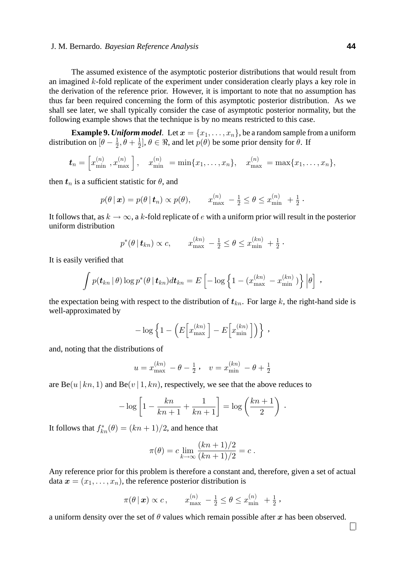The assumed existence of the asymptotic posterior distributions that would result from an imagined *k*-fold replicate of the experiment under consideration clearly plays a key role in the derivation of the reference prior. However, it is important to note that no assumption has thus far been required concerning the form of this asymptotic posterior distribution. As we shall see later, we shall typically consider the case of asymptotic posterior normality, but the following example shows that the technique is by no means restricted to this case.

**Example 9.** *Uniform model.* Let  $x = \{x_1, \ldots, x_n\}$ , be a random sample from a uniform distribution on  $[\theta - \frac{1}{2}, \theta + \frac{1}{2}]$ ,  $\theta \in \Re$ , and let  $p(\theta)$  be some prior density for  $\theta$ . If

$$
\boldsymbol{t}_n = \left[ x_{\min}^{(n)}, x_{\max}^{(n)} \right], \quad x_{\min}^{(n)} = \min \{ x_1, \ldots, x_n \}, \quad x_{\max}^{(n)} = \max \{ x_1, \ldots, x_n \},
$$

then  $t_n$  is a sufficient statistic for  $\theta$ , and

$$
p(\theta | \mathbf{x}) = p(\theta | \mathbf{t}_n) \propto p(\theta), \qquad x_{\text{max}}^{(n)} - \frac{1}{2} \leq \theta \leq x_{\text{min}}^{(n)} + \frac{1}{2}.
$$

It follows that, as  $k \to \infty$ , a *k*-fold replicate of *e* with a uniform prior will result in the posterior uniform distribution

$$
p^*(\theta \mid \boldsymbol{t}_{kn}) \propto c, \qquad x_{\max}^{(kn)} - \frac{1}{2} \leq \theta \leq x_{\min}^{(kn)} + \frac{1}{2} \, .
$$

It is easily verified that

$$
\int p(\boldsymbol{t}_{kn} | \boldsymbol{\theta}) \log p^*(\boldsymbol{\theta} | \boldsymbol{t}_{kn}) d\boldsymbol{t}_{kn} = E \left[ -\log \left\{ 1 - (x_{\max}^{(kn)} - x_{\min}^{(kn)}) \right\} \Big| \boldsymbol{\theta} \right],
$$

the expectation being with respect to the distribution of  $t_{kn}$ . For large  $k$ , the right-hand side is well-approximated by

$$
-\log\left\{1-\left(E\Big[x_{\text{max}}^{(kn)}\Big]-E\Big[x_{\text{min}}^{(kn)}\Big]\right)\right\}\right.,
$$

and, noting that the distributions of

$$
u = x_{\text{max}}^{(kn)} - \theta - \frac{1}{2}, \quad v = x_{\text{min}}^{(kn)} - \theta + \frac{1}{2}
$$

are  $\text{Be}(u \mid kn, 1)$  and  $\text{Be}(v \mid 1, kn)$ , respectively, we see that the above reduces to

$$
-\log\left[1-\frac{kn}{kn+1}+\frac{1}{kn+1}\right]=\log\left(\frac{kn+1}{2}\right).
$$

It follows that  $f_{kn}^*(\theta) = (kn+1)/2$ , and hence that

$$
\pi(\theta) = c \lim_{k \to \infty} \frac{(kn+1)/2}{(kn+1)/2} = c.
$$

Any reference prior for this problem is therefore a constant and, therefore, given a set of actual data  $\mathbf{x} = (x_1, \ldots, x_n)$ , the reference posterior distribution is

$$
\pi(\theta \,|\, \boldsymbol{x}) \propto c \,, \qquad x_{\text{max}}^{(n)} - \frac{1}{2} \leq \theta \leq x_{\text{min}}^{(n)} + \frac{1}{2} \,,
$$

a uniform density over the set of *θ* values which remain possible after *x* has been observed.

 $\Box$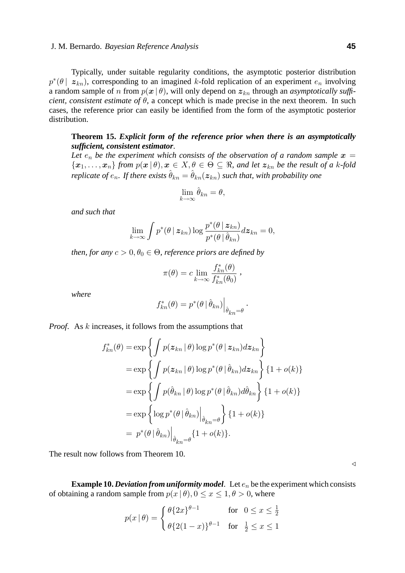Typically, under suitable regularity conditions, the asymptotic posterior distribution  $p^*(\theta \mid z_{kn})$ , corresponding to an imagined *k*-fold replication of an experiment  $e_n$  involving a random sample of *n* from  $p(x | \theta)$ , will only depend on  $z_{kn}$  through an *asymptotically sufficient, consistent estimate of*  $\theta$ , a concept which is made precise in the next theorem. In such cases, the reference prior can easily be identified from the form of the asymptotic posterior distribution.

# **Theorem 15.** *Explicit form of the reference prior when there is an asymptotically sufficient, consistent estimator*.

Let  $e_n$  be the experiment which consists of the observation of a random sample  $x =$  $\{x_1, \ldots, x_n\}$  *from*  $p(x | \theta), x \in X, \theta \in \Theta \subseteq \Re$ , and let  $z_{kn}$  be the result of a *k*-fold *replicate of*  $e_n$ *. If there exists*  $\hat{\theta}_{kn} = \hat{\theta}_{kn}(z_{kn})$  *such that, with probability one* 

$$
\lim_{k \to \infty} \hat{\theta}_{kn} = \theta,
$$

*and such that*

$$
\lim_{k\to\infty}\int p^*(\theta\,|\,\boldsymbol{z}_{kn})\log\frac{p^*(\theta\,|\,\boldsymbol{z}_{kn})}{p^*(\theta\,|\,\hat{\theta}_{kn})}d\boldsymbol{z}_{kn}=0,
$$

*then, for any*  $c > 0$ ,  $\theta_0 \in \Theta$ , *reference priors are defined by* 

$$
\pi(\theta) = c \lim_{k \to \infty} \frac{f_{kn}^*(\theta)}{f_{kn}^*(\theta_0)},
$$

*where*

$$
f_{kn}^*(\theta) = p^*(\theta | \hat{\theta}_{kn}) \Big|_{\hat{\theta}_{kn} = \theta}.
$$

*Proof*. As *k* increases, it follows from the assumptions that

$$
f_{kn}^*(\theta) = \exp\left\{ \int p(\boldsymbol{z}_{kn} | \theta) \log p^*(\theta | \boldsymbol{z}_{kn}) d\boldsymbol{z}_{kn} \right\}
$$
  
\n
$$
= \exp\left\{ \int p(\boldsymbol{z}_{kn} | \theta) \log p^*(\theta | \hat{\theta}_{kn}) d\boldsymbol{z}_{kn} \right\} \{1 + o(k)\}
$$
  
\n
$$
= \exp\left\{ \int p(\hat{\theta}_{kn} | \theta) \log p^*(\theta | \hat{\theta}_{kn}) d\hat{\theta}_{kn} \right\} \{1 + o(k)\}
$$
  
\n
$$
= \exp\left\{ \log p^*(\theta | \hat{\theta}_{kn}) \Big|_{\hat{\theta}_{kn} = \theta} \right\} \{1 + o(k)\}
$$
  
\n
$$
= p^*(\theta | \hat{\theta}_{kn}) \Big|_{\hat{\theta}_{kn} = \theta} \{1 + o(k)\}.
$$

The result now follows from Theorem 10.

**Example 10.** *Deviation from uniformity model*. Let  $e_n$  be the experiment which consists of obtaining a random sample from  $p(x | \theta), 0 \le x \le 1, \theta > 0$ , where

$$
p(x | \theta) = \begin{cases} \theta \{2x\}^{\theta - 1} & \text{for } 0 \le x \le \frac{1}{2} \\ \theta \{2(1 - x)\}^{\theta - 1} & \text{for } \frac{1}{2} \le x \le 1 \end{cases}
$$

 $\triangleleft$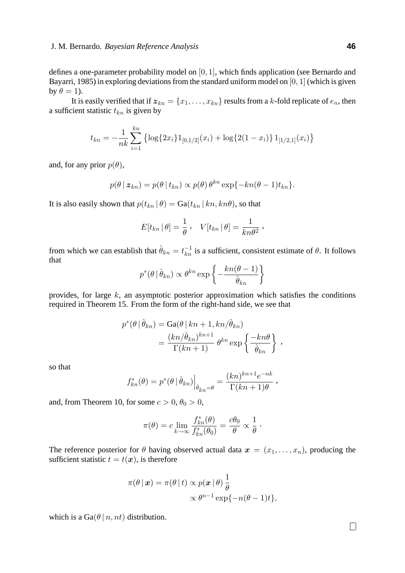defines a one-parameter probability model on [0*,* 1], which finds application (see Bernardo and Bayarri, 1985) in exploring deviations from the standard uniform model on [0*,* 1] (which is given by  $\theta = 1$ ).

It is easily verified that if  $z_{kn} = \{x_1, \ldots, x_{kn}\}\$ results from a *k*-fold replicate of  $e_n$ , then a sufficient statistic  $t_{kn}$  is given by

$$
t_{kn} = -\frac{1}{nk} \sum_{i=1}^{kn} \left\{ \log\{2x_i\} 1_{[0,1/2]}(x_i) + \log\{2(1-x_i)\} 1_{]1/2,1]}(x_i) \right\}
$$

and, for any prior  $p(\theta)$ ,

$$
p(\theta \mid \mathbf{z}_{kn}) = p(\theta \mid t_{kn}) \propto p(\theta) \theta^{kn} \exp\{-kn(\theta-1)t_{kn}\}.
$$

It is also easily shown that  $p(t_{kn} | \theta) = \text{Ga}(t_{kn} | kn, kn\theta)$ , so that

$$
E[t_{kn} | \theta] = \frac{1}{\theta}, \quad V[t_{kn} | \theta] = \frac{1}{kn\theta^2},
$$

from which we can establish that  $\hat{\theta}_{kn} = t_{kn}^{-1}$  is a sufficient, consistent estimate of  $\theta$ . It follows that

$$
p^*(\theta | \hat{\theta}_{kn}) \propto \theta^{kn} \exp \left\{-\frac{kn(\theta-1)}{\hat{\theta}_{kn}}\right\}
$$

provides, for large *k*, an asymptotic posterior approximation which satisfies the conditions required in Theorem 15. From the form of the right-hand side, we see that

$$
p^*(\theta | \hat{\theta}_{kn}) = \text{Ga}(\theta | kn + 1, kn/\hat{\theta}_{kn})
$$
  
= 
$$
\frac{(kn/\hat{\theta}_{kn})^{kn+1}}{\Gamma(kn+1)} \theta^{kn} \exp\left\{\frac{-kn\theta}{\hat{\theta}_{kn}}\right\}
$$

,

so that

$$
f_{kn}^*(\theta) = p^*(\theta | \hat{\theta}_{kn})\Big|_{\hat{\theta}_{kn} = \theta} = \frac{(kn)^{kn+1}e^{-nk}}{\Gamma(kn+1)\theta},
$$

and, from Theorem 10, for some  $c > 0$ ,  $\theta_0 > 0$ ,

$$
\pi(\theta) = c \lim_{k \to \infty} \frac{f_{kn}^*(\theta)}{f_{kn}^*(\theta_0)} = \frac{c\theta_0}{\theta} \propto \frac{1}{\theta}.
$$

The reference posterior for  $\theta$  having observed actual data  $\mathbf{x} = (x_1, \ldots, x_n)$ , producing the sufficient statistic  $t = t(x)$ , is therefore

$$
\pi(\theta | \mathbf{x}) = \pi(\theta | t) \propto p(\mathbf{x} | \theta) \frac{1}{\theta}
$$

$$
\propto \theta^{n-1} \exp\{-n(\theta - 1)t\},
$$

which is a  $Ga(\theta | n, nt)$  distribution.

 $\Box$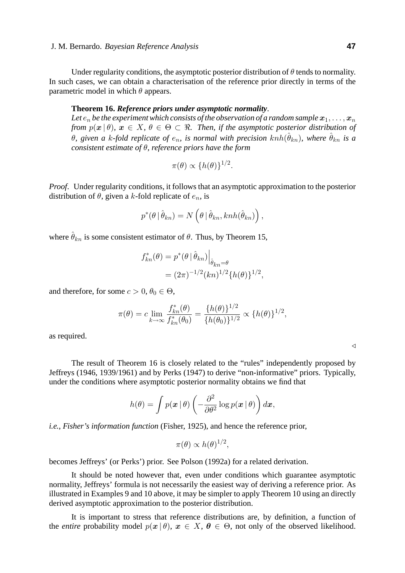Under regularity conditions, the asymptotic posterior distribution of  $\theta$  tends to normality. In such cases, we can obtain a characterisation of the reference prior directly in terms of the parametric model in which *θ* appears.

# **Theorem 16.** *Reference priors under asymptotic normality*.

*Let*  $e_n$  *be the experiment which consists of the observation of a random sample*  $x_1, \ldots, x_n$ *from*  $p(x | \theta)$ ,  $x \in X$ ,  $\theta \in \Theta \subset \Re$ . Then, if the asymptotic posterior distribution of *θ*, given a *k*-fold replicate of  $e_n$ , is normal with precision  $\overline{knh}(\hat{\theta}_{kn})$ , where  $\hat{\theta}_{kn}$  is a *consistent estimate of θ, reference priors have the form*

$$
\pi(\theta) \propto \{h(\theta)\}^{1/2}.
$$

*Proof*. Under regularity conditions, it follows that an asymptotic approximation to the posterior distribution of *θ*, given a *k*-fold replicate of *en*, is

$$
p^*(\theta | \hat{\theta}_{kn}) = N\left(\theta | \hat{\theta}_{kn}, knh(\hat{\theta}_{kn})\right),
$$

where  $\hat{\theta}_{kn}$  is some consistent estimator of  $\theta$ . Thus, by Theorem 15,

$$
f_{kn}^*(\theta) = p^*(\theta | \hat{\theta}_{kn}) \Big|_{\hat{\theta}_{kn} = \theta}
$$
  
=  $(2\pi)^{-1/2} (kn)^{1/2} \{h(\theta)\}^{1/2},$ 

and therefore, for some  $c > 0$ ,  $\theta_0 \in \Theta$ ,

$$
\pi(\theta) = c \lim_{k \to \infty} \frac{f_{kn}^*(\theta)}{f_{kn}^*(\theta_0)} = \frac{\{h(\theta)\}^{1/2}}{\{h(\theta_0)\}^{1/2}} \propto \{h(\theta)\}^{1/2},
$$

as required.

The result of Theorem 16 is closely related to the "rules" independently proposed by Jeffreys (1946, 1939/1961) and by Perks (1947) to derive "non-informative" priors. Typically, under the conditions where asymptotic posterior normality obtains we find that

$$
h(\theta) = \int p(\boldsymbol{x} \,|\, \theta) \left( -\frac{\partial^2}{\partial \theta^2} \log p(\boldsymbol{x} \,|\, \theta) \right) d\boldsymbol{x},
$$

*i.e.*, *Fisher's information function* (Fisher, 1925), and hence the reference prior,

$$
\pi(\theta) \propto h(\theta)^{1/2},
$$

becomes Jeffreys' (or Perks') prior. See Polson (1992a) for a related derivation.

It should be noted however that, even under conditions which guarantee asymptotic normality, Jeffreys' formula is not necessarily the easiest way of deriving a reference prior. As illustrated in Examples 9 and 10 above, it may be simpler to apply Theorem 10 using an directly derived asymptotic approximation to the posterior distribution.

It is important to stress that reference distributions are, by definition, a function of the *entire* probability model  $p(x | \theta)$ ,  $x \in X$ ,  $\theta \in \Theta$ , not only of the observed likelihood.

| ۰,<br>۰.      |  |
|---------------|--|
| ۰.<br>٧<br>٠  |  |
| ×<br>×<br>- 1 |  |
|               |  |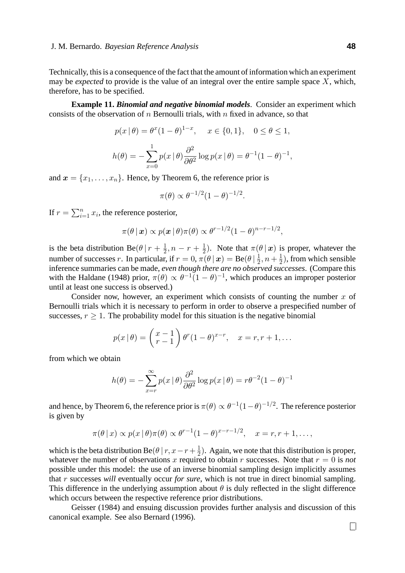Technically, this is a consequence of the fact that the amount of information which an experiment may be *expected* to provide is the value of an integral over the entire sample space *X*, which, therefore, has to be specified.

**Example 11.** *Binomial and negative binomial models*. Consider an experiment which consists of the observation of *n* Bernoulli trials, with *n* fixed in advance, so that

$$
p(x | \theta) = \theta^x (1 - \theta)^{1 - x}, \quad x \in \{0, 1\}, \quad 0 \le \theta \le 1,
$$
  

$$
h(\theta) = -\sum_{x=0}^1 p(x | \theta) \frac{\partial^2}{\partial \theta^2} \log p(x | \theta) = \theta^{-1} (1 - \theta)^{-1},
$$

and  $\mathbf{x} = \{x_1, \ldots, x_n\}$ . Hence, by Theorem 6, the reference prior is

$$
\pi(\theta) \propto \theta^{-1/2} (1-\theta)^{-1/2}.
$$

If  $r = \sum_{i=1}^{n} x_i$ , the reference posterior,

$$
\pi(\theta \,|\, \boldsymbol{x}) \propto p(\boldsymbol{x} \,|\, \theta) \pi(\theta) \propto \theta^{r-1/2} (1-\theta)^{n-r-1/2},
$$

is the beta distribution  $\text{Be}(\theta | r + \frac{1}{2}, n - r + \frac{1}{2})$ . Note that  $\pi(\theta | \mathbf{x})$  is proper, whatever the number of successes *r*. In particular, if  $r = 0$ ,  $\pi(\theta | \mathbf{x}) = \text{Be}(\theta | \frac{1}{2}, n + \frac{1}{2})$ , from which sensible inference summaries can be made, *even though there are no observed successes*. (Compare this with the Haldane (1948) prior,  $\pi(\theta) \propto \theta^{-1}(1-\theta)^{-1}$ , which produces an improper posterior until at least one success is observed.)

Consider now, however, an experiment which consists of counting the number *x* of Bernoulli trials which it is necessary to perform in order to observe a prespecified number of successes,  $r \geq 1$ . The probability model for this situation is the negative binomial

$$
p(x | \theta) = {x-1 \choose r-1} \theta^r (1-\theta)^{x-r}, \quad x = r, r+1, \dots
$$

from which we obtain

$$
h(\theta) = -\sum_{x=r}^{\infty} p(x|\theta) \frac{\partial^2}{\partial \theta^2} \log p(x|\theta) = r\theta^{-2} (1-\theta)^{-1}
$$

and hence, by Theorem 6, the reference prior is  $\pi(\theta) \propto \theta^{-1}(1-\theta)^{-1/2}$ . The reference posterior is given by

$$
\pi(\theta \mid x) \propto p(x \mid \theta) \pi(\theta) \propto \theta^{r-1} (1-\theta)^{x-r-1/2}, \quad x = r, r+1, \dots,
$$

which is the beta distribution Be( $\theta | r, x-r+\frac{1}{2}$ ). Again, we note that this distribution is proper, whatever the number of observations x required to obtain r successes. Note that  $r = 0$  is *not* possible under this model: the use of an inverse binomial sampling design implicitly assumes that *r* successes *will* eventually occur *for sure*, which is not true in direct binomial sampling. This difference in the underlying assumption about  $\theta$  is duly reflected in the slight difference which occurs between the respective reference prior distributions.

Geisser (1984) and ensuing discussion provides further analysis and discussion of this canonical example. See also Bernard (1996).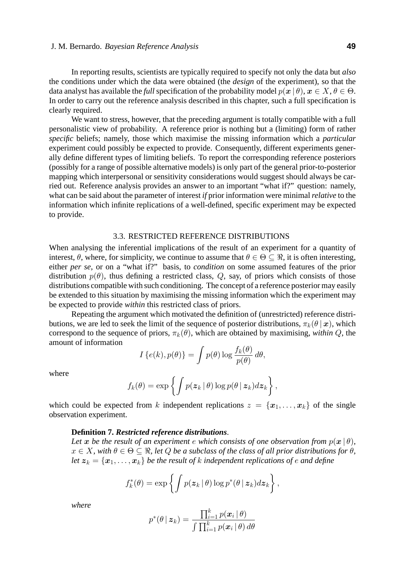In reporting results, scientists are typically required to specify not only the data but *also* the conditions under which the data were obtained (the *design* of the experiment), so that the data analyst has available the *full* specification of the probability model  $p(x | \theta)$ ,  $x \in X, \theta \in \Theta$ . In order to carry out the reference analysis described in this chapter, such a full specification is clearly required.

We want to stress, however, that the preceding argument is totally compatible with a full personalistic view of probability. A reference prior is nothing but a (limiting) form of rather *specific* beliefs; namely, those which maximise the missing information which a *particular* experiment could possibly be expected to provide. Consequently, different experiments generally define different types of limiting beliefs. To report the corresponding reference posteriors (possibly for a range of possible alternative models) is only part of the general prior-to-posterior mapping which interpersonal or sensitivity considerations would suggest should always be carried out. Reference analysis provides an answer to an important "what if?" question: namely, what can be said about the parameter of interest *if* prior information were minimal*relative* to the information which infinite replications of a well-defined, specific experiment may be expected to provide.

## 3.3. RESTRICTED REFERENCE DISTRIBUTIONS

When analysing the inferential implications of the result of an experiment for a quantity of interest,  $\theta$ , where, for simplicity, we continue to assume that  $\theta \in \Theta \subseteq \Re$ , it is often interesting, either *per se*, or on a "what if?" basis, to *condition* on some assumed features of the prior distribution  $p(\theta)$ , thus defining a restricted class, *Q*, say, of priors which consists of those distributions compatible with such conditioning. The concept of a reference posterior may easily be extended to this situation by maximising the missing information which the experiment may be expected to provide *within* this restricted class of priors.

Repeating the argument which motivated the definition of (unrestricted) reference distributions, we are led to seek the limit of the sequence of posterior distributions,  $\pi_k(\theta | x)$ , which correspond to the sequence of priors,  $\pi_k(\theta)$ , which are obtained by maximising, *within Q*, the amount of information

$$
I\left\{e(k), p(\theta)\right\} = \int p(\theta) \log \frac{f_k(\theta)}{p(\theta)} d\theta,
$$

where

$$
f_k(\theta) = \exp\left\{ \int p(\boldsymbol{z}_k \,|\, \theta) \log p(\theta \,|\, \boldsymbol{z}_k) d \boldsymbol{z}_k \right\},\,
$$

which could be expected from *k* independent replications  $z = \{x_1, \ldots, x_k\}$  of the single observation experiment.

## **Definition 7.** *Restricted reference distributions*.

*Let x be the result of an experiment <i>e which consists of one observation from*  $p(x | \theta)$ *,*  $x \in X$ *, with*  $\theta \in \Theta \subseteq \Re$ *, let Q be a subclass of the class of all prior distributions for*  $\theta$ *, let*  $z_k = \{x_1, \ldots, x_k\}$  *be the result of k independent replications of e and define* 

$$
f_k^*(\theta) = \exp\left\{ \int p(\boldsymbol{z}_k \,|\, \theta) \log p^*(\theta \,|\, \boldsymbol{z}_k) d \boldsymbol{z}_k \right\},\,
$$

*where*

$$
p^*(\theta \,|\, \boldsymbol{z}_k) = \frac{\prod_{i=1}^k p(\boldsymbol{x}_i \,|\, \theta)}{\int \prod_{i=1}^k p(\boldsymbol{x}_i \,|\, \theta) \, d\theta}
$$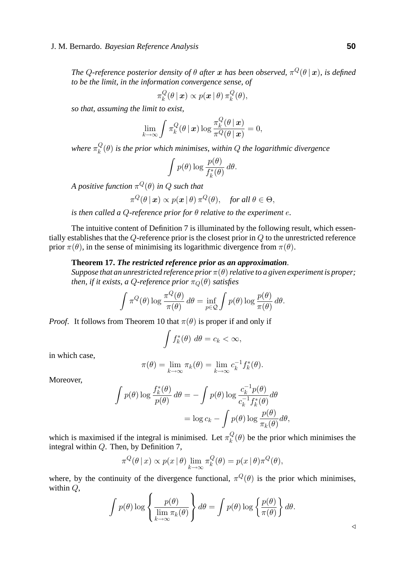*The Q*-reference posterior density of  $\theta$  after x has been observed,  $\pi^{Q}(\theta | x)$ , is defined *to be the limit, in the information convergence sense, of*

$$
\pi_k^Q(\theta\,|\,\boldsymbol{x}) \propto p(\boldsymbol{x}\,|\,\theta)\,\pi_k^Q(\theta),
$$

*so that, assuming the limit to exist,*

$$
\lim_{k\to\infty}\int\pi_k^Q(\theta\,|\,\boldsymbol{x})\log\frac{\pi_k^Q(\theta\,|\,\boldsymbol{x})}{\pi^Q(\theta\,|\,\boldsymbol{x})}=0,
$$

 $\pi^Q_k(\theta)$  *is the prior which minimises, within*  $Q$  *the logarithmic divergence* 

$$
\int p(\theta) \log \frac{p(\theta)}{f_k^*(\theta)} d\theta.
$$

*A positive function*  $\pi^Q(\theta)$  *in Q such that* 

$$
\pi^Q(\theta \,|\, \boldsymbol{x}) \propto p(\boldsymbol{x} \,|\, \theta) \, \pi^Q(\theta), \quad \textit{for all } \theta \in \Theta,
$$

*is then called a Q-reference prior for*  $\theta$  *relative to the experiment e.* 

The intuitive content of Definition 7 is illuminated by the following result, which essentially establishes that the *Q*-reference prior is the closest prior in *Q* to the unrestricted reference prior  $\pi(\theta)$ , in the sense of minimising its logarithmic divergence from  $\pi(\theta)$ .

## **Theorem 17.** *The restricted reference prior as an approximation*.

*Suppose that an unrestricted reference prior*  $\pi(\theta)$  *relative to a given experiment is proper; then, if it exists, a Q-reference prior*  $\pi_Q(\theta)$  *satisfies* 

$$
\int \pi^{Q}(\theta) \log \frac{\pi^{Q}(\theta)}{\pi(\theta)} d\theta = \inf_{p \in \mathcal{Q}} \int p(\theta) \log \frac{p(\theta)}{\pi(\theta)} d\theta.
$$

*Proof.* It follows from Theorem 10 that  $\pi(\theta)$  is proper if and only if

$$
\int f_k^*(\theta) \, d\theta = c_k < \infty,
$$

in which case,

$$
\pi(\theta) = \lim_{k \to \infty} \pi_k(\theta) = \lim_{k \to \infty} c_k^{-1} f_k^*(\theta).
$$

Moreover,

$$
\int p(\theta) \log \frac{f_k^*(\theta)}{p(\theta)} d\theta = -\int p(\theta) \log \frac{c_k^{-1} p(\theta)}{c_k^{-1} f_k^*(\theta)} d\theta
$$

$$
= \log c_k - \int p(\theta) \log \frac{p(\theta)}{\pi_k(\theta)} d\theta,
$$

which is maximised if the integral is minimised. Let  $\pi_k^Q(\theta)$  be the prior which minimises the integral within *Q*. Then, by Definition 7,

$$
\pi^Q(\theta \mid x) \propto p(x \mid \theta) \lim_{k \to \infty} \pi_k^Q(\theta) = p(x \mid \theta) \pi^Q(\theta),
$$

where, by the continuity of the divergence functional,  $\pi^{Q}(\theta)$  is the prior which minimises, within *Q*,

$$
\int p(\theta) \log \left\{ \frac{p(\theta)}{\lim_{k \to \infty} \pi_k(\theta)} \right\} d\theta = \int p(\theta) \log \left\{ \frac{p(\theta)}{\pi(\theta)} \right\} d\theta.
$$

 $\triangleleft$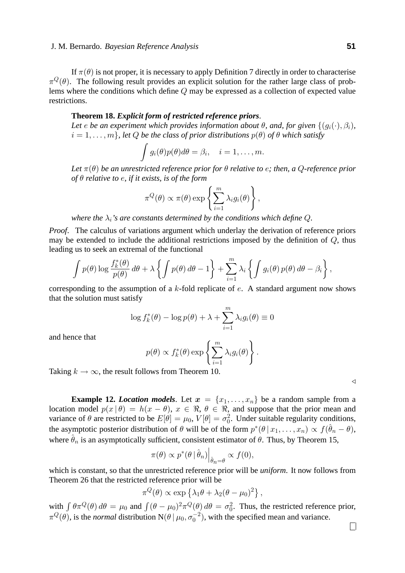If  $\pi(\theta)$  is not proper, it is necessary to apply Definition 7 directly in order to characterise  $\pi^{Q}(\theta)$ . The following result provides an explicit solution for the rather large class of problems where the conditions which define *Q* may be expressed as a collection of expected value restrictions.

## **Theorem 18.** *Explicit form of restricted reference priors*.

*Let e be an experiment which provides information about*  $\theta$ *, and, for given*  $\{(q_i(\cdot), \beta_i)\}$ *,*  $i = 1, \ldots, m$ *}, let Q be the class of prior distributions*  $p(\theta)$  *of*  $\theta$  *which satisfy* 

$$
\int g_i(\theta)p(\theta)d\theta=\beta_i, \quad i=1,\ldots,m.
$$

*Let π*(*θ*) *be an unrestricted reference prior for θ relative to e; then, a Q-reference prior of θ relative to e, if it exists, is of the form*

$$
\pi^Q(\theta) \propto \pi(\theta) \exp \left\{ \sum_{i=1}^m \lambda_i g_i(\theta) \right\},\,
$$

*where the*  $\lambda_i$ *'s are constants determined by the conditions which define*  $Q$ *.* 

*Proof*. The calculus of variations argument which underlay the derivation of reference priors may be extended to include the additional restrictions imposed by the definition of *Q*, thus leading us to seek an extremal of the functional

$$
\int p(\theta) \log \frac{f_k^*(\theta)}{p(\theta)} d\theta + \lambda \left\{ \int p(\theta) d\theta - 1 \right\} + \sum_{i=1}^m \lambda_i \left\{ \int g_i(\theta) p(\theta) d\theta - \beta_i \right\},\,
$$

corresponding to the assumption of a *k*-fold replicate of *e*. A standard argument now shows that the solution must satisfy

$$
\log f_k^*(\theta) - \log p(\theta) + \lambda + \sum_{i=1}^m \lambda_i g_i(\theta) \equiv 0
$$

and hence that

$$
p(\theta) \propto f_k^*(\theta) \exp \left\{ \sum_{i=1}^m \lambda_i g_i(\theta) \right\}.
$$

Taking  $k \to \infty$ , the result follows from Theorem 10.

 $\triangleleft$ 

**Example 12.** *Location models.* Let  $x = \{x_1, \ldots, x_n\}$  be a random sample from a location model  $p(x | \theta) = h(x - \theta)$ ,  $x \in \Re$ ,  $\theta \in \Re$ , and suppose that the prior mean and variance of  $\theta$  are restricted to be  $E[\theta] = \mu_0$ ,  $V[\theta] = \sigma_0^2$ . Under suitable regularity conditions, the asymptotic posterior distribution of  $\theta$  will be of the form  $p^*(\theta | x_1, \ldots, x_n) \propto f(\hat{\theta}_n - \theta)$ , where  $\hat{\theta}_n$  is an asymptotically sufficient, consistent estimator of  $\theta$ . Thus, by Theorem 15,

$$
\pi(\theta) \propto p^*(\theta \mid \hat{\theta}_n) \Big|_{\hat{\theta}_n = \theta} \propto f(0),
$$

which is constant, so that the unrestricted reference prior will be *uniform*. It now follows from Theorem 26 that the restricted reference prior will be

$$
\pi^Q(\theta) \propto \exp\left\{\lambda_1 \theta + \lambda_2 (\theta - \mu_0)^2\right\},\,
$$

with  $\int \theta \pi^Q(\theta) d\theta = \mu_0$  and  $\int (\theta - \mu_0)^2 \pi^Q(\theta) d\theta = \sigma_0^2$ . Thus, the restricted reference prior,  $\pi^Q(\theta)$ , is the *normal* distribution  $N(\theta | \mu_0, \sigma_0^{-2})$ , with the specified mean and variance.

 $\Box$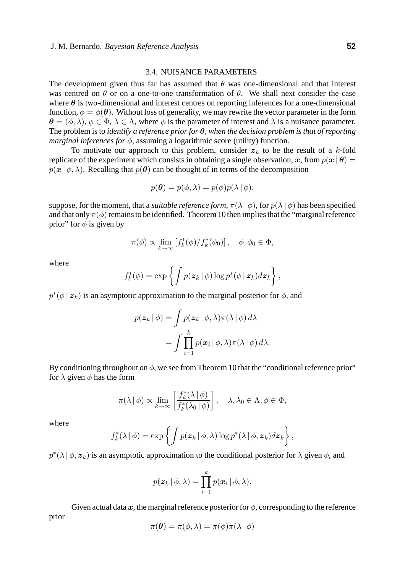#### 3.4. NUISANCE PARAMETERS

The development given thus far has assumed that  $\theta$  was one-dimensional and that interest was centred on *θ* or on a one-to-one transformation of *θ*. We shall next consider the case where  $\theta$  is two-dimensional and interest centres on reporting inferences for a one-dimensional function,  $\phi = \phi(\theta)$ . Without loss of generality, we may rewrite the vector parameter in the form  $\theta = (\phi, \lambda), \phi \in \Phi, \lambda \in \Lambda$ , where  $\phi$  is the parameter of interest and  $\lambda$  is a nuisance parameter. The problem is to *identify a reference prior for θ, when the decision problem is that of reporting marginal inferences for*  $\phi$ , assuming a logarithmic score (utility) function.

To motivate our approach to this problem, consider  $z_k$  to be the result of a *k*-fold replicate of the experiment which consists in obtaining a single observation, *x*, from  $p(x | \theta)$  =  $p(x | \phi, \lambda)$ . Recalling that  $p(\theta)$  can be thought of in terms of the decomposition

$$
p(\boldsymbol{\theta}) = p(\phi, \lambda) = p(\phi)p(\lambda | \phi),
$$

suppose, for the moment, that a *suitable reference form*,  $\pi(\lambda | \phi)$ , for  $p(\lambda | \phi)$  has been specified and that only  $\pi(\phi)$  remains to be identified. Theorem 10 then implies that the "marginal reference" prior" for  $\phi$  is given by

$$
\pi(\phi) \propto \lim_{k \to \infty} \left[ f_k^*(\phi) / f_k^*(\phi_0) \right], \quad \phi, \phi_0 \in \Phi,
$$

where

$$
f_k^*(\phi) = \exp\left\{ \int p(\boldsymbol{z}_k | \phi) \log p^*(\phi | \boldsymbol{z}_k) d\boldsymbol{z}_k \right\},\,
$$

 $p^*(\phi | z_k)$  is an asymptotic approximation to the marginal posterior for  $\phi$ , and

$$
p(\mathbf{z}_k | \phi) = \int p(\mathbf{z}_k | \phi, \lambda) \pi(\lambda | \phi) d\lambda
$$
  
= 
$$
\int \prod_{i=1}^k p(\mathbf{x}_i | \phi, \lambda) \pi(\lambda | \phi) d\lambda.
$$

By conditioning throughout on  $\phi$ , we see from Theorem 10 that the "conditional reference prior" for  $\lambda$  given  $\phi$  has the form

$$
\pi(\lambda | \phi) \propto \lim_{k \to \infty} \left[ \frac{f_k^*(\lambda | \phi)}{f_k^*(\lambda_0 | \phi)} \right], \quad \lambda, \lambda_0 \in \Lambda, \phi \in \Phi,
$$

where

$$
f_k^*(\lambda | \phi) = \exp \left\{ \int p(z_k | \phi, \lambda) \log p^*(\lambda | \phi, z_k) dz_k \right\},\
$$

 $p^*(\lambda | \phi, z_k)$  is an asymptotic approximation to the conditional posterior for  $\lambda$  given  $\phi$ , and

$$
p(\boldsymbol{z}_k | \boldsymbol{\phi}, \lambda) = \prod_{i=1}^k p(\boldsymbol{x}_i | \boldsymbol{\phi}, \lambda).
$$

Given actual data x, the marginal reference posterior for  $\phi$ , corresponding to the reference prior

$$
\pi(\boldsymbol{\theta}) = \pi(\phi, \lambda) = \pi(\phi)\pi(\lambda \, \vert \, \phi)
$$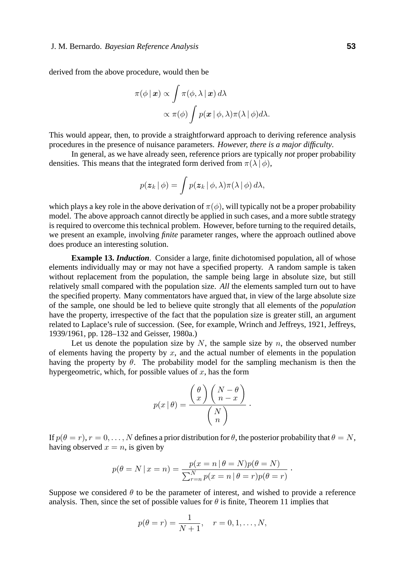derived from the above procedure, would then be

$$
\pi(\phi | \mathbf{x}) \propto \int \pi(\phi, \lambda | \mathbf{x}) d\lambda
$$
  
 
$$
\propto \pi(\phi) \int p(\mathbf{x} | \phi, \lambda) \pi(\lambda | \phi) d\lambda.
$$

This would appear, then, to provide a straightforward approach to deriving reference analysis procedures in the presence of nuisance parameters. *However, there is a major difficulty*.

In general, as we have already seen, reference priors are typically *not* proper probability densities. This means that the integrated form derived from  $\pi(\lambda | \phi)$ ,

$$
p(\boldsymbol{z}_k | \boldsymbol{\phi}) = \int p(\boldsymbol{z}_k | \boldsymbol{\phi}, \boldsymbol{\lambda}) \pi(\boldsymbol{\lambda} | \boldsymbol{\phi}) d\boldsymbol{\lambda},
$$

which plays a key role in the above derivation of  $\pi(\phi)$ , will typically not be a proper probability model. The above approach cannot directly be applied in such cases, and a more subtle strategy is required to overcome this technical problem. However, before turning to the required details, we present an example, involving *finite* parameter ranges, where the approach outlined above does produce an interesting solution.

**Example 13.** *Induction*. Consider a large, finite dichotomised population, all of whose elements individually may or may not have a specified property. A random sample is taken without replacement from the population, the sample being large in absolute size, but still relatively small compared with the population size. *All* the elements sampled turn out to have the specified property. Many commentators have argued that, in view of the large absolute size of the sample, one should be led to believe quite strongly that all elements of the *population* have the property, irrespective of the fact that the population size is greater still, an argument related to Laplace's rule of succession. (See, for example, Wrinch and Jeffreys, 1921, Jeffreys, 1939/1961, pp. 128–132 and Geisser, 1980a.)

Let us denote the population size by  $N$ , the sample size by  $n$ , the observed number of elements having the property by *x*, and the actual number of elements in the population having the property by  $\theta$ . The probability model for the sampling mechanism is then the hypergeometric, which, for possible values of  $x$ , has the form

$$
p(x | \theta) = \frac{\binom{\theta}{x} \binom{N-\theta}{n-x}}{\binom{N}{n}}.
$$

If  $p(\theta = r)$ ,  $r = 0, \ldots, N$  defines a prior distribution for  $\theta$ , the posterior probability that  $\theta = N$ , having observed  $x = n$ , is given by

$$
p(\theta = N | x = n) = \frac{p(x = n | \theta = N)p(\theta = N)}{\sum_{r=n}^{N} p(x = n | \theta = r)p(\theta = r)}.
$$

Suppose we considered  $\theta$  to be the parameter of interest, and wished to provide a reference analysis. Then, since the set of possible values for  $\theta$  is finite, Theorem 11 implies that

$$
p(\theta = r) = \frac{1}{N+1}, \quad r = 0, 1, ..., N,
$$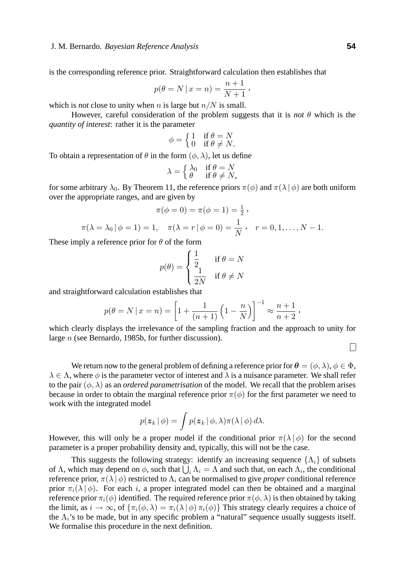is the corresponding reference prior. Straightforward calculation then establishes that

$$
p(\theta = N | x = n) = \frac{n+1}{N+1}
$$
,

which is *not* close to unity when *n* is large but  $n/N$  is small.

However, careful consideration of the problem suggests that it is *not*  $\theta$  which is the *quantity of interest*: rather it is the parameter

$$
\phi = \begin{cases} 1 & \text{if } \theta = N \\ 0 & \text{if } \theta \neq N. \end{cases}
$$

To obtain a representation of  $\theta$  in the form  $(\phi, \lambda)$ , let us define

$$
\lambda = \begin{cases} \lambda_0 & \text{if } \theta = N \\ \theta & \text{if } \theta \neq N, \end{cases}
$$

for some arbitrary  $\lambda_0$ . By Theorem 11, the reference priors  $\pi(\phi)$  and  $\pi(\lambda | \phi)$  are both uniform over the appropriate ranges, and are given by

$$
\pi(\phi = 0) = \pi(\phi = 1) = \frac{1}{2},
$$
  

$$
\pi(\lambda = \lambda_0 | \phi = 1) = 1, \quad \pi(\lambda = r | \phi = 0) = \frac{1}{N}, \quad r = 0, 1, \dots, N - 1.
$$

These imply a reference prior for *θ* of the form

$$
p(\theta) = \begin{cases} \frac{1}{2} & \text{if } \theta = N \\ \frac{1}{2N} & \text{if } \theta \neq N \end{cases}
$$

and straightforward calculation establishes that

$$
p(\theta = N | x = n) = \left[1 + \frac{1}{(n+1)} \left(1 - \frac{n}{N}\right)\right]^{-1} \approx \frac{n+1}{n+2},
$$

which clearly displays the irrelevance of the sampling fraction and the approach to unity for large *n* (see Bernardo, 1985b, for further discussion).

П

We return now to the general problem of defining a reference prior for  $\theta = (\phi, \lambda), \phi \in \Phi$ ,  $\lambda \in \Lambda$ , where  $\phi$  is the parameter vector of interest and  $\lambda$  is a nuisance parameter. We shall refer to the pair  $(\phi, \lambda)$  as an *ordered parametrisation* of the model. We recall that the problem arises because in order to obtain the marginal reference prior  $\pi(\phi)$  for the first parameter we need to work with the integrated model

$$
p(\boldsymbol{z}_k | \boldsymbol{\phi}) = \int p(\boldsymbol{z}_k | \boldsymbol{\phi}, \boldsymbol{\lambda}) \pi(\boldsymbol{\lambda} | \boldsymbol{\phi}) d\boldsymbol{\lambda}.
$$

However, this will only be a proper model if the conditional prior  $\pi(\lambda | \phi)$  for the second parameter is a proper probability density and, typically, this will not be the case.

This suggests the following strategy: identify an increasing sequence  $\{\Lambda_i\}$  of subsets of  $\Lambda$ , which may depend on  $\phi$ , such that  $\bigcup_i \Lambda_i = \Lambda$  and such that, on each  $\Lambda_i$ , the conditional reference prior,  $\pi(\lambda | \phi)$  restricted to  $Λ$ <sub>*i*</sub> can be normalised to give *proper* conditional reference prior  $\pi_i(\lambda | \phi)$ . For each *i*, a proper integrated model can then be obtained and a marginal reference prior  $\pi_i(\phi)$  identified. The required reference prior  $\pi(\phi, \lambda)$  is then obtained by taking the limit, as  $i \to \infty$ , of  $\{\pi_i(\phi, \lambda) = \pi_i(\lambda | \phi) \pi_i(\phi)\}\$ This strategy clearly requires a choice of the  $\Lambda_i$ 's to be made, but in any specific problem a "natural" sequence usually suggests itself. We formalise this procedure in the next definition.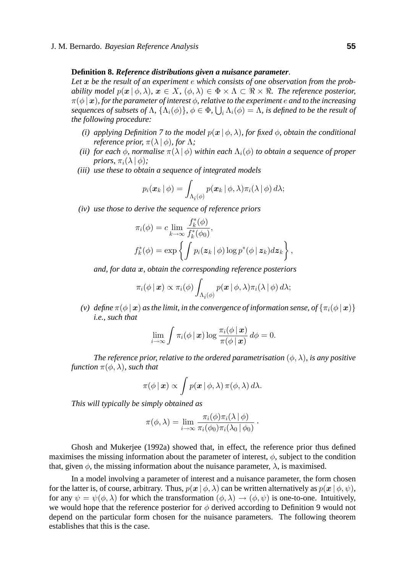#### **Definition 8.** *Reference distributions given a nuisance parameter*.

*Let x be the result of an experiment e which consists of one observation from the probability model*  $p(x | \phi, \lambda)$ ,  $x \in X$ ,  $(\phi, \lambda) \in \Phi \times \Lambda \subset \Re \times \Re$ . The reference posterior, *π*(*φ* | *x*)*, for the parameter of interest φ, relative to the experiment e and to the increasing sequences of subsets of*  $\Lambda$ *,*  $\{\Lambda_i(\phi)\}$ *,*  $\phi \in \Phi$ *,*  $\bigcup_i \Lambda_i(\phi) = \Lambda$ *, is defined to be the result of the following procedure:*

- *(i) applying Definition 7 to the model*  $p(x | \phi, \lambda)$ *, for fixed*  $\phi$ *, obtain the conditional reference prior,*  $\pi(\lambda | \phi)$ *, for*  $\Lambda$ *;*
- *(ii) for each φ, normalise π*(*λ* | *φ*) *within each* Λ*i*(*φ*) *to obtain a sequence of proper priors,*  $\pi_i(\lambda | \phi)$ ;
- *(iii) use these to obtain a sequence of integrated models*

$$
p_i(\boldsymbol{x}_k | \boldsymbol{\phi}) = \int_{\Lambda_i(\boldsymbol{\phi})} p(\boldsymbol{x}_k | \boldsymbol{\phi}, \lambda) \pi_i(\lambda | \boldsymbol{\phi}) d\lambda;
$$

*(iv) use those to derive the sequence of reference priors*

$$
\pi_i(\phi) = c \lim_{k \to \infty} \frac{f_k^*(\phi)}{f_k^*(\phi_0)},
$$
  

$$
f_k^*(\phi) = \exp\left\{ \int p_i(z_k | \phi) \log p^*(\phi | z_k) dz_k \right\},
$$

*and, for data x, obtain the corresponding reference posteriors*

$$
\pi_i(\phi\,|\,\bm{x})\propto \pi_i(\phi)\int_{\Lambda_i(\phi)}p(\bm{x}\,|\,\phi,\lambda)\pi_i(\lambda\,|\,\phi)\,d\lambda;
$$

*(v)* define  $\pi(\phi | x)$  as the limit, in the convergence of information sense, of  $\{\pi_i(\phi | x)\}$ *i.e., such that*

$$
\lim_{i\to\infty}\int\pi_i(\phi\,|\,\mathbf{x})\log\frac{\pi_i(\phi\,|\,\mathbf{x})}{\pi(\phi\,|\,\mathbf{x})}\,d\phi=0.
$$

*The reference prior, relative to the ordered parametrisation*  $(\phi, \lambda)$ *, is any positive function*  $\pi(\phi, \lambda)$ *, such that* 

$$
\pi(\phi\,|\,\boldsymbol{x}) \propto \int p(\boldsymbol{x}\,|\,\phi,\lambda)\,\pi(\phi,\lambda)\,d\lambda.
$$

*This will typically be simply obtained as*

$$
\pi(\phi,\lambda)=\lim_{i\to\infty}\frac{\pi_i(\phi)\pi_i(\lambda\,|\,\phi)}{\pi_i(\phi_0)\pi_i(\lambda_0\,|\,\phi_0)}.
$$

Ghosh and Mukerjee (1992a) showed that, in effect, the reference prior thus defined maximises the missing information about the parameter of interest,  $\phi$ , subject to the condition that, given  $\phi$ , the missing information about the nuisance parameter,  $\lambda$ , is maximised.

In a model involving a parameter of interest and a nuisance parameter, the form chosen for the latter is, of course, arbitrary. Thus,  $p(x | \phi, \lambda)$  can be written alternatively as  $p(x | \phi, \psi)$ , for any  $\psi = \psi(\phi, \lambda)$  for which the transformation  $(\phi, \lambda) \to (\phi, \psi)$  is one-to-one. Intuitively, we would hope that the reference posterior for *φ* derived according to Definition 9 would not depend on the particular form chosen for the nuisance parameters. The following theorem establishes that this is the case.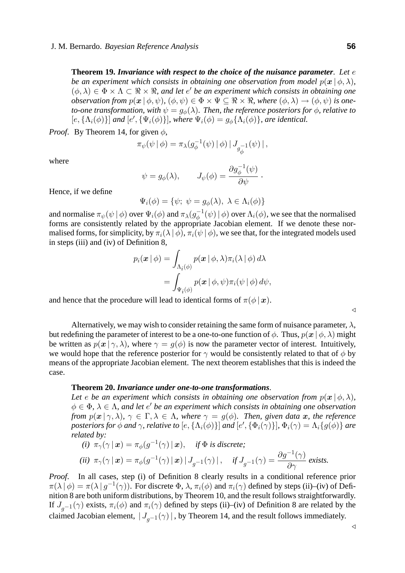**Theorem 19.** *Invariance with respect to the choice of the nuisance parameter*. *Let e be an experiment which consists in obtaining one observation from model*  $p(x | \phi, \lambda)$ ,  $(\phi, \lambda) \in \Phi \times \Lambda \subset \Re \times \Re$ , and let *e' be an experiment which consists in obtaining one observation from*  $p(x | \phi, \psi)$ ,  $(\phi, \psi) \in \Phi \times \Psi \subseteq \Re \times \Re$ , where  $(\phi, \lambda) \to (\phi, \psi)$  is one*to-one transformation, with*  $\psi = g_{\phi}(\lambda)$ *. Then, the reference posteriors for*  $\phi$ *, relative to*  $[e, {\Lambda_i(\phi)}]$  *and*  $[e', {\Psi_i(\phi)}]$ *, where*  $\Psi_i(\phi) = g_\phi{\Lambda_i(\phi)}$ *, are identical.* 

*Proof*. By Theorem 14, for given *φ*,

$$
\pi_{\psi}(\psi | \phi) = \pi_{\lambda}(g_{\phi}^{-1}(\psi) | \phi) | J_{g_{\phi}^{-1}}(\psi) |,
$$

where

$$
\psi = g_{\phi}(\lambda), \qquad J_{\psi}(\phi) = \frac{\partial g_{\phi}^{-1}(\psi)}{\partial \psi}.
$$

Hence, if we define

$$
\Psi_i(\phi) = \{\psi; \ \psi = g_{\phi}(\lambda), \ \lambda \in \Lambda_i(\phi)\}
$$

and normalise  $\pi_\psi(\psi\ |\ \phi)$  over  $\Psi_i(\phi)$  and  $\pi_\lambda(g_\phi^{-1}(\psi)\ |\ \phi)$  over  $\Lambda_i(\phi),$  we see that the normalised forms are consistently related by the appropriate Jacobian element. If we denote these normalised forms, for simplicity, by  $\pi_i(\lambda | \phi)$ ,  $\pi_i(\psi | \phi)$ , we see that, for the integrated models used in steps (iii) and (iv) of Definition 8,

$$
p_i(\boldsymbol{x} | \phi) = \int_{\Lambda_i(\phi)} p(\boldsymbol{x} | \phi, \lambda) \pi_i(\lambda | \phi) d\lambda
$$
  
= 
$$
\int_{\Psi_i(\phi)} p(\boldsymbol{x} | \phi, \psi) \pi_i(\psi | \phi) d\psi,
$$

and hence that the procedure will lead to identical forms of  $\pi(\phi | x)$ .

Alternatively, we may wish to consider retaining the same form of nuisance parameter,  $\lambda$ , but redefining the parameter of interest to be a one-to-one function of  $\phi$ . Thus,  $p(x | \phi, \lambda)$  might be written as  $p(x | \gamma, \lambda)$ , where  $\gamma = q(\phi)$  is now the parameter vector of interest. Intuitively, we would hope that the reference posterior for  $\gamma$  would be consistently related to that of  $\phi$  by means of the appropriate Jacobian element. The next theorem establishes that this is indeed the case.

#### **Theorem 20.** *Invariance under one-to-one transformations*.

*Let e be an experiment which consists in obtaining one observation from*  $p(x | \phi, \lambda)$ *, φ* ∈ Φ*, λ* ∈ Λ*, and let e be an experiment which consists in obtaining one observation from*  $p(x | \gamma, \lambda)$ ,  $\gamma \in \Gamma, \lambda \in \Lambda$ , where  $\gamma = g(\phi)$ . Then, given data x, the reference posteriors for  $\phi$  and  $\gamma$ , relative to  $[e,\{\Lambda_i(\phi)\}]$  and  $[e',\{\Phi_i(\gamma)\}],\Phi_i(\gamma)=\Lambda_i\{g(\phi)\}$  are *related by:*  $f(i)$  *π* $(g \mid g) = \pi(g^{-1}(g) \mid g)$ , *if*  $\Phi$  *is discrete;* 

(*i*) 
$$
\pi_{\gamma}(\gamma | \mathbf{x}) = \pi_{\phi}(g \quad (\gamma) | \mathbf{x}), \quad \text{if } \mathbf{y} \text{ is discrete};
$$
  
(*ii*)  $\pi_{\gamma}(\gamma | \mathbf{x}) = \pi_{\phi}(g^{-1}(\gamma) | \mathbf{x}) | J_{g^{-1}}(\gamma) |, \quad \text{if } J_{g^{-1}}(\gamma) = \frac{\partial g^{-1}(\gamma)}{\partial \gamma} \text{ exists.}$ 

*Proof.* In all cases, step (i) of Definition 8 clearly results in a conditional reference prior  $\pi(\lambda | \phi) = \pi(\lambda | g^{-1}(\gamma))$ . For discrete  $\Phi$ ,  $\lambda$ ,  $\pi_i(\phi)$  and  $\pi_i(\gamma)$  defined by steps (ii)–(iv) of Definition 8 are both uniform distributions, by Theorem 10, and the result follows straightforwardly. If  $J_{g^{-1}}(\gamma)$  exists,  $\pi_i(\phi)$  and  $\pi_i(\gamma)$  defined by steps (ii)–(iv) of Definition 8 are related by the claimed Jacobian element,  $|J_{g^{-1}}(\gamma)|$ , by Theorem 14, and the result follows immediately.

 $\triangleleft$ 

 $\triangleleft$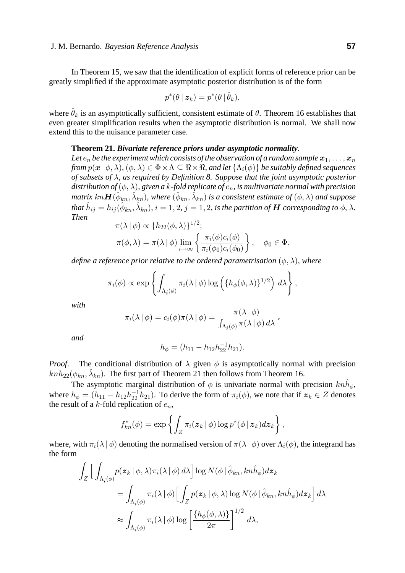In Theorem 15, we saw that the identification of explicit forms of reference prior can be greatly simplified if the approximate asymptotic posterior distribution is of the form

$$
p^*(\theta \,|\, \boldsymbol{z}_k) = p^*(\theta \,|\, \hat{\theta}_k),
$$

where  $\hat{\theta}_k$  is an asymptotically sufficient, consistent estimate of  $\theta$ . Theorem 16 establishes that even greater simplification results when the asymptotic distribution is normal. We shall now extend this to the nuisance parameter case.

# **Theorem 21.** *Bivariate reference priors under asymptotic normality*.

Let  $e_n$  be the experiment which consists of the observation of a random sample  $x_1, \ldots, x_n$  $from\, p(\bm{x}\,|\,\phi,\lambda)$ ,  $(\phi,\lambda)\in \Phi\times \Lambda\subseteq \Re\times\Re$ , and let  $\{\Lambda_i(\phi)\}$  be suitably defined sequences *of subsets of λ, as required by Definition 8. Suppose that the joint asymptotic posterior distribution of* $(\phi, \lambda)$ *, given a k-fold replicate of*  $e_n$ *, is multivariate normal with precision matrix*  $kn\mathbf{H}(\hat{\phi}_{kn}, \hat{\lambda}_{kn})$ , where  $(\hat{\phi}_{kn}, \hat{\lambda}_{kn})$  *is a consistent estimate of*  $(\phi, \lambda)$  *and suppose* that  $\hat{h}_{ij} = h_{ij}(\hat{\phi}_{kn}, \hat{\lambda}_{kn}), i = 1, 2, j = 1, 2$ , is the partition of **H** corresponding to  $\phi$ ,  $\lambda$ . *Then*

$$
\pi(\lambda | \phi) \propto \{h_{22}(\phi, \lambda)\}^{1/2};
$$
  

$$
\pi(\phi, \lambda) = \pi(\lambda | \phi) \lim_{i \to \infty} \left\{ \frac{\pi_i(\phi)c_i(\phi)}{\pi_i(\phi_0)c_i(\phi_0)} \right\}, \quad \phi_0 \in \Phi,
$$

*define a reference prior relative to the ordered parametrisation*  $(\phi, \lambda)$ *, where* 

$$
\pi_i(\phi) \propto \exp\left\{ \int_{\Lambda_i(\phi)} \pi_i(\lambda \, \vert \, \phi) \log\left( \{h_\phi(\phi, \lambda)\}^{1/2} \right) \, d\lambda \right\},\,
$$

*with*

$$
\pi_i(\lambda | \phi) = c_i(\phi) \pi(\lambda | \phi) = \frac{\pi(\lambda | \phi)}{\int_{\Lambda_i(\phi)} \pi(\lambda | \phi) d\lambda},
$$

*and*

$$
h_{\phi} = (h_{11} - h_{12}h_{22}^{-1}h_{21}).
$$

*Proof.* The conditional distribution of  $\lambda$  given  $\phi$  is asymptotically normal with precision  $knh_{22}(\phi_{kn}, \lambda_{kn})$ . The first part of Theorem 21 then follows from Theorem 16.

The asymptotic marginal distribution of  $\phi$  is univariate normal with precision  $k n \hat{h}_{\phi}$ , where  $h_{\phi} = (h_{11} - h_{12}h_{22}^{-1}h_{21})$ . To derive the form of  $\pi_i(\phi)$ , we note that if  $z_k \in Z$  denotes the result of a *k*-fold replication of *en*,

$$
f_{kn}^*(\phi) = \exp\left\{ \int_Z \pi_i(\boldsymbol{z}_k \,|\, \phi) \log p^*(\phi \,|\, \boldsymbol{z}_k) d\boldsymbol{z}_k \right\},\,
$$

where, with  $\pi_i(\lambda | \phi)$  denoting the normalised version of  $\pi(\lambda | \phi)$  over  $\Lambda_i(\phi)$ , the integrand has the form

$$
\int_{Z} \Big[ \int_{\Lambda_{i}(\phi)} p(\boldsymbol{z}_{k} | \phi, \lambda) \pi_{i}(\lambda | \phi) d\lambda \Big] \log N(\phi | \hat{\phi}_{kn}, kn\hat{h}_{\phi}) d\boldsymbol{z}_{k}
$$
\n
$$
= \int_{\Lambda_{i}(\phi)} \pi_{i}(\lambda | \phi) \Big[ \int_{Z} p(\boldsymbol{z}_{k} | \phi, \lambda) \log N(\phi | \hat{\phi}_{kn}, kn\hat{h}_{\phi}) d\boldsymbol{z}_{k} \Big] d\lambda
$$
\n
$$
\approx \int_{\Lambda_{i}(\phi)} \pi_{i}(\lambda | \phi) \log \left[ \frac{\{h_{\phi}(\phi, \lambda)\}}{2\pi} \right]^{1/2} d\lambda,
$$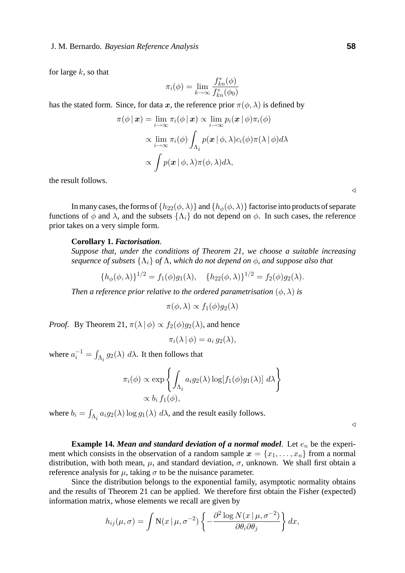for large *k*, so that

$$
\pi_i(\phi) = \lim_{k \to \infty} \frac{f_{kn}^*(\phi)}{f_{kn}^*(\phi_0)}
$$

has the stated form. Since, for data x, the reference prior  $\pi(\phi, \lambda)$  is defined by

$$
\pi(\phi | \mathbf{x}) = \lim_{i \to \infty} \pi_i(\phi | \mathbf{x}) \propto \lim_{i \to \infty} p_i(\mathbf{x} | \phi) \pi_i(\phi)
$$

$$
\propto \lim_{i \to \infty} \pi_i(\phi) \int_{\Lambda_i} p(\mathbf{x} | \phi, \lambda) c_i(\phi) \pi(\lambda | \phi) d\lambda
$$

$$
\propto \int p(\mathbf{x} | \phi, \lambda) \pi(\phi, \lambda) d\lambda,
$$

the result follows.

In many cases, the forms of  $\{h_{22}(\phi, \lambda)\}\$  and  $\{h_{\phi}(\phi, \lambda)\}\$  factorise into products of separate functions of *φ* and *λ*, and the subsets {Λ*i*} do not depend on *φ*. In such cases, the reference prior takes on a very simple form.

### **Corollary 1.** *Factorisation*.

*Suppose that, under the conditions of Theorem 21, we choose a suitable increasing sequence of subsets* {Λ*i*} *of* Λ*, which do not depend on φ, and suppose also that*

$$
{h_{\phi}(\phi,\lambda)}^{1/2} = f_1(\phi)g_1(\lambda), \quad {h_{22}(\phi,\lambda)}^{1/2} = f_2(\phi)g_2(\lambda).
$$

*Then a reference prior relative to the ordered parametrisation*  $(\phi, \lambda)$  *is* 

$$
\pi(\phi,\lambda)\propto f_1(\phi)g_2(\lambda)
$$

*Proof.* By Theorem 21,  $\pi(\lambda | \phi) \propto f_2(\phi)g_2(\lambda)$ , and hence

$$
\pi_i(\lambda \,|\, \phi) = a_i\,g_2(\lambda),
$$

where  $a_i^{-1} = \int_{\Lambda_i} g_2(\lambda) \ d\lambda$ . It then follows that

$$
\pi_i(\phi) \propto \exp\left\{ \int_{\Lambda_i} a_i g_2(\lambda) \log[f_1(\phi) g_1(\lambda)] \ d\lambda \right\}
$$
  
 
$$
\propto b_i f_1(\phi),
$$

where  $b_i = \int_{\Lambda_i} a_i g_2(\lambda) \log g_1(\lambda) d\lambda$ , and the result easily follows.

 $\triangleleft$ 

**Example 14.** *Mean and standard deviation of a normal model*. Let  $e_n$  be the experiment which consists in the observation of a random sample  $x = \{x_1, \ldots, x_n\}$  from a normal distribution, with both mean,  $\mu$ , and standard deviation,  $\sigma$ , unknown. We shall first obtain a reference analysis for  $\mu$ , taking  $\sigma$  to be the nuisance parameter.

Since the distribution belongs to the exponential family, asymptotic normality obtains and the results of Theorem 21 can be applied. We therefore first obtain the Fisher (expected) information matrix, whose elements we recall are given by

$$
h_{ij}(\mu,\sigma) = \int \mathbf{N}(x \mid \mu, \sigma^{-2}) \left\{ -\frac{\partial^2 \log N(x \mid \mu, \sigma^{-2})}{\partial \theta_i \partial \theta_j} \right\} dx,
$$

 $\triangleleft$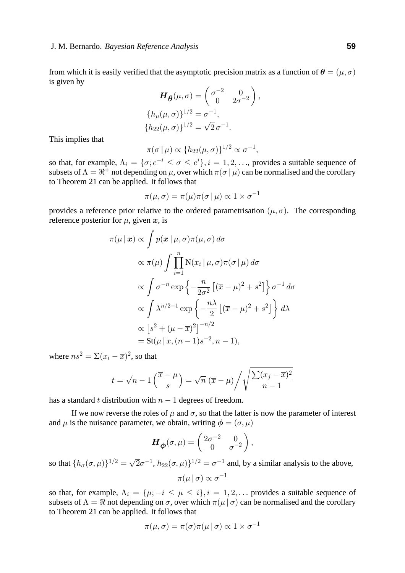from which it is easily verified that the asymptotic precision matrix as a function of  $\theta = (\mu, \sigma)$ is given by

$$
\mathbf{H}_{\theta}(\mu, \sigma) = \begin{pmatrix} \sigma^{-2} & 0 \\ 0 & 2\sigma^{-2} \end{pmatrix},
$$
  
\n
$$
\{h_{\mu}(\mu, \sigma)\}^{1/2} = \sigma^{-1},
$$
  
\n
$$
\{h_{22}(\mu, \sigma)\}^{1/2} = \sqrt{2} \sigma^{-1}.
$$

This implies that

$$
\pi(\sigma | \mu) \propto \{h_{22}(\mu, \sigma)\}^{1/2} \propto \sigma^{-1},
$$

so that, for example,  $\Lambda_i = \{\sigma; e^{-i} \leq \sigma \leq e^i\}, i = 1, 2, \ldots$ , provides a suitable sequence of subsets of  $\Lambda = \Re^+$  not depending on  $\mu$ , over which  $\pi(\sigma | \mu)$  can be normalised and the corollary to Theorem 21 can be applied. It follows that

$$
\pi(\mu,\sigma) = \pi(\mu)\pi(\sigma|\mu) \propto 1 \times \sigma^{-1}
$$

provides a reference prior relative to the ordered parametrisation  $(\mu, \sigma)$ . The corresponding reference posterior for  $\mu$ , given  $x$ , is

$$
\pi(\mu \mid \boldsymbol{x}) \propto \int p(\boldsymbol{x} \mid \mu, \sigma) \pi(\mu, \sigma) d\sigma
$$
  
 
$$
\propto \pi(\mu) \int \prod_{i=1}^{n} \mathcal{N}(x_i \mid \mu, \sigma) \pi(\sigma \mid \mu) d\sigma
$$
  
 
$$
\propto \int \sigma^{-n} \exp \left\{-\frac{n}{2\sigma^2} \left[ (\overline{x} - \mu)^2 + s^2 \right] \right\} \sigma^{-1} d\sigma
$$
  
 
$$
\propto \int \lambda^{n/2 - 1} \exp \left\{-\frac{n\lambda}{2} \left[ (\overline{x} - \mu)^2 + s^2 \right] \right\} d\lambda
$$
  
 
$$
\propto \left[ s^2 + (\mu - \overline{x})^2 \right]^{-n/2}
$$
  
 
$$
= \text{St}(\mu \mid \overline{x}, (n-1)s^{-2}, n-1),
$$

where  $ns^2 = \Sigma(x_i - \overline{x})^2$ , so that

$$
t = \sqrt{n-1} \left( \frac{\overline{x} - \mu}{s} \right) = \sqrt{n} \left( \overline{x} - \mu \right) \bigg/ \sqrt{\frac{\sum (x_j - \overline{x})^2}{n-1}}
$$

has a standard *t* distribution with *n* − 1 degrees of freedom.

If we now reverse the roles of  $\mu$  and  $\sigma$ , so that the latter is now the parameter of interest and  $\mu$  is the nuisance parameter, we obtain, writing  $\phi = (\sigma, \mu)$ 

$$
\boldsymbol{H}_{\boldsymbol{\phi}}(\sigma,\mu) = \begin{pmatrix} 2\sigma^{-2} & 0 \\ 0 & \sigma^{-2} \end{pmatrix},
$$

so that  ${h_{\sigma}(\sigma, \mu)}^{1/2} = \sqrt{2}\sigma^{-1}$ ,  $h_{22}(\sigma, \mu)^{1/2} = \sigma^{-1}$  and, by a similar analysis to the above, *π*(*µ* | *σ*) ∝ *σ*−<sup>1</sup>

$$
\{u - i < u < i\} \quad i = 1 \quad 2 \qquad \text{mrvii}
$$

so that, for example,  $\Lambda_i = {\mu; -i \leq \mu \leq i}, i = 1, 2, \ldots$  provides a suitable sequence of subsets of  $\Lambda = \Re$  not depending on  $\sigma$ , over which  $\pi(\mu | \sigma)$  can be normalised and the corollary to Theorem 21 can be applied. It follows that

$$
\pi(\mu,\sigma) = \pi(\sigma)\pi(\mu \,|\, \sigma) \propto 1 \times \sigma^{-1}
$$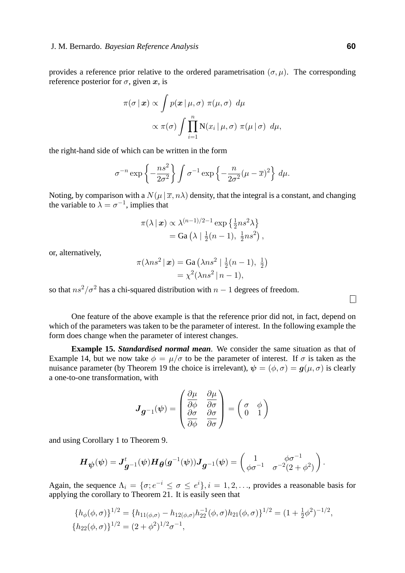provides a reference prior relative to the ordered parametrisation  $(\sigma, \mu)$ . The corresponding reference posterior for  $\sigma$ , given  $x$ , is

$$
\pi(\sigma | \mathbf{x}) \propto \int p(\mathbf{x} | \mu, \sigma) \pi(\mu, \sigma) d\mu
$$

$$
\propto \pi(\sigma) \int \prod_{i=1}^{n} \mathbf{N}(x_i | \mu, \sigma) \pi(\mu | \sigma) d\mu,
$$

the right-hand side of which can be written in the form

$$
\sigma^{-n} \exp\left\{-\frac{ns^2}{2\sigma^2}\right\} \int \sigma^{-1} \exp\left\{-\frac{n}{2\sigma^2}(\mu-\overline{x})^2\right\} d\mu.
$$

Noting, by comparison with a  $N(\mu | \overline{x}, n\lambda)$  density, that the integral is a constant, and changing the variable to  $\lambda = \sigma^{-1}$ , implies that

$$
\pi(\lambda \mid \boldsymbol{x}) \propto \lambda^{(n-1)/2-1} \exp\left\{\frac{1}{2}ns^2\lambda\right\}
$$
  
= Ga\left(\lambda \mid \frac{1}{2}(n-1), \frac{1}{2}ns^2\right),

or, alternatively,

$$
\pi(\lambda ns^2 \mid \boldsymbol{x}) = \text{Ga}\left(\lambda ns^2 \mid \frac{1}{2}(n-1), \frac{1}{2}\right)
$$

$$
= \chi^2(\lambda ns^2 \mid n-1),
$$

so that  $n s^2/\sigma^2$  has a chi-squared distribution with  $n-1$  degrees of freedom.

One feature of the above example is that the reference prior did not, in fact, depend on which of the parameters was taken to be the parameter of interest. In the following example the form does change when the parameter of interest changes.

**Example 15.** *Standardised normal mean*. We consider the same situation as that of Example 14, but we now take  $\phi = \mu/\sigma$  to be the parameter of interest. If  $\sigma$  is taken as the nuisance parameter (by Theorem 19 the choice is irrelevant),  $\psi = (\phi, \sigma) = g(\mu, \sigma)$  is clearly a one-to-one transformation, with

$$
\boldsymbol{J}_{\boldsymbol{g}^{-1}}(\psi)=\begin{pmatrix}\frac{\partial\mu}{\partial\phi} & \frac{\partial\mu}{\partial\sigma} \\ \frac{\partial\sigma}{\partial\phi} & \frac{\partial\sigma}{\partial\sigma}\end{pmatrix}=\begin{pmatrix}\sigma & \phi \\ 0 & 1\end{pmatrix}
$$

and using Corollary 1 to Theorem 9.

$$
\boldsymbol{H}_{\boldsymbol{\psi}}(\boldsymbol{\psi}) = \boldsymbol{J}_{\boldsymbol{g}^{-1}}^t(\boldsymbol{\psi}) \boldsymbol{H}_{\boldsymbol{\theta}}(\boldsymbol{g}^{-1}(\boldsymbol{\psi})) \boldsymbol{J}_{\boldsymbol{g}^{-1}}(\boldsymbol{\psi}) = \begin{pmatrix} 1 & \phi \sigma^{-1} \\ \phi \sigma^{-1} & \sigma^{-2} (2 + \phi^2) \end{pmatrix}.
$$

Again, the sequence  $\Lambda_i = \{\sigma; e^{-i} \leq \sigma \leq e^i\}, i = 1, 2, \ldots$ , provides a reasonable basis for applying the corollary to Theorem 21. It is easily seen that

$$
\{h_{\phi}(\phi,\sigma)\}^{1/2} = \{h_{11(\phi,\sigma)} - h_{12(\phi,\sigma)}h_{22}^{-1}(\phi,\sigma)h_{21}(\phi,\sigma)\}^{1/2} = (1 + \frac{1}{2}\phi^2)^{-1/2},
$$
  

$$
\{h_{22}(\phi,\sigma)\}^{1/2} = (2 + \phi^2)^{1/2}\sigma^{-1},
$$

П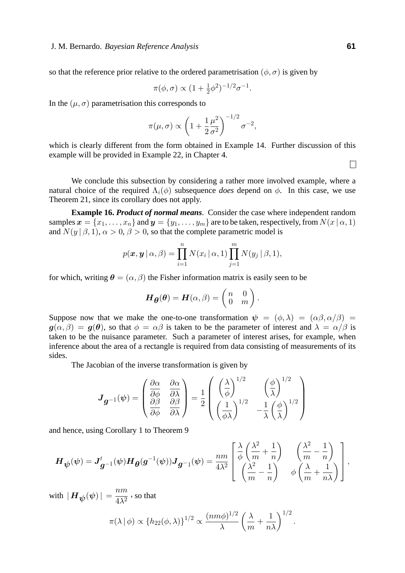so that the reference prior relative to the ordered parametrisation ( $\phi$ ,  $\sigma$ ) is given by

$$
\pi(\phi,\sigma) \propto (1+\tfrac{1}{2}\phi^2)^{-1/2}\sigma^{-1}.
$$

In the  $(\mu, \sigma)$  parametrisation this corresponds to

$$
\pi(\mu,\sigma) \propto \left(1 + \frac{1}{2}\frac{\mu^2}{\sigma^2}\right)^{-1/2} \sigma^{-2},
$$

which is clearly different from the form obtained in Example 14. Further discussion of this example will be provided in Example 22, in Chapter 4.

We conclude this subsection by considering a rather more involved example, where a natural choice of the required  $\Lambda_i(\phi)$  subsequence *does* depend on  $\phi$ . In this case, we use Theorem 21, since its corollary does not apply.

**Example 16.** *Product of normal means*. Consider the case where independent random samples  $x = \{x_1, \ldots, x_n\}$  and  $y = \{y_1, \ldots, y_m\}$  are to be taken, respectively, from  $N(x | \alpha, 1)$ and  $N(y | \beta, 1)$ ,  $\alpha > 0$ ,  $\beta > 0$ , so that the complete parametric model is

$$
p(\boldsymbol{x}, \boldsymbol{y} \mid \alpha, \beta) = \prod_{i=1}^{n} N(x_i \mid \alpha, 1) \prod_{j=1}^{m} N(y_j \mid \beta, 1),
$$

for which, writing  $\theta = (\alpha, \beta)$  the Fisher information matrix is easily seen to be

$$
\boldsymbol{H}_{\boldsymbol{\theta}}(\boldsymbol{\theta}) = \boldsymbol{H}(\alpha, \beta) = \begin{pmatrix} n & 0 \\ 0 & m \end{pmatrix}.
$$

Suppose now that we make the one-to-one transformation  $\psi = (\phi, \lambda) = (\alpha \beta, \alpha/\beta) =$  $q(\alpha, \beta) = q(\theta)$ , so that  $\phi = \alpha \beta$  is taken to be the parameter of interest and  $\lambda = \alpha/\beta$  is taken to be the nuisance parameter. Such a parameter of interest arises, for example, when inference about the area of a rectangle is required from data consisting of measurements of its sides.

The Jacobian of the inverse transformation is given by

$$
\boldsymbol{J}_{\boldsymbol{g}^{-1}}(\boldsymbol{\psi}) = \begin{pmatrix} \frac{\partial \alpha}{\partial \phi} & \frac{\partial \alpha}{\partial \lambda} \\ \frac{\partial \beta}{\partial \phi} & \frac{\partial \beta}{\partial \lambda} \end{pmatrix} = \frac{1}{2} \begin{pmatrix} \left(\frac{\lambda}{\phi}\right)^{1/2} & \left(\frac{\phi}{\lambda}\right)^{1/2} \\ \left(\frac{1}{\phi\lambda}\right)^{1/2} & -\frac{1}{\lambda} \left(\frac{\phi}{\lambda}\right)^{1/2} \end{pmatrix}
$$

and hence, using Corollary 1 to Theorem 9

$$
\boldsymbol{H}_{\boldsymbol{\psi}}(\boldsymbol{\psi}) = \boldsymbol{J}_{\boldsymbol{g}^{-1}}^t(\boldsymbol{\psi}) \boldsymbol{H}_{\boldsymbol{\theta}}(\boldsymbol{g}^{-1}(\boldsymbol{\psi})) \boldsymbol{J}_{\boldsymbol{g}^{-1}}(\boldsymbol{\psi}) = \frac{nm}{4\lambda^2} \begin{bmatrix} \frac{\lambda}{\phi} \left( \frac{\lambda^2}{m} + \frac{1}{n} \right) & \left( \frac{\lambda^2}{m} - \frac{1}{n} \right) \\ \left( \frac{\lambda^2}{m} - \frac{1}{n} \right) & \phi \left( \frac{\lambda}{m} + \frac{1}{n\lambda} \right) \end{bmatrix},
$$

with  $|\,\bm{H}_{\bm{\psi}}(\psi)\,| \,=\frac{nm}{4\lambda^2}$  , so that

$$
\pi(\lambda | \phi) \propto \{h_{22}(\phi, \lambda)\}^{1/2} \propto \frac{(nm\phi)^{1/2}}{\lambda} \left(\frac{\lambda}{m} + \frac{1}{n\lambda}\right)^{1/2}
$$

*.*

 $\Box$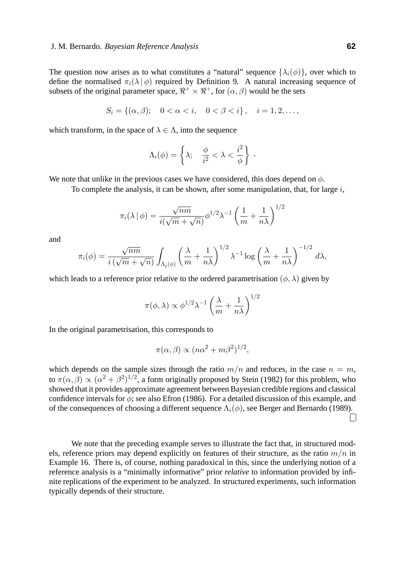The question now arises as to what constitutes a "natural" sequence  $\{\lambda_i(\phi)\}\)$ , over which to define the normalised  $\pi_i(\lambda | \phi)$  required by Definition 9. A natural increasing sequence of subsets of the original parameter space,  $\mathbb{R}^+ \times \mathbb{R}^+$ , for  $(\alpha, \beta)$  would be the sets

$$
S_i = \{ (\alpha, \beta); \quad 0 < \alpha < i, \quad 0 < \beta < i \}, \quad i = 1, 2, \dots,
$$

which transform, in the space of  $\lambda \in \Lambda$ , into the sequence

$$
\Lambda_i(\phi) = \left\{ \lambda; \quad \frac{\phi}{i^2} < \lambda < \frac{i^2}{\phi} \right\} .
$$

We note that unlike in the previous cases we have considered, this does depend on  $\phi$ .

To complete the analysis, it can be shown, after some manipulation, that, for large *i*,

$$
\pi_i(\lambda \mid \phi) = \frac{\sqrt{nm}}{i(\sqrt{m} + \sqrt{n})} \phi^{1/2} \lambda^{-1} \left(\frac{1}{m} + \frac{1}{n\lambda}\right)^{1/2}
$$

and

$$
\pi_i(\phi) = \frac{\sqrt{nm}}{i\left(\sqrt{m} + \sqrt{n}\right)} \int_{\Lambda_i(\phi)} \left(\frac{\lambda}{m} + \frac{1}{n\lambda}\right)^{1/2} \lambda^{-1} \log\left(\frac{\lambda}{m} + \frac{1}{n\lambda}\right)^{-1/2} d\lambda,
$$

which leads to a reference prior relative to the ordered parametrisation  $(\phi, \lambda)$  given by

$$
\pi(\phi,\lambda) \propto \phi^{1/2}\lambda^{-1} \left(\frac{\lambda}{m} + \frac{1}{n\lambda}\right)^{1/2}
$$

In the original parametrisation, this corresponds to

$$
\pi(\alpha, \beta) \propto (n\alpha^2 + m\beta^2)^{1/2},
$$

which depends on the sample sizes through the ratio  $m/n$  and reduces, in the case  $n = m$ , to  $\pi(\alpha, \beta) \propto (\alpha^2 + \beta^2)^{1/2}$ , a form originally proposed by Stein (1982) for this problem, who showed that it provides approximate agreement between Bayesian credible regions and classical confidence intervals for *φ*; see also Efron (1986). For a detailed discussion of this example, and of the consequences of choosing a different sequence  $\Lambda_i(\phi)$ , see Berger and Bernardo (1989).

We note that the preceding example serves to illustrate the fact that, in structured models, reference priors may depend explicitly on features of their structure, as the ratio *m/n* in Example 16. There is, of course, nothing paradoxical in this, since the underlying notion of a reference analysis is a "minimally informative" prior *relative* to information provided by infinite replications of the experiment to be analyzed. In structured experiments, such information typically depends of their structure.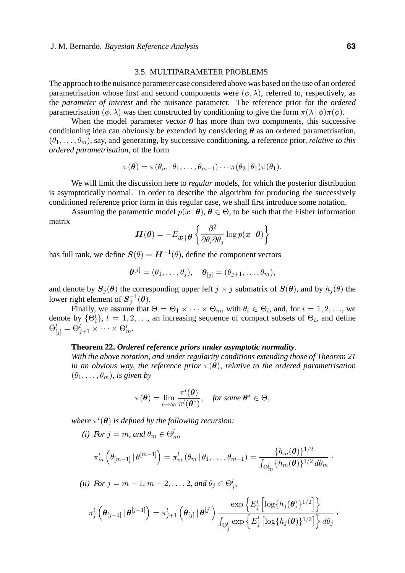#### 3.5. MULTIPARAMETER PROBLEMS

The approach to the nuisance parameter case considered above was based on the use of an ordered parametrisation whose first and second components were  $(\phi, \lambda)$ , referred to, respectively, as the *parameter of interest* and the nuisance parameter. The reference prior for the *ordered* parametrisation ( $\phi$ ,  $\lambda$ ) was then constructed by conditioning to give the form  $\pi(\lambda | \phi) \pi(\phi)$ .

When the model parameter vector  $\theta$  has more than two components, this successive conditioning idea can obviously be extended by considering  $\theta$  as an ordered parametrisation,  $(\theta_1, \ldots, \theta_m)$ , say, and generating, by successive conditioning, a reference prior, *relative to this ordered parametrisation*, of the form

$$
\pi(\boldsymbol{\theta}) = \pi(\theta_m \,|\, \theta_1, \ldots, \theta_{m-1}) \cdots \pi(\theta_2 \,|\, \theta_1) \pi(\theta_1).
$$

We will limit the discussion here to *regular* models, for which the posterior distribution is asymptotically normal. In order to describe the algorithm for producing the successively conditioned reference prior form in this regular case, we shall first introduce some notation.

Assuming the parametric model  $p(x | \theta)$ ,  $\theta \in \Theta$ , to be such that the Fisher information matrix

$$
\boldsymbol{H}(\boldsymbol{\theta}) = -E_{\boldsymbol{x}|\boldsymbol{\theta}} \left\{ \frac{\partial^2}{\partial \theta_i \partial \theta_j} \log p(\boldsymbol{x}|\boldsymbol{\theta}) \right\}
$$

has full rank, we define  $S(\theta) = H^{-1}(\theta)$ , define the component vectors

$$
\boldsymbol{\theta}^{[j]} = (\theta_1, \ldots, \theta_j), \quad \boldsymbol{\theta}_{[j]} = (\theta_{j+1}, \ldots, \theta_m),
$$

and denote by  $S_i(\theta)$  the corresponding upper left  $j \times j$  submatrix of  $S(\theta)$ , and by  $h_i(\theta)$  the lower right element of  $S_j^{-1}(\theta)$ .

Finally, we assume that  $\Theta = \Theta_1 \times \cdots \times \Theta_m$ , with  $\theta_i \in \Theta_i$ , and, for  $i = 1, 2, \ldots$ , we denote by  $\{\Theta_i^l\}$ ,  $l = 1, 2, \ldots$ , an increasing sequence of compact subsets of  $\Theta_i$ , and define  $\Theta^l_{[j]} = \Theta^l_{j+1} \times \cdots \times \Theta^l_{m}.$ 

# **Theorem 22.** *Ordered reference priors under asymptotic normality*.

*With the above notation, and under regularity conditions extending those of Theorem 21 in an obvious way, the reference prior*  $\pi(\theta)$ *, relative to the ordered parametrisation*  $(\theta_1, \ldots, \theta_m)$ *, is given by* 

$$
\pi(\boldsymbol{\theta})=\lim_{l\to\infty}\frac{\pi^l(\boldsymbol{\theta})}{\pi^l(\boldsymbol{\theta}^*)}, \quad \text{for some } \boldsymbol{\theta}^*\in\Theta,
$$

*where π<sup>l</sup>* (*θ*) *is defined by the following recursion:*

*(i)* For  $j = m$ , and  $\theta_m \in \Theta_m^l$ ,

$$
\pi_m^l\left(\theta_{[m-1]} | \theta^{[m-1]}\right) = \pi_m^l\left(\theta_m | \theta_1, \ldots, \theta_{m-1}\right) = \frac{\{h_m(\boldsymbol{\theta})\}^{1/2}}{\int_{\Theta_m^l} \{h_m(\boldsymbol{\theta})\}^{1/2} d\theta_m}
$$

*(ii) For*  $j = m - 1$ *,*  $m - 2$ *,...,* 2*,* and  $\theta_j \in \Theta_j^l$ *,* 

$$
\pi_j^l\left(\boldsymbol{\theta}_{[j-1]}\,|\,\boldsymbol{\theta}^{[j-1]}\right)=\pi_{j+1}^l\left(\boldsymbol{\theta}_{[j]}\,|\,\boldsymbol{\theta}^{[j]}\right)\frac{\exp\left\{E_j^l\left[\log\{h_j(\boldsymbol{\theta})\}^{1/2}\right]\right\}}{\int_{\Theta_j^l}\exp\left\{E_j^l\left[\log\{h_j(\boldsymbol{\theta})\}^{1/2}\right]\right\}d\theta_j},
$$

*.*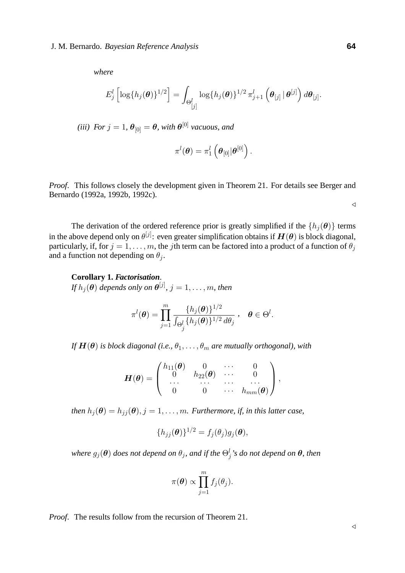*where*

$$
E_j^l\left[\log\{h_j(\boldsymbol{\theta})\}^{1/2}\right] = \int_{\Theta_{[j]}^l} \log\{h_j(\boldsymbol{\theta})\}^{1/2} \, \pi_{j+1}^l\left(\boldsymbol{\theta}_{[j]}\,|\,\boldsymbol{\theta}^{[j]}\right) d\boldsymbol{\theta}_{[j]}.
$$

*(iii)* For  $j = 1$ ,  $\theta_{[0]} = \theta$ , with  $\theta^{[0]}$  vacuous, and

$$
\pi^l(\boldsymbol{\theta})=\pi_1^l\left(\boldsymbol{\theta}_{[0]}|\boldsymbol{\theta}^{[0]}\right).
$$

*Proof.* This follows closely the development given in Theorem 21. For details see Berger and Bernardo (1992a, 1992b, 1992c).

The derivation of the ordered reference prior is greatly simplified if the  ${h_i(\theta)}$  terms in the above depend only on  $\theta^{[j]}$ : even greater simplification obtains if  $\bm{H}(\bm{\theta})$  is block diagonal, particularly, if, for  $j = 1, \ldots, m$ , the *j*th term can be factored into a product of a function of  $\theta_j$ and a function not depending on  $\theta_i$ .

**Corollary 1.** *Factorisation*. *If*  $h_j(\boldsymbol{\theta})$  *depends only on*  $\boldsymbol{\theta}^{[j]}$ ,  $j = 1, \ldots, m$ *, then* 

$$
\pi^l(\boldsymbol{\theta}) = \prod_{j=1}^m \frac{\{h_j(\boldsymbol{\theta})\}^{1/2}}{\int_{\Theta_j^l} \{h_j(\boldsymbol{\theta})\}^{1/2} d\theta_j}, \quad \boldsymbol{\theta} \in \Theta^l.
$$

*If*  $H(\theta)$  *is block diagonal (i.e.,*  $\theta_1, \ldots, \theta_m$  *are mutually orthogonal), with* 

$$
\boldsymbol{H}(\boldsymbol{\theta}) = \begin{pmatrix} h_{11}(\boldsymbol{\theta}) & 0 & \cdots & 0 \\ 0 & h_{22}(\boldsymbol{\theta}) & \cdots & 0 \\ \cdots & \cdots & \cdots & \cdots \\ 0 & 0 & \cdots & h_{mm}(\boldsymbol{\theta}) \end{pmatrix},
$$

*then*  $h_j(\theta) = h_{jj}(\theta), j = 1, \ldots, m$ *. Furthermore, if, in this latter case,* 

$$
\{h_{jj}(\boldsymbol{\theta})\}^{1/2}=f_j(\theta_j)g_j(\boldsymbol{\theta}),
$$

 $w$ here  $g_j(\boldsymbol{\theta})$  does not depend on  $\theta_j$ , and if the  $\Theta_j^l$  's do not depend on  $\boldsymbol{\theta}$ , then

$$
\pi(\boldsymbol{\theta}) \propto \prod_{j=1}^m f_j(\theta_j).
$$

*Proof*. The results follow from the recursion of Theorem 21.

 $\lhd$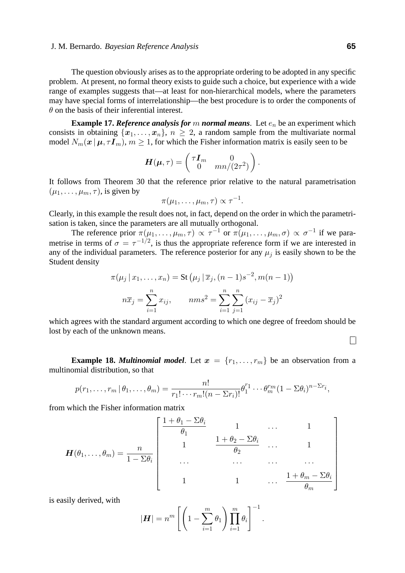The question obviously arises as to the appropriate ordering to be adopted in any specific problem. At present, no formal theory exists to guide such a choice, but experience with a wide range of examples suggests that—at least for non-hierarchical models, where the parameters may have special forms of interrelationship—the best procedure is to order the components of *θ* on the basis of their inferential interest.

**Example 17.** *Reference analysis for m normal means*. Let  $e_n$  be an experiment which consists in obtaining  $\{x_1, \ldots, x_n\}, n \geq 2$ , a random sample from the multivariate normal model  $N_m(\mathbf{x} | \boldsymbol{\mu}, \tau \boldsymbol{I}_m)$ ,  $m \geq 1$ , for which the Fisher information matrix is easily seen to be

$$
\boldsymbol{H}(\boldsymbol{\mu},\tau)=\begin{pmatrix} \tau\boldsymbol{I}_m & 0\\ 0 & mn/(2\tau^2) \end{pmatrix}.
$$

It follows from Theorem 30 that the reference prior relative to the natural parametrisation  $(\mu_1, \ldots, \mu_m, \tau)$ , is given by

$$
\pi(\mu_1,\ldots,\mu_m,\tau) \propto \tau^{-1}.
$$

Clearly, in this example the result does not, in fact, depend on the order in which the parametrisation is taken, since the parameters are all mutually orthogonal.

The reference prior  $\pi(\mu_1,\ldots,\mu_m,\tau) \propto \tau^{-1}$  or  $\pi(\mu_1,\ldots,\mu_m,\sigma) \propto \sigma^{-1}$  if we parametrise in terms of  $\sigma = \tau^{-1/2}$ , is thus the appropriate reference form if we are interested in any of the individual parameters. The reference posterior for any  $\mu_j$  is easily shown to be the Student density

$$
\pi(\mu_j \,|\, x_1, \ldots, x_n) = \text{St}\left(\mu_j \,|\, \overline{x}_j, (n-1)s^{-2}, m(n-1)\right)
$$

$$
n\overline{x}_j = \sum_{i=1}^n x_{ij}, \qquad nms^2 = \sum_{i=1}^n \sum_{j=1}^n (x_{ij} - \overline{x}_j)^2
$$

which agrees with the standard argument according to which one degree of freedom should be lost by each of the unknown means.

**Example 18.** *Multinomial model*. Let  $x = \{r_1, \ldots, r_m\}$  be an observation from a multinomial distribution, so that

$$
p(r_1,\ldots,r_m\,|\,\theta_1,\ldots,\theta_m)=\frac{n!}{r_1!\cdots r_m!(n-\Sigma r_i)!}\theta_1^{r_1}\cdots\theta_m^{r_m}(1-\Sigma\theta_i)^{n-\Sigma r_i},
$$

from which the Fisher information matrix

$$
\boldsymbol{H}(\theta_1,\ldots,\theta_m) = \frac{n}{1-\Sigma\theta_i} \begin{bmatrix} \frac{1+\theta_1-\Sigma\theta_i}{\theta_1} & 1 & \cdots & 1 \\ 1 & \frac{1+\theta_2-\Sigma\theta_i}{\theta_2} & \cdots & 1 \\ \cdots & \cdots & \cdots & \cdots \\ 1 & 1 & 1 & \cdots & \frac{1+\theta_m-\Sigma\theta_i}{\theta_m} \end{bmatrix}
$$

is easily derived, with

$$
|\boldsymbol{H}| = n^m \left[ \left( 1 - \sum_{i=1}^m \theta_i \right) \prod_{i=1}^m \theta_i \right]^{-1}.
$$

 $\Box$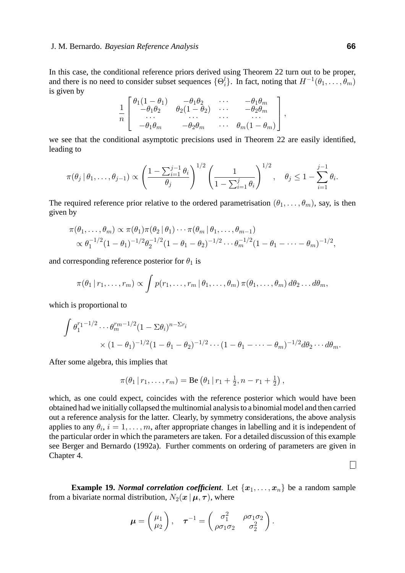In this case, the conditional reference priors derived using Theorem 22 turn out to be proper, and there is no need to consider subset sequences  $\{\Theta_i^l\}$ . In fact, noting that  $H^{-1}(\theta_1, \dots, \theta_m)$ is given by

$$
\frac{1}{n} \begin{bmatrix} \theta_1(1-\theta_1) & -\theta_1\theta_2 & \cdots & -\theta_1\theta_m \\ -\theta_1\theta_2 & \theta_2(1-\theta_2) & \cdots & -\theta_2\theta_m \\ \cdots & \cdots & \cdots & \cdots \\ -\theta_1\theta_m & -\theta_2\theta_m & \cdots & \theta_m(1-\theta_m) \end{bmatrix},
$$

we see that the conditional asymptotic precisions used in Theorem 22 are easily identified, leading to

$$
\pi(\theta_j | \theta_1, \dots, \theta_{j-1}) \propto \left(\frac{1 - \sum_{i=1}^{j-1} \theta_i}{\theta_j}\right)^{1/2} \left(\frac{1}{1 - \sum_{i=1}^{j} \theta_i}\right)^{1/2}, \quad \theta_j \leq 1 - \sum_{i=1}^{j-1} \theta_i.
$$

The required reference prior relative to the ordered parametrisation  $(\theta_1, \ldots, \theta_m)$ , say, is then given by

$$
\pi(\theta_1,\ldots,\theta_m) \propto \pi(\theta_1)\pi(\theta_2 | \theta_1) \cdots \pi(\theta_m | \theta_1,\ldots,\theta_{m-1})
$$
  
 
$$
\propto \theta_1^{-1/2} (1 - \theta_1)^{-1/2} \theta_2^{-1/2} (1 - \theta_1 - \theta_2)^{-1/2} \cdots \theta_m^{-1/2} (1 - \theta_1 - \cdots - \theta_m)^{-1/2},
$$

and corresponding reference posterior for  $\theta_1$  is

$$
\pi(\theta_1 | r_1,\ldots,r_m) \propto \int p(r_1,\ldots,r_m | \theta_1,\ldots,\theta_m) \, \pi(\theta_1,\ldots,\theta_m) \, d\theta_2 \ldots d\theta_m,
$$

which is proportional to

$$
\int \theta_1^{r_1-1/2} \cdots \theta_m^{r_m-1/2} (1 - \Sigma \theta_i)^{n-\Sigma r_i}
$$
  
\$\times (1 - \theta\_1)^{-1/2} (1 - \theta\_1 - \theta\_2)^{-1/2} \cdots (1 - \theta\_1 - \cdots - \theta\_m)^{-1/2} d\theta\_2 \cdots d\theta\_m\$.

After some algebra, this implies that

$$
\pi(\theta_1 | r_1, \ldots, r_m) = \text{Be}(\theta_1 | r_1 + \frac{1}{2}, n - r_1 + \frac{1}{2}),
$$

which, as one could expect, coincides with the reference posterior which would have been obtained had we initially collapsed the multinomial analysis to a binomial model and then carried out a reference analysis for the latter. Clearly, by symmetry considerations, the above analysis applies to any  $\theta_i$ ,  $i = 1, \ldots, m$ , after appropriate changes in labelling and it is independent of the particular order in which the parameters are taken. For a detailed discussion of this example see Berger and Bernardo (1992a). Further comments on ordering of parameters are given in Chapter 4.

**Example 19.** *Normal correlation coefficient*. Let  $\{x_1, \ldots, x_n\}$  be a random sample from a bivariate normal distribution,  $N_2(x | \mu, \tau)$ , where

$$
\boldsymbol{\mu} = \begin{pmatrix} \mu_1 \\ \mu_2 \end{pmatrix}, \quad \boldsymbol{\tau}^{-1} = \begin{pmatrix} \sigma_1^2 & \rho \sigma_1 \sigma_2 \\ \rho \sigma_1 \sigma_2 & \sigma_2^2 \end{pmatrix}.
$$

П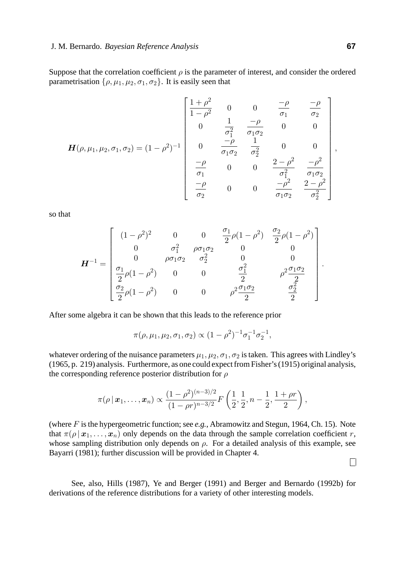Suppose that the correlation coefficient  $\rho$  is the parameter of interest, and consider the ordered parametrisation  $\{\rho, \mu_1, \mu_2, \sigma_1, \sigma_2\}$ . It is easily seen that

$$
\mathbf{H}(\rho, \mu_1, \mu_2, \sigma_1, \sigma_2) = (1 - \rho^2)^{-1} \begin{bmatrix} \frac{1 + \rho^2}{1 - \rho^2} & 0 & 0 & \frac{-\rho}{\sigma_1} & \frac{-\rho}{\sigma_2} \\ 0 & \frac{1}{\sigma_1^2} & \frac{-\rho}{\sigma_1 \sigma_2} & 0 & 0 \\ 0 & \frac{-\rho}{\sigma_1 \sigma_2} & \frac{1}{\sigma_2^2} & 0 & 0 \\ \frac{-\rho}{\sigma_1} & 0 & 0 & \frac{2 - \rho^2}{\sigma_1^2} & \frac{-\rho^2}{\sigma_1 \sigma_2} \\ \frac{-\rho}{\sigma_2} & 0 & 0 & \frac{-\rho^2}{\sigma_1 \sigma_2} & \frac{2 - \rho^2}{\sigma_2^2} \end{bmatrix},
$$

so that

$$
\mathbf{H}^{-1} = \begin{bmatrix} (1 - \rho^2)^2 & 0 & 0 & \frac{\sigma_1}{2}\rho(1 - \rho^2) & \frac{\sigma_2}{2}\rho(1 - \rho^2) \\ 0 & \sigma_1^2 & \rho\sigma_1\sigma_2 & 0 & 0 \\ 0 & \rho\sigma_1\sigma_2 & \sigma_2^2 & 0 & 0 \\ \frac{\sigma_1}{2}\rho(1 - \rho^2) & 0 & 0 & \frac{\sigma_1^2}{2} & \rho^2\frac{\sigma_1\sigma_2}{2} \\ \frac{\sigma_2}{2}\rho(1 - \rho^2) & 0 & 0 & \rho^2\frac{\sigma_1\sigma_2}{2} & \frac{\sigma_2^2}{2} \end{bmatrix}
$$

After some algebra it can be shown that this leads to the reference prior

$$
\pi(\rho, \mu_1, \mu_2, \sigma_1, \sigma_2) \propto (1 - \rho^2)^{-1} \sigma_1^{-1} \sigma_2^{-1},
$$

whatever ordering of the nuisance parameters  $\mu_1, \mu_2, \sigma_1, \sigma_2$  is taken. This agrees with Lindley's (1965, p. 219) analysis. Furthermore, as one could expect from Fisher's (1915) original analysis, the corresponding reference posterior distribution for *ρ*

$$
\pi(\rho \,|\, \boldsymbol{x}_1,\ldots,\boldsymbol{x}_n) \propto \frac{(1-\rho^2)^{(n-3)/2}}{(1-\rho r)^{n-3/2}} F\left(\frac{1}{2},\frac{1}{2},n-\frac{1}{2},\frac{1+\rho r}{2}\right),
$$

(where *F* is the hypergeometric function; see *e.g.*, Abramowitz and Stegun, 1964, Ch. 15). Note that  $\pi(\rho | x_1, \ldots, x_n)$  only depends on the data through the sample correlation coefficient *r*, whose sampling distribution only depends on *ρ*. For a detailed analysis of this example, see Bayarri (1981); further discussion will be provided in Chapter 4.

See, also, Hills (1987), Ye and Berger (1991) and Berger and Bernardo (1992b) for derivations of the reference distributions for a variety of other interesting models.

*.*

 $\Box$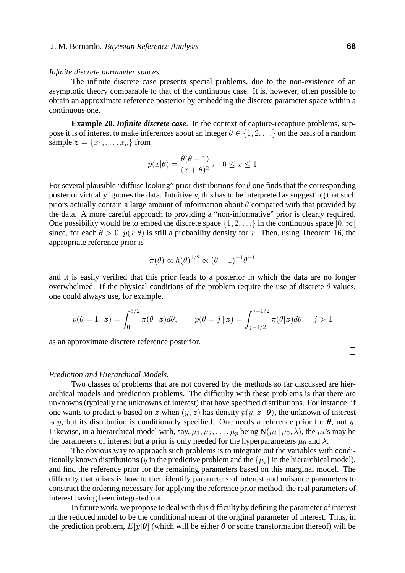#### *Infinite discrete parameter spaces.*

The infinite discrete case presents special problems, due to the non-existence of an asymptotic theory comparable to that of the continuous case. It is, however, often possible to obtain an approximate reference posterior by embedding the discrete parameter space within a continuous one.

**Example 20.** *Infinite discrete case*. In the context of capture-recapture problems, suppose it is of interest to make inferences about an integer  $\theta \in \{1, 2, ...\}$  on the basis of a random sample  $z = \{x_1, \ldots, x_n\}$  from

$$
p(x|\theta) = \frac{\theta(\theta+1)}{(x+\theta)^2}, \quad 0 \le x \le 1
$$

For several plausible "diffuse looking" prior distributions for *θ* one finds that the corresponding posterior virtually ignores the data. Intuitively, this has to be interpreted as suggesting that such priors actually contain a large amount of information about *θ* compared with that provided by the data. A more careful approach to providing a "non-informative" prior is clearly required. One possibility would be to embed the discrete space  $\{1, 2, ...\}$  in the continuous space  $]0, \infty[$ since, for each  $\theta > 0$ ,  $p(x|\theta)$  is still a probability density for *x*. Then, using Theorem 16, the appropriate reference prior is

$$
\pi(\theta) \propto h(\theta)^{1/2} \propto (\theta+1)^{-1}\theta^{-1}
$$

and it is easily verified that this prior leads to a posterior in which the data are no longer overwhelmed. If the physical conditions of the problem require the use of discrete  $\theta$  values, one could always use, for example,

$$
p(\theta = 1 | \mathbf{z}) = \int_0^{3/2} \pi(\theta | \mathbf{z}) d\theta, \qquad p(\theta = j | \mathbf{z}) = \int_{j-1/2}^{j+1/2} \pi(\theta | \mathbf{z}) d\theta, \quad j > 1
$$

as an approximate discrete reference posterior.

## *Prediction and Hierarchical Models.*

Two classes of problems that are not covered by the methods so far discussed are hierarchical models and prediction problems. The difficulty with these problems is that there are unknowns (typically the unknowns of interest) that have specified distributions. For instance, if one wants to predict *y* based on *z* when  $(y, z)$  has density  $p(y, z | \theta)$ , the unknown of interest is *y*, but its distribution is conditionally specified. One needs a reference prior for  $\theta$ , not *y*. Likewise, in a hierarchical model with, say,  $\mu_1, \mu_2, \ldots, \mu_p$  being  $N(\mu_i | \mu_0, \lambda)$ , the  $\mu_i$ 's may be the parameters of interest but a prior is only needed for the hyperparameters  $\mu_0$  and  $\lambda$ .

The obvious way to approach such problems is to integrate out the variables with conditionally known distributions (*y* in the predictive problem and the  $\{\mu_i\}$  in the hierarchical model), and find the reference prior for the remaining parameters based on this marginal model. The difficulty that arises is how to then identify parameters of interest and nuisance parameters to construct the ordering necessary for applying the reference prior method, the real parameters of interest having been integrated out.

In future work, we propose to deal with this difficulty by defining the parameter of interest in the reduced model to be the conditional mean of the original parameter of interest. Thus, in the prediction problem,  $E[y|\theta]$  (which will be either  $\theta$  or some transformation thereof) will be

 $\Box$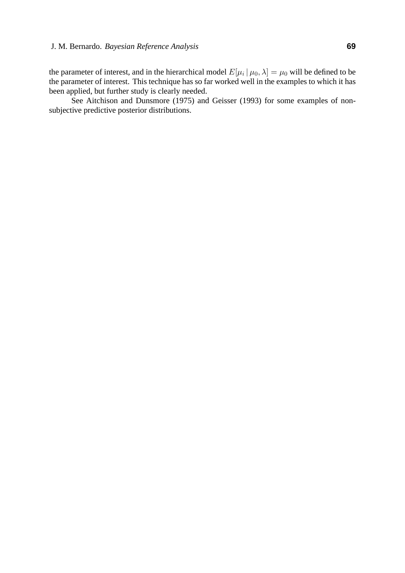the parameter of interest, and in the hierarchical model  $E[\mu_i | \mu_0, \lambda] = \mu_0$  will be defined to be the parameter of interest. This technique has so far worked well in the examples to which it has been applied, but further study is clearly needed.

See Aitchison and Dunsmore (1975) and Geisser (1993) for some examples of nonsubjective predictive posterior distributions.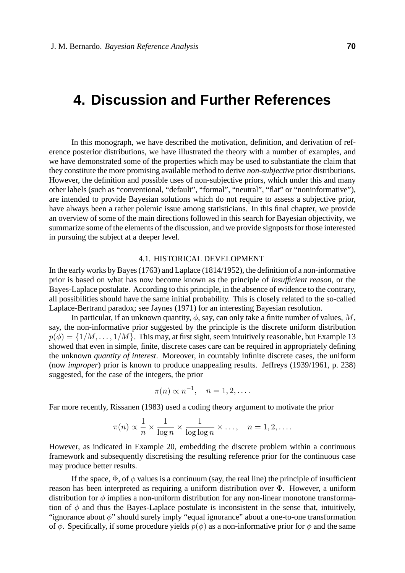# **4. Discussion and Further References**

In this monograph, we have described the motivation, definition, and derivation of reference posterior distributions, we have illustrated the theory with a number of examples, and we have demonstrated some of the properties which may be used to substantiate the claim that they constitute the more promising available method to derive *non-subjective* prior distributions. However, the definition and possible uses of non-subjective priors, which under this and many other labels (such as "conventional, "default", "formal", "neutral", "flat" or "noninformative"), are intended to provide Bayesian solutions which do not require to assess a subjective prior, have always been a rather polemic issue among statisticians. In this final chapter, we provide an overview of some of the main directions followed in this search for Bayesian objectivity, we summarize some of the elements of the discussion, and we provide signposts for those interested in pursuing the subject at a deeper level.

## 4.1. HISTORICAL DEVELOPMENT

In the early works by Bayes (1763) and Laplace (1814/1952), the definition of a non-informative prior is based on what has now become known as the principle of *insufficient reason*, or the Bayes-Laplace postulate. According to this principle, in the absence of evidence to the contrary, all possibilities should have the same initial probability. This is closely related to the so-called Laplace-Bertrand paradox; see Jaynes (1971) for an interesting Bayesian resolution.

In particular, if an unknown quantity, *φ*, say, can only take a finite number of values, *M*, say, the non-informative prior suggested by the principle is the discrete uniform distribution  $p(\phi) = \{1/M, \ldots, 1/M\}$ . This may, at first sight, seem intuitively reasonable, but Example 13 showed that even in simple, finite, discrete cases care can be required in appropriately defining the unknown *quantity of interest*. Moreover, in countably infinite discrete cases, the uniform (now *improper*) prior is known to produce unappealing results. Jeffreys (1939/1961, p. 238) suggested, for the case of the integers, the prior

$$
\pi(n) \propto n^{-1}, \quad n = 1, 2, \dots.
$$

Far more recently, Rissanen (1983) used a coding theory argument to motivate the prior

$$
\pi(n) \propto \frac{1}{n} \times \frac{1}{\log n} \times \frac{1}{\log \log n} \times \dots, \quad n = 1, 2, \dots
$$

However, as indicated in Example 20, embedding the discrete problem within a continuous framework and subsequently discretising the resulting reference prior for the continuous case may produce better results.

If the space,  $\Phi$ , of  $\phi$  values is a continuum (say, the real line) the principle of insufficient reason has been interpreted as requiring a uniform distribution over Φ. However, a uniform distribution for *φ* implies a non-uniform distribution for any non-linear monotone transformation of  $\phi$  and thus the Bayes-Laplace postulate is inconsistent in the sense that, intuitively, "ignorance about *φ*" should surely imply "equal ignorance" about a one-to-one transformation of  $\phi$ . Specifically, if some procedure yields  $p(\phi)$  as a non-informative prior for  $\phi$  and the same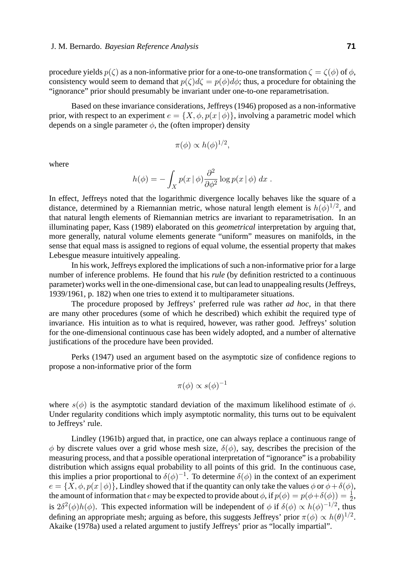procedure yields  $p(\zeta)$  as a non-informative prior for a one-to-one transformation  $\zeta = \zeta(\phi)$  of  $\phi$ , consistency would seem to demand that  $p(\zeta)d\zeta = p(\phi)d\phi$ ; thus, a procedure for obtaining the "ignorance" prior should presumably be invariant under one-to-one reparametrisation.

Based on these invariance considerations, Jeffreys (1946) proposed as a non-informative prior, with respect to an experiment  $e = \{X, \phi, p(x | \phi)\}\$ , involving a parametric model which depends on a single parameter  $\phi$ , the (often improper) density

$$
\pi(\phi) \propto h(\phi)^{1/2},
$$

where

$$
h(\phi) = -\int_X p(x \mid \phi) \frac{\partial^2}{\partial \phi^2} \log p(x \mid \phi) dx.
$$

In effect, Jeffreys noted that the logarithmic divergence locally behaves like the square of a distance, determined by a Riemannian metric, whose natural length element is  $h(\phi)^{1/2}$ , and that natural length elements of Riemannian metrics are invariant to reparametrisation. In an illuminating paper, Kass (1989) elaborated on this *geometrical* interpretation by arguing that, more generally, natural volume elements generate "uniform" measures on manifolds, in the sense that equal mass is assigned to regions of equal volume, the essential property that makes Lebesgue measure intuitively appealing.

In his work, Jeffreys explored the implications of such a non-informative prior for a large number of inference problems. He found that his *rule* (by definition restricted to a continuous parameter) works well in the one-dimensional case, but can lead to unappealing results (Jeffreys, 1939/1961, p. 182) when one tries to extend it to multiparameter situations.

The procedure proposed by Jeffreys' preferred rule was rather *ad hoc*, in that there are many other procedures (some of which he described) which exhibit the required type of invariance. His intuition as to what is required, however, was rather good. Jeffreys' solution for the one-dimensional continuous case has been widely adopted, and a number of alternative justifications of the procedure have been provided.

Perks (1947) used an argument based on the asymptotic size of confidence regions to propose a non-informative prior of the form

$$
\pi(\phi) \propto s(\phi)^{-1}
$$

where  $s(\phi)$  is the asymptotic standard deviation of the maximum likelihood estimate of  $\phi$ . Under regularity conditions which imply asymptotic normality, this turns out to be equivalent to Jeffreys' rule.

Lindley (1961b) argued that, in practice, one can always replace a continuous range of *φ* by discrete values over a grid whose mesh size,  $\delta$ (*φ*), say, describes the precision of the measuring process, and that a possible operational interpretation of "ignorance" is a probability distribution which assigns equal probability to all points of this grid. In the continuous case, this implies a prior proportional to  $\delta(\phi)^{-1}$ . To determine  $\delta(\phi)$  in the context of an experiment  $e = \{X, \phi, p(x | \phi)\}\$ , Lindley showed that if the quantity can only take the values  $\phi$  or  $\phi + \delta(\phi)$ , the amount of information that *e* may be expected to provide about  $\phi$ , if  $p(\phi) = p(\phi + \delta(\phi)) = \frac{1}{2}$ , is  $2\delta^2(\phi)h(\phi)$ . This expected information will be independent of  $\phi$  if  $\delta(\phi) \propto h(\phi)^{-1/2}$ , thus defining an appropriate mesh; arguing as before, this suggests Jeffreys' prior  $\pi(\phi) \propto h(\theta)^{1/2}$ . Akaike (1978a) used a related argument to justify Jeffreys' prior as "locally impartial".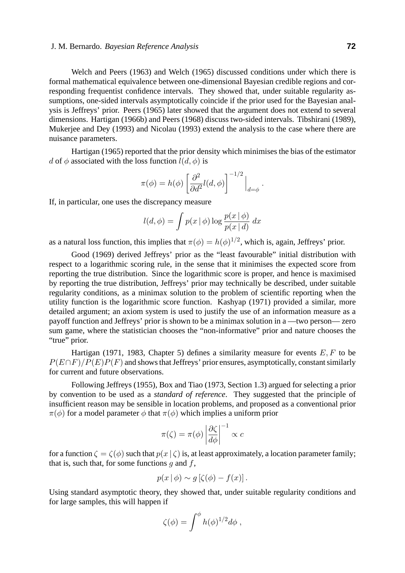Welch and Peers (1963) and Welch (1965) discussed conditions under which there is formal mathematical equivalence between one-dimensional Bayesian credible regions and corresponding frequentist confidence intervals. They showed that, under suitable regularity assumptions, one-sided intervals asymptotically coincide if the prior used for the Bayesian analysis is Jeffreys' prior. Peers (1965) later showed that the argument does not extend to several dimensions. Hartigan (1966b) and Peers (1968) discuss two-sided intervals. Tibshirani (1989), Mukerjee and Dey (1993) and Nicolau (1993) extend the analysis to the case where there are nuisance parameters.

Hartigan (1965) reported that the prior density which minimises the bias of the estimator *d* of  $\phi$  associated with the loss function  $l(d, \phi)$  is

$$
\pi(\phi) = h(\phi) \left[ \frac{\partial^2}{\partial d^2} l(d, \phi) \right]^{-1/2} \Big|_{d = \phi}.
$$

If, in particular, one uses the discrepancy measure

$$
l(d, \phi) = \int p(x | \phi) \log \frac{p(x | \phi)}{p(x | d)} dx
$$

as a natural loss function, this implies that  $\pi(\phi) = h(\phi)^{1/2}$ , which is, again, Jeffreys' prior.

Good (1969) derived Jeffreys' prior as the "least favourable" initial distribution with respect to a logarithmic scoring rule, in the sense that it minimises the expected score from reporting the true distribution. Since the logarithmic score is proper, and hence is maximised by reporting the true distribution, Jeffreys' prior may technically be described, under suitable regularity conditions, as a minimax solution to the problem of scientific reporting when the utility function is the logarithmic score function. Kashyap (1971) provided a similar, more detailed argument; an axiom system is used to justify the use of an information measure as a payoff function and Jeffreys' prior is shown to be a minimax solution in a —two person— zero sum game, where the statistician chooses the "non-informative" prior and nature chooses the "true" prior.

Hartigan (1971, 1983, Chapter 5) defines a similarity measure for events *E,F* to be  $P(E \cap F)/P(E)P(F)$  and shows that Jeffreys' prior ensures, asymptotically, constant similarly for current and future observations.

Following Jeffreys (1955), Box and Tiao (1973, Section 1.3) argued for selecting a prior by convention to be used as a *standard of reference*. They suggested that the principle of insufficient reason may be sensible in location problems, and proposed as a conventional prior *π*(*φ*) for a model parameter *φ* that *π*(*φ*) which implies a uniform prior

$$
\pi(\zeta) = \pi(\phi) \left| \frac{\partial \zeta}{d\phi} \right|^{-1} \propto c
$$

for a function  $\zeta = \zeta(\phi)$  such that  $p(x | \zeta)$  is, at least approximately, a location parameter family; that is, such that, for some functions *g* and *f*,

$$
p(x | \phi) \sim g \left[ \zeta(\phi) - f(x) \right].
$$

Using standard asymptotic theory, they showed that, under suitable regularity conditions and for large samples, this will happen if

$$
\zeta(\phi) = \int^{\phi} h(\phi)^{1/2} d\phi,
$$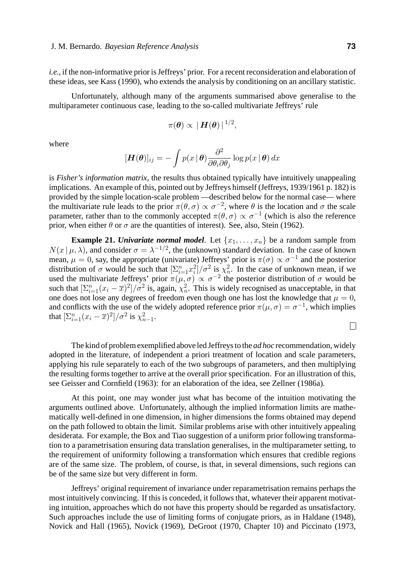*i.e.*, if the non-informative prior is Jeffreys' prior. For a recent reconsideration and elaboration of these ideas, see Kass (1990), who extends the analysis by conditioning on an ancillary statistic.

Unfortunately, although many of the arguments summarised above generalise to the multiparameter continuous case, leading to the so-called multivariate Jeffreys' rule

$$
\pi(\boldsymbol{\theta}) \propto ||\boldsymbol{H}(\boldsymbol{\theta})||^{1/2},
$$

where

$$
[\boldsymbol{H}(\boldsymbol{\theta})]_{ij} = -\int p(x\,|\,\boldsymbol{\theta}) \frac{\partial^2}{\partial \theta_i \partial \theta_j} \log p(x\,|\,\boldsymbol{\theta}) \, dx
$$

is *Fisher's information matrix*, the results thus obtained typically have intuitively unappealing implications. An example of this, pointed out by Jeffreys himself (Jeffreys, 1939/1961 p. 182) is provided by the simple location-scale problem —described below for the normal case— where the multivariate rule leads to the prior  $\pi(\theta, \sigma) \propto \sigma^{-2}$ , where  $\theta$  is the location and  $\sigma$  the scale parameter, rather than to the commonly accepted  $\pi(\theta, \sigma) \propto \sigma^{-1}$  (which is also the reference prior, when either  $\theta$  or  $\sigma$  are the quantities of interest). See, also, Stein (1962).

**Example 21.** *Univariate normal model.* Let  $\{x_1, \ldots, x_n\}$  be a random sample from  $N(x | \mu, \lambda)$ , and consider  $\sigma = \lambda^{-1/2}$ , the (unknown) standard deviation. In the case of known mean,  $\mu = 0$ , say, the appropriate (univariate) Jeffreys' prior is  $\pi(\sigma) \propto \sigma^{-1}$  and the posterior distribution of  $\sigma$  would be such that  $\left[\sum_{i=1}^{n} x_i^2\right]/\sigma^2$  is  $\chi^2_n$ . In the case of unknown mean, if we used the multivariate Jeffreys' prior  $\pi(\mu, \sigma) \propto \sigma^{-2}$  the posterior distribution of  $\sigma$  would be such that  $[\sum_{i=1}^{n} (x_i - \overline{x})^2]/\sigma^2$  is, again,  $\chi^2_n$ . This is widely recognised as unacceptable, in that one does not lose any degrees of freedom even though one has lost the knowledge that  $\mu = 0$ , and conflicts with the use of the widely adopted reference prior  $\pi(\mu, \sigma) = \sigma^{-1}$ , which implies that  $[\sum_{i=1}^{n} (x_i - \overline{x})^2]/\sigma^2$  is  $\chi^2_{n-1}$ . П

The kind of problem exemplified above led Jeffreys to the *ad hoc* recommendation, widely adopted in the literature, of independent a priori treatment of location and scale parameters, applying his rule separately to each of the two subgroups of parameters, and then multiplying the resulting forms together to arrive at the overall prior specification. For an illustration of this, see Geisser and Cornfield (1963): for an elaboration of the idea, see Zellner (1986a).

At this point, one may wonder just what has become of the intuition motivating the arguments outlined above. Unfortunately, although the implied information limits are mathematically well-defined in one dimension, in higher dimensions the forms obtained may depend on the path followed to obtain the limit. Similar problems arise with other intuitively appealing desiderata. For example, the Box and Tiao suggestion of a uniform prior following transformation to a parametrisation ensuring data translation generalises, in the multiparameter setting, to the requirement of uniformity following a transformation which ensures that credible regions are of the same size. The problem, of course, is that, in several dimensions, such regions can be of the same size but very different in form.

Jeffreys' original requirement of invariance under reparametrisation remains perhaps the most intuitively convincing. If this is conceded, it follows that, whatever their apparent motivating intuition, approaches which do not have this property should be regarded as unsatisfactory. Such approaches include the use of limiting forms of conjugate priors, as in Haldane (1948), Novick and Hall (1965), Novick (1969), DeGroot (1970, Chapter 10) and Piccinato (1973,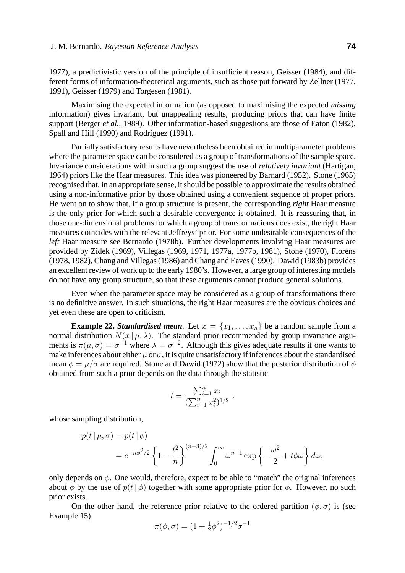1977), a predictivistic version of the principle of insufficient reason, Geisser (1984), and different forms of information-theoretical arguments, such as those put forward by Zellner (1977, 1991), Geisser (1979) and Torgesen (1981).

Maximising the expected information (as opposed to maximising the expected *missing* information) gives invariant, but unappealing results, producing priors that can have finite support (Berger *et al.,* 1989). Other information-based suggestions are those of Eaton (1982), Spall and Hill (1990) and Rodríguez (1991).

Partially satisfactory results have nevertheless been obtained in multiparameter problems where the parameter space can be considered as a group of transformations of the sample space. Invariance considerations within such a group suggest the use of *relatively invariant* (Hartigan, 1964) priors like the Haar measures. This idea was pioneered by Barnard (1952). Stone (1965) recognised that, in an appropriate sense, it should be possible to approximate the results obtained using a non-informative prior by those obtained using a convenient sequence of proper priors. He went on to show that, if a group structure is present, the corresponding *right* Haar measure is the only prior for which such a desirable convergence is obtained. It is reassuring that, in those one-dimensional problems for which a group of transformations does exist, the right Haar measures coincides with the relevant Jeffreys' prior. For some undesirable consequences of the *left* Haar measure see Bernardo (1978b). Further developments involving Haar measures are provided by Zidek (1969), Villegas (1969, 1971, 1977a, 1977b, 1981), Stone (1970), Florens (1978, 1982), Chang and Villegas (1986) and Chang and Eaves (1990). Dawid (1983b) provides an excellent review of work up to the early 1980's. However, a large group of interesting models do not have any group structure, so that these arguments cannot produce general solutions.

Even when the parameter space may be considered as a group of transformations there is no definitive answer. In such situations, the right Haar measures are the obvious choices and yet even these are open to criticism.

**Example 22.** *Standardised mean.* Let  $x = \{x_1, \ldots, x_n\}$  be a random sample from a normal distribution  $N(x | \mu, \lambda)$ . The standard prior recommended by group invariance arguments is  $\pi(\mu, \sigma) = \sigma^{-1}$  where  $\lambda = \sigma^{-2}$ . Although this gives adequate results if one wants to make inferences about either  $\mu$  or  $\sigma$ , it is quite unsatisfactory if inferences about the standardised mean  $\phi = \mu/\sigma$  are required. Stone and Dawid (1972) show that the posterior distribution of  $\phi$ obtained from such a prior depends on the data through the statistic

$$
t = \frac{\sum_{i=1}^{n} x_i}{(\sum_{i=1}^{n} x_i^2)^{1/2}},
$$

whose sampling distribution,

$$
p(t | \mu, \sigma) = p(t | \phi)
$$
  
=  $e^{-n\phi^2/2} \left\{ 1 - \frac{t^2}{n} \right\}^{(n-3)/2} \int_0^\infty \omega^{n-1} \exp \left\{ -\frac{\omega^2}{2} + t\phi\omega \right\} d\omega,$ 

only depends on  $\phi$ . One would, therefore, expect to be able to "match" the original inferences about  $\phi$  by the use of  $p(t | \phi)$  together with some appropriate prior for  $\phi$ . However, no such prior exists.

On the other hand, the reference prior relative to the ordered partition  $(\phi, \sigma)$  is (see Example 15)

$$
\pi(\phi,\sigma) = (1 + \frac{1}{2}\phi^2)^{-1/2}\sigma^{-1}
$$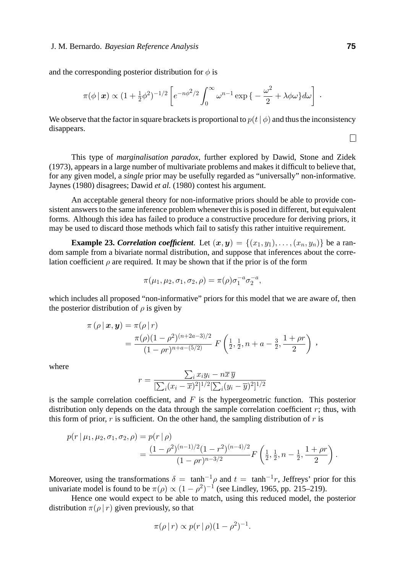and the corresponding posterior distribution for  $\phi$  is

$$
\pi(\phi \,|\, \boldsymbol{x}) \propto (1+\tfrac{1}{2}\phi^2)^{-1/2} \left[ e^{-n\phi^2/2} \int_0^\infty \omega^{n-1} \exp\big(-\frac{\omega^2}{2} + \lambda \phi \omega\big) d\omega \right] \ .
$$

We observe that the factor in square brackets is proportional to  $p(t | \phi)$  and thus the inconsistency disappears.  $\Box$ 

This type of *marginalisation paradox*, further explored by Dawid, Stone and Zidek (1973), appears in a large number of multivariate problems and makes it difficult to believe that, for any given model, a *single* prior may be usefully regarded as "universally" non-informative. Jaynes (1980) disagrees; Dawid *et al.* (1980) contest his argument.

An acceptable general theory for non-informative priors should be able to provide consistent answers to the same inference problem whenever this is posed in different, but equivalent forms. Although this idea has failed to produce a constructive procedure for deriving priors, it may be used to discard those methods which fail to satisfy this rather intuitive requirement.

**Example 23.** *Correlation coefficient*. Let  $(x, y) = \{(x_1, y_1), \ldots, (x_n, y_n)\}\)$  be a random sample from a bivariate normal distribution, and suppose that inferences about the correlation coefficient  $\rho$  are required. It may be shown that if the prior is of the form

$$
\pi(\mu_1, \mu_2, \sigma_1, \sigma_2, \rho) = \pi(\rho)\sigma_1^{-a}\sigma_2^{-a},
$$

which includes all proposed "non-informative" priors for this model that we are aware of, then the posterior distribution of  $\rho$  is given by

$$
\pi(\rho | \mathbf{x}, \mathbf{y}) = \pi(\rho | r) \n= \frac{\pi(\rho)(1 - \rho^2)^{(n+2a-3)/2}}{(1 - \rho r)^{n+a-(5/2)}} F\left(\frac{1}{2}, \frac{1}{2}, n+a-\frac{3}{2}, \frac{1+\rho r}{2}\right) ,
$$

where

$$
r = \frac{\sum_i x_i y_i - n\overline{x}\,\overline{y}}{[\sum_i (x_i - \overline{x})^2]^{1/2}[\sum_i (y_i - \overline{y})^2]^{1/2}}
$$

is the sample correlation coefficient, and *F* is the hypergeometric function. This posterior distribution only depends on the data through the sample correlation coefficient *r*; thus, with this form of prior,  $r$  is sufficient. On the other hand, the sampling distribution of  $r$  is

$$
p(r \mid \mu_1, \mu_2, \sigma_1, \sigma_2, \rho) = p(r \mid \rho)
$$
  
= 
$$
\frac{(1 - \rho^2)^{(n-1)/2} (1 - r^2)^{(n-4)/2}}{(1 - \rho r)^{n-3/2}} F\left(\frac{1}{2}, \frac{1}{2}, n - \frac{1}{2}, \frac{1 + \rho r}{2}\right).
$$

Moreover, using the transformations  $\delta = \tanh^{-1} \rho$  and  $t = \tanh^{-1} r$ , Jeffreys' prior for this univariate model is found to be  $\pi(\rho) \propto (1 - \rho^2)^{-1}$  (see Lindley, 1965, pp. 215–219).

Hence one would expect to be able to match, using this reduced model, the posterior distribution  $\pi(\rho | r)$  given previously, so that

$$
\pi(\rho \mid r) \propto p(r \mid \rho)(1 - \rho^2)^{-1}.
$$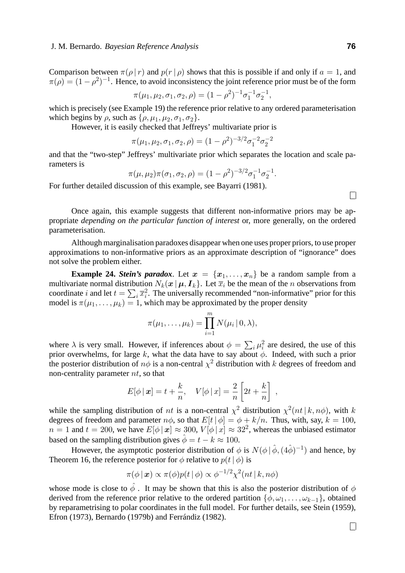Comparison between  $\pi(\rho | r)$  and  $p(r | \rho)$  shows that this is possible if and only if  $a = 1$ , and  $\pi(\rho) = (1 - \rho^2)^{-1}$ . Hence, to avoid inconsistency the joint reference prior must be of the form

$$
\pi(\mu_1, \mu_2, \sigma_1, \sigma_2, \rho) = (1 - \rho^2)^{-1} \sigma_1^{-1} \sigma_2^{-1},
$$

which is precisely (see Example 19) the reference prior relative to any ordered parameterisation which begins by  $\rho$ , such as  $\{\rho, \mu_1, \mu_2, \sigma_1, \sigma_2\}$ .

However, it is easily checked that Jeffreys' multivariate prior is

$$
\pi(\mu_1, \mu_2, \sigma_1, \sigma_2, \rho) = (1 - \rho^2)^{-3/2} \sigma_1^{-2} \sigma_2^{-2}
$$

and that the "two-step" Jeffreys' multivariate prior which separates the location and scale parameters is

$$
\pi(\mu, \mu_2)\pi(\sigma_1, \sigma_2, \rho) = (1 - \rho^2)^{-3/2} \sigma_1^{-1} \sigma_2^{-1}.
$$

For further detailed discussion of this example, see Bayarri (1981).

Once again, this example suggests that different non-informative priors may be appropriate *depending on the particular function of interest* or, more generally, on the ordered parameterisation.

Although marginalisation paradoxes disappear when one uses proper priors, to use proper approximations to non-informative priors as an approximate description of "ignorance" does not solve the problem either.

**Example 24.** *Stein's paradox.* Let  $x = \{x_1, \ldots, x_n\}$  be a random sample from a multivariate normal distribution  $N_k(x | \mu, I_k)$ . Let  $\overline{x}_i$  be the mean of the *n* observations from coordinate *i* and let  $t = \sum_i \overline{x}_i^2$ . The universally recommended "non-informative" prior for this model is  $\pi(\mu_1,\ldots,\mu_k) = 1$ , which may be approximated by the proper density

$$
\pi(\mu_1,\ldots,\mu_k)=\prod_{i=1}^m N(\mu_i\,|\,0,\lambda),
$$

where  $\lambda$  is very small. However, if inferences about  $\phi = \sum_i \mu_i^2$  are desired, the use of this prior overwhelms, for large k, what the data have to say about  $\phi$ . Indeed, with such a prior the posterior distribution of  $n\phi$  is a non-central  $\chi^2$  distribution with *k* degrees of freedom and non-centrality parameter *nt*, so that

$$
E[\phi \mid \boldsymbol{x}] = t + \frac{k}{n}, \quad V[\phi \mid x] = \frac{2}{n} \left[ 2t + \frac{k}{n} \right]
$$

*,*

while the sampling distribution of *nt* is a non-central  $\chi^2$  distribution  $\chi^2(nt | k, n\phi)$ , with *k* degrees of freedom and parameter  $n\phi$ , so that  $E[t | \phi] = \phi + k/n$ . Thus, with, say,  $k = 100$ , *n* = 1 and *t* = 200, we have  $E[\phi | x] \approx 300$ ,  $V[\phi | x] \approx 32^2$ , whereas the unbiased estimator based on the sampling distribution gives  $\hat{\phi} = t - k \approx 100$ .

However, the asymptotic posterior distribution of  $\phi$  is  $N(\phi | \hat{\phi}, (4\hat{\phi})^{-1})$  and hence, by Theorem 16, the reference posterior for  $\phi$  relative to  $p(t | \phi)$  is

$$
\pi(\phi | \mathbf{x}) \propto \pi(\phi) p(t | \phi) \propto \phi^{-1/2} \chi^2(nt | k, n\phi)
$$

whose mode is close to  $\hat{\phi}$ . It may be shown that this is also the posterior distribution of  $\phi$ derived from the reference prior relative to the ordered partition  $\{\phi, \omega_1, \ldots, \omega_{k-1}\}\,$ , obtained by reparametrising to polar coordinates in the full model. For further details, see Stein (1959), Efron (1973), Bernardo (1979b) and Ferrándiz (1982).

 $\Box$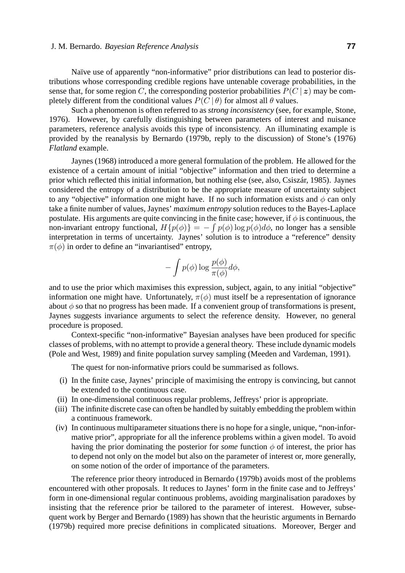### J. M. Bernardo. *Bayesian Reference Analysis* **77**

Naïve use of apparently "non-informative" prior distributions can lead to posterior distributions whose corresponding credible regions have untenable coverage probabilities, in the sense that, for some region *C*, the corresponding posterior probabilities  $P(C | z)$  may be completely different from the conditional values  $P(C | \theta)$  for almost all  $\theta$  values.

Such a phenomenon is often referred to as *strong inconsistency* (see, for example, Stone, 1976). However, by carefully distinguishing between parameters of interest and nuisance parameters, reference analysis avoids this type of inconsistency. An illuminating example is provided by the reanalysis by Bernardo (1979b, reply to the discussion) of Stone's (1976) *Flatland* example.

Jaynes (1968) introduced a more general formulation of the problem. He allowed for the existence of a certain amount of initial "objective" information and then tried to determine a prior which reflected this initial information, but nothing else (see, also, Csiszár, 1985). Jaynes considered the entropy of a distribution to be the appropriate measure of uncertainty subject to any "objective" information one might have. If no such information exists and  $\phi$  can only take a finite number of values, Jaynes' *maximum entropy* solution reduces to the Bayes-Laplace postulate. His arguments are quite convincing in the finite case; however, if  $\phi$  is continuous, the non-invariant entropy functional,  $H\{p(\phi)\} = -\int p(\phi) \log p(\phi) d\phi$ , no longer has a sensible interpretation in terms of uncertainty. Jaynes' solution is to introduce a "reference" density  $\pi(\phi)$  in order to define an "invariantised" entropy,

$$
-\int p(\phi) \log \frac{p(\phi)}{\pi(\phi)} d\phi,
$$

and to use the prior which maximises this expression, subject, again, to any initial "objective" information one might have. Unfortunately,  $\pi(\phi)$  must itself be a representation of ignorance about  $\phi$  so that no progress has been made. If a convenient group of transformations is present, Jaynes suggests invariance arguments to select the reference density. However, no general procedure is proposed.

Context-specific "non-informative" Bayesian analyses have been produced for specific classes of problems, with no attempt to provide a general theory. These include dynamic models (Pole and West, 1989) and finite population survey sampling (Meeden and Vardeman, 1991).

The quest for non-informative priors could be summarised as follows.

- (i) In the finite case, Jaynes' principle of maximising the entropy is convincing, but cannot be extended to the continuous case.
- (ii) In one-dimensional continuous regular problems, Jeffreys' prior is appropriate.
- (iii) The infinite discrete case can often be handled by suitably embedding the problem within a continuous framework.
- (iv) In continuous multiparameter situations there is no hope for a single, unique, "non-informative prior", appropriate for all the inference problems within a given model. To avoid having the prior dominating the posterior for *some* function  $\phi$  of interest, the prior has to depend not only on the model but also on the parameter of interest or, more generally, on some notion of the order of importance of the parameters.

The reference prior theory introduced in Bernardo (1979b) avoids most of the problems encountered with other proposals. It reduces to Jaynes' form in the finite case and to Jeffreys' form in one-dimensional regular continuous problems, avoiding marginalisation paradoxes by insisting that the reference prior be tailored to the parameter of interest. However, subsequent work by Berger and Bernardo (1989) has shown that the heuristic arguments in Bernardo (1979b) required more precise definitions in complicated situations. Moreover, Berger and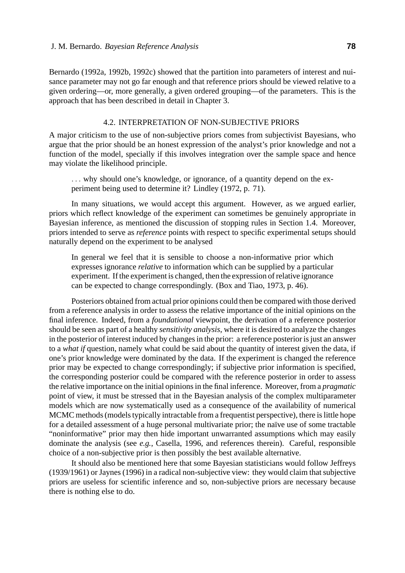Bernardo (1992a, 1992b, 1992c) showed that the partition into parameters of interest and nuisance parameter may not go far enough and that reference priors should be viewed relative to a given ordering—or, more generally, a given ordered grouping—of the parameters. This is the approach that has been described in detail in Chapter 3.

### 4.2. INTERPRETATION OF NON-SUBJECTIVE PRIORS

A major criticism to the use of non-subjective priors comes from subjectivist Bayesians, who argue that the prior should be an honest expression of the analyst's prior knowledge and not a function of the model, specially if this involves integration over the sample space and hence may violate the likelihood principle.

*...* why should one's knowledge, or ignorance, of a quantity depend on the experiment being used to determine it? Lindley (1972, p. 71).

In many situations, we would accept this argument. However, as we argued earlier, priors which reflect knowledge of the experiment can sometimes be genuinely appropriate in Bayesian inference, as mentioned the discussion of stopping rules in Section 1.4. Moreover, priors intended to serve as *reference* points with respect to specific experimental setups should naturally depend on the experiment to be analysed

In general we feel that it is sensible to choose a non-informative prior which expresses ignorance *relative* to information which can be supplied by a particular experiment. If the experiment is changed, then the expression of relative ignorance can be expected to change correspondingly. (Box and Tiao, 1973, p. 46).

Posteriors obtained from actual prior opinions could then be compared with those derived from a reference analysis in order to assess the relative importance of the initial opinions on the final inference. Indeed, from a *foundational* viewpoint, the derivation of a reference posterior should be seen as part of a healthy *sensitivity analysis*, where it is desired to analyze the changes in the posterior of interest induced by changes in the prior: a reference posterior is just an answer to a *what if* question, namely what could be said about the quantity of interest given the data, if one's prior knowledge were dominated by the data. If the experiment is changed the reference prior may be expected to change correspondingly; if subjective prior information is specified, the corresponding posterior could be compared with the reference posterior in order to assess the relative importance on the initial opinions in the final inference. Moreover, from a *pragmatic* point of view, it must be stressed that in the Bayesian analysis of the complex multiparameter models which are now systematically used as a consequence of the availability of numerical MCMC methods (models typically intractable from a frequentist perspective), there is little hope for a detailed assessment of a huge personal multivariate prior; the naïve use of some tractable "noninformative" prior may then hide important unwarranted assumptions which may easily dominate the analysis (see *e.g.*, Casella, 1996, and references therein). Careful, responsible choice of a non-subjective prior is then possibly the best available alternative.

It should also be mentioned here that some Bayesian statisticians would follow Jeffreys (1939/1961) or Jaynes (1996) in a radical non-subjective view: they would claim that subjective priors are useless for scientific inference and so, non-subjective priors are necessary because there is nothing else to do.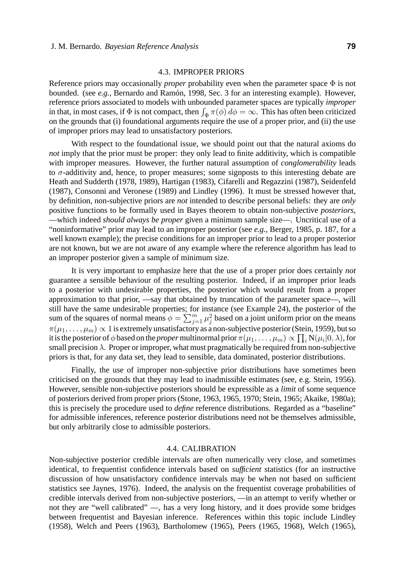#### 4.3. IMPROPER PRIORS

Reference priors may occasionally *proper* probability even when the parameter space Φ is not bounded. (see *e.g.*, Bernardo and Ramón, 1998, Sec. 3 for an interesting example). However, reference priors associated to models with unbounded parameter spaces are typically *improper* in that, in most cases, if  $\Phi$  is not compact, then  $\int_{\Phi} \pi(\phi) d\phi = \infty$ . This has often been criticized on the grounds that (i) foundational arguments require the use of a proper prior, and (ii) the use of improper priors may lead to unsatisfactory posteriors.

With respect to the foundational issue, we should point out that the natural axioms do *not* imply that the prior must be proper: they only lead to finite additivity, which is compatible with improper measures. However, the further natural assumption of *conglomerability* leads to  $\sigma$ -additivity and, hence, to proper measures; some signposts to this interesting debate are Heath and Sudderth (1978, 1989), Hartigan (1983), Cifarelli and Regazzini (1987), Seidenfeld (1987), Consonni and Veronese (1989) and Lindley (1996). It must be stressed however that, by definition, non-subjective priors are *not* intended to describe personal beliefs: they are *only* positive functions to be formally used in Bayes theorem to obtain non-subjective *posteriors*, —which indeed *should always be proper* given a minimum sample size—. Uncritical use of a "noninformative" prior may lead to an improper posterior (see *e.g.*, Berger, 1985, p. 187, for a well known example); the precise conditions for an improper prior to lead to a proper posterior are not known, but we are not aware of any example where the reference algorithm has lead to an improper posterior given a sample of minimum size.

It is very important to emphasize here that the use of a proper prior does certainly *not* guarantee a sensible behaviour of the resulting posterior. Indeed, if an improper prior leads to a posterior with undesirable properties, the posterior which would result from a proper approximation to that prior, —say that obtained by truncation of the parameter space—, will still have the same undesirable properties; for instance (see Example 24), the posterior of the sum of the squares of normal means  $\phi = \sum_{j=1}^{m} \mu_j^2$  based on a joint uniform prior on the means  $\pi(\mu_1,\ldots,\mu_m) \propto 1$  is extremely unsatisfactory as a non-subjective posterior (Stein, 1959), but so it is the posterior of  $\phi$  based on the *proper* multinormal prior  $\pi(\mu_1,\ldots,\mu_m)\propto \prod_i \mathbf{N}(\mu_i|0,\lambda)$ , for small precision  $\lambda$ . Proper or improper, what must pragmatically be required from non-subjective priors is that, for any data set, they lead to sensible, data dominated, posterior distributions.

Finally, the use of improper non-subjective prior distributions have sometimes been criticised on the grounds that they may lead to inadmissible estimates (see, e.g. Stein, 1956). However, sensible non-subjective posteriors should be expressible as a *limit* of some sequence of posteriors derived from proper priors (Stone, 1963, 1965, 1970; Stein, 1965; Akaike, 1980a); this is precisely the procedure used to *define* reference distributions. Regarded as a "baseline" for admissible inferences, reference posterior distributions need not be themselves admissible, but only arbitrarily close to admissible posteriors.

#### 4.4. CALIBRATION

Non-subjective posterior credible intervals are often numerically very close, and sometimes identical, to frequentist confidence intervals based on *sufficient* statistics (for an instructive discussion of how unsatisfactory confidence intervals may be when not based on sufficient statistics see Jaynes, 1976). Indeed, the analysis on the frequentist coverage probabilities of credible intervals derived from non-subjective posteriors, —in an attempt to verify whether or not they are "well calibrated" —, has a very long history, and it does provide some bridges between frequentist and Bayesian inference. References within this topic include Lindley (1958), Welch and Peers (1963), Bartholomew (1965), Peers (1965, 1968), Welch (1965),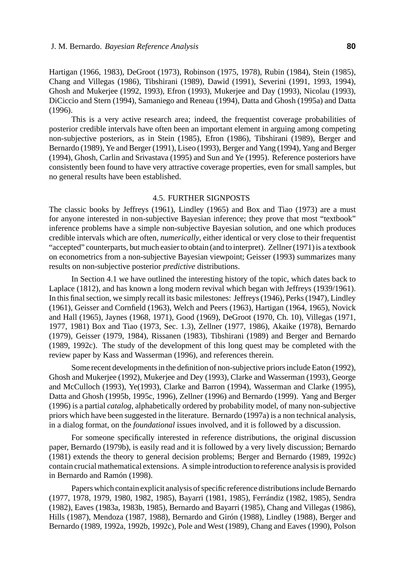Hartigan (1966, 1983), DeGroot (1973), Robinson (1975, 1978), Rubin (1984), Stein (1985), Chang and Villegas (1986), Tibshirani (1989), Dawid (1991), Severini (1991, 1993, 1994), Ghosh and Mukerjee (1992, 1993), Efron (1993), Mukerjee and Day (1993), Nicolau (1993), DiCiccio and Stern (1994), Samaniego and Reneau (1994), Datta and Ghosh (1995a) and Datta (1996).

This is a very active research area; indeed, the frequentist coverage probabilities of posterior credible intervals have often been an important element in arguing among competing non-subjective posteriors, as in Stein (1985), Efron (1986), Tibshirani (1989), Berger and Bernardo (1989), Ye and Berger (1991), Liseo (1993), Berger and Yang (1994), Yang and Berger (1994), Ghosh, Carlin and Srivastava (1995) and Sun and Ye (1995). Reference posteriors have consistently been found to have very attractive coverage properties, even for small samples, but no general results have been established.

## 4.5. FURTHER SIGNPOSTS

The classic books by Jeffreys (1961), Lindley (1965) and Box and Tiao (1973) are a must for anyone interested in non-subjective Bayesian inference; they prove that most "textbook" inference problems have a simple non-subjective Bayesian solution, and one which produces credible intervals which are often, *numerically*, either identical or very close to their frequentist "accepted" counterparts, but much easier to obtain (and to interpret). Zellner (1971) is a textbook on econometrics from a non-subjective Bayesian viewpoint; Geisser (1993) summarizes many results on non-subjective posterior *predictive* distributions.

In Section 4.1 we have outlined the interesting history of the topic, which dates back to Laplace (1812), and has known a long modern revival which began with Jeffreys (1939/1961). In this final section, we simply recall its basic milestones: Jeffreys (1946), Perks (1947), Lindley (1961), Geisser and Cornfield (1963), Welch and Peers (1963), Hartigan (1964, 1965), Novick and Hall (1965), Jaynes (1968, 1971), Good (1969), DeGroot (1970, Ch. 10), Villegas (1971, 1977, 1981) Box and Tiao (1973, Sec. 1.3), Zellner (1977, 1986), Akaike (1978), Bernardo (1979), Geisser (1979, 1984), Rissanen (1983), Tibshirani (1989) and Berger and Bernardo (1989, 1992c). The study of the development of this long quest may be completed with the review paper by Kass and Wasserman (1996), and references therein.

Some recent developments in the definition of non-subjective priors include Eaton (1992), Ghosh and Mukerjee (1992), Mukerjee and Dey (1993), Clarke and Wasserman (1993), George and McCulloch (1993), Ye(1993), Clarke and Barron (1994), Wasserman and Clarke (1995), Datta and Ghosh (1995b, 1995c, 1996), Zellner (1996) and Bernardo (1999). Yang and Berger (1996) is a partial *catalog*, alphabetically ordered by probability model, of many non-subjective priors which have been suggested in the literature. Bernardo (1997a) is a non technical analysis, in a dialog format, on the *foundational* issues involved, and it is followed by a discussion.

For someone specifically interested in reference distributions, the original discussion paper, Bernardo (1979b), is easily read and it is followed by a very lively discussion; Bernardo (1981) extends the theory to general decision problems; Berger and Bernardo (1989, 1992c) contain crucial mathematical extensions. A simple introduction to reference analysis is provided in Bernardo and Ramón (1998).

Papers which contain explicit analysis of specific reference distributions include Bernardo (1977, 1978, 1979, 1980, 1982, 1985), Bayarri (1981, 1985), Ferrándiz (1982, 1985), Sendra (1982), Eaves (1983a, 1983b, 1985), Bernardo and Bayarri (1985), Chang and Villegas (1986), Hills (1987), Mendoza (1987, 1988), Bernardo and Girón (1988), Lindley (1988), Berger and Bernardo (1989, 1992a, 1992b, 1992c), Pole and West (1989), Chang and Eaves (1990), Polson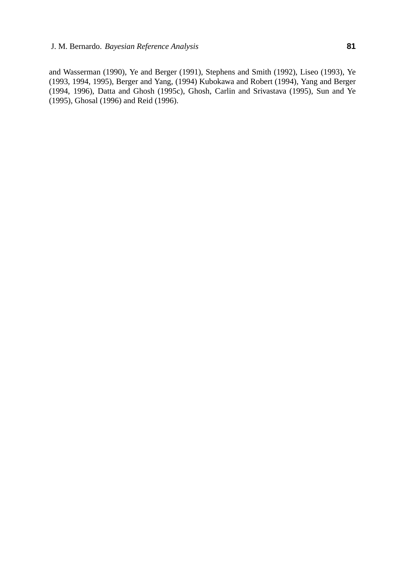and Wasserman (1990), Ye and Berger (1991), Stephens and Smith (1992), Liseo (1993), Ye (1993, 1994, 1995), Berger and Yang, (1994) Kubokawa and Robert (1994), Yang and Berger (1994, 1996), Datta and Ghosh (1995c), Ghosh, Carlin and Srivastava (1995), Sun and Ye (1995), Ghosal (1996) and Reid (1996).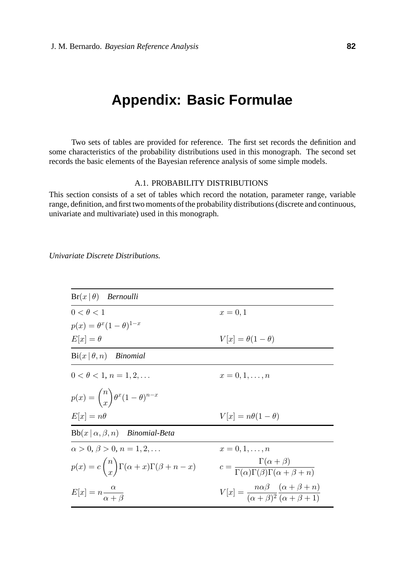# **Appendix: Basic Formulae**

Two sets of tables are provided for reference. The first set records the definition and some characteristics of the probability distributions used in this monograph. The second set records the basic elements of the Bayesian reference analysis of some simple models.

# A.1. PROBABILITY DISTRIBUTIONS

This section consists of a set of tables which record the notation, parameter range, variable range, definition, and first two moments of the probability distributions (discrete and continuous, univariate and multivariate) used in this monograph.

*Univariate Discrete Distributions.*

| $Br(x \theta)$ Bernoulli                                         |                                                                                            |
|------------------------------------------------------------------|--------------------------------------------------------------------------------------------|
| $0 < \theta < 1$                                                 | $x = 0, 1$                                                                                 |
| $p(x) = \theta^x (1 - \theta)^{1-x}$                             |                                                                                            |
| $E[x] = \theta$                                                  | $V[x] = \theta(1-\theta)$                                                                  |
| $\text{Bi}(x   \theta, n)$ Binomial                              |                                                                                            |
| $0 < \theta < 1, n = 1, 2, $                                     | $x=0,1,\ldots,n$                                                                           |
| $p(x) = {n \choose x} \theta^x (1-\theta)^{n-x}$                 |                                                                                            |
| $E[x] = n\theta$                                                 | $V[x] = n\theta(1-\theta)$                                                                 |
| $Bb(x   \alpha, \beta, n)$ Binomial-Beta                         |                                                                                            |
| $\alpha > 0, \beta > 0, n = 1, 2, $                              | $x=0,1,\ldots,n$                                                                           |
| $p(x) = c \binom{n}{x} \Gamma(\alpha + x) \Gamma(\beta + n - x)$ | $c = \frac{\Gamma(\alpha + \beta)}{\Gamma(\alpha)\Gamma(\beta)\Gamma(\alpha + \beta + n)}$ |
| $E[x] = n \frac{\alpha}{\alpha + \beta}$                         | $V[x] = \frac{n\alpha\beta}{(\alpha+\beta)^2} \frac{(\alpha+\beta+n)}{(\alpha+\beta+n)}$   |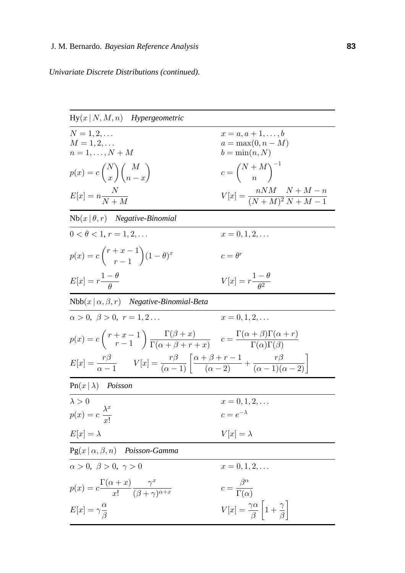*Univariate Discrete Distributions (continued).*

| $Hy(x N, M, n)$ Hypergeometric                                                                                                                                                  |                                                                              |
|---------------------------------------------------------------------------------------------------------------------------------------------------------------------------------|------------------------------------------------------------------------------|
| $N = 1, 2, $<br>$M = 1, 2, $<br>$n=1,\ldots,N+M$                                                                                                                                | $x=a, a+1, \ldots, b$<br>$a = \max(0, n - M)$<br>$b=\min(n,N)$               |
| $p(x) = c\binom{N}{x}\binom{M}{n-x}$                                                                                                                                            | $c = \binom{N+M}{n}^{-1}$                                                    |
| $E[x] = n \frac{N}{N + M}$                                                                                                                                                      | $V[x] = \frac{nNM}{(N+M)^2} \frac{N+M-n}{N+M-1}$                             |
| $Nb(x   \theta, r)$ Negative-Binomial                                                                                                                                           |                                                                              |
| $0 < \theta < 1, r = 1, 2, $                                                                                                                                                    | $x = 0, 1, 2, \ldots$                                                        |
| $p(x) = c\binom{r+x-1}{r-1}(1-\theta)^x$                                                                                                                                        | $c = \theta^r$                                                               |
| $E[x] = r \frac{1 - \theta}{\theta}$                                                                                                                                            | $V[x] = r \frac{1 - \theta}{\theta^2}$                                       |
| $Nbb(x   \alpha, \beta, r)$ Negative-Binomial-Beta                                                                                                                              |                                                                              |
| $\alpha > 0, \ \beta > 0, \ r = 1, 2 \ldots$                                                                                                                                    | $x = 0, 1, 2, \ldots$                                                        |
| $p(x) = c \left( \frac{r+x-1}{r-1} \right) \frac{\Gamma(\beta+x)}{\Gamma(\alpha+\beta+r+x)} \quad c = \frac{\Gamma(\alpha+\beta)\Gamma(\alpha+r)}{\Gamma(\alpha)\Gamma(\beta)}$ |                                                                              |
| $E[x] = \frac{r\beta}{\alpha - 1}$ $V[x] = \frac{r\beta}{(\alpha - 1)} \left[ \frac{\alpha + \beta + r - 1}{(\alpha - 2)} + \frac{r\beta}{(\alpha - 1)(\alpha - 2)} \right]$    |                                                                              |
| $\text{Pn}(x \mid \lambda)$<br>Poisson                                                                                                                                          |                                                                              |
| $\lambda > 0$                                                                                                                                                                   | $x = 0, 1, 2, \ldots$                                                        |
| $p(x) = c \frac{\lambda^x}{x!}$                                                                                                                                                 | $c=e^{-\lambda}$                                                             |
| $E[x] = \lambda$                                                                                                                                                                | $V[x]=\lambda$                                                               |
| $Pg(x   \alpha, \beta, n)$ Poisson-Gamma                                                                                                                                        |                                                                              |
| $\alpha > 0$ , $\beta > 0$ , $\gamma > 0$                                                                                                                                       | $x = 0, 1, 2, \ldots$                                                        |
| $p(x) = c \frac{\Gamma(\alpha + x)}{x!} \frac{\gamma^x}{(\beta + \gamma)^{\alpha + x}}$                                                                                         | $c = \frac{\beta^{\alpha}}{\Gamma(\alpha)}$                                  |
| $E[x] = \gamma \frac{\alpha}{\beta}$                                                                                                                                            | $V[x] = \frac{\gamma \alpha}{\beta} \left[ 1 + \frac{\gamma}{\beta} \right]$ |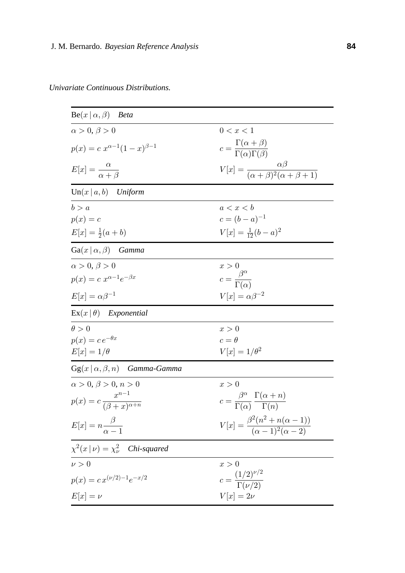*Univariate Continuous Distributions.*

| $\operatorname{Be}(x   \alpha, \beta)$ Beta       |                                                                                  |
|---------------------------------------------------|----------------------------------------------------------------------------------|
| $\alpha > 0, \beta > 0$                           | 0 < x < 1                                                                        |
| $p(x) = c x^{\alpha-1}(1-x)^{\beta-1}$            | $c = \frac{\Gamma(\alpha + \beta)}{\Gamma(\alpha)\Gamma(\beta)}$                 |
| $E[x] = \frac{\alpha}{\alpha + \beta}$            | $V[x] = \frac{\alpha\beta}{(\alpha+\beta)^2(\alpha+\beta+1)}$                    |
| $\text{Un}(x   a, b)$ Uniform                     |                                                                                  |
| b > a                                             | a < x < b                                                                        |
| $p(x) = c$                                        | $c = (b - a)^{-1}$                                                               |
| $E[x] = \frac{1}{2}(a+b)$                         | $V[x] = \frac{1}{12}(b-a)^2$                                                     |
| $Ga(x   \alpha, \beta)$ Gamma                     |                                                                                  |
| $\alpha > 0, \beta > 0$                           | x > 0                                                                            |
| $p(x) = c x^{\alpha-1} e^{-\beta x}$              | $c = \frac{\beta^{\alpha}}{\Gamma(\alpha)}$                                      |
| $E[x] = \alpha \beta^{-1}$                        | $V[x] = \alpha \beta^{-2}$                                                       |
| $\operatorname{Ex}(x   \theta)$ Exponential       |                                                                                  |
| $\theta > 0$                                      | x>0                                                                              |
| $p(x) = c e^{-\theta x}$                          | $c=\theta$                                                                       |
| $E[x] = 1/\theta$                                 | $V[x] = 1/\theta^2$                                                              |
| $Gg(x   \alpha, \beta, n)$ Gamma-Gamma            |                                                                                  |
| $\alpha > 0, \beta > 0, n > 0$                    | x>0                                                                              |
| $p(x) = c \frac{x^{n-1}}{(\beta + x)^{\alpha+n}}$ | $c = \frac{\beta^{\alpha}}{\Gamma(\alpha)} \frac{\Gamma(\alpha + n)}{\Gamma(n)}$ |
| $E[x] = n \frac{\beta}{\alpha - 1}$               | $V[x] = \frac{\beta^2(n^2+n(\alpha-1))}{(\alpha-1)^2(\alpha-2)}$                 |
| $\chi^2(x \nu) = \chi^2_{\nu}$ Chi-squared        |                                                                                  |
| $\nu > 0$                                         | x>0                                                                              |
| $p(x) = c x^{(\nu/2)-1} e^{-x/2}$                 | $c = \frac{(1/2)^{\nu/2}}{\Gamma(\nu/2)}$                                        |
| $E[x] = \nu$                                      | $V[x] = 2\nu$                                                                    |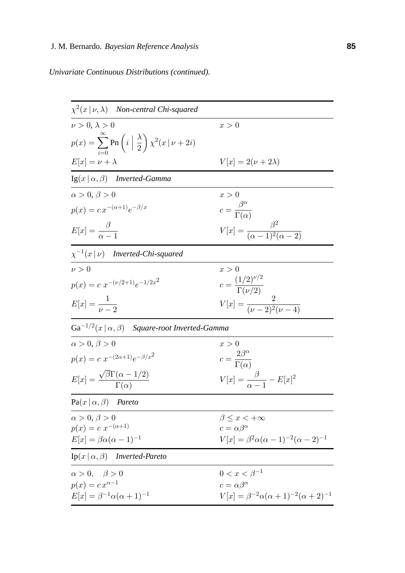*Univariate Continuous Distributions (continued).*

| $\chi^2(x   \nu, \lambda)$ Non-central Chi-squared                                                  |                                                                                      |
|-----------------------------------------------------------------------------------------------------|--------------------------------------------------------------------------------------|
| $\nu > 0, \lambda > 0$                                                                              | x>0                                                                                  |
| $p(x) = \sum_{i=0}^{\infty} \text{Pn}\left(i \mid \frac{\lambda}{2}\right) \chi^2(x \mid \nu + 2i)$ |                                                                                      |
| $E[x] = \nu + \lambda$                                                                              | $V[x] = 2(\nu + 2\lambda)$                                                           |
| $\lg(x \mid \alpha, \beta)$ Inverted-Gamma                                                          |                                                                                      |
| $\alpha > 0, \beta > 0$                                                                             | x > 0                                                                                |
| $p(x) = c x^{-(\alpha+1)} e^{-\beta/x}$                                                             | $c = \frac{\beta^{\alpha}}{\Gamma(\alpha)}$                                          |
| $E[x] = \frac{\beta}{\alpha - 1}$                                                                   | $V[x] = \frac{\beta^2}{(\alpha - 1)^2(\alpha - 2)}$                                  |
| $\chi^{-1}(x \nu)$ Inverted-Chi-squared                                                             |                                                                                      |
| $\nu > 0$                                                                                           | x>0                                                                                  |
| $p(x) = c x^{-(\nu/2+1)} e^{-1/2x^2}$                                                               | $c = \frac{(1/2)^{\nu/2}}{\Gamma(\nu/2)}$<br>$V[x] = \frac{2}{(\nu - 2)^2(\nu - 4)}$ |
| $E[x] = \frac{1}{\mu}$                                                                              |                                                                                      |
| $\text{Ga}^{-1/2}(x \mid \alpha, \beta)$ Square-root Inverted-Gamma                                 |                                                                                      |
| $\alpha > 0, \beta > 0$                                                                             | x > 0                                                                                |
| $p(x) = c x^{-(2\alpha+1)} e^{-\beta/x^2}$                                                          | $c = \frac{2\beta^{\alpha}}{\Gamma(\alpha)}$                                         |
| $E[x] = \frac{\sqrt{\beta}\Gamma(\alpha - 1/2)}{\Gamma(\alpha)}$                                    | $V[x] = \frac{\beta}{2a-1} - E[x]^2$                                                 |
| $Pa(x   \alpha, \beta)$ Pareto                                                                      |                                                                                      |
| $\alpha > 0, \beta > 0$                                                                             | $\beta \leq x < +\infty$                                                             |
| $p(x) = c x^{-(\alpha+1)}$                                                                          | $c = \alpha \beta^{\alpha}$                                                          |
| $E[x] = \beta \alpha (\alpha - 1)^{-1}$                                                             | $V[x] = \beta^2 \alpha (\alpha - 1)^{-2} (\alpha - 2)^{-1}$                          |
| Ip $(x   \alpha, \beta)$ Inverted-Pareto                                                            |                                                                                      |
| $\alpha > 0, \quad \beta > 0$                                                                       | $0 < x < \beta^{-1}$                                                                 |
| $p(x) = c x^{\alpha-1}$                                                                             | $c = \alpha \beta^{\alpha}$                                                          |
| $E[x] = \beta^{-1} \alpha (\alpha + 1)^{-1}$                                                        | $V[x] = \beta^{-2} \alpha (\alpha + 1)^{-2} (\alpha + 2)^{-1}$                       |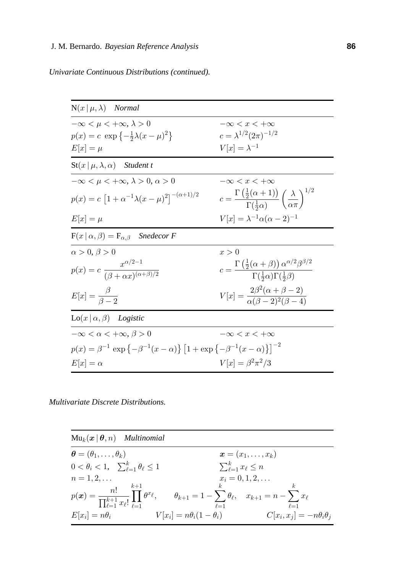| $N(x   \mu, \lambda)$ Normal                                                                           |                                                                                                                                              |
|--------------------------------------------------------------------------------------------------------|----------------------------------------------------------------------------------------------------------------------------------------------|
| $-\infty < \mu < +\infty, \lambda > 0$                                                                 | $-\infty < x < +\infty$                                                                                                                      |
| $p(x) = c \exp \left\{-\frac{1}{2}\lambda(x-\mu)^2\right\}$                                            | $c = \lambda^{1/2} (2\pi)^{-1/2}$                                                                                                            |
| $E[x] = \mu$                                                                                           | $V[x] = \lambda^{-1}$                                                                                                                        |
| $\text{St}(x   \mu, \lambda, \alpha)$ Student t                                                        |                                                                                                                                              |
| $-\infty < \mu < +\infty, \lambda > 0, \alpha > 0$                                                     | $-\infty < x < +\infty$                                                                                                                      |
| $p(x) = c \left[1 + \alpha^{-1}\lambda(x-\mu)^2\right]^{-(\alpha+1)/2}$                                | $c = \frac{\Gamma\left(\frac{1}{2}(\alpha+1)\right)}{\Gamma(\frac{1}{2}\alpha)} \left(\frac{\lambda}{\alpha\pi}\right)^{1/2}$                |
| $E[x] = \mu$                                                                                           | $V[x] = \lambda^{-1} \alpha (\alpha - 2)^{-1}$                                                                                               |
| $F(x   \alpha, \beta) = F_{\alpha,\beta}$ Snedecor F                                                   |                                                                                                                                              |
| $\alpha > 0, \beta > 0$                                                                                | x>0                                                                                                                                          |
| $p(x) = c \frac{x^{\alpha/2 - 1}}{(\beta + \alpha r)^{(\alpha + \beta)/2}}$                            | $c = \frac{\Gamma\left(\frac{1}{2}(\alpha+\beta)\right)\alpha^{\alpha/2}\beta^{\beta/2}}{\Gamma(\frac{1}{2}\alpha)\Gamma(\frac{1}{2}\beta)}$ |
| $E[x] = \frac{\beta}{\beta - 2}$                                                                       | $V[x] = \frac{2\beta^2(\alpha + \beta - 2)}{\alpha(\beta - 2)^2(\beta - 4)}$                                                                 |
| $Lo(x   \alpha, \beta)$ Logistic                                                                       |                                                                                                                                              |
| $-\infty < \alpha < +\infty, \beta > 0$                                                                | $-\infty < x < +\infty$                                                                                                                      |
| $p(x) = \beta^{-1} \exp \{-\beta^{-1}(x-\alpha)\}\left[1 + \exp \{-\beta^{-1}(x-\alpha)\}\right]^{-2}$ |                                                                                                                                              |
| $E[x] = \alpha$                                                                                        | $V[x] = \beta^2 \pi^2/3$                                                                                                                     |

*Multivariate Discrete Distributions.*

| $\text{Mu}_k(x   \theta, n)$ Multinomial                     |                                                                                                                                                                                                                        |
|--------------------------------------------------------------|------------------------------------------------------------------------------------------------------------------------------------------------------------------------------------------------------------------------|
| $\boldsymbol{\theta} = (\theta_1, \ldots, \theta_k)$         | $\boldsymbol{x} = (x_1, \ldots, x_k)$                                                                                                                                                                                  |
| $0 < \theta_i < 1, \quad \sum_{\ell=1}^k \theta_\ell \leq 1$ | $\sum_{\ell=1}^k x_\ell \leq n$                                                                                                                                                                                        |
| $n = 1, 2, $                                                 | $x_i = 0, 1, 2, \ldots$                                                                                                                                                                                                |
|                                                              | $p(\bm{x}) = \frac{n!}{\prod_{\ell=1}^{k+1} x_\ell!} \prod_{\ell=1}^{k+1} \theta^{x_\ell}, \qquad \theta_{k+1} = 1 - \sum_{\ell=1}^{k} \theta_\ell, \quad x_{k+1} = n - \sum_{\ell=1}^{k} x_\ell$<br>$\ell=1$<br>$l=1$ |
| $E[x_i] = n\theta_i$                                         | $C[x_i, x_j] = -n\theta_i\theta_j$<br>$V[x_i] = n\theta_i(1-\theta_i)$                                                                                                                                                 |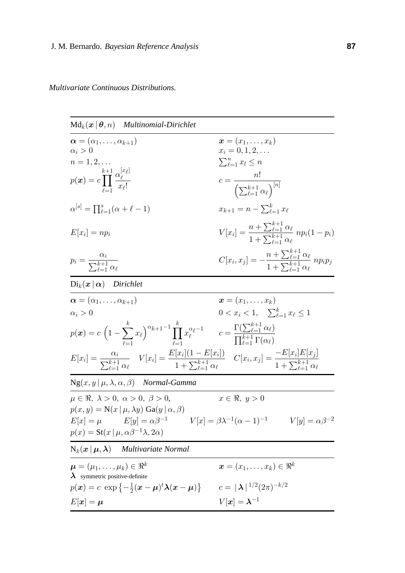| $\text{Md}_k(x \theta,n)$ Multinomial-Dirichlet                                                                                                                                                                                                                                                                                                                                                                                                        |                                                                                                                                                                           |
|--------------------------------------------------------------------------------------------------------------------------------------------------------------------------------------------------------------------------------------------------------------------------------------------------------------------------------------------------------------------------------------------------------------------------------------------------------|---------------------------------------------------------------------------------------------------------------------------------------------------------------------------|
| $\boldsymbol{\alpha} = (\alpha_1, \ldots, \alpha_{k+1})$<br>$\alpha_i > 0$<br>$n=1,2,\ldots$<br>$p(\boldsymbol{x}) = c \prod_{\ell=1}^{k+1} \frac{\alpha_\ell^{[x_\ell]}}{x_\ell!}$                                                                                                                                                                                                                                                                    | $\boldsymbol{x} = (x_1, \ldots, x_k)$<br>$x_i = 0, 1, 2, \ldots$<br>$\sum_{\ell=1}^n x_l \leq n$<br>$c = \frac{n!}{\left(\sum_{\ell=1}^{k+1} \alpha_{\ell}\right)^{[n]}}$ |
| $\alpha^{[s]} = \prod_{\ell=1}^s (\alpha + \ell - 1)$                                                                                                                                                                                                                                                                                                                                                                                                  | $x_{k+1} = n - \sum_{\ell=1}^{k} x_{\ell}$                                                                                                                                |
| $E x_i =np_i$                                                                                                                                                                                                                                                                                                                                                                                                                                          | $V[x_i] = \frac{n + \sum_{\ell=1}^{n+1} \alpha_{\ell}}{1 + \sum_{\ell=1}^{k+1} \alpha_{\ell}} np_i(1-p_i)$                                                                |
| $p_i = \frac{\alpha_i}{\sum_{\ell=1}^{k+1} \alpha_{\ell}}$                                                                                                                                                                                                                                                                                                                                                                                             | $C[x_i, x_j] = -\frac{n + \sum_{\ell=1}^{k+1} \alpha_{\ell}}{1 + \sum_{k=1}^{k+1} \alpha_{\ell}} np_i p_j$                                                                |
| $\text{Di}_k(\boldsymbol{x}   \boldsymbol{\alpha})$ Dirichlet                                                                                                                                                                                                                                                                                                                                                                                          |                                                                                                                                                                           |
| $\boldsymbol{\alpha} = (\alpha_1, \ldots, \alpha_{k+1})$                                                                                                                                                                                                                                                                                                                                                                                               | $\boldsymbol{x}=(x_1,\ldots,x_k)$                                                                                                                                         |
| $\alpha_i > 0$                                                                                                                                                                                                                                                                                                                                                                                                                                         | $0 < x_i < 1, \quad \sum_{\ell=1}^k x_\ell \leq 1$                                                                                                                        |
| $p(\boldsymbol{x}) = c \left(1 - \sum_{k=1}^{k} x_{\ell}\right)^{\alpha_{k+1}-1} \prod_{k=1}^{k} x_{\ell}^{\alpha_{\ell}-1} \qquad c = \frac{\Gamma(\sum_{\ell=1}^{k+1} \alpha_{\ell})}{\prod_{k=1}^{k+1} \Gamma(\alpha_{\ell})}$<br>$E[x_i] = \frac{\alpha_i}{\sum_{\ell=1}^{k+1} \alpha_\ell} \quad V[x_i] = \frac{E[x_i](1-E[x_i])}{1+\sum_{\ell=1}^{k+1} \alpha_\ell} \quad C[x_i, x_j] = \frac{-E[x_i]E[x_j]}{1+\sum_{\ell=1}^{k+1} \alpha_\ell}$ |                                                                                                                                                                           |
| $Ng(x, y   \mu, \lambda, \alpha, \beta)$ Normal-Gamma                                                                                                                                                                                                                                                                                                                                                                                                  |                                                                                                                                                                           |
| $\mu \in \Re, \lambda > 0, \alpha > 0, \beta > 0,$<br>$p(x, y) = N(x   \mu, \lambda y) Ga(y   \alpha, \beta)$<br>$E[x] = \mu$ $E[y] = \alpha \beta^{-1}$ $V[x] = \beta \lambda^{-1} (\alpha - 1)^{-1}$ $V[y] = \alpha \beta^{-2}$<br>$p(x) = \text{St}(x   \mu, \alpha \beta^{-1} \lambda, 2\alpha)$                                                                                                                                                   | $x \in \Re, y > 0$                                                                                                                                                        |
| $N_k(x   \mu, \lambda)$ Multivariate Normal                                                                                                                                                                                                                                                                                                                                                                                                            |                                                                                                                                                                           |
| $\mu = (\mu_1, \ldots, \mu_k) \in \Re^k$<br>$\lambda$ symmetric positive-definite<br>$p(\boldsymbol{x}) = c \exp \left\{-\frac{1}{2}(\boldsymbol{x}-\boldsymbol{\mu})^t \boldsymbol{\lambda} (\boldsymbol{x}-\boldsymbol{\mu})\right\}$                                                                                                                                                                                                                | $\boldsymbol{x}=(x_1,\ldots,x_k)\in\Re^k$<br>$c =  \lambda ^{1/2} (2\pi)^{-k/2}$                                                                                          |
| $E[\boldsymbol{x}] = \boldsymbol{\mu}$                                                                                                                                                                                                                                                                                                                                                                                                                 | $V[x] = \lambda^{-1}$                                                                                                                                                     |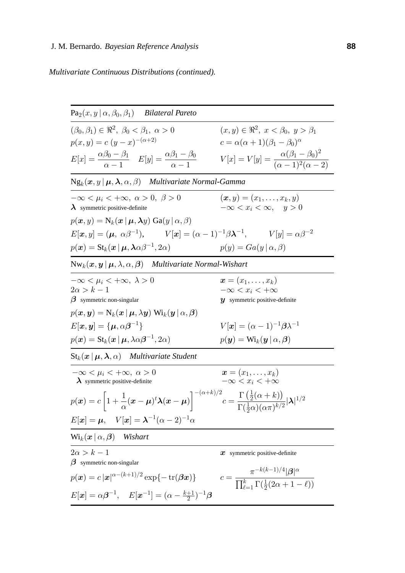# *Multivariate Continuous Distributions (continued).*

| $Pa_2(x, y   \alpha, \beta_0, \beta_1)$ Bilateral Pareto                                                                                                                                                                                                                                                     |                                                                                                                                                                                              |
|--------------------------------------------------------------------------------------------------------------------------------------------------------------------------------------------------------------------------------------------------------------------------------------------------------------|----------------------------------------------------------------------------------------------------------------------------------------------------------------------------------------------|
| $(\beta_0, \beta_1) \in \mathbb{R}^2$ , $\beta_0 < \beta_1$ , $\alpha > 0$<br>$p(x, y) = c (y - x)^{-(\alpha+2)}$<br>$E[x] = \frac{\alpha \beta_0 - \beta_1}{\alpha - 1} \quad E[y] = \frac{\alpha \beta_1 - \beta_0}{\alpha - 1}$                                                                           | $(x, y) \in \Re^2$ , $x < \beta_0$ , $y > \beta_1$<br>$c = \alpha(\alpha + 1)(\beta_1 - \beta_0)^{\alpha}$<br>$V[x] = V[y] = \frac{\alpha(\beta_1 - \beta_0)^2}{(\alpha - 1)^2(\alpha - 2)}$ |
| $Ng_k(\boldsymbol{x},y\, \,\boldsymbol{\mu},\boldsymbol{\lambda},\alpha,\beta)$<br>Multivariate Normal-Gamma                                                                                                                                                                                                 |                                                                                                                                                                                              |
| $-\infty < \mu_i < +\infty, \ \alpha > 0, \ \beta > 0$<br>$\lambda$ symmetric positive-definite                                                                                                                                                                                                              | $(\boldsymbol{x}, y) = (x_1, \ldots, x_k, y)$<br>$-\infty < x_i < \infty, \quad y > 0$                                                                                                       |
| $p(\boldsymbol{x}, y) = N_k(\boldsymbol{x} \mid \boldsymbol{\mu}, \boldsymbol{\lambda} y) \text{ Ga}(y \mid \alpha, \beta)$                                                                                                                                                                                  |                                                                                                                                                                                              |
| $E[\boldsymbol{x}, y] = (\boldsymbol{\mu}, \alpha \beta^{-1}), \qquad V[\boldsymbol{x}] = (\alpha - 1)^{-1} \beta \boldsymbol{\lambda}^{-1}, \qquad V[y] = \alpha \beta^{-2}$                                                                                                                                |                                                                                                                                                                                              |
| $p(\boldsymbol{x}) = \operatorname{St}_k(\boldsymbol{x} \, \, \boldsymbol{\mu}, \boldsymbol{\lambda} \alpha \beta^{-1}, 2\alpha)$                                                                                                                                                                            | $p(y) = Ga(y   \alpha, \beta)$                                                                                                                                                               |
| $\text{Nw}_k(\bm{x}, \bm{y}   \bm{\mu}, \lambda, \alpha, \bm{\beta})$ Multivariate Normal-Wishart                                                                                                                                                                                                            |                                                                                                                                                                                              |
| $-\infty < \mu_i < +\infty, \ \lambda > 0$<br>$2\alpha > k-1$<br>$\beta$ symmetric non-singular                                                                                                                                                                                                              | $\boldsymbol{x} = (x_1, \ldots, x_k)$<br>$-\infty < x_i < +\infty$<br>$y$ symmetric positive-definite                                                                                        |
| $p(\boldsymbol{x}, \boldsymbol{y}) = N_k(\boldsymbol{x}   \boldsymbol{\mu}, \lambda \boldsymbol{y}) \text{ Wi}_k(\boldsymbol{y}   \alpha, \beta)$                                                                                                                                                            |                                                                                                                                                                                              |
| $E[\boldsymbol{x}, \boldsymbol{y}] = {\boldsymbol{\mu}, \alpha \beta^{-1}}$                                                                                                                                                                                                                                  | $V[x] = (\alpha - 1)^{-1} \beta \lambda^{-1}$                                                                                                                                                |
| $p(\boldsymbol{x}) = \textup{St}_k(\boldsymbol{x} \, \, \boldsymbol{\mu}, \lambda \alpha \boldsymbol{\beta}^{-1}, 2\alpha)$                                                                                                                                                                                  | $p(\boldsymbol{y}) = \text{Wi}_k(\boldsymbol{y} \mid \alpha, \boldsymbol{\beta})$                                                                                                            |
| $\text{St}_k(\boldsymbol{x} \mid \boldsymbol{\mu}, \boldsymbol{\lambda}, \alpha)$ Multivariate Student                                                                                                                                                                                                       |                                                                                                                                                                                              |
| $-\infty < \mu_i < +\infty, \ \alpha > 0$<br>$\lambda$ symmetric positive-definite                                                                                                                                                                                                                           | $\boldsymbol{x}=(x_1,\ldots,x_k)$<br>$-\infty < x_i < +\infty$                                                                                                                               |
| $p(\boldsymbol{x}) = c \left[ 1 + \frac{1}{\alpha} (\boldsymbol{x} - \boldsymbol{\mu})^t \boldsymbol{\lambda} (\boldsymbol{x} - \boldsymbol{\mu}) \right]^{-(\alpha + k)/2} c = \frac{\Gamma\left(\frac{1}{2}(\alpha + k)\right)}{\Gamma(\frac{1}{2}\alpha)(\alpha \pi)^{k/2}}  \boldsymbol{\lambda} ^{1/2}$ |                                                                                                                                                                                              |
| $E[\mathbf{x}] = \mu$ , $V[\mathbf{x}] = \lambda^{-1}(\alpha - 2)^{-1}\alpha$                                                                                                                                                                                                                                |                                                                                                                                                                                              |
| $\text{Wi}_k(\boldsymbol{x} \mid \alpha, \beta)$ Wishart                                                                                                                                                                                                                                                     |                                                                                                                                                                                              |
| $2\alpha > k-1$                                                                                                                                                                                                                                                                                              | $x$ symmetric positive-definite                                                                                                                                                              |
| $\beta$ symmetric non-singular                                                                                                                                                                                                                                                                               |                                                                                                                                                                                              |
| $p(\boldsymbol{x}) = c  \boldsymbol{x} ^{\alpha-(k+1)/2} \exp\{-\operatorname{tr}(\boldsymbol{\beta x})\}$                                                                                                                                                                                                   | $c = \frac{\pi^{-\kappa(\kappa-1)/4} \beta ^{\alpha}}{\prod_{\ell=1}^k \Gamma(\frac{1}{2}(2\alpha+1-\ell))}$                                                                                 |
| $E[\mathbf{x}] = \alpha \beta^{-1}, \quad E[\mathbf{x}^{-1}] = (\alpha - \frac{k+1}{2})^{-1} \beta$                                                                                                                                                                                                          |                                                                                                                                                                                              |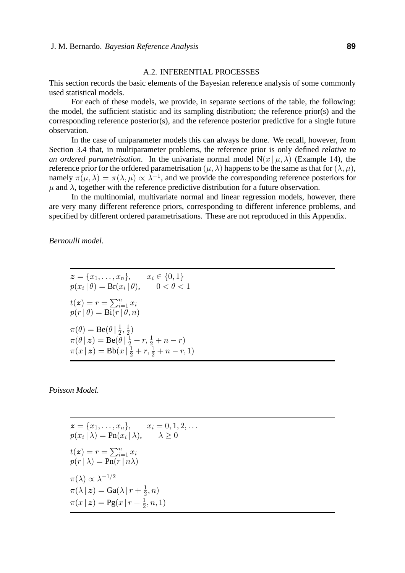## A.2. INFERENTIAL PROCESSES

This section records the basic elements of the Bayesian reference analysis of some commonly used statistical models.

For each of these models, we provide, in separate sections of the table, the following: the model, the sufficient statistic and its sampling distribution; the reference prior(s) and the corresponding reference posterior(s), and the reference posterior predictive for a single future observation.

In the case of uniparameter models this can always be done. We recall, however, from Section 3.4 that, in multiparameter problems, the reference prior is only defined *relative to an ordered parametrisation*. In the univariate normal model  $N(x | \mu, \lambda)$  (Example 14), the reference prior for the orfdered parametrisation ( $\mu$ ,  $\lambda$ ) happens to be the same as that for ( $\lambda$ ,  $\mu$ ), namely  $\pi(\mu, \lambda) = \pi(\lambda, \mu) \propto \lambda^{-1}$ , and we provide the corresponding reference posteriors for  $\mu$  and  $\lambda$ , together with the reference predictive distribution for a future observation.

In the multinomial, multivariate normal and linear regression models, however, there are very many different reference priors, corresponding to different inference problems, and specified by different ordered parametrisations. These are not reproduced in this Appendix.

*Bernoulli model.*

| $\boldsymbol{z} = \{x_1, \ldots, x_n\}, \quad x_i \in \{0, 1\}$<br>$p(x_i   \theta) = \text{Br}(x_i   \theta), \qquad 0 < \theta < 1$                                                                                 |  |
|-----------------------------------------------------------------------------------------------------------------------------------------------------------------------------------------------------------------------|--|
| $t(z) = r = \sum_{i=1}^{n} x_i$<br>$p(r   \theta) = \text{Bi}(r   \theta, n)$                                                                                                                                         |  |
| $\pi(\theta) = \text{Be}(\theta   \frac{1}{2}, \frac{1}{2})$<br>$\pi(\theta   z) = \text{Be}(\theta   \frac{1}{2} + r, \frac{1}{2} + n - r)$<br>$\pi(x   z) = \text{Bb}(x   \frac{1}{2} + r, \frac{1}{2} + n - r, 1)$ |  |

*Poisson Model.*

| $z = \{x_1, \ldots, x_n\}, \qquad x_i = 0, 1, 2, \ldots$<br>$p(x_i   \lambda) = \text{Pn}(x_i   \lambda), \quad \lambda > 0$ |
|------------------------------------------------------------------------------------------------------------------------------|
| $t(z) = r = \sum_{i=1}^{n} x_i$<br>$p(r   \lambda) = \text{Pn}(r   n\lambda)$                                                |
| $\pi(\lambda) \propto \lambda^{-1/2}$                                                                                        |
| $\pi(\lambda   z) = \text{Ga}(\lambda   r + \frac{1}{2}, n)$                                                                 |
| $\pi(x   z) = \text{Pg}(x   r + \frac{1}{2}, n, 1)$                                                                          |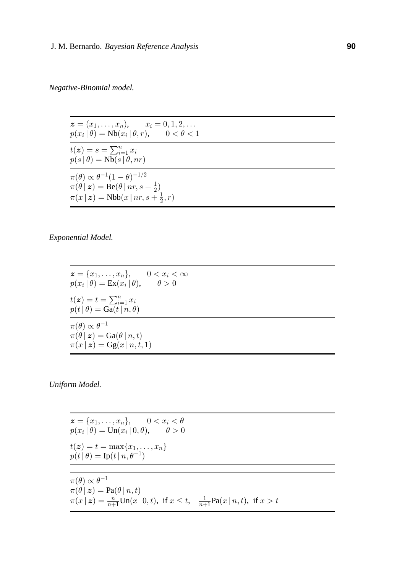*Negative-Binomial model.*

| $z = (x_1, \ldots, x_n), \qquad x_i = 0, 1, 2, \ldots$<br>$p(x_i   \theta) = \text{Nb}(x_i   \theta, r), \qquad 0 < \theta < 1$                                            |
|----------------------------------------------------------------------------------------------------------------------------------------------------------------------------|
| $t(z) = s = \sum_{i=1}^n x_i$<br>$p(s   \theta) = \text{Nb}(s   \theta, nr)$                                                                                               |
| $\pi(\theta) \propto \theta^{-1}(1-\theta)^{-1/2}$<br>$\pi(\theta   z) = \text{Be}(\theta   nr, s + \frac{1}{2})$<br>$\pi(x   z) = \text{Nbb}(x   nr, s + \frac{1}{2}, r)$ |

*Exponential Model.*

| $z = \{x_1, \ldots, x_n\}, \qquad 0 < x_i < \infty$<br>$p(x_i   \theta) = \text{Ex}(x_i   \theta), \quad \theta > 0$       |  |
|----------------------------------------------------------------------------------------------------------------------------|--|
| $t(z) = t = \sum_{i=1}^{n} x_i$<br>$p(t   \theta) = \text{Ga}(t   n, \theta)$                                              |  |
| $\pi(\theta) \propto \theta^{-1}$<br>$\pi(\theta   z) = \text{Ga}(\theta   n, t)$<br>$\pi(x   z) = \text{Gg}(x   n, t, 1)$ |  |

*Uniform Model.*

| $\mathbf{z} = \{x_1, \ldots, x_n\}, \qquad 0 < x_i < \theta$<br>$p(x_i   \theta) = \text{Un}(x_i   0, \theta), \quad \theta > 0$   |  |
|------------------------------------------------------------------------------------------------------------------------------------|--|
| $t(z) = t = \max\{x_1, \ldots, x_n\}$<br>$p(t   \theta) = \text{Ip}(t   n, \theta^{-1})$                                           |  |
| $\pi(\theta) \propto \theta^{-1}$                                                                                                  |  |
| $\pi(\theta   z) = \text{Pa}(\theta   n, t)$                                                                                       |  |
| $\pi(x   z) = \frac{n}{n+1} \text{Un}(x   0, t), \text{ if } x \leq t, \quad \frac{1}{n+1} \text{Pa}(x   n, t), \text{ if } x > t$ |  |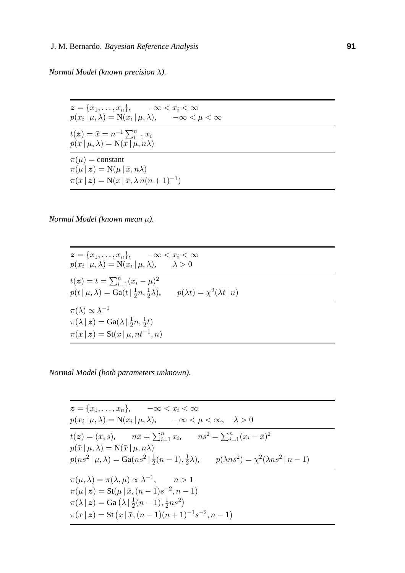*Normal Model (known precision λ).*

| $\boldsymbol{z} = \{x_1, \ldots, x_n\}, \quad -\infty < x_i < \infty$<br>$p(x_i   \mu, \lambda) = N(x_i   \mu, \lambda), \quad -\infty < \mu < \infty$ |
|--------------------------------------------------------------------------------------------------------------------------------------------------------|
| $t(z) = \bar{x} = n^{-1} \sum_{i=1}^{n} x_i$<br>$p(\bar{x}   \mu, \lambda) = N(x   \mu, n\lambda)$                                                     |
| $\pi(\mu)$ = constant                                                                                                                                  |
| $\pi(\mu   z) = N(\mu   \bar{x}, n\lambda)$<br>$\pi(x \mid z) = N(x \mid \bar{x}, \lambda n(n+1)^{-1})$                                                |

*Normal Model (known mean µ).*

| $\boldsymbol{z} = \{x_1, \ldots, x_n\}, \quad -\infty < x_i < \infty$<br>$p(x_i   \mu, \lambda) = N(x_i   \mu, \lambda),$ | $\lambda > 0$                             |
|---------------------------------------------------------------------------------------------------------------------------|-------------------------------------------|
| $t(z) = t = \sum_{i=1}^n (x_i - \mu)^2$<br>$p(t   \mu, \lambda) = \text{Ga}(t   \frac{1}{2}n, \frac{1}{2}\lambda),$       | $p(\lambda t) = \chi^2(\lambda t \mid n)$ |
| $\pi(\lambda) \propto \lambda^{-1}$                                                                                       |                                           |
| $\pi(\lambda   z) = \text{Ga}(\lambda   \frac{1}{2}n, \frac{1}{2}t)$                                                      |                                           |
| $\pi(x   z) = \text{St}(x   \mu, nt^{-1}, n)$                                                                             |                                           |

*Normal Model (both parameters unknown).*

 $z = \{x_1, \ldots, x_n\}, \quad -\infty < x_i < \infty$  $p(x_i | \mu, \lambda) = N(x_i | \mu, \lambda), \quad -\infty < \mu < \infty, \quad \lambda > 0$  $t(z) = (\bar{x}, s),$   $n\bar{x} = \sum_{i=1}^{n} x_i,$   $ns^2 = \sum_{i=1}^{n} (x_i - \bar{x})^2$  $p(\bar{x} | \mu, \lambda) = N(\bar{x} | \mu, n\lambda)$  $p(ns^2 | \mu, \lambda) = \text{Ga}(ns^2 | \frac{1}{2}(n-1), \frac{1}{2}\lambda), \qquad p(\lambda ns^2) = \chi^2(\lambda ns^2 | n-1)$  $\pi(\mu, \lambda) = \pi(\lambda, \mu) \propto \lambda^{-1}, \quad n > 1$  $\pi(\mu | z) = \text{St}(\mu | \bar{x}, (n-1)s^{-2}, n-1)$  $\pi(\lambda | z) = \text{Ga} \left( \lambda | \frac{1}{2}(n-1), \frac{1}{2}ns^2 \right)$  $\pi(x \mid \mathbf{z}) = \mathrm{St}\left(x \mid \bar{x}, (n-1)(n+1)^{-1} s^{-2}, n-1\right)$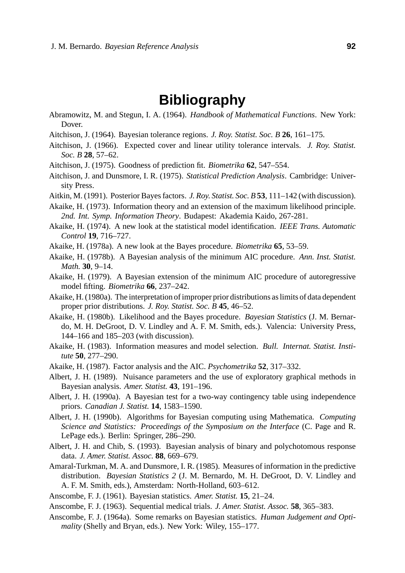# **Bibliography**

- Abramowitz, M. and Stegun, I. A. (1964). *Handbook of Mathematical Functions*. New York: Dover.
- Aitchison, J. (1964). Bayesian tolerance regions. *J. Roy. Statist. Soc. B* **26**, 161–175.
- Aitchison, J. (1966). Expected cover and linear utility tolerance intervals. *J. Roy. Statist. Soc. B* **28**, 57–62.
- Aitchison, J. (1975). Goodness of prediction fit. *Biometrika* **62**, 547–554.
- Aitchison, J. and Dunsmore, I. R. (1975). *Statistical Prediction Analysis*. Cambridge: University Press.
- Aitkin, M. (1991). Posterior Bayes factors. *J. Roy. Statist. Soc. B* **53**, 111–142 (with discussion).
- Akaike, H. (1973). Information theory and an extension of the maximum likelihood principle. *2nd. Int. Symp. Information Theory*. Budapest: Akademia Kaido, 267-281.
- Akaike, H. (1974). A new look at the statistical model identification. *IEEE Trans. Automatic Control* **19**, 716–727.
- Akaike, H. (1978a). A new look at the Bayes procedure. *Biometrika* **65**, 53–59.
- Akaike, H. (1978b). A Bayesian analysis of the minimum AIC procedure. *Ann. Inst. Statist. Math.* **30**, 9–14.
- Akaike, H. (1979). A Bayesian extension of the minimum AIC procedure of autoregressive model fifting. *Biometrika* **66**, 237–242.
- Akaike, H. (1980a). The interpretation of improper prior distributions as limits of data dependent proper prior distributions. *J. Roy. Statist. Soc. B* **45**, 46–52.
- Akaike, H. (1980b). Likelihood and the Bayes procedure. *Bayesian Statistics* (J. M. Bernardo, M. H. DeGroot, D. V. Lindley and A. F. M. Smith, eds.). Valencia: University Press, 144–166 and 185–203 (with discussion).
- Akaike, H. (1983). Information measures and model selection. *Bull. Internat. Statist. Institute* **50**, 277–290.
- Akaike, H. (1987). Factor analysis and the AIC. *Psychometrika* **52**, 317–332.
- Albert, J. H. (1989). Nuisance parameters and the use of exploratory graphical methods in Bayesian analysis. *Amer. Statist.* **43**, 191–196.
- Albert, J. H. (1990a). A Bayesian test for a two-way contingency table using independence priors. *Canadian J. Statist.* **14**, 1583–1590.
- Albert, J. H. (1990b). Algorithms for Bayesian computing using Mathematica. *Computing Science and Statistics: Proceedings of the Symposium on the Interface* (C. Page and R. LePage eds.). Berlin: Springer, 286–290.
- Albert, J. H. and Chib, S. (1993). Bayesian analysis of binary and polychotomous response data. *J. Amer. Statist. Assoc.* **88**, 669–679.
- Amaral-Turkman, M. A. and Dunsmore, I. R. (1985). Measures of information in the predictive distribution. *Bayesian Statistics 2* (J. M. Bernardo, M. H. DeGroot, D. V. Lindley and A. F. M. Smith, eds.), Amsterdam: North-Holland, 603–612.
- Anscombe, F. J. (1961). Bayesian statistics. *Amer. Statist.* **15**, 21–24.
- Anscombe, F. J. (1963). Sequential medical trials. *J. Amer. Statist. Assoc.* **58**, 365–383.
- Anscombe, F. J. (1964a). Some remarks on Bayesian statistics. *Human Judgement and Optimality* (Shelly and Bryan, eds.). New York: Wiley, 155–177.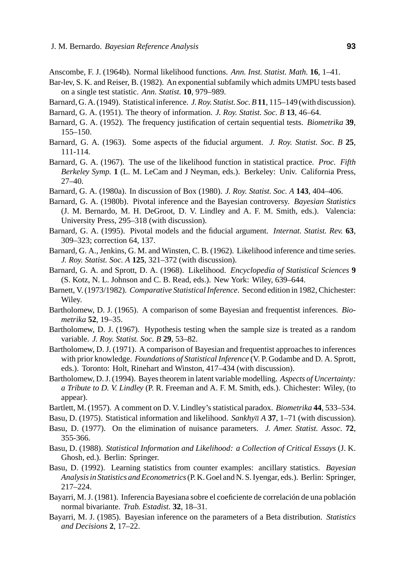Anscombe, F. J. (1964b). Normal likelihood functions. *Ann. Inst. Statist. Math.* **16**, 1–41.

- Bar-lev, S. K. and Reiser, B. (1982). An exponential subfamily which admits UMPU tests based on a single test statistic. *Ann. Statist.* **10**, 979–989.
- Barnard, G. A. (1949). Statistical inference. *J. Roy. Statist. Soc. B***11**, 115–149 (with discussion).
- Barnard, G. A. (1951). The theory of information. *J. Roy. Statist. Soc. B* **13**, 46–64.
- Barnard, G. A. (1952). The frequency justification of certain sequential tests. *Biometrika* **39**, 155–150.
- Barnard, G. A. (1963). Some aspects of the fiducial argument. *J. Roy. Statist. Soc. B* **25**, 111-114.
- Barnard, G. A. (1967). The use of the likelihood function in statistical practice. *Proc. Fifth Berkeley Symp.* **1** (L. M. LeCam and J Neyman, eds.). Berkeley: Univ. California Press, 27–40.
- Barnard, G. A. (1980a). In discussion of Box (1980). *J. Roy. Statist. Soc. A* **143**, 404–406.
- Barnard, G. A. (1980b). Pivotal inference and the Bayesian controversy. *Bayesian Statistics* (J. M. Bernardo, M. H. DeGroot, D. V. Lindley and A. F. M. Smith, eds.). Valencia: University Press, 295–318 (with discussion).
- Barnard, G. A. (1995). Pivotal models and the fiducial argument. *Internat. Statist. Rev.* **63**, 309–323; correction 64, 137.
- Barnard, G. A., Jenkins, G. M. and Winsten, C. B. (1962). Likelihood inference and time series. *J. Roy. Statist. Soc. A* **125**, 321–372 (with discussion).
- Barnard, G. A. and Sprott, D. A. (1968). Likelihood. *Encyclopedia of Statistical Sciences* **9** (S. Kotz, N. L. Johnson and C. B. Read, eds.). New York: Wiley, 639–644.
- Barnett, V. (1973/1982). *Comparative Statistical Inference*. Second edition in 1982, Chichester: Wiley.
- Bartholomew, D. J. (1965). A comparison of some Bayesian and frequentist inferences. *Biometrika* **52**, 19–35.
- Bartholomew, D. J. (1967). Hypothesis testing when the sample size is treated as a random variable. *J. Roy. Statist. Soc. B* **29**, 53–82.
- Bartholomew, D. J. (1971). A comparison of Bayesian and frequentist approaches to inferences with prior knowledge. *Foundations of Statistical Inference* (V. P. Godambe and D. A. Sprott, eds.). Toronto: Holt, Rinehart and Winston, 417–434 (with discussion).
- Bartholomew, D. J. (1994). Bayes theorem in latent variable modelling. *Aspects of Uncertainty: a Tribute to D. V. Lindley* (P. R. Freeman and A. F. M. Smith, eds.). Chichester: Wiley, (to appear).
- Bartlett, M. (1957). A comment on D. V. Lindley's statistical paradox. *Biometrika* **44**, 533–534.
- Basu, D. (1975). Statistical information and likelihood. *Sankhya A* **37**, 1–71 (with discussion).
- Basu, D. (1977). On the elimination of nuisance parameters. *J. Amer. Statist. Assoc.* **72**, 355-366.
- Basu, D. (1988). *Statistical Information and Likelihood: a Collection of Critical Essays* (J. K. Ghosh, ed.). Berlin: Springer.
- Basu, D. (1992). Learning statistics from counter examples: ancillary statistics. *Bayesian Analysis in Statistics and Econometrics*(P. K. Goel and N. S. Iyengar, eds.). Berlin: Springer, 217–224.
- Bayarri, M. J. (1981). Inferencia Bayesiana sobre el coeficiente de correlación de una población normal bivariante. *Trab. Estadist.* **32**, 18–31.
- Bayarri, M. J. (1985). Bayesian inference on the parameters of a Beta distribution. *Statistics and Decisions* **2**, 17–22.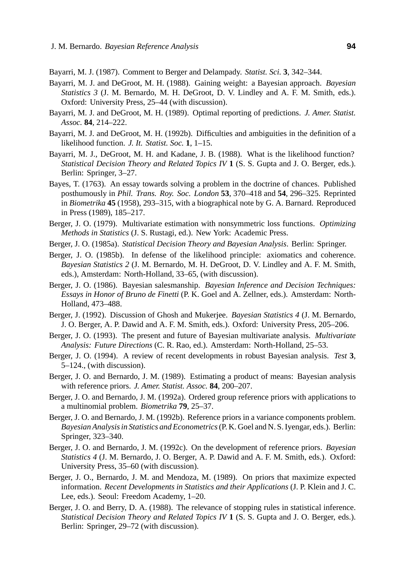Bayarri, M. J. (1987). Comment to Berger and Delampady. *Statist. Sci.* **3**, 342–344.

- Bayarri, M. J. and DeGroot, M. H. (1988). Gaining weight: a Bayesian approach. *Bayesian Statistics 3* (J. M. Bernardo, M. H. DeGroot, D. V. Lindley and A. F. M. Smith, eds.). Oxford: University Press, 25–44 (with discussion).
- Bayarri, M. J. and DeGroot, M. H. (1989). Optimal reporting of predictions. *J. Amer. Statist. Assoc.* **84**, 214–222.
- Bayarri, M. J. and DeGroot, M. H. (1992b). Difficulties and ambiguities in the definition of a likelihood function. *J. It. Statist. Soc.* **1**, 1–15.
- Bayarri, M. J., DeGroot, M. H. and Kadane, J. B. (1988). What is the likelihood function? *Statistical Decision Theory and Related Topics IV* **1** (S. S. Gupta and J. O. Berger, eds.). Berlin: Springer, 3–27.
- Bayes, T. (1763). An essay towards solving a problem in the doctrine of chances. Published posthumously in *Phil. Trans. Roy. Soc. London* **53**, 370–418 and **54**, 296–325. Reprinted in *Biometrika* **45** (1958), 293–315, with a biographical note by G. A. Barnard. Reproduced in Press (1989), 185–217.
- Berger, J. O. (1979). Multivariate estimation with nonsymmetric loss functions. *Optimizing Methods in Statistics* (J. S. Rustagi, ed.). New York: Academic Press.
- Berger, J. O. (1985a). *Statistical Decision Theory and Bayesian Analysis*. Berlin: Springer.
- Berger, J. O. (1985b). In defense of the likelihood principle: axiomatics and coherence. *Bayesian Statistics 2* (J. M. Bernardo, M. H. DeGroot, D. V. Lindley and A. F. M. Smith, eds.), Amsterdam: North-Holland, 33–65, (with discussion).
- Berger, J. O. (1986). Bayesian salesmanship. *Bayesian Inference and Decision Techniques: Essays in Honor of Bruno de Finetti* (P. K. Goel and A. Zellner, eds.). Amsterdam: North-Holland, 473–488.
- Berger, J. (1992). Discussion of Ghosh and Mukerjee. *Bayesian Statistics 4* (J. M. Bernardo, J. O. Berger, A. P. Dawid and A. F. M. Smith, eds.). Oxford: University Press, 205–206.
- Berger, J. O. (1993). The present and future of Bayesian multivariate analysis. *Multivariate Analysis: Future Directions* (C. R. Rao, ed.). Amsterdam: North-Holland, 25–53.
- Berger, J. O. (1994). A review of recent developments in robust Bayesian analysis. *Test* **3**, 5–124., (with discussion).
- Berger, J. O. and Bernardo, J. M. (1989). Estimating a product of means: Bayesian analysis with reference priors. *J. Amer. Statist. Assoc.* **84**, 200–207.
- Berger, J. O. and Bernardo, J. M. (1992a). Ordered group reference priors with applications to a multinomial problem. *Biometrika* **79**, 25–37.
- Berger, J. O. and Bernardo, J. M. (1992b). Reference priors in a variance components problem. *Bayesian Analysis in Statistics and Econometrics*(P. K. Goel and N. S. Iyengar, eds.). Berlin: Springer, 323–340.
- Berger, J. O. and Bernardo, J. M. (1992c). On the development of reference priors. *Bayesian Statistics 4* (J. M. Bernardo, J. O. Berger, A. P. Dawid and A. F. M. Smith, eds.). Oxford: University Press, 35–60 (with discussion).
- Berger, J. O., Bernardo, J. M. and Mendoza, M. (1989). On priors that maximize expected information. *Recent Developments in Statistics and their Applications* (J. P. Klein and J. C. Lee, eds.). Seoul: Freedom Academy, 1–20.
- Berger, J. O. and Berry, D. A. (1988). The relevance of stopping rules in statistical inference. *Statistical Decision Theory and Related Topics IV* **1** (S. S. Gupta and J. O. Berger, eds.). Berlin: Springer, 29–72 (with discussion).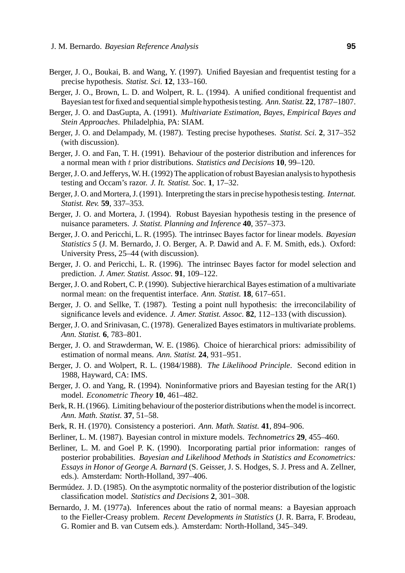- Berger, J. O., Boukai, B. and Wang, Y. (1997). Unified Bayesian and frequentist testing for a precise hypothesis. *Statist. Sci.* **12**, 133–160.
- Berger, J. O., Brown, L. D. and Wolpert, R. L. (1994). A unified conditional frequentist and Bayesian test for fixed and sequential simple hypothesis testing. *Ann. Statist.* **22**, 1787–1807.
- Berger, J. O. and DasGupta, A. (1991). *Multivariate Estimation, Bayes, Empirical Bayes and Stein Approaches*. Philadelphia, PA: SIAM.
- Berger, J. O. and Delampady, M. (1987). Testing precise hypotheses. *Statist. Sci.* **2**, 317–352 (with discussion).
- Berger, J. O. and Fan, T. H. (1991). Behaviour of the posterior distribution and inferences for a normal mean with *t* prior distributions. *Statistics and Decisions* **10**, 99–120.
- Berger, J. O. and Jefferys, W. H. (1992) The application of robust Bayesian analysis to hypothesis testing and Occam's razor. *J. It. Statist. Soc.* **1**, 17–32.
- Berger, J. O. and Mortera, J. (1991). Interpreting the stars in precise hypothesis testing. *Internat. Statist. Rev.* **59**, 337–353.
- Berger, J. O. and Mortera, J. (1994). Robust Bayesian hypothesis testing in the presence of nuisance parameters. *J. Statist. Planning and Inference* **40**, 357–373.
- Berger, J. O. and Pericchi, L. R. (1995). The intrinsec Bayes factor for linear models. *Bayesian Statistics 5* (J. M. Bernardo, J. O. Berger, A. P. Dawid and A. F. M. Smith, eds.). Oxford: University Press, 25–44 (with discussion).
- Berger, J. O. and Pericchi, L. R. (1996). The intrinsec Bayes factor for model selection and prediction. *J. Amer. Statist. Assoc.* **91**, 109–122.
- Berger, J. O. and Robert, C. P. (1990). Subjective hierarchical Bayes estimation of a multivariate normal mean: on the frequentist interface. *Ann. Statist.* **18**, 617–651.
- Berger, J. O. and Sellke, T. (1987). Testing a point null hypothesis: the irreconcilability of significance levels and evidence. *J. Amer. Statist. Assoc.* **82**, 112–133 (with discussion).
- Berger, J. O. and Srinivasan, C. (1978). Generalized Bayes estimators in multivariate problems. *Ann. Statist.* **6**, 783–801.
- Berger, J. O. and Strawderman, W. E. (1986). Choice of hierarchical priors: admissibility of estimation of normal means. *Ann. Statist.* **24**, 931–951.
- Berger, J. O. and Wolpert, R. L. (1984/1988). *The Likelihood Principle*. Second edition in 1988, Hayward, CA: IMS.
- Berger, J. O. and Yang, R. (1994). Noninformative priors and Bayesian testing for the AR(1) model. *Econometric Theory* **10**, 461–482.
- Berk, R. H. (1966). Limiting behaviour of the posterior distributions when the model is incorrect. *Ann. Math. Statist.* **37**, 51–58.
- Berk, R. H. (1970). Consistency a posteriori. *Ann. Math. Statist.* **41**, 894–906.
- Berliner, L. M. (1987). Bayesian control in mixture models. *Technometrics* **29**, 455–460.
- Berliner, L. M. and Goel P. K. (1990). Incorporating partial prior information: ranges of posterior probabilities. *Bayesian and Likelihood Methods in Statistics and Econometrics: Essays in Honor of George A. Barnard* (S. Geisser, J. S. Hodges, S. J. Press and A. Zellner, eds.). Amsterdam: North-Holland, 397–406.
- Bermúdez. J. D. (1985). On the asymptotic normality of the posterior distribution of the logistic classification model. *Statistics and Decisions* **2**, 301–308.
- Bernardo, J. M. (1977a). Inferences about the ratio of normal means: a Bayesian approach to the Fieller-Creasy problem. *Recent Developments in Statistics* (J. R. Barra, F. Brodeau, G. Romier and B. van Cutsem eds.). Amsterdam: North-Holland, 345–349.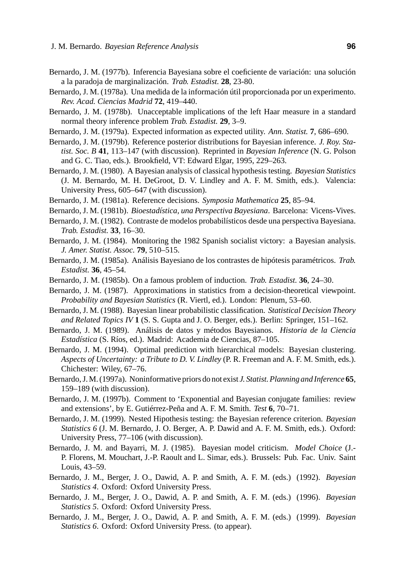- Bernardo, J. M. (1977b). Inferencia Bayesiana sobre el coeficiente de variación: una solución a la paradoja de marginalización. *Trab. Estadist.* **28**, 23-80.
- Bernardo, J. M. (1978a). Una medida de la información útil proporcionada por un experimento. *Rev. Acad. Ciencias Madrid* **72**, 419–440.
- Bernardo, J. M. (1978b). Unacceptable implications of the left Haar measure in a standard normal theory inference problem *Trab. Estadist.* **29**, 3–9.
- Bernardo, J. M. (1979a). Expected information as expected utility. *Ann. Statist.* **7**, 686–690.
- Bernardo, J. M. (1979b). Reference posterior distributions for Bayesian inference. *J. Roy. Statist. Soc. B* **41**, 113–147 (with discussion). Reprinted in *Bayesian Inference* (N. G. Polson and G. C. Tiao, eds.). Brookfield, VT: Edward Elgar, 1995, 229–263.
- Bernardo, J. M. (1980). A Bayesian analysis of classical hypothesis testing. *Bayesian Statistics* (J. M. Bernardo, M. H. DeGroot, D. V. Lindley and A. F. M. Smith, eds.). Valencia: University Press, 605–647 (with discussion).
- Bernardo, J. M. (1981a). Reference decisions. *Symposia Mathematica* **25**, 85–94.
- Bernardo, J. M. (1981b). *Bioestadística, una Perspectiva Bayesiana*. Barcelona: Vicens-Vives.
- Bernardo, J. M. (1982). Contraste de modelos probabilísticos desde una perspectiva Bayesiana. *Trab. Estadist.* **33**, 16–30.
- Bernardo, J. M. (1984). Monitoring the 1982 Spanish socialist victory: a Bayesian analysis. *J. Amer. Statist. Assoc.* **79**, 510–515.
- Bernardo, J. M. (1985a). Análisis Bayesiano de los contrastes de hipótesis paramétricos. *Trab. Estadist.* **36**, 45–54.
- Bernardo, J. M. (1985b). On a famous problem of induction. *Trab. Estadist.* **36**, 24–30.
- Bernardo, J. M. (1987). Approximations in statistics from a decision-theoretical viewpoint. *Probability and Bayesian Statistics* (R. Viertl, ed.). London: Plenum, 53–60.
- Bernardo, J. M. (1988). Bayesian linear probabilistic classification. *Statistical Decision Theory and Related Topics IV* **1** (S. S. Gupta and J. O. Berger, eds.). Berlin: Springer, 151–162.
- Bernardo, J. M. (1989). Análisis de datos y métodos Bayesianos. *Historia de la Ciencia Estadística* (S. Ríos, ed.). Madrid: Academia de Ciencias, 87–105.
- Bernardo, J. M. (1994). Optimal prediction with hierarchical models: Bayesian clustering. *Aspects of Uncertainty: a Tribute to D. V. Lindley* (P. R. Freeman and A. F. M. Smith, eds.). Chichester: Wiley, 67–76.
- Bernardo, J. M. (1997a). Noninformative priors do not exist *J. Statist. Planning and Inference* **65**, 159–189 (with discussion).
- Bernardo, J. M. (1997b). Comment to 'Exponential and Bayesian conjugate families: review and extensions', by E. Gutiérrez-Peña and A. F. M. Smith. *Test* **6**, 70–71.
- Bernardo, J. M. (1999). Nested Hipothesis testing: the Bayesian reference criterion. *Bayesian Statistics 6* (J. M. Bernardo, J. O. Berger, A. P. Dawid and A. F. M. Smith, eds.). Oxford: University Press, 77–106 (with discussion).
- Bernardo, J. M. and Bayarri, M. J. (1985). Bayesian model criticism. *Model Choice* (J.- P. Florens, M. Mouchart, J.-P. Raoult and L. Simar, eds.). Brussels: Pub. Fac. Univ. Saint Louis, 43–59.
- Bernardo, J. M., Berger, J. O., Dawid, A. P. and Smith, A. F. M. (eds.) (1992). *Bayesian Statistics 4*. Oxford: Oxford University Press.
- Bernardo, J. M., Berger, J. O., Dawid, A. P. and Smith, A. F. M. (eds.) (1996). *Bayesian Statistics 5*. Oxford: Oxford University Press.
- Bernardo, J. M., Berger, J. O., Dawid, A. P. and Smith, A. F. M. (eds.) (1999). *Bayesian Statistics 6*. Oxford: Oxford University Press. (to appear).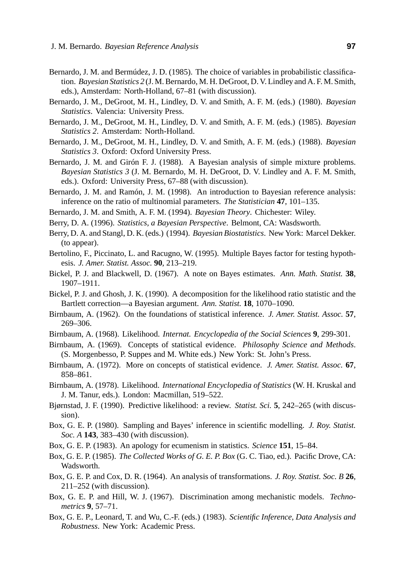- Bernardo, J. M. and Bermúdez, J. D. (1985). The choice of variables in probabilistic classification. *Bayesian Statistics 2* (J. M. Bernardo, M. H. DeGroot, D. V. Lindley and A. F. M. Smith, eds.), Amsterdam: North-Holland, 67–81 (with discussion).
- Bernardo, J. M., DeGroot, M. H., Lindley, D. V. and Smith, A. F. M. (eds.) (1980). *Bayesian Statistics*. Valencia: University Press.
- Bernardo, J. M., DeGroot, M. H., Lindley, D. V. and Smith, A. F. M. (eds.) (1985). *Bayesian Statistics 2*. Amsterdam: North-Holland.
- Bernardo, J. M., DeGroot, M. H., Lindley, D. V. and Smith, A. F. M. (eds.) (1988). *Bayesian Statistics 3*. Oxford: Oxford University Press.
- Bernardo, J. M. and Girón F. J. (1988). A Bayesian analysis of simple mixture problems. *Bayesian Statistics 3* (J. M. Bernardo, M. H. DeGroot, D. V. Lindley and A. F. M. Smith, eds.). Oxford: University Press, 67–88 (with discussion).
- Bernardo, J. M. and Ramón, J. M. (1998). An introduction to Bayesian reference analysis: inference on the ratio of multinomial parameters. *The Statistician* **47**, 101–135.
- Bernardo, J. M. and Smith, A. F. M. (1994). *Bayesian Theory*. Chichester: Wiley.
- Berry, D. A. (1996). *Statistics, a Bayesian Perspective*. Belmont, CA: Wasdsworth.
- Berry, D. A. and Stangl, D. K. (eds.) (1994). *Bayesian Biostatistics*. New York: Marcel Dekker. (to appear).
- Bertolino, F., Piccinato, L. and Racugno, W. (1995). Multiple Bayes factor for testing hypothesis. *J. Amer. Statist. Assoc.* **90**, 213–219.
- Bickel, P. J. and Blackwell, D. (1967). A note on Bayes estimates. *Ann. Math. Statist.* **38**, 1907–1911.
- Bickel, P. J. and Ghosh, J. K. (1990). A decomposition for the likelihood ratio statistic and the Bartlett correction—a Bayesian argument. *Ann. Statist.* **18**, 1070–1090.
- Birnbaum, A. (1962). On the foundations of statistical inference. *J. Amer. Statist. Assoc.* **57**, 269–306.
- Birnbaum, A. (1968). Likelihood. *Internat. Encyclopedia of the Social Sciences* **9**, 299-301.
- Birnbaum, A. (1969). Concepts of statistical evidence. *Philosophy Science and Methods*. (S. Morgenbesso, P. Suppes and M. White eds.) New York: St. John's Press.
- Birnbaum, A. (1972). More on concepts of statistical evidence. *J. Amer. Statist. Assoc.* **67**, 858–861.
- Birnbaum, A. (1978). Likelihood. *International Encyclopedia of Statistics* (W. H. Kruskal and J. M. Tanur, eds.). London: Macmillan, 519–522.
- Bjørnstad, J. F. (1990). Predictive likelihood: a review. *Statist. Sci.* **5**, 242–265 (with discussion).
- Box, G. E. P. (1980). Sampling and Bayes' inference in scientific modelling. *J. Roy. Statist. Soc. A* **143**, 383–430 (with discussion).
- Box, G. E. P. (1983). An apology for ecumenism in statistics. *Science* **151**, 15–84.
- Box, G. E. P. (1985). *The Collected Works of G. E. P. Box* (G. C. Tiao, ed.). Pacific Drove, CA: Wadsworth.
- Box, G. E. P. and Cox, D. R. (1964). An analysis of transformations. *J. Roy. Statist. Soc. B* **26**, 211–252 (with discussion).
- Box, G. E. P. and Hill, W. J. (1967). Discrimination among mechanistic models. *Technometrics* **9**, 57–71.
- Box, G. E. P., Leonard, T. and Wu, C.-F. (eds.) (1983). *Scientific Inference, Data Analysis and Robustness*. New York: Academic Press.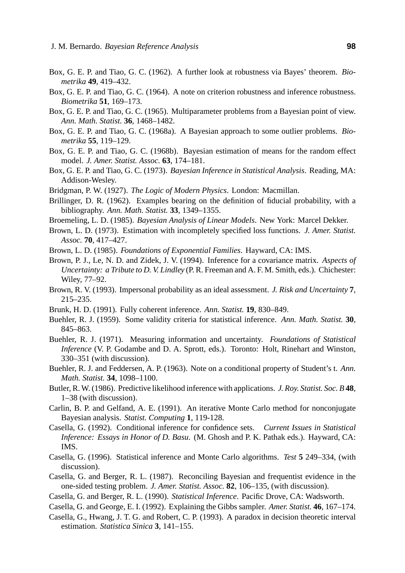- Box, G. E. P. and Tiao, G. C. (1962). A further look at robustness via Bayes' theorem. *Biometrika* **49**, 419–432.
- Box, G. E. P. and Tiao, G. C. (1964). A note on criterion robustness and inference robustness. *Biometrika* **51**, 169–173.
- Box, G. E. P. and Tiao, G. C. (1965). Multiparameter problems from a Bayesian point of view. *Ann. Math. Statist.* **36**, 1468–1482.
- Box, G. E. P. and Tiao, G. C. (1968a). A Bayesian approach to some outlier problems. *Biometrika* **55**, 119–129.
- Box, G. E. P. and Tiao, G. C. (1968b). Bayesian estimation of means for the random effect model. *J. Amer. Statist. Assoc.* **63**, 174–181.
- Box, G. E. P. and Tiao, G. C. (1973). *Bayesian Inference in Statistical Analysis*. Reading, MA: Addison-Wesley.
- Bridgman, P. W. (1927). *The Logic of Modern Physics*. London: Macmillan.
- Brillinger, D. R. (1962). Examples bearing on the definition of fiducial probability, with a bibliography. *Ann. Math. Statist.* **33**, 1349–1355.
- Broemeling, L. D. (1985). *Bayesian Analysis of Linear Models*. New York: Marcel Dekker.
- Brown, L. D. (1973). Estimation with incompletely specified loss functions. *J. Amer. Statist. Assoc.* **70**, 417–427.
- Brown, L. D. (1985). *Foundations of Exponential Families*. Hayward, CA: IMS.
- Brown, P. J., Le, N. D. and Zidek, J. V. (1994). Inference for a covariance matrix. *Aspects of Uncertainty: a Tribute to D. V. Lindley* (P. R. Freeman and A. F. M. Smith, eds.). Chichester: Wiley, 77–92.
- Brown, R. V. (1993). Impersonal probability as an ideal assessment. *J. Risk and Uncertainty* **7**, 215–235.
- Brunk, H. D. (1991). Fully coherent inference. *Ann. Statist.* **19**, 830–849.
- Buehler, R. J. (1959). Some validity criteria for statistical inference. *Ann. Math. Statist.* **30**, 845–863.
- Buehler, R. J. (1971). Measuring information and uncertainty. *Foundations of Statistical Inference* (V. P. Godambe and D. A. Sprott, eds.). Toronto: Holt, Rinehart and Winston, 330–351 (with discussion).
- Buehler, R. J. and Feddersen, A. P. (1963). Note on a conditional property of Student's t. *Ann. Math. Statist.* **34**, 1098–1100.
- Butler, R. W. (1986). Predictive likelihood inference with applications. *J. Roy. Statist. Soc. B* **48**, 1–38 (with discussion).
- Carlin, B. P. and Gelfand, A. E. (1991). An iterative Monte Carlo method for nonconjugate Bayesian analysis. *Statist. Computing* **1**, 119-128.
- Casella, G. (1992). Conditional inference for confidence sets. *Current Issues in Statistical Inference: Essays in Honor of D. Basu*. (M. Ghosh and P. K. Pathak eds.). Hayward, CA: IMS.
- Casella, G. (1996). Statistical inference and Monte Carlo algorithms. *Test* **5** 249–334, (with discussion).
- Casella, G. and Berger, R. L. (1987). Reconciling Bayesian and frequentist evidence in the one-sided testing problem. *J. Amer. Statist. Assoc.* **82**, 106–135, (with discussion).
- Casella, G. and Berger, R. L. (1990). *Statistical Inference*. Pacific Drove, CA: Wadsworth.
- Casella, G. and George, E. I. (1992). Explaining the Gibbs sampler. *Amer. Statist.* **46**, 167–174.
- Casella, G., Hwang, J. T. G. and Robert, C. P. (1993). A paradox in decision theoretic interval estimation. *Statistica Sinica* **3**, 141–155.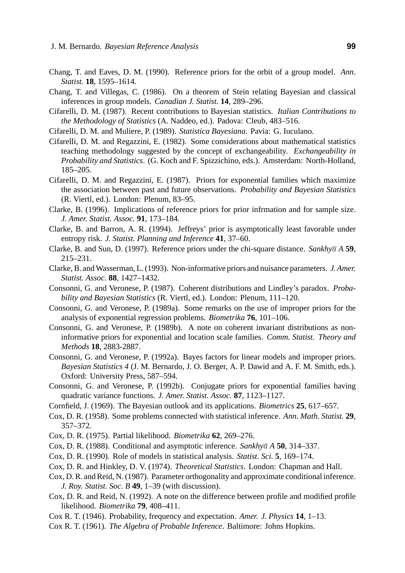- Chang, T. and Eaves, D. M. (1990). Reference priors for the orbit of a group model. *Ann. Statist.* **18**, 1595–1614.
- Chang, T. and Villegas, C. (1986). On a theorem of Stein relating Bayesian and classical inferences in group models. *Canadian J. Statist.* **14**, 289–296.
- Cifarelli, D. M. (1987). Recent contributions to Bayesian statistics. *Italian Contributions to the Methodology of Statistics* (A. Naddeo, ed.). Padova: Cleub, 483–516.
- Cifarelli, D. M. and Muliere, P. (1989). *Statistica Bayesiana*. Pavia: G. Iuculano.
- Cifarelli, D. M. and Regazzini, E. (1982). Some considerations about mathematical statistics teaching methodology suggested by the concept of exchangeability. *Exchangeability in Probability and Statistics*. (G. Koch and F. Spizzichino, eds.). Amsterdam: North-Holland, 185–205.
- Cifarelli, D. M. and Regazzini, E. (1987). Priors for exponential families which maximize the association between past and future observations. *Probability and Bayesian Statistics* (R. Viertl, ed.). London: Plenum, 83–95.
- Clarke, B. (1996). Implications of reference priors for prior infrmation and for sample size. *J. Amer. Statist. Assoc.* **91**, 173–184.
- Clarke, B. and Barron, A. R. (1994). Jeffreys' prior is asymptotically least favorable under entropy risk. *J. Statist. Planning and Inference* **41**, 37–60.
- Clarke, B. and Sun, D. (1997). Reference priors under the chi-square distance. *Sankhya A* **59**, 215–231.
- Clarke, B. and Wasserman, L. (1993). Non-informative priors and nuisance parameters. *J. Amer. Statist. Assoc.* **88**, 1427–1432.
- Consonni, G. and Veronese, P. (1987). Coherent distributions and Lindley's paradox. *Probability and Bayesian Statistics* (R. Viertl, ed.). London: Plenum, 111–120.
- Consonni, G. and Veronese, P. (1989a). Some remarks on the use of improper priors for the analysis of exponential regression problems. *Biometrika* **76**, 101–106.
- Consonni, G. and Veronese, P. (1989b). A note on coherent invariant distributions as noninformative priors for exponential and location scale families. *Comm. Statist. Theory and Methods* **18**, 2883-2887.
- Consonni, G. and Veronese, P. (1992a). Bayes factors for linear models and improper priors. *Bayesian Statistics 4* (J. M. Bernardo, J. O. Berger, A. P. Dawid and A. F. M. Smith, eds.). Oxford: University Press, 587–594.
- Consonni, G. and Veronese, P. (1992b). Conjugate priors for exponential families having quadratic variance functions. *J. Amer. Statist. Assoc.* **87**, 1123–1127.
- Cornfield, J. (1969). The Bayesian outlook and its applications. *Biometrics* **25**, 617–657.
- Cox, D. R. (1958). Some problems connected with statistical inference. *Ann. Math. Statist.* **29**, 357–372.
- Cox, D. R. (1975). Partial likelihood. *Biometrika* **62**, 269–276.
- Cox, D. R. (1988). Conditional and asymptotic inference. *Sankhya A* **50**, 314–337.
- Cox, D. R. (1990). Role of models in statistical analysis. *Statist. Sci.* **5**, 169–174.
- Cox, D. R. and Hinkley, D. V. (1974). *Theoretical Statistics*. London: Chapman and Hall.
- Cox, D. R. and Reid, N. (1987). Parameter orthogonality and approximate conditional inference. *J. Roy. Statist. Soc. B* **49**, 1–39 (with discussion).
- Cox, D. R. and Reid, N. (1992). A note on the difference between profile and modified profile likelihood. *Biometrika* **79**, 408–411.
- Cox R. T. (1946). Probability, frequency and expectation. *Amer. J. Physics* **14**, 1–13.
- Cox R. T. (1961). *The Algebra of Probable Inference*. Baltimore: Johns Hopkins.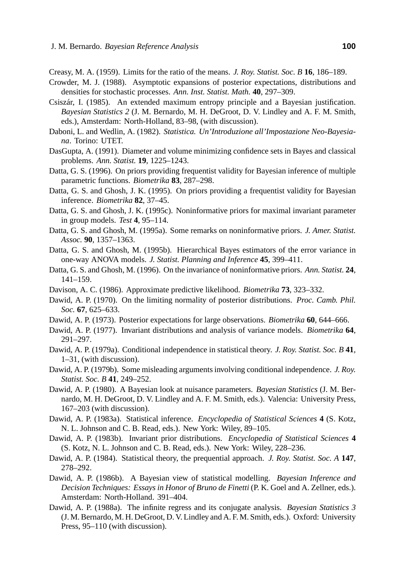Creasy, M. A. (1959). Limits for the ratio of the means. *J. Roy. Statist. Soc. B* **16**, 186–189.

- Crowder, M. J. (1988). Asymptotic expansions of posterior expectations, distributions and densities for stochastic processes. *Ann. Inst. Statist. Math.* **40**, 297–309.
- Csiszár, I. (1985). An extended maximum entropy principle and a Bayesian justification. *Bayesian Statistics 2* (J. M. Bernardo, M. H. DeGroot, D. V. Lindley and A. F. M. Smith, eds.), Amsterdam: North-Holland, 83–98, (with discussion).
- Daboni, L. and Wedlin, A. (1982). *Statistica. Un'Introduzione all'Impostazione Neo-Bayesiana*. Torino: UTET.
- DasGupta, A. (1991). Diameter and volume minimizing confidence sets in Bayes and classical problems. *Ann. Statist.* **19**, 1225–1243.
- Datta, G. S. (1996). On priors providing frequentist validity for Bayesian inference of multiple parametric functions. *Biometrika* **83**, 287–298.
- Datta, G. S. and Ghosh, J. K. (1995). On priors providing a frequentist validity for Bayesian inference. *Biometrika* **82**, 37–45.
- Datta, G. S. and Ghosh, J. K. (1995c). Noninformative priors for maximal invariant parameter in group models. *Test* **4**, 95–114.
- Datta, G. S. and Ghosh, M. (1995a). Some remarks on noninformative priors. *J. Amer. Statist. Assoc.* **90**, 1357–1363.
- Datta, G. S. and Ghosh, M. (1995b). Hierarchical Bayes estimators of the error variance in one-way ANOVA models. *J. Statist. Planning and Inference* **45**, 399–411.
- Datta, G. S. and Ghosh, M. (1996). On the invariance of noninformative priors. *Ann. Statist.* **24**, 141–159.
- Davison, A. C. (1986). Approximate predictive likelihood. *Biometrika* **73**, 323–332.
- Dawid, A. P. (1970). On the limiting normality of posterior distributions. *Proc. Camb. Phil. Soc.* **67**, 625–633.
- Dawid, A. P. (1973). Posterior expectations for large observations. *Biometrika* **60**, 644–666.
- Dawid, A. P. (1977). Invariant distributions and analysis of variance models. *Biometrika* **64**, 291–297.
- Dawid, A. P. (1979a). Conditional independence in statistical theory. *J. Roy. Statist. Soc. B* **41**, 1–31, (with discussion).
- Dawid, A. P. (1979b). Some misleading arguments involving conditional independence. *J. Roy. Statist. Soc. B* **41**, 249–252.
- Dawid, A. P. (1980). A Bayesian look at nuisance parameters. *Bayesian Statistics* (J. M. Bernardo, M. H. DeGroot, D. V. Lindley and A. F. M. Smith, eds.). Valencia: University Press, 167–203 (with discussion).
- Dawid, A. P. (1983a). Statistical inference. *Encyclopedia of Statistical Sciences* **4** (S. Kotz, N. L. Johnson and C. B. Read, eds.). New York: Wiley, 89–105.
- Dawid, A. P. (1983b). Invariant prior distributions. *Encyclopedia of Statistical Sciences* **4** (S. Kotz, N. L. Johnson and C. B. Read, eds.). New York: Wiley, 228–236.
- Dawid, A. P. (1984). Statistical theory, the prequential approach. *J. Roy. Statist. Soc. A* **147**, 278–292.
- Dawid, A. P. (1986b). A Bayesian view of statistical modelling. *Bayesian Inference and Decision Techniques: Essays in Honor of Bruno de Finetti* (P. K. Goel and A. Zellner, eds.). Amsterdam: North-Holland. 391–404.
- Dawid, A. P. (1988a). The infinite regress and its conjugate analysis. *Bayesian Statistics 3* (J. M. Bernardo, M. H. DeGroot, D. V. Lindley and A. F. M. Smith, eds.). Oxford: University Press, 95–110 (with discussion).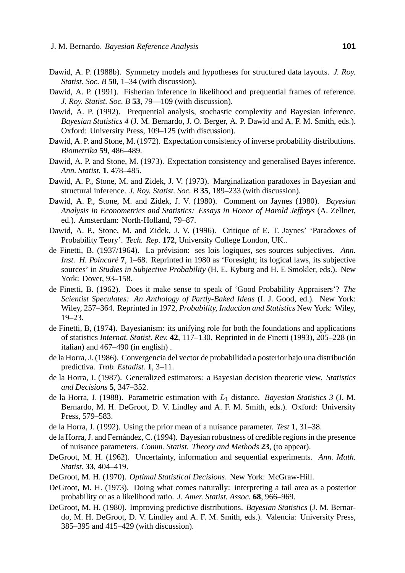- Dawid, A. P. (1988b). Symmetry models and hypotheses for structured data layouts. *J. Roy. Statist. Soc. B* **50**, 1–34 (with discussion).
- Dawid, A. P. (1991). Fisherian inference in likelihood and prequential frames of reference. *J. Roy. Statist. Soc. B* **53**, 79—109 (with discussion).
- Dawid, A. P. (1992). Prequential analysis, stochastic complexity and Bayesian inference. *Bayesian Statistics 4* (J. M. Bernardo, J. O. Berger, A. P. Dawid and A. F. M. Smith, eds.). Oxford: University Press, 109–125 (with discussion).
- Dawid, A. P. and Stone, M. (1972). Expectation consistency of inverse probability distributions. *Biometrika* **59**, 486–489.
- Dawid, A. P. and Stone, M. (1973). Expectation consistency and generalised Bayes inference. *Ann. Statist.* **1**, 478–485.
- Dawid, A. P., Stone, M. and Zidek, J. V. (1973). Marginalization paradoxes in Bayesian and structural inference. *J. Roy. Statist. Soc. B* **35**, 189–233 (with discussion).
- Dawid, A. P., Stone, M. and Zidek, J. V. (1980). Comment on Jaynes (1980). *Bayesian Analysis in Econometrics and Statistics: Essays in Honor of Harold Jeffreys* (A. Zellner, ed.). Amsterdam: North-Holland, 79–87.
- Dawid, A. P., Stone, M. and Zidek, J. V. (1996). Critique of E. T. Jaynes' 'Paradoxes of Probability Teory'. *Tech. Rep.* **172**, University College London, UK..
- de Finetti, B. (1937/1964). La prévision: ses lois logiques, ses sources subjectives. *Ann. Inst. H. Poincaré* **7**, 1–68. Reprinted in 1980 as 'Foresight; its logical laws, its subjective sources' in *Studies in Subjective Probability* (H. E. Kyburg and H. E Smokler, eds.). New York: Dover, 93–158.
- de Finetti, B. (1962). Does it make sense to speak of 'Good Probability Appraisers'? *The Scientist Speculates: An Anthology of Partly-Baked Ideas* (I. J. Good, ed.). New York: Wiley, 257–364. Reprinted in 1972, *Probability, Induction and Statistics* New York: Wiley, 19–23.
- de Finetti, B, (1974). Bayesianism: its unifying role for both the foundations and applications of statistics *Internat. Statist. Rev.* **42**, 117–130. Reprinted in de Finetti (1993), 205–228 (in italian) and 467–490 (in english) .
- de la Horra, J. (1986). Convergencia del vector de probabilidad a posterior bajo una distribución predictiva. *Trab. Estadist.* **1**, 3–11.
- de la Horra, J. (1987). Generalized estimators: a Bayesian decision theoretic view. *Statistics and Decisions* **5**, 347–352.
- de la Horra, J. (1988). Parametric estimation with *L*<sup>1</sup> distance. *Bayesian Statistics 3* (J. M. Bernardo, M. H. DeGroot, D. V. Lindley and A. F. M. Smith, eds.). Oxford: University Press, 579–583.
- de la Horra, J. (1992). Using the prior mean of a nuisance parameter. *Test* **1**, 31–38.
- de la Horra, J. and Fernández, C. (1994). Bayesian robustness of credible regions in the presence of nuisance parameters. *Comm. Statist. Theory and Methods* **23**, (to appear).
- DeGroot, M. H. (1962). Uncertainty, information and sequential experiments. *Ann. Math. Statist.* **33**, 404–419.
- DeGroot, M. H. (1970). *Optimal Statistical Decisions*. New York: McGraw-Hill.
- DeGroot, M. H. (1973). Doing what comes naturally: interpreting a tail area as a posterior probability or as a likelihood ratio. *J. Amer. Statist. Assoc.* **68**, 966–969.
- DeGroot, M. H. (1980). Improving predictive distributions. *Bayesian Statistics* (J. M. Bernardo, M. H. DeGroot, D. V. Lindley and A. F. M. Smith, eds.). Valencia: University Press, 385–395 and 415–429 (with discussion).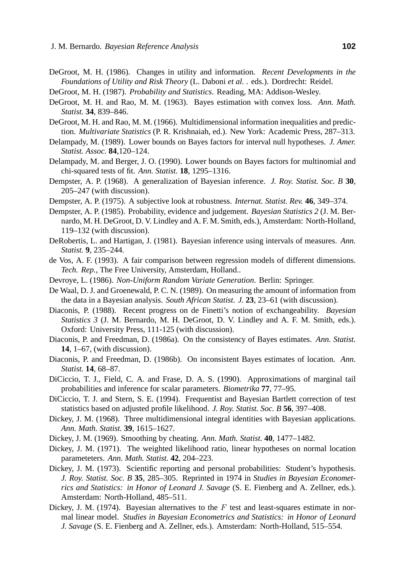- DeGroot, M. H. (1986). Changes in utility and information. *Recent Developments in the Foundations of Utility and Risk Theory* (L. Daboni *et al.* . eds.). Dordrecht: Reidel.
- DeGroot, M. H. (1987). *Probability and Statistics*. Reading, MA: Addison-Wesley.
- DeGroot, M. H. and Rao, M. M. (1963). Bayes estimation with convex loss. *Ann. Math. Statist.* **34**, 839–846.
- DeGroot, M. H. and Rao, M. M. (1966). Multidimensional information inequalities and prediction. *Multivariate Statistics* (P. R. Krishnaiah, ed.). New York: Academic Press, 287–313.
- Delampady, M. (1989). Lower bounds on Bayes factors for interval null hypotheses. *J. Amer. Statist. Assoc.* **84**,120–124.
- Delampady, M. and Berger, J. O. (1990). Lower bounds on Bayes factors for multinomial and chi-squared tests of fit. *Ann. Statist.* **18**, 1295–1316.
- Dempster, A. P. (1968). A generalization of Bayesian inference. *J. Roy. Statist. Soc. B* **30**, 205–247 (with discussion).
- Dempster, A. P. (1975). A subjective look at robustness. *Internat. Statist. Rev.* **46**, 349–374.
- Dempster, A. P. (1985). Probability, evidence and judgement. *Bayesian Statistics 2* (J. M. Bernardo, M. H. DeGroot, D. V. Lindley and A. F. M. Smith, eds.), Amsterdam: North-Holland, 119–132 (with discussion).
- DeRobertis, L. and Hartigan, J. (1981). Bayesian inference using intervals of measures. *Ann. Statist.* **9**, 235–244.
- de Vos, A. F. (1993). A fair comparison between regression models of different dimensions. *Tech. Rep.*, The Free University, Amsterdam, Holland..
- Devroye, L. (1986). *Non-Uniform Random Variate Generation*. Berlin: Springer.
- De Waal, D. J. and Groenewald, P. C. N. (1989). On measuring the amount of information from the data in a Bayesian analysis. *South African Statist. J.* **23**, 23–61 (with discussion).
- Diaconis, P. (1988). Recent progress on de Finetti's notion of exchangeability. *Bayesian Statistics 3* (J. M. Bernardo, M. H. DeGroot, D. V. Lindley and A. F. M. Smith, eds.). Oxford: University Press, 111-125 (with discussion).
- Diaconis, P. and Freedman, D. (1986a). On the consistency of Bayes estimates. *Ann. Statist.* **14**, 1–67, (with discussion).
- Diaconis, P. and Freedman, D. (1986b). On inconsistent Bayes estimates of location. *Ann. Statist.* **14**, 68–87.
- DiCiccio, T. J., Field, C. A. and Frase, D. A. S. (1990). Approximations of marginal tail probabilities and inference for scalar parameters. *Biometrika* **77**, 77–95.
- DiCiccio, T. J. and Stern, S. E. (1994). Frequentist and Bayesian Bartlett correction of test statistics based on adjusted profile likelihood. *J. Roy. Statist. Soc. B* **56**, 397–408.
- Dickey, J. M. (1968). Three multidimensional integral identities with Bayesian applications. *Ann. Math. Statist.* **39**, 1615–1627.
- Dickey, J. M. (1969). Smoothing by cheating. *Ann. Math. Statist.* **40**, 1477–1482.
- Dickey, J. M. (1971). The weighted likelihood ratio, linear hypotheses on normal location parameteters. *Ann. Math. Statist.* **42**, 204–223.
- Dickey, J. M. (1973). Scientific reporting and personal probabilities: Student's hypothesis. *J. Roy. Statist. Soc. B* **35**, 285–305. Reprinted in 1974 in *Studies in Bayesian Econometrics and Statistics: in Honor of Leonard J. Savage* (S. E. Fienberg and A. Zellner, eds.). Amsterdam: North-Holland, 485–511.
- Dickey, J. M. (1974). Bayesian alternatives to the F test and least-squares estimate in normal linear model. *Studies in Bayesian Econometrics and Statistics: in Honor of Leonard J. Savage* (S. E. Fienberg and A. Zellner, eds.). Amsterdam: North-Holland, 515–554.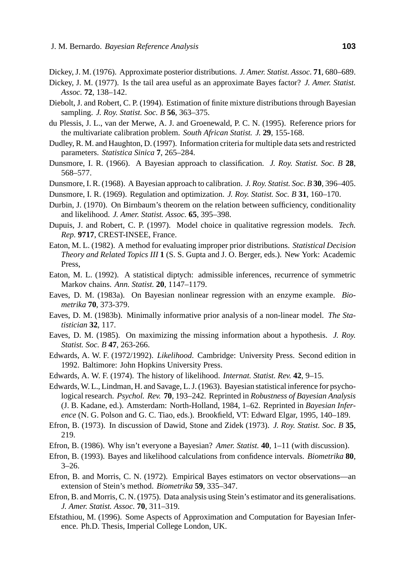Dickey, J. M. (1976). Approximate posterior distributions. *J. Amer. Statist. Assoc.* **71**, 680–689.

- Dickey, J. M. (1977). Is the tail area useful as an approximate Bayes factor? *J. Amer. Statist. Assoc.* **72**, 138–142.
- Diebolt, J. and Robert, C. P. (1994). Estimation of finite mixture distributions through Bayesian sampling. *J. Roy. Statist. Soc. B* **56**, 363–375.
- du Plessis, J. L., van der Merwe, A. J. and Groenewald, P. C. N. (1995). Reference priors for the multivariate calibration problem. *South African Statist. J.* **29**, 155-168.
- Dudley, R. M. and Haughton, D. (1997). Information criteria for multiple data sets and restricted parameters. *Statistica Sinica* **7**, 265–284.
- Dunsmore, I. R. (1966). A Bayesian approach to classification. *J. Roy. Statist. Soc. B* **28**, 568–577.
- Dunsmore, I. R. (1968). A Bayesian approach to calibration. *J. Roy. Statist. Soc. B* **30**, 396–405.
- Dunsmore, I. R. (1969). Regulation and optimization. *J. Roy. Statist. Soc. B* **31**, 160–170.
- Durbin, J. (1970). On Birnbaum's theorem on the relation between sufficiency, conditionality and likelihood. *J. Amer. Statist. Assoc.* **65**, 395–398.
- Dupuis, J. and Robert, C. P. (1997). Model choice in qualitative regression models. *Tech. Rep.* **9717**, CREST-INSEE, France.
- Eaton, M. L. (1982). A method for evaluating improper prior distributions. *Statistical Decision Theory and Related Topics III* **1** (S. S. Gupta and J. O. Berger, eds.). New York: Academic Press,
- Eaton, M. L. (1992). A statistical diptych: admissible inferences, recurrence of symmetric Markov chains. *Ann. Statist.* **20**, 1147–1179.
- Eaves, D. M. (1983a). On Bayesian nonlinear regression with an enzyme example. *Biometrika* **70**, 373-379.
- Eaves, D. M. (1983b). Minimally informative prior analysis of a non-linear model. *The Statistician* **32**, 117.
- Eaves, D. M. (1985). On maximizing the missing information about a hypothesis. *J. Roy. Statist. Soc. B* **47**, 263-266.
- Edwards, A. W. F. (1972/1992). *Likelihood*. Cambridge: University Press. Second edition in 1992. Baltimore: John Hopkins University Press.
- Edwards, A. W. F. (1974). The history of likelihood. *Internat. Statist. Rev.* **42**, 9–15.
- Edwards, W. L., Lindman, H. and Savage, L. J. (1963). Bayesian statistical inference for psychological research. *Psychol. Rev.* **70**, 193–242. Reprinted in *Robustness of Bayesian Analysis* (J. B. Kadane, ed.). Amsterdam: North-Holland, 1984, 1–62. Reprinted in *Bayesian Inference* (N. G. Polson and G. C. Tiao, eds.). Brookfield, VT: Edward Elgar, 1995, 140–189.
- Efron, B. (1973). In discussion of Dawid, Stone and Zidek (1973). *J. Roy. Statist. Soc. B* **35**, 219.
- Efron, B. (1986). Why isn't everyone a Bayesian? *Amer. Statist.* **40**, 1–11 (with discussion).
- Efron, B. (1993). Bayes and likelihood calculations from confidence intervals. *Biometrika* **80**,  $3-26.$
- Efron, B. and Morris, C. N. (1972). Empirical Bayes estimators on vector observations—an extension of Stein's method. *Biometrika* **59**, 335–347.
- Efron, B. and Morris, C. N. (1975). Data analysis using Stein's estimator and its generalisations. *J. Amer. Statist. Assoc.* **70**, 311–319.
- Efstathiou, M. (1996). Some Aspects of Approximation and Computation for Bayesian Inference. Ph.D. Thesis, Imperial College London, UK.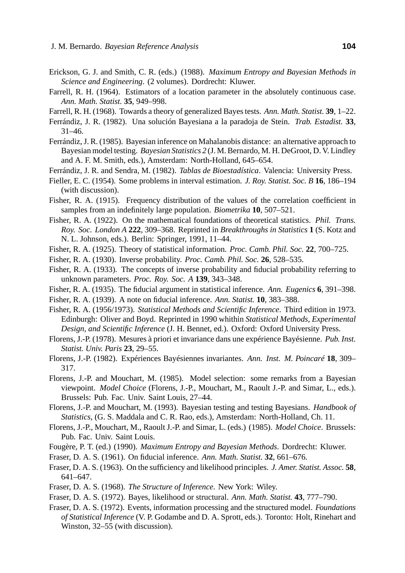- Erickson, G. J. and Smith, C. R. (eds.) (1988). *Maximum Entropy and Bayesian Methods in Science and Engineering*. (2 volumes). Dordrecht: Kluwer.
- Farrell, R. H. (1964). Estimators of a location parameter in the absolutely continuous case. *Ann. Math. Statist.* **35**, 949–998.
- Farrell, R. H. (1968). Towards a theory of generalized Bayes tests. *Ann. Math. Statist.* **39**, 1–22.
- Ferrándiz, J. R. (1982). Una solución Bayesiana a la paradoja de Stein. *Trab. Estadist.* **33**, 31–46.
- Ferrándiz, J. R. (1985). Bayesian inference on Mahalanobis distance: an alternative approach to Bayesian model testing. *Bayesian Statistics 2* (J. M. Bernardo, M. H. DeGroot, D. V. Lindley and A. F. M. Smith, eds.), Amsterdam: North-Holland, 645–654.
- Ferrándiz, J. R. and Sendra, M. (1982). *Tablas de Bioestadística*. Valencia: University Press.
- Fieller, E. C. (1954). Some problems in interval estimation. *J. Roy. Statist. Soc. B* **16**, 186–194 (with discussion).
- Fisher, R. A. (1915). Frequency distribution of the values of the correlation coefficient in samples from an indefinitely large population. *Biometrika* **10**, 507–521.
- Fisher, R. A. (1922). On the mathematical foundations of theoretical statistics. *Phil. Trans. Roy. Soc. London A* **222**, 309–368. Reprinted in *Breakthroughs in Statistics* **1** (S. Kotz and N. L. Johnson, eds.). Berlin: Springer, 1991, 11–44.
- Fisher, R. A. (1925). Theory of statistical information. *Proc. Camb. Phil. Soc.* **22**, 700–725.
- Fisher, R. A. (1930). Inverse probability. *Proc. Camb. Phil. Soc.* **26**, 528–535.
- Fisher, R. A. (1933). The concepts of inverse probability and fiducial probability referring to unknown parameters. *Proc. Roy. Soc. A* **139**, 343–348.
- Fisher, R. A. (1935). The fiducial argument in statistical inference. *Ann. Eugenics* **6**, 391–398.
- Fisher, R. A. (1939). A note on fiducial inference. *Ann. Statist.* **10**, 383–388.
- Fisher, R. A. (1956/1973). *Statistical Methods and Scientific Inference*. Third edition in 1973. Edinburgh: Oliver and Boyd. Reprinted in 1990 whithin *Statistical Methods, Experimental Design, and Scientific Inference* (J. H. Bennet, ed.). Oxford: Oxford University Press.
- Florens, J.-P. (1978). Mesures à priori et invariance dans une expérience Bayésienne. *Pub. Inst. Statist. Univ. Paris* **23**, 29–55.
- Florens, J.-P. (1982). Expériences Bayésiennes invariantes. *Ann. Inst. M. Poincaré* **18**, 309– 317.
- Florens, J.-P. and Mouchart, M. (1985). Model selection: some remarks from a Bayesian viewpoint. *Model Choice* (Florens, J.-P., Mouchart, M., Raoult J.-P. and Simar, L., eds.). Brussels: Pub. Fac. Univ. Saint Louis, 27–44.
- Florens, J.-P. and Mouchart, M. (1993). Bayesian testing and testing Bayesians. *Handbook of Statistics*, (G. S. Maddala and C. R. Rao, eds.), Amsterdam: North-Holland, Ch. 11.
- Florens, J.-P., Mouchart, M., Raoult J.-P. and Simar, L. (eds.) (1985). *Model Choice*. Brussels: Pub. Fac. Univ. Saint Louis.
- Fougère, P. T. (ed.) (1990). *Maximum Entropy and Bayesian Methods*. Dordrecht: Kluwer.
- Fraser, D. A. S. (1961). On fiducial inference. *Ann. Math. Statist.* **32**, 661–676.
- Fraser, D. A. S. (1963). On the sufficiency and likelihood principles. *J. Amer. Statist. Assoc.* **58**, 641–647.
- Fraser, D. A. S. (1968). *The Structure of Inference*. New York: Wiley.
- Fraser, D. A. S. (1972). Bayes, likelihood or structural. *Ann. Math. Statist.* **43**, 777–790.
- Fraser, D. A. S. (1972). Events, information processing and the structured model. *Foundations of Statistical Inference* (V. P. Godambe and D. A. Sprott, eds.). Toronto: Holt, Rinehart and Winston, 32–55 (with discussion).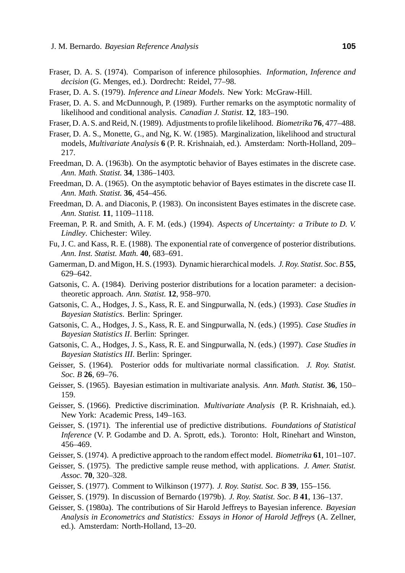- Fraser, D. A. S. (1974). Comparison of inference philosophies. *Information, Inference and decision* (G. Menges, ed.). Dordrecht: Reidel, 77–98.
- Fraser, D. A. S. (1979). *Inference and Linear Models*. New York: McGraw-Hill.
- Fraser, D. A. S. and McDunnough, P. (1989). Further remarks on the asymptotic normality of likelihood and conditional analysis. *Canadian J. Statist.* **12**, 183–190.
- Fraser, D. A. S. and Reid, N. (1989). Adjustments to profile likelihood. *Biometrika* **76**, 477–488.
- Fraser, D. A. S., Monette, G., and Ng, K. W. (1985). Marginalization, likelihood and structural models, *Multivariate Analysis* **6** (P. R. Krishnaiah, ed.). Amsterdam: North-Holland, 209– 217.
- Freedman, D. A. (1963b). On the asymptotic behavior of Bayes estimates in the discrete case. *Ann. Math. Statist.* **34**, 1386–1403.
- Freedman, D. A. (1965). On the asymptotic behavior of Bayes estimates in the discrete case II. *Ann. Math. Statist.* **36**, 454–456.
- Freedman, D. A. and Diaconis, P. (1983). On inconsistent Bayes estimates in the discrete case. *Ann. Statist.* **11**, 1109–1118.
- Freeman, P. R. and Smith, A. F. M. (eds.) (1994). *Aspects of Uncertainty: a Tribute to D. V. Lindley*. Chichester: Wiley.
- Fu, J. C. and Kass, R. E. (1988). The exponential rate of convergence of posterior distributions. *Ann. Inst. Statist. Math.* **40**, 683–691.
- Gamerman, D. and Migon, H. S. (1993). Dynamic hierarchical models. *J. Roy. Statist. Soc. B* **55**, 629–642.
- Gatsonis, C. A. (1984). Deriving posterior distributions for a location parameter: a decisiontheoretic approach. *Ann. Statist.* **12**, 958–970.
- Gatsonis, C. A., Hodges, J. S., Kass, R. E. and Singpurwalla, N. (eds.) (1993). *Case Studies in Bayesian Statistics*. Berlin: Springer.
- Gatsonis, C. A., Hodges, J. S., Kass, R. E. and Singpurwalla, N. (eds.) (1995). *Case Studies in Bayesian Statistics II*. Berlin: Springer.
- Gatsonis, C. A., Hodges, J. S., Kass, R. E. and Singpurwalla, N. (eds.) (1997). *Case Studies in Bayesian Statistics III*. Berlin: Springer.
- Geisser, S. (1964). Posterior odds for multivariate normal classification. *J. Roy. Statist. Soc. B* **26**, 69–76.
- Geisser, S. (1965). Bayesian estimation in multivariate analysis. *Ann. Math. Statist.* **36**, 150– 159.
- Geisser, S. (1966). Predictive discrimination. *Multivariate Analysis* (P. R. Krishnaiah, ed.). New York: Academic Press, 149–163.
- Geisser, S. (1971). The inferential use of predictive distributions. *Foundations of Statistical Inference* (V. P. Godambe and D. A. Sprott, eds.). Toronto: Holt, Rinehart and Winston, 456–469.
- Geisser, S. (1974). A predictive approach to the random effect model. *Biometrika* **61**, 101–107.
- Geisser, S. (1975). The predictive sample reuse method, with applications. *J. Amer. Statist. Assoc.* **70**, 320–328.
- Geisser, S. (1977). Comment to Wilkinson (1977). *J. Roy. Statist. Soc. B* **39**, 155–156.
- Geisser, S. (1979). In discussion of Bernardo (1979b). *J. Roy. Statist. Soc. B* **41**, 136–137.
- Geisser, S. (1980a). The contributions of Sir Harold Jeffreys to Bayesian inference. *Bayesian Analysis in Econometrics and Statistics: Essays in Honor of Harold Jeffreys* (A. Zellner, ed.). Amsterdam: North-Holland, 13–20.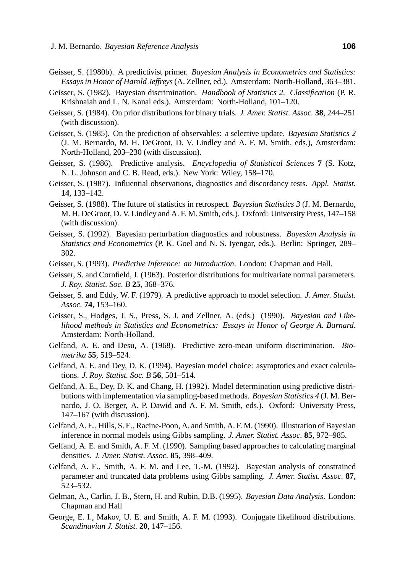- Geisser, S. (1980b). A predictivist primer. *Bayesian Analysis in Econometrics and Statistics: Essays in Honor of Harold Jeffreys* (A. Zellner, ed.). Amsterdam: North-Holland, 363–381.
- Geisser, S. (1982). Bayesian discrimination. *Handbook of Statistics 2. Classification* (P. R. Krishnaiah and L. N. Kanal eds.). Amsterdam: North-Holland, 101–120.
- Geisser, S. (1984). On prior distributions for binary trials. *J. Amer. Statist. Assoc.* **38**, 244–251 (with discussion).
- Geisser, S. (1985). On the prediction of observables: a selective update. *Bayesian Statistics 2* (J. M. Bernardo, M. H. DeGroot, D. V. Lindley and A. F. M. Smith, eds.), Amsterdam: North-Holland, 203–230 (with discussion).
- Geisser, S. (1986). Predictive analysis. *Encyclopedia of Statistical Sciences* **7** (S. Kotz, N. L. Johnson and C. B. Read, eds.). New York: Wiley, 158–170.
- Geisser, S. (1987). Influential observations, diagnostics and discordancy tests. *Appl. Statist.* **14**, 133–142.
- Geisser, S. (1988). The future of statistics in retrospect. *Bayesian Statistics 3* (J. M. Bernardo, M. H. DeGroot, D. V. Lindley and A. F. M. Smith, eds.). Oxford: University Press, 147–158 (with discussion).
- Geisser, S. (1992). Bayesian perturbation diagnostics and robustness. *Bayesian Analysis in Statistics and Econometrics* (P. K. Goel and N. S. Iyengar, eds.). Berlin: Springer, 289– 302.
- Geisser, S. (1993). *Predictive Inference: an Introduction*. London: Chapman and Hall.
- Geisser, S. and Cornfield, J. (1963). Posterior distributions for multivariate normal parameters. *J. Roy. Statist. Soc. B* **25**, 368–376.
- Geisser, S. and Eddy, W. F. (1979). A predictive approach to model selection. *J. Amer. Statist. Assoc.* **74**, 153–160.
- Geisser, S., Hodges, J. S., Press, S. J. and Zellner, A. (eds.) (1990). *Bayesian and Likelihood methods in Statistics and Econometrics: Essays in Honor of George A. Barnard*. Amsterdam: North-Holland.
- Gelfand, A. E. and Desu, A. (1968). Predictive zero-mean uniform discrimination. *Biometrika* **55**, 519–524.
- Gelfand, A. E. and Dey, D. K. (1994). Bayesian model choice: asymptotics and exact calculations. *J. Roy. Statist. Soc. B* **56**, 501–514.
- Gelfand, A. E., Dey, D. K. and Chang, H. (1992). Model determination using predictive distributions with implementation via sampling-based methods. *Bayesian Statistics 4* (J. M. Bernardo, J. O. Berger, A. P. Dawid and A. F. M. Smith, eds.). Oxford: University Press, 147–167 (with discussion).
- Gelfand, A. E., Hills, S. E., Racine-Poon, A. and Smith, A. F. M. (1990). Illustration of Bayesian inference in normal models using Gibbs sampling. *J. Amer. Statist. Assoc.* **85**, 972–985.
- Gelfand, A. E. and Smith, A. F. M. (1990). Sampling based approaches to calculating marginal densities. *J. Amer. Statist. Assoc.* **85**, 398–409.
- Gelfand, A. E., Smith, A. F. M. and Lee, T.-M. (1992). Bayesian analysis of constrained parameter and truncated data problems using Gibbs sampling. *J. Amer. Statist. Assoc.* **87**, 523–532.
- Gelman, A., Carlin, J. B., Stern, H. and Rubin, D.B. (1995). *Bayesian Data Analysis*. London: Chapman and Hall
- George, E. I., Makov, U. E. and Smith, A. F. M. (1993). Conjugate likelihood distributions. *Scandinavian J. Statist.* **20**, 147–156.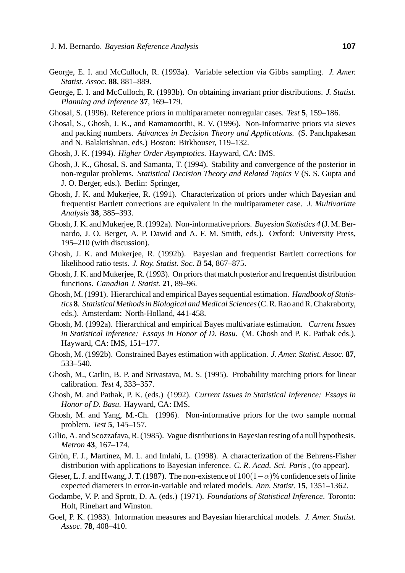- George, E. I. and McCulloch, R. (1993a). Variable selection via Gibbs sampling. *J. Amer. Statist. Assoc.* **88**, 881–889.
- George, E. I. and McCulloch, R. (1993b). On obtaining invariant prior distributions. *J. Statist. Planning and Inference* **37**, 169–179.
- Ghosal, S. (1996). Reference priors in multiparameter nonregular cases. *Test* **5**, 159–186.
- Ghosal, S., Ghosh, J. K., and Ramamoorthi, R. V. (1996). Non-Informative priors via sieves and packing numbers. *Advances in Decision Theory and Applications.* (S. Panchpakesan and N. Balakrishnan, eds.) Boston: Birkhouser, 119–132.
- Ghosh, J. K. (1994). *Higher Order Asymptotics*. Hayward, CA: IMS.
- Ghosh, J. K., Ghosal, S. and Samanta, T. (1994). Stability and convergence of the posterior in non-regular problems. *Statistical Decision Theory and Related Topics V* (S. S. Gupta and J. O. Berger, eds.). Berlin: Springer,
- Ghosh, J. K. and Mukerjee, R. (1991). Characterization of priors under which Bayesian and frequentist Bartlett corrections are equivalent in the multiparameter case. *J. Multivariate Analysis* **38**, 385–393.
- Ghosh, J. K. and Mukerjee, R. (1992a). Non-informative priors. *Bayesian Statistics 4* (J. M. Bernardo, J. O. Berger, A. P. Dawid and A. F. M. Smith, eds.). Oxford: University Press, 195–210 (with discussion).
- Ghosh, J. K. and Mukerjee, R. (1992b). Bayesian and frequentist Bartlett corrections for likelihood ratio tests. *J. Roy. Statist. Soc. B* **54**, 867–875.
- Ghosh, J. K. and Mukerjee, R. (1993). On priors that match posterior and frequentist distribution functions. *Canadian J. Statist.* **21**, 89–96.
- Ghosh, M. (1991). Hierarchical and empirical Bayes sequential estimation. *Handbook of Statistics* **8***. Statistical Methods in Biological and Medical Sciences*(C. R. Rao and R. Chakraborty, eds.). Amsterdam: North-Holland, 441-458.
- Ghosh, M. (1992a). Hierarchical and empirical Bayes multivariate estimation. *Current Issues in Statistical Inference: Essays in Honor of D. Basu*. (M. Ghosh and P. K. Pathak eds.). Hayward, CA: IMS, 151–177.
- Ghosh, M. (1992b). Constrained Bayes estimation with application. *J. Amer. Statist. Assoc.* **87**, 533–540.
- Ghosh, M., Carlin, B. P. and Srivastava, M. S. (1995). Probability matching priors for linear calibration. *Test* **4**, 333–357.
- Ghosh, M. and Pathak, P. K. (eds.) (1992). *Current Issues in Statistical Inference: Essays in Honor of D. Basu*. Hayward, CA: IMS.
- Ghosh, M. and Yang, M.-Ch. (1996). Non-informative priors for the two sample normal problem. *Test* **5**, 145–157.
- Gilio, A. and Scozzafava, R. (1985). Vague distributions in Bayesian testing of a null hypothesis. *Metron* **43**, 167–174.
- Girón, F. J., Martínez, M. L. and Imlahi, L. (1998). A characterization of the Behrens-Fisher distribution with applications to Bayesian inference. *C. R. Acad. Sci. Paris* , (to appear).
- Gleser, L. J. and Hwang, J. T. (1987). The non-existence of  $100(1-\alpha)$ % confidence sets of finite expected diameters in error-in-variable and related models. *Ann. Statist.* **15**, 1351–1362.
- Godambe, V. P. and Sprott, D. A. (eds.) (1971). *Foundations of Statistical Inference*. Toronto: Holt, Rinehart and Winston.
- Goel, P. K. (1983). Information measures and Bayesian hierarchical models. *J. Amer. Statist. Assoc.* **78**, 408–410.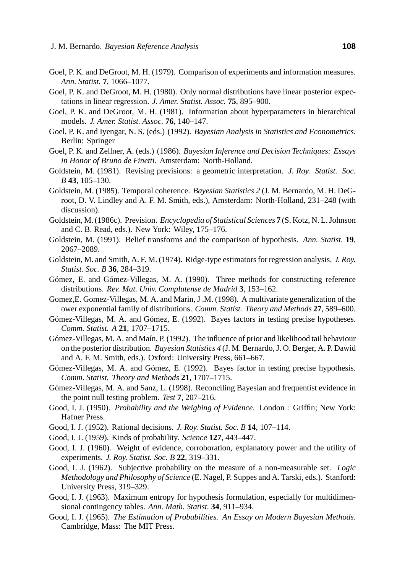- Goel, P. K. and DeGroot, M. H. (1979). Comparison of experiments and information measures. *Ann. Statist.* **7**, 1066–1077.
- Goel, P. K. and DeGroot, M. H. (1980). Only normal distributions have linear posterior expectations in linear regression. *J. Amer. Statist. Assoc.* **75**, 895–900.
- Goel, P. K. and DeGroot, M. H. (1981). Information about hyperparameters in hierarchical models. *J. Amer. Statist. Assoc.* **76**, 140–147.
- Goel, P. K. and Iyengar, N. S. (eds.) (1992). *Bayesian Analysis in Statistics and Econometrics*. Berlin: Springer
- Goel, P. K. and Zellner, A. (eds.) (1986). *Bayesian Inference and Decision Techniques: Essays in Honor of Bruno de Finetti*. Amsterdam: North-Holland.
- Goldstein, M. (1981). Revising previsions: a geometric interpretation. *J. Roy. Statist. Soc. B* **43**, 105–130.
- Goldstein, M. (1985). Temporal coherence. *Bayesian Statistics 2* (J. M. Bernardo, M. H. DeGroot, D. V. Lindley and A. F. M. Smith, eds.), Amsterdam: North-Holland, 231–248 (with discussion).
- Goldstein, M. (1986c). Prevision. *Encyclopedia of Statistical Sciences* **7** (S. Kotz, N. L. Johnson and C. B. Read, eds.). New York: Wiley, 175–176.
- Goldstein, M. (1991). Belief transforms and the comparison of hypothesis. *Ann. Statist.* **19**, 2067–2089.
- Goldstein, M. and Smith, A. F. M. (1974). Ridge-type estimators for regression analysis. *J. Roy. Statist. Soc. B* **36**, 284–319.
- Gómez, E. and Gómez-Villegas, M. A. (1990). Three methods for constructing reference distributions. *Rev. Mat. Univ. Complutense de Madrid* **3**, 153–162.
- Gomez,E. Gomez-Villegas, M. A. and Marin, J .M. (1998). A multivariate generalization of the ower exponential family of distributions. *Comm. Statist. Theory and Methods* **27**, 589–600.
- Gómez-Villegas, M. A. and Gómez, E. (1992). Bayes factors in testing precise hypotheses. *Comm. Statist. A* **21**, 1707–1715.
- Gómez-Villegas, M. A. and Maín, P. (1992). The influence of prior and likelihood tail behaviour on the posterior distribution. *Bayesian Statistics 4* (J. M. Bernardo, J. O. Berger, A. P. Dawid and A. F. M. Smith, eds.). Oxford: University Press, 661–667.
- Gómez-Villegas, M. A. and Gómez, E. (1992). Bayes factor in testing precise hypothesis. *Comm. Statist. Theory and Methods* **21**, 1707–1715.
- Gómez-Villegas, M. A. and Sanz, L. (1998). Reconciling Bayesian and frequentist evidence in the point null testing problem. *Test* **7**, 207–216.
- Good, I. J. (1950). *Probability and the Weighing of Evidence*. London : Griffin; New York: Hafner Press.
- Good, I. J. (1952). Rational decisions. *J. Roy. Statist. Soc. B* **14**, 107–114.
- Good, I. J. (1959). Kinds of probability. *Science* **127**, 443–447.
- Good, I. J. (1960). Weight of evidence, corroboration, explanatory power and the utility of experiments. *J. Roy. Statist. Soc. B* **22**, 319–331.
- Good, I. J. (1962). Subjective probability on the measure of a non-measurable set. *Logic Methodology and Philosophy of Science* (E. Nagel, P. Suppes and A. Tarski, eds.). Stanford: University Press, 319–329.
- Good, I. J. (1963). Maximum entropy for hypothesis formulation, especially for multidimensional contingency tables. *Ann. Math. Statist.* **34**, 911–934.
- Good, I. J. (1965). *The Estimation of Probabilities. An Essay on Modern Bayesian Methods*. Cambridge, Mass: The MIT Press.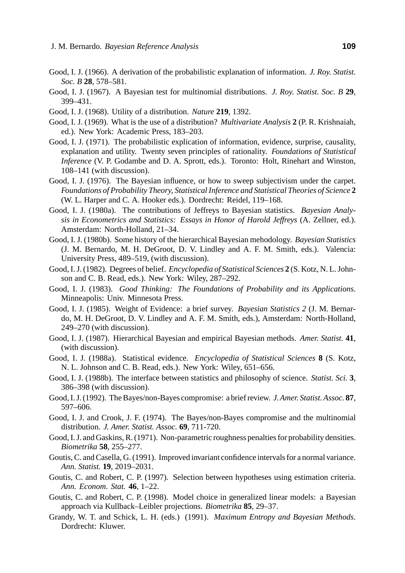- Good, I. J. (1966). A derivation of the probabilistic explanation of information. *J. Roy. Statist. Soc. B* **28**, 578–581.
- Good, I. J. (1967). A Bayesian test for multinomial distributions. *J. Roy. Statist. Soc. B* **29**, 399–431.
- Good, I. J. (1968). Utility of a distribution. *Nature* **219**, 1392.
- Good, I. J. (1969). What is the use of a distribution? *Multivariate Analysis* **2** (P. R. Krishnaiah, ed.). New York: Academic Press, 183–203.
- Good, I. J. (1971). The probabilistic explication of information, evidence, surprise, causality, explanation and utility. Twenty seven principles of rationality. *Foundations of Statistical Inference* (V. P. Godambe and D. A. Sprott, eds.). Toronto: Holt, Rinehart and Winston, 108–141 (with discussion).
- Good, I. J. (1976). The Bayesian influence, or how to sweep subjectivism under the carpet. *Foundations of Probability Theory, Statistical Inference and Statistical Theories of Science* **2** (W. L. Harper and C. A. Hooker eds.). Dordrecht: Reidel, 119–168.
- Good, I. J. (1980a). The contributions of Jeffreys to Bayesian statistics. *Bayesian Analysis in Econometrics and Statistics: Essays in Honor of Harold Jeffreys* (A. Zellner, ed.). Amsterdam: North-Holland, 21–34.
- Good, I. J. (1980b). Some history of the hierarchical Bayesian mehodology. *Bayesian Statistics* (J. M. Bernardo, M. H. DeGroot, D. V. Lindley and A. F. M. Smith, eds.). Valencia: University Press, 489–519, (with discussion).
- Good, I. J. (1982). Degrees of belief. *Encyclopedia of Statistical Sciences* **2** (S. Kotz, N. L. Johnson and C. B. Read, eds.). New York: Wiley, 287–292.
- Good, I. J. (1983). *Good Thinking: The Foundations of Probability and its Applications*. Minneapolis: Univ. Minnesota Press.
- Good, I. J. (1985). Weight of Evidence: a brief survey. *Bayesian Statistics 2* (J. M. Bernardo, M. H. DeGroot, D. V. Lindley and A. F. M. Smith, eds.), Amsterdam: North-Holland, 249–270 (with discussion).
- Good, I. J. (1987). Hierarchical Bayesian and empirical Bayesian methods. *Amer. Statist.* **41**, (with discussion).
- Good, I. J. (1988a). Statistical evidence. *Encyclopedia of Statistical Sciences* **8** (S. Kotz, N. L. Johnson and C. B. Read, eds.). New York: Wiley, 651–656.
- Good, I. J. (1988b). The interface between statistics and philosophy of science. *Statist. Sci.* **3**, 386–398 (with discussion).
- Good, I. J. (1992). The Bayes/non-Bayes compromise: a brief review. *J. Amer. Statist. Assoc.* **87**, 597–606.
- Good, I. J. and Crook, J. F. (1974). The Bayes/non-Bayes compromise and the multinomial distribution. *J. Amer. Statist. Assoc.* **69**, 711-720.
- Good, I. J. and Gaskins, R. (1971). Non-parametric roughness penalties for probability densities. *Biometrika* **58**, 255–277.
- Goutis, C. and Casella, G. (1991). Improved invariant confidence intervals for a normal variance. *Ann. Statist.* **19**, 2019–2031.
- Goutis, C. and Robert, C. P. (1997). Selection between hypotheses using estimation criteria. *Ann. Econom. Stat.* **46**, 1–22.
- Goutis, C. and Robert, C. P. (1998). Model choice in generalized linear models: a Bayesian approach via Kullback–Leibler projections. *Biometrika* **85**, 29–37.
- Grandy, W. T. and Schick, L. H. (eds.) (1991). *Maximum Entropy and Bayesian Methods*. Dordrecht: Kluwer.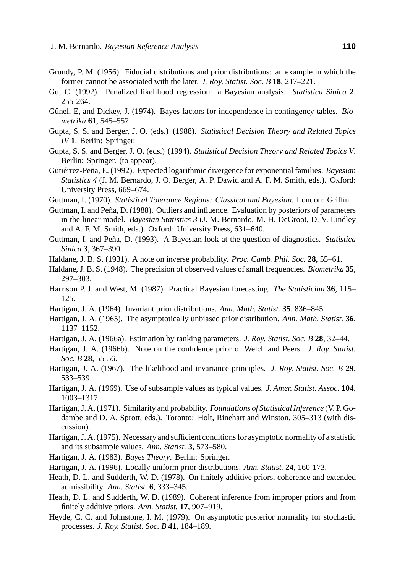- Grundy, P. M. (1956). Fiducial distributions and prior distributions: an example in which the former cannot be associated with the later. *J. Roy. Statist. Soc. B* **18**, 217–221.
- Gu, C. (1992). Penalized likelihood regression: a Bayesian analysis. *Statistica Sinica* **2**, 255-264.
- Gûnel, E, and Dickey, J. (1974). Bayes factors for independence in contingency tables. *Biometrika* **61**, 545–557.
- Gupta, S. S. and Berger, J. O. (eds.) (1988). *Statistical Decision Theory and Related Topics IV* **1**. Berlin: Springer.
- Gupta, S. S. and Berger, J. O. (eds.) (1994). *Statistical Decision Theory and Related Topics V*. Berlin: Springer. (to appear).
- Gutiérrez-Peña, E. (1992). Expected logarithmic divergence for exponential families. *Bayesian Statistics 4* (J. M. Bernardo, J. O. Berger, A. P. Dawid and A. F. M. Smith, eds.). Oxford: University Press, 669–674.
- Guttman, I. (1970). *Statistical Tolerance Regions: Classical and Bayesian*. London: Griffin.
- Guttman, I. and Peña, D. (1988). Outliers and influence. Evaluation by posteriors of parameters in the linear model. *Bayesian Statistics 3* (J. M. Bernardo, M. H. DeGroot, D. V. Lindley and A. F. M. Smith, eds.). Oxford: University Press, 631–640.
- Guttman, I. and Peña, D. (1993). A Bayesian look at the question of diagnostics. *Statistica Sinica* **3**, 367–390.
- Haldane, J. B. S. (1931). A note on inverse probability. *Proc. Camb. Phil. Soc.* **28**, 55–61.
- Haldane, J. B. S. (1948). The precision of observed values of small frequencies. *Biometrika* **35**, 297–303.
- Harrison P. J. and West, M. (1987). Practical Bayesian forecasting. *The Statistician* **36**, 115– 125.
- Hartigan, J. A. (1964). Invariant prior distributions. *Ann. Math. Statist.* **35**, 836–845.
- Hartigan, J. A. (1965). The asymptotically unbiased prior distribution. *Ann. Math. Statist.* **36**, 1137–1152.
- Hartigan, J. A. (1966a). Estimation by ranking parameters. *J. Roy. Statist. Soc. B* **28**, 32–44.
- Hartigan, J. A. (1966b). Note on the confidence prior of Welch and Peers. *J. Roy. Statist. Soc. B* **28**, 55-56.
- Hartigan, J. A. (1967). The likelihood and invariance principles. *J. Roy. Statist. Soc. B* **29**, 533–539.
- Hartigan, J. A. (1969). Use of subsample values as typical values. *J. Amer. Statist. Assoc.* **104**, 1003–1317.
- Hartigan, J. A. (1971). Similarity and probability. *Foundations of Statistical Inference* (V. P. Godambe and D. A. Sprott, eds.). Toronto: Holt, Rinehart and Winston, 305–313 (with discussion).
- Hartigan, J. A. (1975). Necessary and sufficient conditions for asymptotic normality of a statistic and its subsample values. *Ann. Statist.* **3**, 573–580.
- Hartigan, J. A. (1983). *Bayes Theory*. Berlin: Springer.
- Hartigan, J. A. (1996). Locally uniform prior distributions. *Ann. Statist.* **24**, 160-173.
- Heath, D. L. and Sudderth, W. D. (1978). On finitely additive priors, coherence and extended admissibility. *Ann. Statist.* **6**, 333–345.
- Heath, D. L. and Sudderth, W. D. (1989). Coherent inference from improper priors and from finitely additive priors. *Ann. Statist.* **17**, 907–919.
- Heyde, C. C. and Johnstone, I. M. (1979). On asymptotic posterior normality for stochastic processes. *J. Roy. Statist. Soc. B* **41**, 184–189.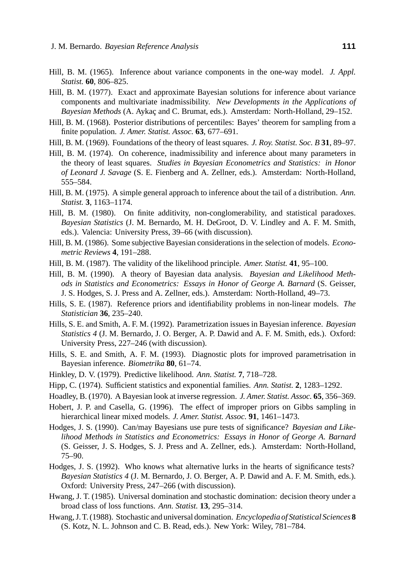- Hill, B. M. (1965). Inference about variance components in the one-way model. *J. Appl. Statist.* **60**, 806–825.
- Hill, B. M. (1977). Exact and approximate Bayesian solutions for inference about variance components and multivariate inadmissibility. *New Developments in the Applications of Bayesian Methods* (A. Aykaç and C. Brumat, eds.). Amsterdam: North-Holland, 29–152.
- Hill, B. M. (1968). Posterior distributions of percentiles: Bayes' theorem for sampling from a finite population. *J. Amer. Statist. Assoc.* **63**, 677–691.
- Hill, B. M. (1969). Foundations of the theory of least squares. *J. Roy. Statist. Soc. B* **31**, 89–97.
- Hill, B. M. (1974). On coherence, inadmissibility and inference about many parameters in the theory of least squares. *Studies in Bayesian Econometrics and Statistics: in Honor of Leonard J. Savage* (S. E. Fienberg and A. Zellner, eds.). Amsterdam: North-Holland, 555–584.
- Hill, B. M. (1975). A simple general approach to inference about the tail of a distribution. *Ann. Statist.* **3**, 1163–1174.
- Hill, B. M. (1980). On finite additivity, non-conglomerability, and statistical paradoxes. *Bayesian Statistics* (J. M. Bernardo, M. H. DeGroot, D. V. Lindley and A. F. M. Smith, eds.). Valencia: University Press, 39–66 (with discussion).
- Hill, B. M. (1986). Some subjective Bayesian considerations in the selection of models. *Econometric Reviews* **4**, 191–288.
- Hill, B. M. (1987). The validity of the likelihood principle. *Amer. Statist.* **41**, 95–100.
- Hill, B. M. (1990). A theory of Bayesian data analysis. *Bayesian and Likelihood Methods in Statistics and Econometrics: Essays in Honor of George A. Barnard* (S. Geisser, J. S. Hodges, S. J. Press and A. Zellner, eds.). Amsterdam: North-Holland, 49–73.
- Hills, S. E. (1987). Reference priors and identifiability problems in non-linear models. *The Statistician* **36**, 235–240.
- Hills, S. E. and Smith, A. F. M. (1992). Parametrization issues in Bayesian inference. *Bayesian Statistics 4* (J. M. Bernardo, J. O. Berger, A. P. Dawid and A. F. M. Smith, eds.). Oxford: University Press, 227–246 (with discussion).
- Hills, S. E. and Smith, A. F. M. (1993). Diagnostic plots for improved parametrisation in Bayesian inference. *Biometrika* **80**, 61–74.
- Hinkley, D. V. (1979). Predictive likelihood. *Ann. Statist.* **7**, 718–728.
- Hipp, C. (1974). Sufficient statistics and exponential families. *Ann. Statist.* **2**, 1283–1292.
- Hoadley, B. (1970). A Bayesian look at inverse regression. *J. Amer. Statist. Assoc.* **65**, 356–369.
- Hobert, J. P. and Casella, G. (1996). The effect of improper priors on Gibbs sampling in hierarchical linear mixed models. *J. Amer. Statist. Assoc.* **91**, 1461–1473.
- Hodges, J. S. (1990). Can/may Bayesians use pure tests of significance? *Bayesian and Likelihood Methods in Statistics and Econometrics: Essays in Honor of George A. Barnard* (S. Geisser, J. S. Hodges, S. J. Press and A. Zellner, eds.). Amsterdam: North-Holland, 75–90.
- Hodges, J. S. (1992). Who knows what alternative lurks in the hearts of significance tests? *Bayesian Statistics 4* (J. M. Bernardo, J. O. Berger, A. P. Dawid and A. F. M. Smith, eds.). Oxford: University Press, 247–266 (with discussion).
- Hwang, J. T. (1985). Universal domination and stochastic domination: decision theory under a broad class of loss functions. *Ann. Statist.* **13**, 295–314.
- Hwang, J. T. (1988). Stochastic and universal domination. *Encyclopedia of Statistical Sciences* **8** (S. Kotz, N. L. Johnson and C. B. Read, eds.). New York: Wiley, 781–784.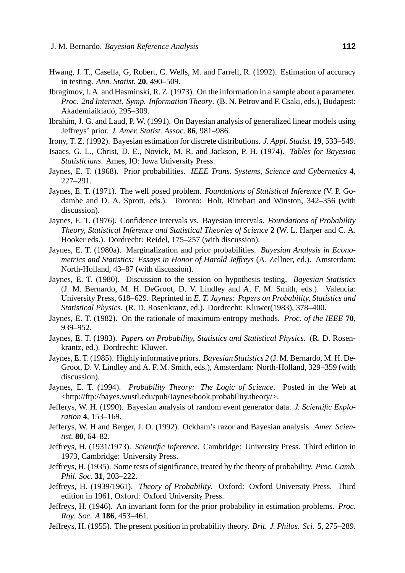- Hwang, J. T., Casella, G, Robert, C. Wells, M. and Farrell, R. (1992). Estimation of accuracy in testing. *Ann. Statist.* **20**, 490–509.
- Ibragimov, I. A. and Hasminski, R. Z. (1973). On the information in a sample about a parameter. *Proc. 2nd Internat. Symp. Information Theory*. (B. N. Petrov and F. Csaki, eds.), Budapest: Akademiaikiadó, 295–309.
- Ibrahim, J. G. and Laud, P. W. (1991). On Bayesian analysis of generalized linear models using Jeffreys' prior. *J. Amer. Statist. Assoc.* **86**, 981–986.
- Irony, T. Z. (1992). Bayesian estimation for discrete distributions. *J. Appl. Statist.* **19**, 533–549.
- Isaacs, G. L., Christ, D. E., Novick, M. R. and Jackson, P. H. (1974). *Tables for Bayesian Statisticians*. Ames, IO: Iowa University Press.
- Jaynes, E. T. (1968). Prior probabilities. *IEEE Trans. Systems, Science and Cybernetics* **4**, 227–291.
- Jaynes, E. T. (1971). The well posed problem. *Foundations of Statistical Inference* (V. P. Godambe and D. A. Sprott, eds.). Toronto: Holt, Rinehart and Winston, 342–356 (with discussion).
- Jaynes, E. T. (1976). Confidence intervals vs. Bayesian intervals. *Foundations of Probability Theory, Statistical Inference and Statistical Theories of Science* **2** (W. L. Harper and C. A. Hooker eds.). Dordrecht: Reidel, 175–257 (with discussion).
- Jaynes, E. T. (1980a). Marginalization and prior probabilities. *Bayesian Analysis in Econometrics and Statistics: Essays in Honor of Harold Jeffreys* (A. Zellner, ed.). Amsterdam: North-Holland, 43–87 (with discussion).
- Jaynes, E. T. (1980). Discussion to the session on hypothesis testing. *Bayesian Statistics* (J. M. Bernardo, M. H. DeGroot, D. V. Lindley and A. F. M. Smith, eds.). Valencia: University Press, 618–629. Reprinted in *E. T. Jaynes: Papers on Probability, Statistics and Statistical Physics*. (R. D. Rosenkranz, ed.). Dordrecht: Kluwer(1983), 378–400.
- Jaynes, E. T. (1982). On the rationale of maximum-entropy methods. *Proc. of the IEEE* **70**, 939–952.
- Jaynes, E. T. (1983). *Papers on Probability, Statistics and Statistical Physics*. (R. D. Rosenkrantz, ed.). Dordrecht: Kluwer.
- Jaynes, E. T. (1985). Highly informative priors. *Bayesian Statistics 2* (J. M. Bernardo, M. H. De-Groot, D. V. Lindley and A. F. M. Smith, eds.), Amsterdam: North-Holland, 329–359 (with discussion).
- Jaynes, E. T. (1994). *Probability Theory: The Logic of Science*. Posted in the Web at <http://ftp://bayes.wustl.edu/pub/Jaynes/book.probability.theory/>.
- Jefferys, W. H. (1990). Bayesian analysis of random event generator data. *J. Scientific Exploration* **4**, 153–169.
- Jefferys, W. H and Berger, J. O. (1992). Ockham's razor and Bayesian analysis. *Amer. Scientist.* **80**, 64–82.
- Jeffreys, H. (1931/1973). *Scientific Inference*. Cambridge: University Press. Third edition in 1973, Cambridge: University Press.
- Jeffreys, H. (1935). Some tests of significance, treated by the theory of probability. *Proc. Camb. Phil. Soc.* **31**, 203–222.
- Jeffreys, H. (1939/1961). *Theory of Probability*. Oxford: Oxford University Press. Third edition in 1961, Oxford: Oxford University Press.
- Jeffreys, H. (1946). An invariant form for the prior probability in estimation problems. *Proc. Roy. Soc. A* **186**, 453–461.
- Jeffreys, H. (1955). The present position in probability theory. *Brit. J. Philos. Sci.* **5**, 275–289.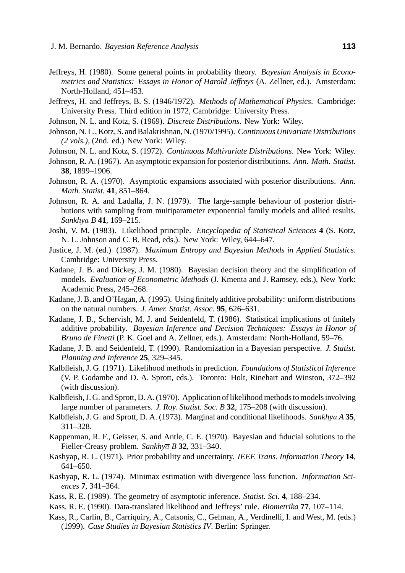- Jeffreys, H. (1980). Some general points in probability theory. *Bayesian Analysis in Econometrics and Statistics: Essays in Honor of Harold Jeffreys* (A. Zellner, ed.). Amsterdam: North-Holland, 451–453.
- Jeffreys, H. and Jeffreys, B. S. (1946/1972). *Methods of Mathematical Physics*. Cambridge: University Press. Third edition in 1972, Cambridge: University Press.
- Johnson, N. L. and Kotz, S. (1969). *Discrete Distributions*. New York: Wiley.
- Johnson, N. L., Kotz, S. and Balakrishnan, N. (1970/1995). *Continuous Univariate Distributions (2 vols.)*, (2nd. ed.) New York: Wiley.
- Johnson, N. L. and Kotz, S. (1972). *Continuous Multivariate Distributions*. New York: Wiley.
- Johnson, R. A. (1967). An asymptotic expansion for posterior distributions. *Ann. Math. Statist.* **38**, 1899–1906.
- Johnson, R. A. (1970). Asymptotic expansions associated with posterior distributions. *Ann. Math. Statist.* **41**, 851–864.
- Johnson, R. A. and Ladalla, J. N. (1979). The large-sample behaviour of posterior distributions with sampling from muitiparameter exponential family models and allied results. *Sankhya B* **41**, 169–215.
- Joshi, V. M. (1983). Likelihood principle. *Encyclopedia of Statistical Sciences* **4** (S. Kotz, N. L. Johnson and C. B. Read, eds.). New York: Wiley, 644–647.
- Justice, J. M. (ed.) (1987). *Maximum Entropy and Bayesian Methods in Applied Statistics*. Cambridge: University Press.
- Kadane, J. B. and Dickey, J. M. (1980). Bayesian decision theory and the simplification of models. *Evaluation of Econometric Methods* (J. Kmenta and J. Ramsey, eds.), New York: Academic Press, 245–268.
- Kadane, J. B. and O'Hagan, A. (1995). Using finitely additive probability: uniform distributions on the natural numbers. *J. Amer. Statist. Assoc.* **95**, 626–631.
- Kadane, J. B., Schervish, M. J. and Seidenfeld, T. (1986). Statistical implications of finitely additive probability. *Bayesian Inference and Decision Techniques: Essays in Honor of Bruno de Finetti* (P. K. Goel and A. Zellner, eds.). Amsterdam: North-Holland, 59–76.
- Kadane, J. B. and Seidenfeld, T. (1990). Randomization in a Bayesian perspective. *J. Statist. Planning and Inference* **25**, 329–345.
- Kalbfleish, J. G. (1971). Likelihood methods in prediction. *Foundations of Statistical Inference* (V. P. Godambe and D. A. Sprott, eds.). Toronto: Holt, Rinehart and Winston, 372–392 (with discussion).
- Kalbfleish, J. G. and Sprott, D. A. (1970). Application of likelihood methods to models involving large number of parameters. *J. Roy. Statist. Soc. B* **32**, 175–208 (with discussion).
- Kalbfleish, J. G. and Sprott, D. A. (1973). Marginal and conditional likelihoods. *Sankhy* $\overline{a}$  *A* **35**, 311–328.
- Kappenman, R. F., Geisser, S. and Antle, C. E. (1970). Bayesian and fiducial solutions to the Fieller-Creasy problem. *Sankhya B* **32**, 331–340.
- Kashyap, R. L. (1971). Prior probability and uncertainty. *IEEE Trans. Information Theory* **14**, 641–650.
- Kashyap, R. L. (1974). Minimax estimation with divergence loss function. *Information Sciences* **7**, 341–364.
- Kass, R. E. (1989). The geometry of asymptotic inference. *Statist. Sci.* **4**, 188–234.
- Kass, R. E. (1990). Data-translated likelihood and Jeffreys' rule. *Biometrika* **77**, 107–114.
- Kass, R., Carlin, B., Carriquiry, A., Catsonis, C., Gelman, A., Verdinelli, I. and West, M. (eds.) (1999). *Case Studies in Bayesian Statistics IV*. Berlin: Springer.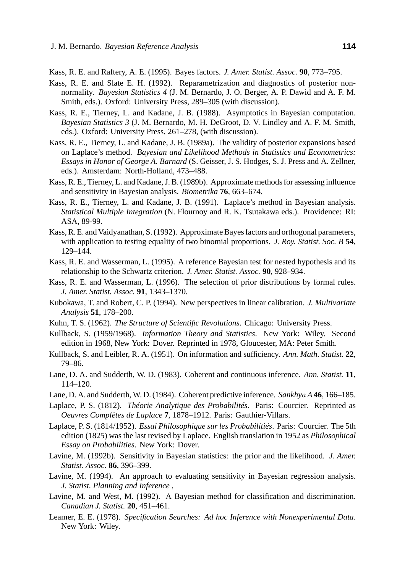Kass, R. E. and Raftery, A. E. (1995). Bayes factors. *J. Amer. Statist. Assoc.* **90**, 773–795.

- Kass, R. E. and Slate E. H. (1992). Reparametrization and diagnostics of posterior nonnormality. *Bayesian Statistics 4* (J. M. Bernardo, J. O. Berger, A. P. Dawid and A. F. M. Smith, eds.). Oxford: University Press, 289–305 (with discussion).
- Kass, R. E., Tierney, L. and Kadane, J. B. (1988). Asymptotics in Bayesian computation. *Bayesian Statistics 3* (J. M. Bernardo, M. H. DeGroot, D. V. Lindley and A. F. M. Smith, eds.). Oxford: University Press, 261–278, (with discussion).
- Kass, R. E., Tierney, L. and Kadane, J. B. (1989a). The validity of posterior expansions based on Laplace's method. *Bayesian and Likelihood Methods in Statistics and Econometrics: Essays in Honor of George A. Barnard* (S. Geisser, J. S. Hodges, S. J. Press and A. Zellner, eds.). Amsterdam: North-Holland, 473–488.
- Kass, R. E., Tierney, L. and Kadane, J. B. (1989b). Approximate methods for assessing influence and sensitivity in Bayesian analysis. *Biometrika* **76**, 663–674.
- Kass, R. E., Tierney, L. and Kadane, J. B. (1991). Laplace's method in Bayesian analysis. *Statistical Multiple Integration* (N. Flournoy and R. K. Tsutakawa eds.). Providence: RI: ASA, 89-99.
- Kass, R. E. and Vaidyanathan, S. (1992). Approximate Bayes factors and orthogonal parameters, with application to testing equality of two binomial proportions. *J. Roy. Statist. Soc. B* **54**, 129–144.
- Kass, R. E. and Wasserman, L. (1995). A reference Bayesian test for nested hypothesis and its relationship to the Schwartz criterion. *J. Amer. Statist. Assoc.* **90**, 928–934.
- Kass, R. E. and Wasserman, L. (1996). The selection of prior distributions by formal rules. *J. Amer. Statist. Assoc.* **91**, 1343–1370.
- Kubokawa, T. and Robert, C. P. (1994). New perspectives in linear calibration. *J. Multivariate Analysis* **51**, 178–200.
- Kuhn, T. S. (1962). *The Structure of Scientific Revolutions*. Chicago: University Press.
- Kullback, S. (1959/1968). *Information Theory and Statistics*. New York: Wiley. Second edition in 1968, New York: Dover. Reprinted in 1978, Gloucester, MA: Peter Smith.
- Kullback, S. and Leibler, R. A. (1951). On information and sufficiency. *Ann. Math. Statist.* **22**, 79–86.
- Lane, D. A. and Sudderth, W. D. (1983). Coherent and continuous inference. *Ann. Statist.* **11**, 114–120.
- Lane, D. A. and Sudderth, W. D. (1984). Coherent predictive inference. *Sankhya A* **46**, 166–185.
- Laplace, P. S. (1812). *Théorie Analytique des Probabilités*. Paris: Courcier. Reprinted as *Oeuvres Complètes de Laplace* **7**, 1878–1912. Paris: Gauthier-Villars.
- Laplace, P. S. (1814/1952). *Essai Philosophique sur les Probabilitiés*. Paris: Courcier. The 5th edition (1825) was the last revised by Laplace. English translation in 1952 as *Philosophical Essay on Probabilities*. New York: Dover.
- Lavine, M. (1992b). Sensitivity in Bayesian statistics: the prior and the likelihood. *J. Amer. Statist. Assoc.* **86**, 396–399.
- Lavine, M. (1994). An approach to evaluating sensitivity in Bayesian regression analysis. *J. Statist. Planning and Inference* ,
- Lavine, M. and West, M. (1992). A Bayesian method for classification and discrimination. *Canadian J. Statist.* **20**, 451–461.
- Leamer, E. E. (1978). *Specification Searches: Ad hoc Inference with Nonexperimental Data*. New York: Wiley.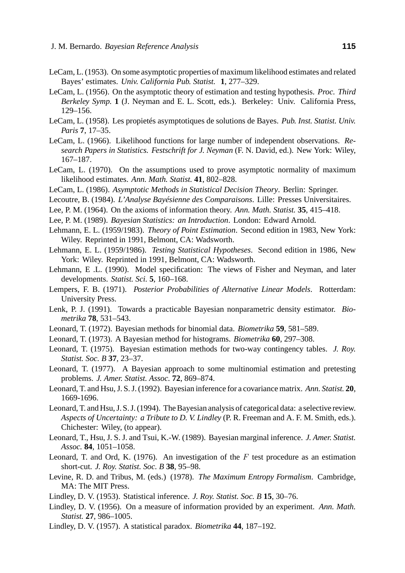- LeCam, L. (1953). On some asymptotic properties of maximum likelihood estimates and related Bayes' estimates. *Univ. California Pub. Statist.* **1**, 277–329.
- LeCam, L. (1956). On the asymptotic theory of estimation and testing hypothesis. *Proc. Third Berkeley Symp.* **1** (J. Neyman and E. L. Scott, eds.). Berkeley: Univ. California Press, 129–156.
- LeCam, L. (1958). Les propietés asymptotiques de solutions de Bayes. *Pub. Inst. Statist. Univ. Paris* **7**, 17–35.
- LeCam, L. (1966). Likelihood functions for large number of independent observations. *Research Papers in Statistics. Festschrift for J. Neyman* (F. N. David, ed.). New York: Wiley, 167–187.
- LeCam, L. (1970). On the assumptions used to prove asymptotic normality of maximum likelihood estimates. *Ann. Math. Statist.* **41**, 802–828.
- LeCam, L. (1986). *Asymptotic Methods in Statistical Decision Theory*. Berlin: Springer.
- Lecoutre, B. (1984). *L'Analyse Bayésienne des Comparaisons*. Lille: Presses Universitaires.
- Lee, P. M. (1964). On the axioms of information theory. *Ann. Math. Statist.* **35**, 415–418.
- Lee, P. M. (1989). *Bayesian Statistics: an Introduction*. London: Edward Arnold.
- Lehmann, E. L. (1959/1983). *Theory of Point Estimation*. Second edition in 1983, New York: Wiley. Reprinted in 1991, Belmont, CA: Wadsworth.
- Lehmann, E. L. (1959/1986). *Testing Statistical Hypotheses*. Second edition in 1986, New York: Wiley. Reprinted in 1991, Belmont, CA: Wadsworth.
- Lehmann, E .L. (1990). Model specification: The views of Fisher and Neyman, and later developments. *Statist. Sci.* **5**, 160–168.
- Lempers, F. B. (1971). *Posterior Probabilities of Alternative Linear Models*. Rotterdam: University Press.
- Lenk, P. J. (1991). Towards a practicable Bayesian nonparametric density estimator. *Biometrika* **78**, 531–543.
- Leonard, T. (1972). Bayesian methods for binomial data. *Biometrika* **59**, 581–589.
- Leonard, T. (1973). A Bayesian method for histograms. *Biometrika* **60**, 297–308.
- Leonard, T. (1975). Bayesian estimation methods for two-way contingency tables. *J. Roy. Statist. Soc. B* **37**, 23–37.
- Leonard, T. (1977). A Bayesian approach to some multinomial estimation and pretesting problems. *J. Amer. Statist. Assoc.* **72**, 869–874.
- Leonard, T. and Hsu, J. S. J. (1992). Bayesian inference for a covariance matrix. *Ann. Statist.* **20**, 1669-1696.
- Leonard, T. and Hsu, J. S. J. (1994). The Bayesian analysis of categorical data: a selective review. *Aspects of Uncertainty: a Tribute to D. V. Lindley* (P. R. Freeman and A. F. M. Smith, eds.). Chichester: Wiley, (to appear).
- Leonard, T., Hsu, J. S. J. and Tsui, K.-W. (1989). Bayesian marginal inference. *J. Amer. Statist. Assoc.* **84**, 1051–1058.
- Leonard, T. and Ord, K. (1976). An investigation of the *F* test procedure as an estimation short-cut. *J. Roy. Statist. Soc. B* **38**, 95–98.
- Levine, R. D. and Tribus, M. (eds.) (1978). *The Maximum Entropy Formalism*. Cambridge, MA: The MIT Press.
- Lindley, D. V. (1953). Statistical inference. *J. Roy. Statist. Soc. B* **15**, 30–76.
- Lindley, D. V. (1956). On a measure of information provided by an experiment. *Ann. Math. Statist.* **27**, 986–1005.
- Lindley, D. V. (1957). A statistical paradox. *Biometrika* **44**, 187–192.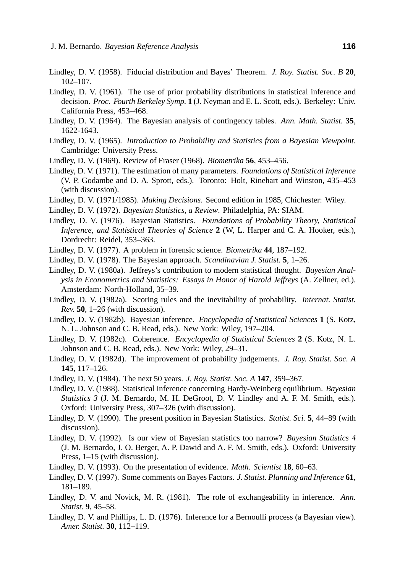- Lindley, D. V. (1958). Fiducial distribution and Bayes' Theorem. *J. Roy. Statist. Soc. B* **20**, 102–107.
- Lindley, D. V. (1961). The use of prior probability distributions in statistical inference and decision. *Proc. Fourth Berkeley Symp.* **1** (J. Neyman and E. L. Scott, eds.). Berkeley: Univ. California Press, 453–468.
- Lindley, D. V. (1964). The Bayesian analysis of contingency tables. *Ann. Math. Statist.* **35**, 1622-1643.
- Lindley, D. V. (1965). *Introduction to Probability and Statistics from a Bayesian Viewpoint*. Cambridge: University Press.
- Lindley, D. V. (1969). Review of Fraser (1968). *Biometrika* **56**, 453–456.
- Lindley, D. V. (1971). The estimation of many parameters. *Foundations of Statistical Inference* (V. P. Godambe and D. A. Sprott, eds.). Toronto: Holt, Rinehart and Winston, 435–453 (with discussion).
- Lindley, D. V. (1971/1985). *Making Decisions*. Second edition in 1985, Chichester: Wiley.
- Lindley, D. V. (1972). *Bayesian Statistics, a Review*. Philadelphia, PA: SIAM.
- Lindley, D. V. (1976). Bayesian Statistics. *Foundations of Probability Theory, Statistical Inference, and Statistical Theories of Science* **2** (W, L. Harper and C. A. Hooker, eds.), Dordrecht: Reidel, 353–363.
- Lindley, D. V. (1977). A problem in forensic science. *Biometrika* **44**, 187–192.
- Lindley, D. V. (1978). The Bayesian approach. *Scandinavian J. Statist.* **5**, 1–26.
- Lindley, D. V. (1980a). Jeffreys's contribution to modern statistical thought. *Bayesian Analysis in Econometrics and Statistics: Essays in Honor of Harold Jeffreys* (A. Zellner, ed.). Amsterdam: North-Holland, 35–39.
- Lindley, D. V. (1982a). Scoring rules and the inevitability of probability. *Internat. Statist. Rev.* **50**, 1–26 (with discussion).
- Lindley, D. V. (1982b). Bayesian inference. *Encyclopedia of Statistical Sciences* **1** (S. Kotz, N. L. Johnson and C. B. Read, eds.). New York: Wiley, 197–204.
- Lindley, D. V. (1982c). Coherence. *Encyclopedia of Statistical Sciences* **2** (S. Kotz, N. L. Johnson and C. B. Read, eds.). New York: Wiley, 29–31.
- Lindley, D. V. (1982d). The improvement of probability judgements. *J. Roy. Statist. Soc. A* **145**, 117–126.
- Lindley, D. V. (1984). The next 50 years. *J. Roy. Statist. Soc. A* **147**, 359–367.
- Lindley, D. V. (1988). Statistical inference concerning Hardy-Weinberg equilibrium. *Bayesian Statistics 3* (J. M. Bernardo, M. H. DeGroot, D. V. Lindley and A. F. M. Smith, eds.). Oxford: University Press, 307–326 (with discussion).
- Lindley, D. V. (1990). The present position in Bayesian Statistics. *Statist. Sci.* **5**, 44–89 (with discussion).
- Lindley, D. V. (1992). Is our view of Bayesian statistics too narrow? *Bayesian Statistics 4* (J. M. Bernardo, J. O. Berger, A. P. Dawid and A. F. M. Smith, eds.). Oxford: University Press, 1–15 (with discussion).
- Lindley, D. V. (1993). On the presentation of evidence. *Math. Scientist* **18**, 60–63.
- Lindley, D. V. (1997). Some comments on Bayes Factors. *J. Statist. Planning and Inference* **61**, 181–189.
- Lindley, D. V. and Novick, M. R. (1981). The role of exchangeability in inference. *Ann. Statist.* **9**, 45–58.
- Lindley, D. V. and Phillips, L. D. (1976). Inference for a Bernoulli process (a Bayesian view). *Amer. Statist.* **30**, 112–119.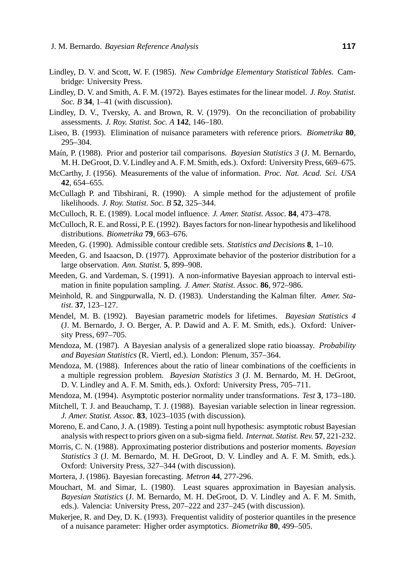- Lindley, D. V. and Scott, W. F. (1985). *New Cambridge Elementary Statistical Tables*. Cambridge: University Press.
- Lindley, D. V. and Smith, A. F. M. (1972). Bayes estimates for the linear model. *J. Roy. Statist. Soc. B* **34**, 1–41 (with discussion).
- Lindley, D. V., Tversky, A. and Brown, R. V. (1979). On the reconciliation of probability assessments. *J. Roy. Statist. Soc. A* **142**, 146–180.
- Liseo, B. (1993). Elimination of nuisance parameters with reference priors. *Biometrika* **80**, 295–304.
- Maín, P. (1988). Prior and posterior tail comparisons. *Bayesian Statistics 3* (J. M. Bernardo, M. H. DeGroot, D. V. Lindley and A. F. M. Smith, eds.). Oxford: University Press, 669–675.
- McCarthy, J. (1956). Measurements of the value of information. *Proc. Nat. Acad. Sci. USA* **42**, 654–655.
- McCullagh P. and Tibshirani, R. (1990). A simple method for the adjustement of profile likelihoods. *J. Roy. Statist. Soc. B* **52**, 325–344.
- McCulloch, R. E. (1989). Local model influence. *J. Amer. Statist. Assoc.* **84**, 473–478.
- McCulloch, R. E. and Rossi, P. E. (1992). Bayes factors for non-linear hypothesis and likelihood distributions. *Biometrika* **79**, 663–676.
- Meeden, G. (1990). Admissible contour credible sets. *Statistics and Decisions* **8**, 1–10.
- Meeden, G. and Isaacson, D. (1977). Approximate behavior of the posterior distribution for a large observation. *Ann. Statist.* **5**, 899–908.
- Meeden, G. and Vardeman, S. (1991). A non-informative Bayesian approach to interval estimation in finite population sampling. *J. Amer. Statist. Assoc.* **86**, 972–986.
- Meinhold, R. and Singpurwalla, N. D. (1983). Understanding the Kalman filter. *Amer. Statist.* **37**, 123–127.
- Mendel, M. B. (1992). Bayesian parametric models for lifetimes. *Bayesian Statistics 4* (J. M. Bernardo, J. O. Berger, A. P. Dawid and A. F. M. Smith, eds.). Oxford: University Press, 697–705.
- Mendoza, M. (1987). A Bayesian analysis of a generalized slope ratio bioassay. *Probability and Bayesian Statistics* (R. Viertl, ed.). London: Plenum, 357–364.
- Mendoza, M. (1988). Inferences about the ratio of linear combinations of the coefficients in a multiple regression problem. *Bayesian Statistics 3* (J. M. Bernardo, M. H. DeGroot, D. V. Lindley and A. F. M. Smith, eds.). Oxford: University Press, 705–711.
- Mendoza, M. (1994). Asymptotic posterior normality under transformations. *Test* **3**, 173–180.
- Mitchell, T. J. and Beauchamp, T. J. (1988). Bayesian variable selection in linear regression. *J. Amer. Statist. Assoc.* **83**, 1023–1035 (with discussion).
- Moreno, E. and Cano, J. A. (1989). Testing a point null hypothesis: asymptotic robust Bayesian analysis with respect to priors given on a sub-sigma field. *Internat. Statist. Rev.* **57**, 221-232.
- Morris, C. N. (1988). Approximating posterior distributions and posterior moments. *Bayesian Statistics 3* (J. M. Bernardo, M. H. DeGroot, D. V. Lindley and A. F. M. Smith, eds.). Oxford: University Press, 327–344 (with discussion).
- Mortera, J. (1986). Bayesian forecasting. *Metron* **44**, 277-296.
- Mouchart, M. and Simar, L. (1980). Least squares approximation in Bayesian analysis. *Bayesian Statistics* (J. M. Bernardo, M. H. DeGroot, D. V. Lindley and A. F. M. Smith, eds.). Valencia: University Press, 207–222 and 237–245 (with discussion).
- Mukerjee, R. and Dey, D. K. (1993). Frequentist validity of posterior quantiles in the presence of a nuisance parameter: Higher order asymptotics. *Biometrika* **80**, 499–505.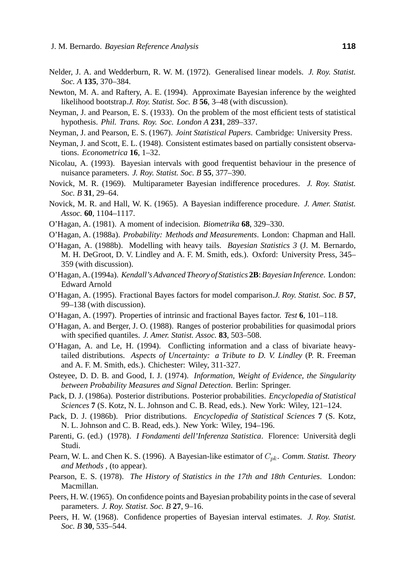- Nelder, J. A. and Wedderburn, R. W. M. (1972). Generalised linear models. *J. Roy. Statist. Soc. A* **135**, 370–384.
- Newton, M. A. and Raftery, A. E. (1994). Approximate Bayesian inference by the weighted likelihood bootstrap.*J. Roy. Statist. Soc. B* **56**, 3–48 (with discussion).
- Neyman, J. and Pearson, E. S. (1933). On the problem of the most efficient tests of statistical hypothesis. *Phil. Trans. Roy. Soc. London A* **231**, 289–337.
- Neyman, J. and Pearson, E. S. (1967). *Joint Statistical Papers*. Cambridge: University Press.
- Neyman, J. and Scott, E. L. (1948). Consistent estimates based on partially consistent observations. *Econometrica* **16**, 1–32.
- Nicolau, A. (1993). Bayesian intervals with good frequentist behaviour in the presence of nuisance parameters. *J. Roy. Statist. Soc. B* **55**, 377–390.
- Novick, M. R. (1969). Multiparameter Bayesian indifference procedures. *J. Roy. Statist. Soc. B* **31**, 29–64.
- Novick, M. R. and Hall, W. K. (1965). A Bayesian indifference procedure. *J. Amer. Statist. Assoc.* **60**, 1104–1117.
- O'Hagan, A. (1981). A moment of indecision. *Biometrika* **68**, 329–330.
- O'Hagan, A. (1988a). *Probability: Methods and Measurements*. London: Chapman and Hall.
- O'Hagan, A. (1988b). Modelling with heavy tails. *Bayesian Statistics 3* (J. M. Bernardo, M. H. DeGroot, D. V. Lindley and A. F. M. Smith, eds.). Oxford: University Press, 345– 359 (with discussion).
- O'Hagan, A. (1994a). *Kendall's Advanced Theory of Statistics* **2B**:*Bayesian Inference*. London: Edward Arnold
- O'Hagan, A. (1995). Fractional Bayes factors for model comparison.*J. Roy. Statist. Soc. B* **57**, 99–138 (with discussion).
- O'Hagan, A. (1997). Properties of intrinsic and fractional Bayes factor. *Test* **6**, 101–118.
- O'Hagan, A. and Berger, J. O. (1988). Ranges of posterior probabilities for quasimodal priors with specified quantiles. *J. Amer. Statist. Assoc.* **83**, 503–508.
- O'Hagan, A. and Le, H. (1994). Conflicting information and a class of bivariate heavytailed distributions. *Aspects of Uncertainty: a Tribute to D. V. Lindley* (P. R. Freeman and A. F. M. Smith, eds.). Chichester: Wiley, 311-327.
- Osteyee, D. D. B. and Good, I. J. (1974). *Information, Weight of Evidence, the Singularity between Probability Measures and Signal Detection*. Berlin: Springer.
- Pack, D. J. (1986a). Posterior distributions. Posterior probabilities. *Encyclopedia of Statistical Sciences* **7** (S. Kotz, N. L. Johnson and C. B. Read, eds.). New York: Wiley, 121–124.
- Pack, D. J. (1986b). Prior distributions. *Encyclopedia of Statistical Sciences* **7** (S. Kotz, N. L. Johnson and C. B. Read, eds.). New York: Wiley, 194–196.
- Parenti, G. (ed.) (1978). *I Fondamenti dell'Inferenza Statistica*. Florence: Università degli Studi.
- Pearn, W. L. and Chen K. S. (1996). A Bayesian-like estimator of *Cpk*. *Comm. Statist. Theory and Methods* , (to appear).
- Pearson, E. S. (1978). *The History of Statistics in the 17th and 18th Centuries*. London: Macmillan.
- Peers, H. W. (1965). On confidence points and Bayesian probability points in the case of several parameters. *J. Roy. Statist. Soc. B* **27**, 9–16.
- Peers, H. W. (1968). Confidence properties of Bayesian interval estimates. *J. Roy. Statist. Soc. B* **30**, 535–544.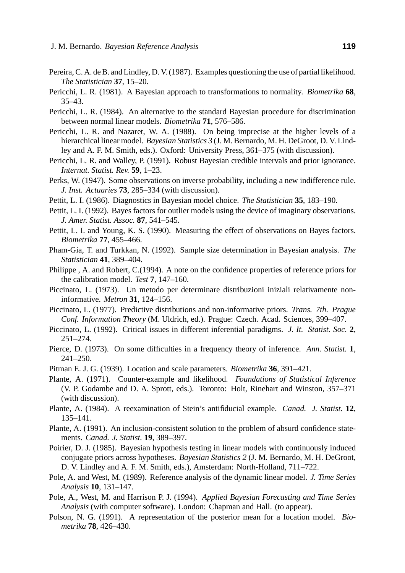- Pereira, C. A. de B. and Lindley, D. V. (1987). Examples questioning the use of partial likelihood. *The Statistician* **37**, 15–20.
- Pericchi, L. R. (1981). A Bayesian approach to transformations to normality. *Biometrika* **68**, 35–43.
- Pericchi, L. R. (1984). An alternative to the standard Bayesian procedure for discrimination between normal linear models. *Biometrika* **71**, 576–586.
- Pericchi, L. R. and Nazaret, W. A. (1988). On being imprecise at the higher levels of a hierarchical linear model. *Bayesian Statistics 3* (J. M. Bernardo, M. H. DeGroot, D. V. Lindley and A. F. M. Smith, eds.). Oxford: University Press, 361–375 (with discussion).
- Pericchi, L. R. and Walley, P. (1991). Robust Bayesian credible intervals and prior ignorance. *Internat. Statist. Rev.* **59**, 1–23.
- Perks, W. (1947). Some observations on inverse probability, including a new indifference rule. *J. Inst. Actuaries* **73**, 285–334 (with discussion).
- Pettit, L. I. (1986). Diagnostics in Bayesian model choice. *The Statistician* **35**, 183–190.
- Pettit, L. I. (1992). Bayes factors for outlier models using the device of imaginary observations. *J. Amer. Statist. Assoc.* **87**, 541–545.
- Pettit, L. I. and Young, K. S. (1990). Measuring the effect of observations on Bayes factors. *Biometrika* **77**, 455–466.
- Pham-Gia, T. and Turkkan, N. (1992). Sample size determination in Bayesian analysis. *The Statistician* **41**, 389–404.
- Philippe , A. and Robert, C.(1994). A note on the confidence properties of reference priors for the calibration model. *Test* **7**, 147–160.
- Piccinato, L. (1973). Un metodo per determinare distribuzioni iniziali relativamente noninformative. *Metron* **31**, 124–156.
- Piccinato, L. (1977). Predictive distributions and non-informative priors. *Trans. 7th. Prague Conf. Information Theory* (M. Uldrich, ed.). Prague: Czech. Acad. Sciences, 399–407.
- Piccinato, L. (1992). Critical issues in different inferential paradigms. *J. It. Statist. Soc.* **2**, 251–274.
- Pierce, D. (1973). On some difficulties in a frequency theory of inference. *Ann. Statist.* **1**, 241–250.
- Pitman E. J. G. (1939). Location and scale parameters. *Biometrika* **36**, 391–421.
- Plante, A. (1971). Counter-example and likelihood. *Foundations of Statistical Inference* (V. P. Godambe and D. A. Sprott, eds.). Toronto: Holt, Rinehart and Winston, 357–371 (with discussion).
- Plante, A. (1984). A reexamination of Stein's antifiducial example. *Canad. J. Statist.* **12**, 135–141.
- Plante, A. (1991). An inclusion-consistent solution to the problem of absurd confidence statements. *Canad. J. Statist.* **19**, 389–397.
- Poirier, D. J. (1985). Bayesian hypothesis testing in linear models with continuously induced conjugate priors across hypotheses. *Bayesian Statistics 2* (J. M. Bernardo, M. H. DeGroot, D. V. Lindley and A. F. M. Smith, eds.), Amsterdam: North-Holland, 711–722.
- Pole, A. and West, M. (1989). Reference analysis of the dynamic linear model. *J. Time Series Analysis* **10**, 131–147.
- Pole, A., West, M. and Harrison P. J. (1994). *Applied Bayesian Forecasting and Time Series Analysis* (with computer software). London: Chapman and Hall. (to appear).
- Polson, N. G. (1991). A representation of the posterior mean for a location model. *Biometrika* **78**, 426–430.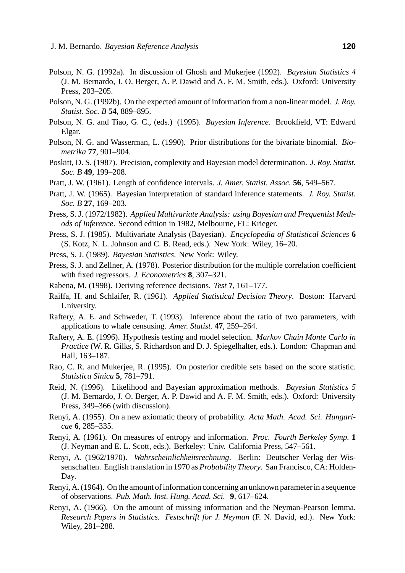- Polson, N. G. (1992a). In discussion of Ghosh and Mukerjee (1992). *Bayesian Statistics 4* (J. M. Bernardo, J. O. Berger, A. P. Dawid and A. F. M. Smith, eds.). Oxford: University Press, 203–205.
- Polson, N. G. (1992b). On the expected amount of information from a non-linear model. *J. Roy. Statist. Soc. B* **54**, 889–895.
- Polson, N. G. and Tiao, G. C., (eds.) (1995). *Bayesian Inference*. Brookfield, VT: Edward Elgar.
- Polson, N. G. and Wasserman, L. (1990). Prior distributions for the bivariate binomial. *Biometrika* **77**, 901–904.
- Poskitt, D. S. (1987). Precision, complexity and Bayesian model determination. *J. Roy. Statist. Soc. B* **49**, 199–208.
- Pratt, J. W. (1961). Length of confidence intervals. *J. Amer. Statist. Assoc.* **56**, 549–567.
- Pratt, J. W. (1965). Bayesian interpretation of standard inference statements. *J. Roy. Statist. Soc. B* **27**, 169–203.
- Press, S. J. (1972/1982). *Applied Multivariate Analysis: using Bayesian and Frequentist Methods of Inference*. Second edition in 1982, Melbourne, FL: Krieger.
- Press, S. J. (1985). Multivariate Analysis (Bayesian). *Encyclopedia of Statistical Sciences* **6** (S. Kotz, N. L. Johnson and C. B. Read, eds.). New York: Wiley, 16–20.
- Press, S. J. (1989). *Bayesian Statistics*. New York: Wiley.
- Press, S. J. and Zellner, A. (1978). Posterior distribution for the multiple correlation coefficient with fixed regressors. *J. Econometrics* **8**, 307–321.
- Rabena, M. (1998). Deriving reference decisions. *Test* **7**, 161–177.
- Raiffa, H. and Schlaifer, R. (1961). *Applied Statistical Decision Theory*. Boston: Harvard University.
- Raftery, A. E. and Schweder, T. (1993). Inference about the ratio of two parameters, with applications to whale censusing. *Amer. Statist.* **47**, 259–264.
- Raftery, A. E. (1996). Hypothesis testing and model selection. *Markov Chain Monte Carlo in Practice* (W. R. Gilks, S. Richardson and D. J. Spiegelhalter, eds.). London: Chapman and Hall, 163–187.
- Rao, C. R. and Mukerjee, R. (1995). On posterior credible sets based on the score statistic. *Statistica Sinica* **5**, 781–791.
- Reid, N. (1996). Likelihood and Bayesian approximation methods. *Bayesian Statistics 5* (J. M. Bernardo, J. O. Berger, A. P. Dawid and A. F. M. Smith, eds.). Oxford: University Press, 349–366 (with discussion).
- Renyi, A. (1955). On a new axiomatic theory of probability. *Acta Math. Acad. Sci. Hungaricae* **6**, 285–335.
- Renyi, A. (1961). On measures of entropy and information. *Proc. Fourth Berkeley Symp.* **1** (J. Neyman and E. L. Scott, eds.). Berkeley: Univ. California Press, 547–561.
- Renyi, A. (1962/1970). *Wahrscheinlichkeitsrechnung*. Berlin: Deutscher Verlag der Wissenschaften. English translation in 1970 as *Probability Theory*. San Francisco, CA: Holden-Day.
- Renyi, A. (1964). On the amount of information concerning an unknown parameter in a sequence of observations. *Pub. Math. Inst. Hung. Acad. Sci.* **9**, 617–624.
- Renyi, A. (1966). On the amount of missing information and the Neyman-Pearson lemma. *Research Papers in Statistics. Festschrift for J. Neyman* (F. N. David, ed.). New York: Wiley, 281–288.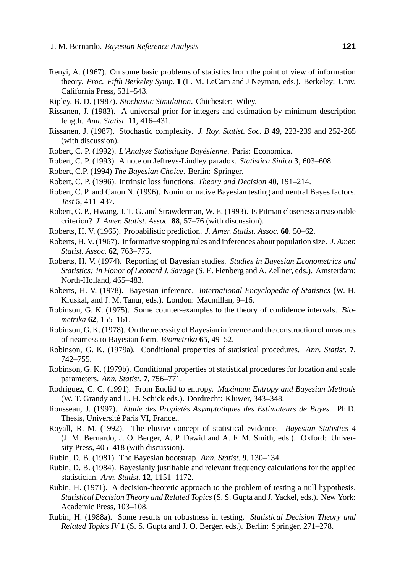- Renyi, A. (1967). On some basic problems of statistics from the point of view of information theory. *Proc. Fifth Berkeley Symp.* **1** (L. M. LeCam and J Neyman, eds.). Berkeley: Univ. California Press, 531–543.
- Ripley, B. D. (1987). *Stochastic Simulation*. Chichester: Wiley.
- Rissanen, J. (1983). A universal prior for integers and estimation by minimum description length. *Ann. Statist.* **11**, 416–431.
- Rissanen, J. (1987). Stochastic complexity. *J. Roy. Statist. Soc. B* **49**, 223-239 and 252-265 (with discussion).
- Robert, C. P. (1992). *L'Analyse Statistique Bayésienne*. Paris: Economica.
- Robert, C. P. (1993). A note on Jeffreys-Lindley paradox. *Statistica Sinica* **3**, 603–608.
- Robert, C.P. (1994) *The Bayesian Choice*. Berlin: Springer.
- Robert, C. P. (1996). Intrinsic loss functions. *Theory and Decision* **40**, 191–214.
- Robert, C. P. and Caron N. (1996). Noninformative Bayesian testing and neutral Bayes factors. *Test* **5**, 411–437.
- Robert, C. P., Hwang, J. T. G. and Strawderman, W. E. (1993). Is Pitman closeness a reasonable criterion? *J. Amer. Statist. Assoc.* **88**, 57–76 (with discussion).
- Roberts, H. V. (1965). Probabilistic prediction. *J. Amer. Statist. Assoc.* **60**, 50–62.
- Roberts, H. V. (1967). Informative stopping rules and inferences about population size. *J. Amer. Statist. Assoc.* **62**, 763–775.
- Roberts, H. V. (1974). Reporting of Bayesian studies. *Studies in Bayesian Econometrics and Statistics: in Honor of Leonard J. Savage* (S. E. Fienberg and A. Zellner, eds.). Amsterdam: North-Holland, 465–483.
- Roberts, H. V. (1978). Bayesian inference. *International Encyclopedia of Statistics* (W. H. Kruskal, and J. M. Tanur, eds.). London: Macmillan, 9–16.
- Robinson, G. K. (1975). Some counter-examples to the theory of confidence intervals. *Biometrika* **62**, 155–161.
- Robinson, G. K. (1978). On the necessity of Bayesian inference and the construction of measures of nearness to Bayesian form. *Biometrika* **65**, 49–52.
- Robinson, G. K. (1979a). Conditional properties of statistical procedures. *Ann. Statist.* **7**, 742–755.
- Robinson, G. K. (1979b). Conditional properties of statistical procedures for location and scale parameters. *Ann. Statist.* **7**, 756–771.
- Rodríguez, C. C. (1991). From Euclid to entropy. *Maximum Entropy and Bayesian Methods* (W. T. Grandy and L. H. Schick eds.). Dordrecht: Kluwer, 343–348.
- Rousseau, J. (1997). *Etude des Propietés Asymptotiques des Estimateurs de Bayes*. Ph.D. Thesis, Université Paris VI, France..
- Royall, R. M. (1992). The elusive concept of statistical evidence. *Bayesian Statistics 4* (J. M. Bernardo, J. O. Berger, A. P. Dawid and A. F. M. Smith, eds.). Oxford: University Press, 405–418 (with discussion).
- Rubin, D. B. (1981). The Bayesian bootstrap. *Ann. Statist.* **9**, 130–134.
- Rubin, D. B. (1984). Bayesianly justifiable and relevant frequency calculations for the applied statistician. *Ann. Statist.* **12**, 1151–1172.
- Rubin, H. (1971). A decision-theoretic approach to the problem of testing a null hypothesis. *Statistical Decision Theory and Related Topics* (S. S. Gupta and J. Yackel, eds.). New York: Academic Press, 103–108.
- Rubin, H. (1988a). Some results on robustness in testing. *Statistical Decision Theory and Related Topics IV* **1** (S. S. Gupta and J. O. Berger, eds.). Berlin: Springer, 271–278.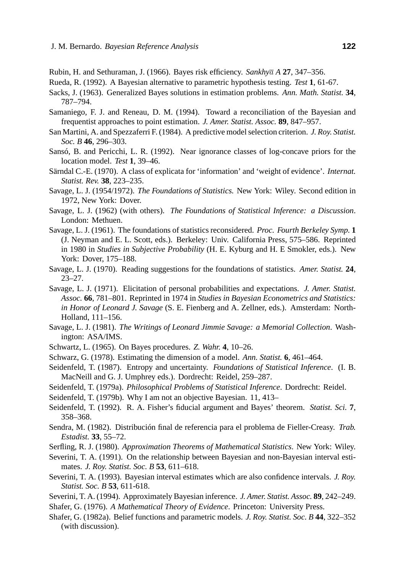- Rubin, H. and Sethuraman, J. (1966). Bayes risk efficiency. *Sankhya A* **27**, 347–356.
- Rueda, R. (1992). A Bayesian alternative to parametric hypothesis testing. *Test* **1**, 61-67.
- Sacks, J. (1963). Generalized Bayes solutions in estimation problems. *Ann. Math. Statist.* **34**, 787–794.
- Samaniego, F. J. and Reneau, D. M. (1994). Toward a reconciliation of the Bayesian and frequentist approaches to point estimation. *J. Amer. Statist. Assoc.* **89**, 847–957.
- San Martini, A. and Spezzaferri F. (1984). A predictive model selection criterion. *J. Roy. Statist. Soc. B* **46**, 296–303.
- Sansó, B. and Pericchi, L. R. (1992). Near ignorance classes of log-concave priors for the location model. *Test* **1**, 39–46.
- Särndal C.-E. (1970). A class of explicata for 'information' and 'weight of evidence'. *Internat. Statist. Rev.* **38**, 223–235.
- Savage, L. J. (1954/1972). *The Foundations of Statistics.* New York: Wiley. Second edition in 1972, New York: Dover.
- Savage, L. J. (1962) (with others). *The Foundations of Statistical Inference: a Discussion*. London: Methuen.
- Savage, L. J. (1961). The foundations of statistics reconsidered. *Proc. Fourth Berkeley Symp.* **1** (J. Neyman and E. L. Scott, eds.). Berkeley: Univ. California Press, 575–586. Reprinted in 1980 in *Studies in Subjective Probability* (H. E. Kyburg and H. E Smokler, eds.). New York: Dover, 175–188.
- Savage, L. J. (1970). Reading suggestions for the foundations of statistics. *Amer. Statist.* **24**, 23–27.
- Savage, L. J. (1971). Elicitation of personal probabilities and expectations. *J. Amer. Statist. Assoc.* **66**, 781–801. Reprinted in 1974 in *Studies in Bayesian Econometrics and Statistics: in Honor of Leonard J. Savage* (S. E. Fienberg and A. Zellner, eds.). Amsterdam: North-Holland, 111–156.
- Savage, L. J. (1981). *The Writings of Leonard Jimmie Savage: a Memorial Collection*. Washington: ASA/IMS.
- Schwartz, L. (1965). On Bayes procedures. *Z. Wahr.* **4**, 10–26.
- Schwarz, G. (1978). Estimating the dimension of a model. *Ann. Statist.* **6**, 461–464.
- Seidenfeld, T. (1987). Entropy and uncertainty. *Foundations of Statistical Inference*. (I. B. MacNeill and G. J. Umphrey eds.). Dordrecht: Reidel, 259–287.
- Seidenfeld, T. (1979a). *Philosophical Problems of Statistical Inference*. Dordrecht: Reidel.
- Seidenfeld, T. (1979b). Why I am not an objective Bayesian. 11, 413–
- Seidenfeld, T. (1992). R. A. Fisher's fiducial argument and Bayes' theorem. *Statist. Sci.* **7**, 358–368.
- Sendra, M. (1982). Distribución final de referencia para el problema de Fieller-Creasy. *Trab. Estadist.* **33**, 55–72.
- Serfling, R. J. (1980). *Approximation Theorems of Mathematical Statistics*. New York: Wiley.
- Severini, T. A. (1991). On the relationship between Bayesian and non-Bayesian interval estimates. *J. Roy. Statist. Soc. B* **53**, 611–618.
- Severini, T. A. (1993). Bayesian interval estimates which are also confidence intervals. *J. Roy. Statist. Soc. B* **53**, 611-618.
- Severini, T. A. (1994). Approximately Bayesian inference. *J. Amer. Statist. Assoc.* **89**, 242–249. Shafer, G. (1976). *A Mathematical Theory of Evidence*. Princeton: University Press.
- Shafer, G. (1982a). Belief functions and parametric models. *J. Roy. Statist. Soc. B* **44**, 322–352 (with discussion).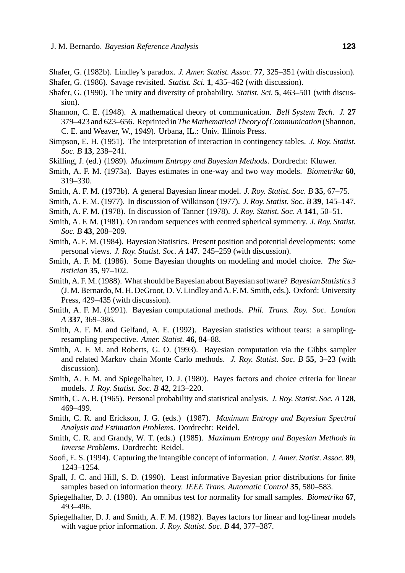- Shafer, G. (1982b). Lindley's paradox. *J. Amer. Statist. Assoc.* **77**, 325–351 (with discussion). Shafer, G. (1986). Savage revisited. *Statist. Sci.* **1**, 435–462 (with discussion).
- Shafer, G. (1990). The unity and diversity of probability. *Statist. Sci.* **5**, 463–501 (with discussion).
- Shannon, C. E. (1948). A mathematical theory of communication. *Bell System Tech. J.* **27** 379–423 and 623–656. Reprinted in *The Mathematical Theory of Communication* (Shannon, C. E. and Weaver, W., 1949). Urbana, IL.: Univ. Illinois Press.
- Simpson, E. H. (1951). The interpretation of interaction in contingency tables. *J. Roy. Statist. Soc. B* **13**, 238–241.
- Skilling, J. (ed.) (1989). *Maximum Entropy and Bayesian Methods*. Dordrecht: Kluwer.
- Smith, A. F. M. (1973a). Bayes estimates in one-way and two way models. *Biometrika* **60**, 319–330.
- Smith, A. F. M. (1973b). A general Bayesian linear model. *J. Roy. Statist. Soc. B* **35**, 67–75.
- Smith, A. F. M. (1977). In discussion of Wilkinson (1977). *J. Roy. Statist. Soc. B* **39**, 145–147.
- Smith, A. F. M. (1978). In discussion of Tanner (1978). *J. Roy. Statist. Soc. A* **141**, 50–51.
- Smith, A. F. M. (1981). On random sequences with centred spherical symmetry. *J. Roy. Statist. Soc. B* **43**, 208–209.
- Smith, A. F. M. (1984). Bayesian Statistics. Present position and potential developments: some personal views. *J. Roy. Statist. Soc. A* **147**. 245–259 (with discussion).
- Smith, A. F. M. (1986). Some Bayesian thoughts on modeling and model choice. *The Statistician* **35**, 97–102.
- Smith, A. F. M. (1988). What should be Bayesian about Bayesian software? *Bayesian Statistics 3* (J. M. Bernardo, M. H. DeGroot, D. V. Lindley and A. F. M. Smith, eds.). Oxford: University Press, 429–435 (with discussion).
- Smith, A. F. M. (1991). Bayesian computational methods. *Phil. Trans. Roy. Soc. London A* **337**, 369–386.
- Smith, A. F. M. and Gelfand, A. E. (1992). Bayesian statistics without tears: a samplingresampling perspective. *Amer. Statist.* **46**, 84–88.
- Smith, A. F. M. and Roberts, G. O. (1993). Bayesian computation via the Gibbs sampler and related Markov chain Monte Carlo methods. *J. Roy. Statist. Soc. B* **55**, 3–23 (with discussion).
- Smith, A. F. M. and Spiegelhalter, D. J. (1980). Bayes factors and choice criteria for linear models. *J. Roy. Statist. Soc. B* **42**, 213–220.
- Smith, C. A. B. (1965). Personal probability and statistical analysis. *J. Roy. Statist. Soc. A* **128**, 469–499.
- Smith, C. R. and Erickson, J. G. (eds.) (1987). *Maximum Entropy and Bayesian Spectral Analysis and Estimation Problems*. Dordrecht: Reidel.
- Smith, C. R. and Grandy, W. T. (eds.) (1985). *Maximum Entropy and Bayesian Methods in Inverse Problems*. Dordrecht: Reidel.
- Soofi, E. S. (1994). Capturing the intangible concept of information. *J. Amer. Statist. Assoc.* **89**, 1243–1254.
- Spall, J. C. and Hill, S. D. (1990). Least informative Bayesian prior distributions for finite samples based on information theory. *IEEE Trans. Automatic Control* **35**, 580–583.
- Spiegelhalter, D. J. (1980). An omnibus test for normality for small samples. *Biometrika* **67**, 493–496.
- Spiegelhalter, D. J. and Smith, A. F. M. (1982). Bayes factors for linear and log-linear models with vague prior information. *J. Roy. Statist. Soc. B* **44**, 377–387.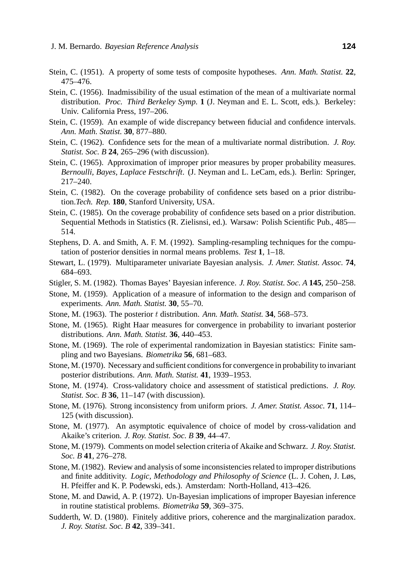- Stein, C. (1951). A property of some tests of composite hypotheses. *Ann. Math. Statist.* **22**, 475–476.
- Stein, C. (1956). Inadmissibility of the usual estimation of the mean of a multivariate normal distribution. *Proc. Third Berkeley Symp.* **1** (J. Neyman and E. L. Scott, eds.). Berkeley: Univ. California Press, 197–206.
- Stein, C. (1959). An example of wide discrepancy between fiducial and confidence intervals. *Ann. Math. Statist.* **30**, 877–880.
- Stein, C. (1962). Confidence sets for the mean of a multivariate normal distribution. *J. Roy. Statist. Soc. B* **24**, 265–296 (with discussion).
- Stein, C. (1965). Approximation of improper prior measures by proper probability measures. *Bernoulli, Bayes, Laplace Festschrift*. (J. Neyman and L. LeCam, eds.). Berlin: Springer, 217–240.
- Stein, C. (1982). On the coverage probability of confidence sets based on a prior distribution.*Tech. Rep.* **180**, Stanford University, USA.
- Stein, C. (1985). On the coverage probability of confidence sets based on a prior distribution. Sequential Methods in Statistics (R. Zielisnsi, ed.). Warsaw: Polish Scientific Pub., 485— 514.
- Stephens, D. A. and Smith, A. F. M. (1992). Sampling-resampling techniques for the computation of posterior densities in normal means problems. *Test* **1**, 1–18.
- Stewart, L. (1979). Multiparameter univariate Bayesian analysis. *J. Amer. Statist. Assoc.* **74**, 684–693.
- Stigler, S. M. (1982). Thomas Bayes' Bayesian inference. *J. Roy. Statist. Soc. A* **145**, 250–258.
- Stone, M. (1959). Application of a measure of information to the design and comparison of experiments. *Ann. Math. Statist.* **30**, 55–70.
- Stone, M. (1963). The posterior *t* distribution. *Ann. Math. Statist.* **34**, 568–573.
- Stone, M. (1965). Right Haar measures for convergence in probability to invariant posterior distributions. *Ann. Math. Statist.* **36**, 440–453.
- Stone, M. (1969). The role of experimental randomization in Bayesian statistics: Finite sampling and two Bayesians. *Biometrika* **56**, 681–683.
- Stone, M. (1970). Necessary and sufficient conditions for convergence in probability to invariant posterior distributions. *Ann. Math. Statist.* **41**, 1939–1953.
- Stone, M. (1974). Cross-validatory choice and assessment of statistical predictions. *J. Roy. Statist. Soc. B* **36**, 11–147 (with discussion).
- Stone, M. (1976). Strong inconsistency from uniform priors. *J. Amer. Statist. Assoc.* **71**, 114– 125 (with discussion).
- Stone, M. (1977). An asymptotic equivalence of choice of model by cross-validation and Akaike's criterion. *J. Roy. Statist. Soc. B* **39**, 44–47.
- Stone, M. (1979). Comments on model selection criteria of Akaike and Schwarz. *J. Roy. Statist. Soc. B* **41**, 276–278.
- Stone, M. (1982). Review and analysis of some inconsistencies related to improper distributions and finite additivity. *Logic, Methodology and Philosophy of Science* (L. J. Cohen, J. Løs, H. Pfeiffer and K. P. Podewski, eds.). Amsterdam: North-Holland, 413–426.
- Stone, M. and Dawid, A. P. (1972). Un-Bayesian implications of improper Bayesian inference in routine statistical problems. *Biometrika* **59**, 369–375.
- Sudderth, W. D. (1980). Finitely additive priors, coherence and the marginalization paradox. *J. Roy. Statist. Soc. B* **42**, 339–341.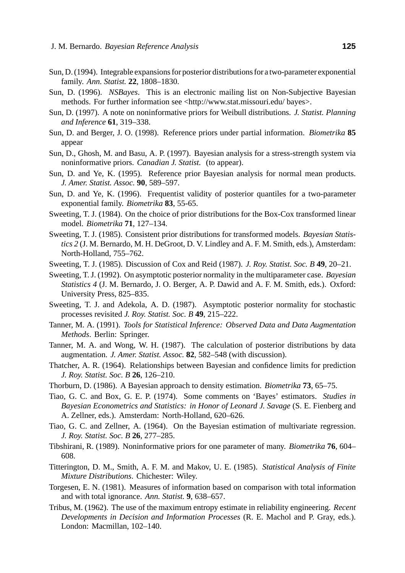- Sun, D. (1994). Integrable expansions for posterior distributions for a two-parameter exponential family. *Ann. Statist.* **22**, 1808–1830.
- Sun, D. (1996). *NSBayes*. This is an electronic mailing list on Non-Subjective Bayesian methods. For further information see <http://www.stat.missouri.edu/ bayes>.
- Sun, D. (1997). A note on noninformative priors for Weibull distributions. *J. Statist. Planning and Inference* **61**, 319–338.
- Sun, D. and Berger, J. O. (1998). Reference priors under partial information. *Biometrika* **85** appear
- Sun, D., Ghosh, M. and Basu, A. P. (1997). Bayesian analysis for a stress-strength system via noninformative priors. *Canadian J. Statist.* (to appear).
- Sun, D. and Ye, K. (1995). Reference prior Bayesian analysis for normal mean products. *J. Amer. Statist. Assoc.* **90**, 589–597.
- Sun, D. and Ye, K. (1996). Frequentist validity of posterior quantiles for a two-parameter exponential family. *Biometrika* **83**, 55-65.
- Sweeting, T. J. (1984). On the choice of prior distributions for the Box-Cox transformed linear model. *Biometrika* **71**, 127–134.
- Sweeting, T. J. (1985). Consistent prior distributions for transformed models. *Bayesian Statistics 2* (J. M. Bernardo, M. H. DeGroot, D. V. Lindley and A. F. M. Smith, eds.), Amsterdam: North-Holland, 755–762.
- Sweeting, T. J. (1985). Discussion of Cox and Reid (1987). *J. Roy. Statist. Soc. B* **49**, 20–21.
- Sweeting, T. J. (1992). On asymptotic posterior normality in the multiparameter case. *Bayesian Statistics 4* (J. M. Bernardo, J. O. Berger, A. P. Dawid and A. F. M. Smith, eds.). Oxford: University Press, 825–835.
- Sweeting, T. J. and Adekola, A. D. (1987). Asymptotic posterior normality for stochastic processes revisited *J. Roy. Statist. Soc. B* **49**, 215–222.
- Tanner, M. A. (1991). *Tools for Statistical Inference: Observed Data and Data Augmentation Methods*. Berlin: Springer.
- Tanner, M. A. and Wong, W. H. (1987). The calculation of posterior distributions by data augmentation. *J. Amer. Statist. Assoc.* **82**, 582–548 (with discussion).
- Thatcher, A. R. (1964). Relationships between Bayesian and confidence limits for prediction *J. Roy. Statist. Soc. B* **26**, 126–210.
- Thorburn, D. (1986). A Bayesian approach to density estimation. *Biometrika* **73**, 65–75.
- Tiao, G. C. and Box, G. E. P. (1974). Some comments on 'Bayes' estimators. *Studies in Bayesian Econometrics and Statistics: in Honor of Leonard J. Savage* (S. E. Fienberg and A. Zellner, eds.). Amsterdam: North-Holland, 620–626.
- Tiao, G. C. and Zellner, A. (1964). On the Bayesian estimation of multivariate regression. *J. Roy. Statist. Soc. B* **26**, 277–285.
- Tibshirani, R. (1989). Noninformative priors for one parameter of many. *Biometrika* **76**, 604– 608.
- Titterington, D. M., Smith, A. F. M. and Makov, U. E. (1985). *Statistical Analysis of Finite Mixture Distributions*. Chichester: Wiley.
- Torgesen, E. N. (1981). Measures of information based on comparison with total information and with total ignorance. *Ann. Statist.* **9**, 638–657.
- Tribus, M. (1962). The use of the maximum entropy estimate in reliability engineering. *Recent Developments in Decision and Information Processes* (R. E. Machol and P. Gray, eds.). London: Macmillan, 102–140.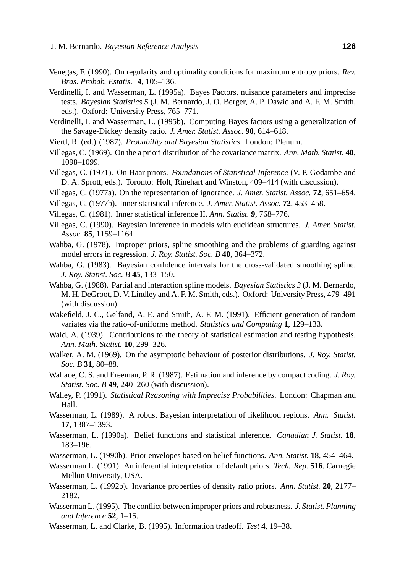- Venegas, F. (1990). On regularity and optimality conditions for maximum entropy priors. *Rev. Bras. Probab. Estatis.* **4**, 105–136.
- Verdinelli, I. and Wasserman, L. (1995a). Bayes Factors, nuisance parameters and imprecise tests. *Bayesian Statistics 5* (J. M. Bernardo, J. O. Berger, A. P. Dawid and A. F. M. Smith, eds.). Oxford: University Press, 765–771.
- Verdinelli, I. and Wasserman, L. (1995b). Computing Bayes factors using a generalization of the Savage-Dickey density ratio. *J. Amer. Statist. Assoc.* **90**, 614–618.
- Viertl, R. (ed.) (1987). *Probability and Bayesian Statistics*. London: Plenum.
- Villegas, C. (1969). On the a priori distribution of the covariance matrix. *Ann. Math. Statist.* **40**, 1098–1099.
- Villegas, C. (1971). On Haar priors. *Foundations of Statistical Inference* (V. P. Godambe and D. A. Sprott, eds.). Toronto: Holt, Rinehart and Winston, 409–414 (with discussion).
- Villegas, C. (1977a). On the representation of ignorance. *J. Amer. Statist. Assoc.* **72**, 651–654.
- Villegas, C. (1977b). Inner statistical inference. *J. Amer. Statist. Assoc.* **72**, 453–458.
- Villegas, C. (1981). Inner statistical inference II. *Ann. Statist.* **9**, 768–776.
- Villegas, C. (1990). Bayesian inference in models with euclidean structures. *J. Amer. Statist. Assoc.* **85**, 1159–1164.
- Wahba, G. (1978). Improper priors, spline smoothing and the problems of guarding against model errors in regression. *J. Roy. Statist. Soc. B* **40**, 364–372.
- Wahba, G. (1983). Bayesian confidence intervals for the cross-validated smoothing spline. *J. Roy. Statist. Soc. B* **45**, 133–150.
- Wahba, G. (1988). Partial and interaction spline models. *Bayesian Statistics 3* (J. M. Bernardo, M. H. DeGroot, D. V. Lindley and A. F. M. Smith, eds.). Oxford: University Press, 479–491 (with discussion).
- Wakefield, J. C., Gelfand, A. E. and Smith, A. F. M. (1991). Efficient generation of random variates via the ratio-of-uniforms method. *Statistics and Computing* **1**, 129–133.
- Wald, A. (1939). Contributions to the theory of statistical estimation and testing hypothesis. *Ann. Math. Statist.* **10**, 299–326.
- Walker, A. M. (1969). On the asymptotic behaviour of posterior distributions. *J. Roy. Statist. Soc. B* **31**, 80–88.
- Wallace, C. S. and Freeman, P. R. (1987). Estimation and inference by compact coding. *J. Roy. Statist. Soc. B* **49**, 240–260 (with discussion).
- Walley, P. (1991). *Statistical Reasoning with Imprecise Probabilities*. London: Chapman and Hall.
- Wasserman, L. (1989). A robust Bayesian interpretation of likelihood regions. *Ann. Statist.* **17**, 1387–1393.
- Wasserman, L. (1990a). Belief functions and statistical inference. *Canadian J. Statist.* **18**, 183–196.
- Wasserman, L. (1990b). Prior envelopes based on belief functions. *Ann. Statist.* **18**, 454–464.
- Wasserman L. (1991). An inferential interpretation of default priors. *Tech. Rep.* **516**, Carnegie Mellon University, USA.
- Wasserman, L. (1992b). Invariance properties of density ratio priors. *Ann. Statist.* **20**, 2177– 2182.
- Wasserman L. (1995). The conflict between improper priors and robustness. *J. Statist. Planning and Inference* **52**, 1–15.
- Wasserman, L. and Clarke, B. (1995). Information tradeoff. *Test* **4**, 19–38.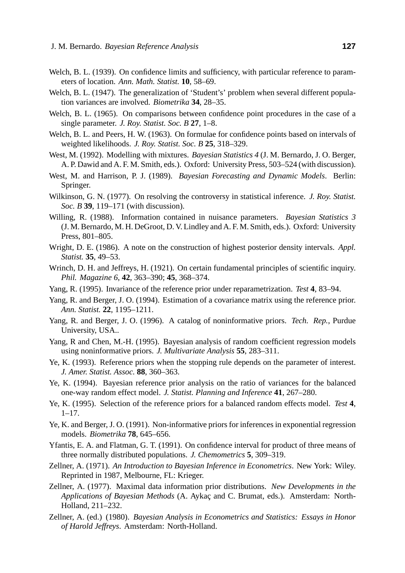- Welch, B. L. (1939). On confidence limits and sufficiency, with particular reference to parameters of location. *Ann. Math. Statist.* **10**, 58–69.
- Welch, B. L. (1947). The generalization of 'Student's' problem when several different population variances are involved. *Biometrika* **34**, 28–35.
- Welch, B. L. (1965). On comparisons between confidence point procedures in the case of a single parameter. *J. Roy. Statist. Soc. B* **27**, 1–8.
- Welch, B. L. and Peers, H. W. (1963). On formulae for confidence points based on intervals of weighted likelihoods. *J. Roy. Statist. Soc. B* **25**, 318–329.
- West, M. (1992). Modelling with mixtures. *Bayesian Statistics 4* (J. M. Bernardo, J. O. Berger, A. P. Dawid and A. F. M. Smith, eds.). Oxford: University Press, 503–524 (with discussion).
- West, M. and Harrison, P. J. (1989). *Bayesian Forecasting and Dynamic Models*. Berlin: Springer.
- Wilkinson, G. N. (1977). On resolving the controversy in statistical inference. *J. Roy. Statist. Soc. B* **39**, 119–171 (with discussion).
- Willing, R. (1988). Information contained in nuisance parameters. *Bayesian Statistics 3* (J. M. Bernardo, M. H. DeGroot, D. V. Lindley and A. F. M. Smith, eds.). Oxford: University Press, 801–805.
- Wright, D. E. (1986). A note on the construction of highest posterior density intervals. *Appl. Statist.* **35**, 49–53.
- Wrinch, D. H. and Jeffreys, H. (1921). On certain fundamental principles of scientific inquiry. *Phil. Magazine 6*, **42**, 363–390; **45**, 368–374.
- Yang, R. (1995). Invariance of the reference prior under reparametrization. *Test* **4**, 83–94.
- Yang, R. and Berger, J. O. (1994). Estimation of a covariance matrix using the reference prior. *Ann. Statist.* **22**, 1195–1211.
- Yang, R. and Berger, J. O. (1996). A catalog of noninformative priors. *Tech. Rep.*, Purdue University, USA..
- Yang, R and Chen, M.-H. (1995). Bayesian analysis of random coefficient regression models using noninformative priors. *J. Multivariate Analysis* **55**, 283–311.
- Ye, K. (1993). Reference priors when the stopping rule depends on the parameter of interest. *J. Amer. Statist. Assoc.* **88**, 360–363.
- Ye, K. (1994). Bayesian reference prior analysis on the ratio of variances for the balanced one-way random effect model. *J. Statist. Planning and Inference* **41**, 267–280.
- Ye, K. (1995). Selection of the reference priors for a balanced random effects model. *Test* **4**, 1–17.
- Ye, K. and Berger, J. O. (1991). Non-informative priors for inferences in exponential regression models. *Biometrika* **78**, 645–656.
- Yfantis, E. A. and Flatman, G. T. (1991). On confidence interval for product of three means of three normally distributed populations. *J. Chemometrics* **5**, 309–319.
- Zellner, A. (1971). *An Introduction to Bayesian Inference in Econometrics*. New York: Wiley. Reprinted in 1987, Melbourne, FL: Krieger.
- Zellner, A. (1977). Maximal data information prior distributions. *New Developments in the Applications of Bayesian Methods* (A. Aykaç and C. Brumat, eds.). Amsterdam: North-Holland, 211–232.
- Zellner, A. (ed.) (1980). *Bayesian Analysis in Econometrics and Statistics: Essays in Honor of Harold Jeffreys*. Amsterdam: North-Holland.